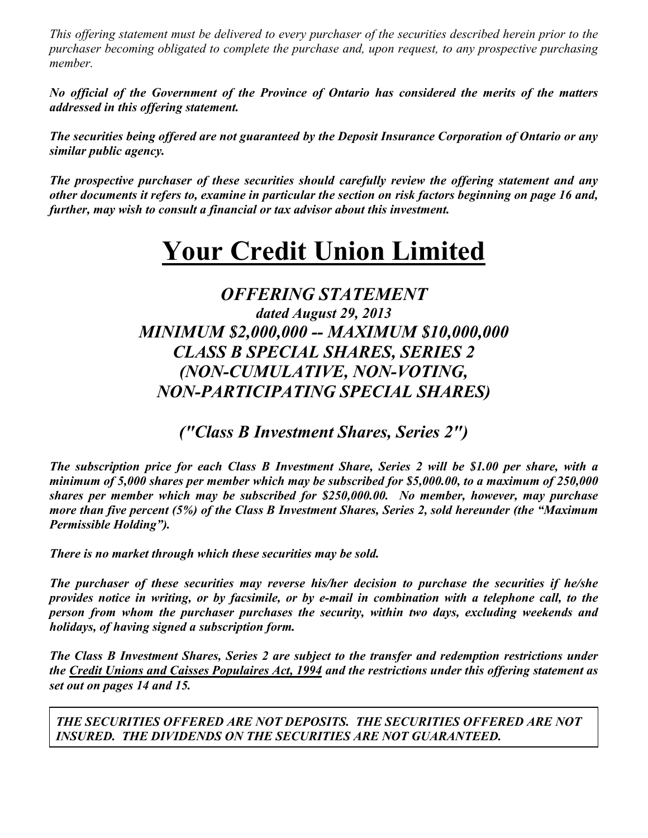*This offering statement must be delivered to every purchaser of the securities described herein prior to the purchaser becoming obligated to complete the purchase and, upon request, to any prospective purchasing member.*

*No official of the Government of the Province of Ontario has considered the merits of the matters addressed in this offering statement.*

*The securities being offered are not guaranteed by the Deposit Insurance Corporation of Ontario or any similar public agency.*

*The prospective purchaser of these securities should carefully review the offering statement and any other documents it refers to, examine in particular the section on risk factors beginning on page 16 and, further, may wish to consult a financial or tax advisor about this investment.*

# **Your Credit Union Limited**

# *OFFERING STATEMENT dated August 29, 2013 MINIMUM \$2,000,000 -- MAXIMUM \$10,000,000 CLASS B SPECIAL SHARES, SERIES 2 (NON-CUMULATIVE, NON-VOTING, NON-PARTICIPATING SPECIAL SHARES)*

*("Class B Investment Shares, Series 2")*

*The subscription price for each Class B Investment Share, Series 2 will be \$1.00 per share, with a minimum of 5,000 shares per member which may be subscribed for \$5,000.00, to a maximum of 250,000 shares per member which may be subscribed for \$250,000.00. No member, however, may purchase more than five percent (5%) of the Class B Investment Shares, Series 2, sold hereunder (the "Maximum Permissible Holding").* 

*There is no market through which these securities may be sold.*

*The purchaser of these securities may reverse his/her decision to purchase the securities if he/she provides notice in writing, or by facsimile, or by e-mail in combination with a telephone call, to the person from whom the purchaser purchases the security, within two days, excluding weekends and holidays, of having signed a subscription form.*

*The Class B Investment Shares, Series 2 are subject to the transfer and redemption restrictions under the Credit Unions and Caisses Populaires Act, 1994 and the restrictions under this offering statement as set out on pages 14 and 15.*

*THE SECURITIES OFFERED ARE NOT DEPOSITS. THE SECURITIES OFFERED ARE NOT INSURED. THE DIVIDENDS ON THE SECURITIES ARE NOT GUARANTEED.*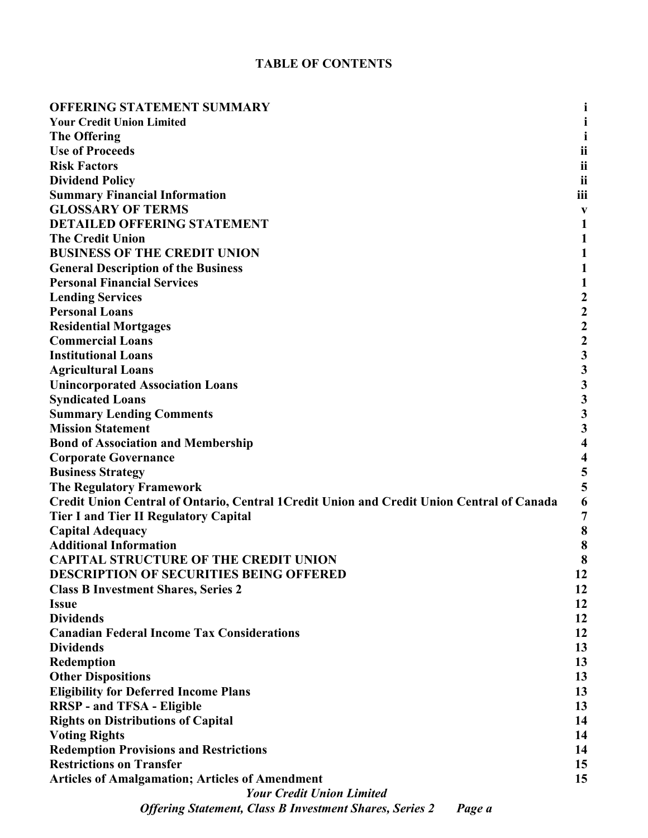# **TABLE OF CONTENTS**

| <b>OFFERING STATEMENT SUMMARY</b>                                                          |                         |
|--------------------------------------------------------------------------------------------|-------------------------|
| <b>Your Credit Union Limited</b>                                                           |                         |
| <b>The Offering</b>                                                                        |                         |
| <b>Use of Proceeds</b>                                                                     | ii                      |
| <b>Risk Factors</b>                                                                        | ij                      |
| <b>Dividend Policy</b>                                                                     | ii                      |
| <b>Summary Financial Information</b>                                                       | iii                     |
| <b>GLOSSARY OF TERMS</b>                                                                   | V                       |
| <b>DETAILED OFFERING STATEMENT</b>                                                         | $\mathbf 1$             |
| <b>The Credit Union</b>                                                                    | 1                       |
| <b>BUSINESS OF THE CREDIT UNION</b>                                                        | 1                       |
| <b>General Description of the Business</b>                                                 | 1                       |
| <b>Personal Financial Services</b>                                                         | $\mathbf{1}$            |
| <b>Lending Services</b>                                                                    | $\boldsymbol{2}$        |
| <b>Personal Loans</b>                                                                      |                         |
| <b>Residential Mortgages</b>                                                               | $\frac{2}{2}$           |
| <b>Commercial Loans</b>                                                                    | $\overline{\mathbf{c}}$ |
| <b>Institutional Loans</b>                                                                 |                         |
| <b>Agricultural Loans</b>                                                                  | $\frac{3}{3}$           |
| <b>Unincorporated Association Loans</b>                                                    | $\overline{\mathbf{3}}$ |
| <b>Syndicated Loans</b>                                                                    | 3                       |
| <b>Summary Lending Comments</b>                                                            | $\overline{\mathbf{3}}$ |
| <b>Mission Statement</b>                                                                   | 3                       |
| <b>Bond of Association and Membership</b>                                                  | $\overline{\mathbf{4}}$ |
| <b>Corporate Governance</b>                                                                | $\overline{\mathbf{4}}$ |
| <b>Business Strategy</b>                                                                   | 5                       |
| <b>The Regulatory Framework</b>                                                            | 5                       |
| Credit Union Central of Ontario, Central 1 Credit Union and Credit Union Central of Canada | 6                       |
| <b>Tier I and Tier II Regulatory Capital</b>                                               | $\overline{7}$          |
| <b>Capital Adequacy</b>                                                                    | 8                       |
| <b>Additional Information</b>                                                              | 8                       |
| <b>CAPITAL STRUCTURE OF THE CREDIT UNION</b>                                               | 8                       |
| <b>DESCRIPTION OF SECURITIES BEING OFFERED</b>                                             | 12                      |
| <b>Class B Investment Shares, Series 2</b>                                                 | 12                      |
| <b>Issue</b>                                                                               | 12                      |
| <b>Dividends</b>                                                                           | 12                      |
| <b>Canadian Federal Income Tax Considerations</b>                                          | 12                      |
| <b>Dividends</b>                                                                           | 13                      |
| Redemption                                                                                 | 13                      |
| <b>Other Dispositions</b>                                                                  | 13                      |
| <b>Eligibility for Deferred Income Plans</b>                                               | 13                      |
| <b>RRSP</b> - and TFSA - Eligible                                                          | 13                      |
| <b>Rights on Distributions of Capital</b>                                                  | 14                      |
| <b>Voting Rights</b>                                                                       | 14                      |
| <b>Redemption Provisions and Restrictions</b>                                              | 14                      |
| <b>Restrictions on Transfer</b>                                                            | 15                      |
| <b>Articles of Amalgamation; Articles of Amendment</b>                                     | 15                      |
| <b>Your Credit Union Limited</b>                                                           |                         |
| <b>Offering Statement, Class B Investment Shares, Series 2</b><br>Page a                   |                         |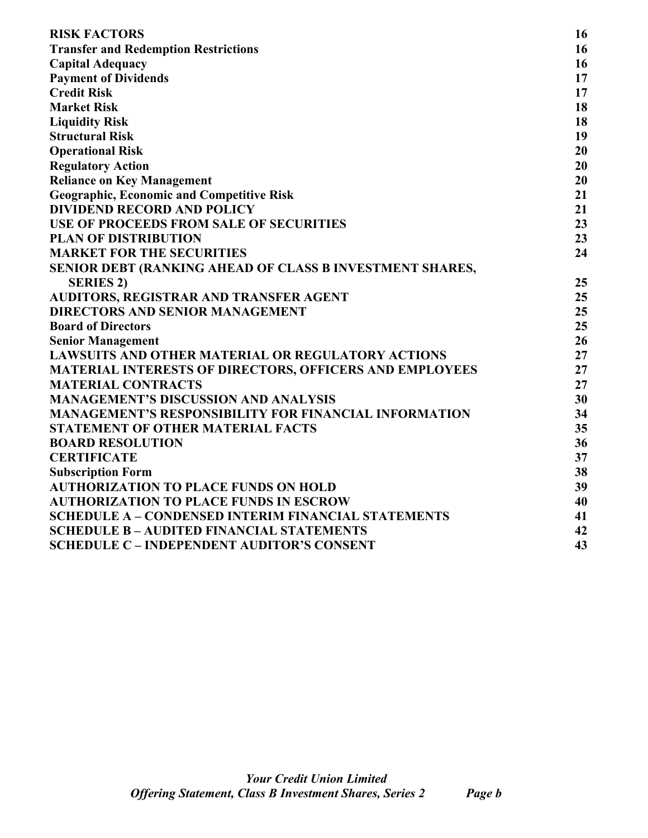| <b>RISK FACTORS</b>                                            | 16 |
|----------------------------------------------------------------|----|
| <b>Transfer and Redemption Restrictions</b>                    | 16 |
| <b>Capital Adequacy</b>                                        | 16 |
| <b>Payment of Dividends</b>                                    | 17 |
| <b>Credit Risk</b>                                             | 17 |
| <b>Market Risk</b>                                             | 18 |
| <b>Liquidity Risk</b>                                          | 18 |
| <b>Structural Risk</b>                                         | 19 |
| <b>Operational Risk</b>                                        | 20 |
| <b>Regulatory Action</b>                                       | 20 |
| <b>Reliance on Key Management</b>                              | 20 |
| <b>Geographic, Economic and Competitive Risk</b>               | 21 |
| <b>DIVIDEND RECORD AND POLICY</b>                              | 21 |
| <b>USE OF PROCEEDS FROM SALE OF SECURITIES</b>                 | 23 |
| <b>PLAN OF DISTRIBUTION</b>                                    | 23 |
| <b>MARKET FOR THE SECURITIES</b>                               | 24 |
| SENIOR DEBT (RANKING AHEAD OF CLASS B INVESTMENT SHARES,       |    |
| <b>SERIES 2)</b>                                               | 25 |
| AUDITORS, REGISTRAR AND TRANSFER AGENT                         | 25 |
| <b>DIRECTORS AND SENIOR MANAGEMENT</b>                         | 25 |
| <b>Board of Directors</b>                                      | 25 |
| <b>Senior Management</b>                                       | 26 |
| <b>LAWSUITS AND OTHER MATERIAL OR REGULATORY ACTIONS</b>       | 27 |
| <b>MATERIAL INTERESTS OF DIRECTORS, OFFICERS AND EMPLOYEES</b> | 27 |
| <b>MATERIAL CONTRACTS</b>                                      | 27 |
| <b>MANAGEMENT'S DISCUSSION AND ANALYSIS</b>                    | 30 |
| <b>MANAGEMENT'S RESPONSIBILITY FOR FINANCIAL INFORMATION</b>   | 34 |
| <b>STATEMENT OF OTHER MATERIAL FACTS</b>                       | 35 |
| <b>BOARD RESOLUTION</b>                                        | 36 |
| <b>CERTIFICATE</b>                                             | 37 |
| <b>Subscription Form</b>                                       | 38 |
| <b>AUTHORIZATION TO PLACE FUNDS ON HOLD</b>                    | 39 |
| <b>AUTHORIZATION TO PLACE FUNDS IN ESCROW</b>                  | 40 |
| <b>SCHEDULE A - CONDENSED INTERIM FINANCIAL STATEMENTS</b>     | 41 |
| <b>SCHEDULE B - AUDITED FINANCIAL STATEMENTS</b>               | 42 |
| <b>SCHEDULE C - INDEPENDENT AUDITOR'S CONSENT</b>              | 43 |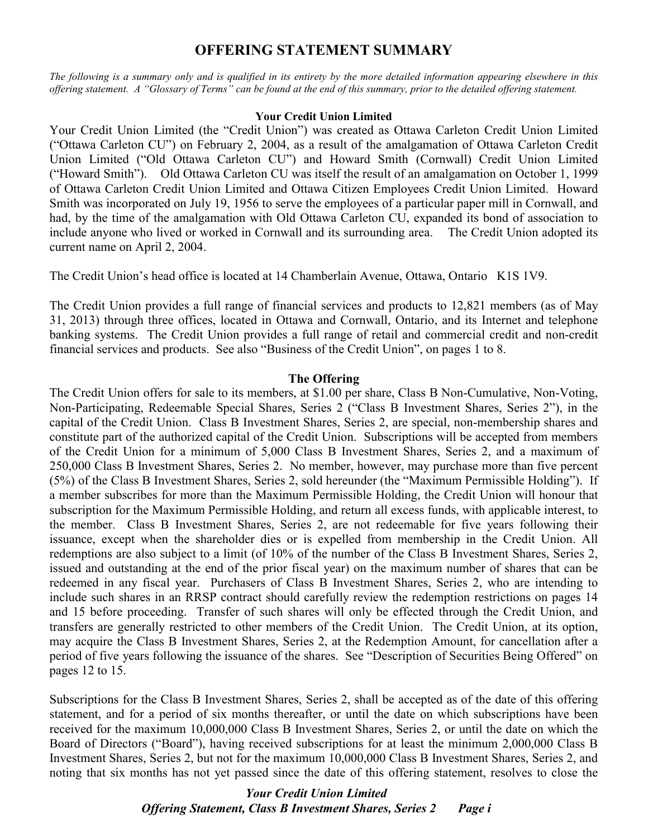# **OFFERING STATEMENT SUMMARY**

*The following is a summary only and is qualified in its entirety by the more detailed information appearing elsewhere in this offering statement. A "Glossary of Terms" can be found at the end of this summary, prior to the detailed offering statement.*

#### **Your Credit Union Limited**

Your Credit Union Limited (the "Credit Union") was created as Ottawa Carleton Credit Union Limited ("Ottawa Carleton CU") on February 2, 2004, as a result of the amalgamation of Ottawa Carleton Credit Union Limited ("Old Ottawa Carleton CU") and Howard Smith (Cornwall) Credit Union Limited ("Howard Smith"). Old Ottawa Carleton CU was itself the result of an amalgamation on October 1, 1999 of Ottawa Carleton Credit Union Limited and Ottawa Citizen Employees Credit Union Limited. Howard Smith was incorporated on July 19, 1956 to serve the employees of a particular paper mill in Cornwall, and had, by the time of the amalgamation with Old Ottawa Carleton CU, expanded its bond of association to include anyone who lived or worked in Cornwall and its surrounding area. The Credit Union adopted its current name on April 2, 2004.

The Credit Union's head office is located at 14 Chamberlain Avenue, Ottawa, Ontario K1S 1V9.

The Credit Union provides a full range of financial services and products to 12,821 members (as of May 31, 2013) through three offices, located in Ottawa and Cornwall, Ontario, and its Internet and telephone banking systems. The Credit Union provides a full range of retail and commercial credit and non-credit financial services and products. See also "Business of the Credit Union", on pages 1 to 8.

#### **The Offering**

The Credit Union offers for sale to its members, at \$1.00 per share, Class B Non-Cumulative, Non-Voting, Non-Participating, Redeemable Special Shares, Series 2 ("Class B Investment Shares, Series 2"), in the capital of the Credit Union. Class B Investment Shares, Series 2, are special, non-membership shares and constitute part of the authorized capital of the Credit Union. Subscriptions will be accepted from members of the Credit Union for a minimum of 5,000 Class B Investment Shares, Series 2, and a maximum of 250,000 Class B Investment Shares, Series 2. No member, however, may purchase more than five percent (5%) of the Class B Investment Shares, Series 2, sold hereunder (the "Maximum Permissible Holding"). If a member subscribes for more than the Maximum Permissible Holding, the Credit Union will honour that subscription for the Maximum Permissible Holding, and return all excess funds, with applicable interest, to the member. Class B Investment Shares, Series 2, are not redeemable for five years following their issuance, except when the shareholder dies or is expelled from membership in the Credit Union. All redemptions are also subject to a limit (of 10% of the number of the Class B Investment Shares, Series 2, issued and outstanding at the end of the prior fiscal year) on the maximum number of shares that can be redeemed in any fiscal year. Purchasers of Class B Investment Shares, Series 2, who are intending to include such shares in an RRSP contract should carefully review the redemption restrictions on pages 14 and 15 before proceeding. Transfer of such shares will only be effected through the Credit Union, and transfers are generally restricted to other members of the Credit Union. The Credit Union, at its option, may acquire the Class B Investment Shares, Series 2, at the Redemption Amount, for cancellation after a period of five years following the issuance of the shares. See "Description of Securities Being Offered" on pages 12 to 15.

Subscriptions for the Class B Investment Shares, Series 2, shall be accepted as of the date of this offering statement, and for a period of six months thereafter, or until the date on which subscriptions have been received for the maximum 10,000,000 Class B Investment Shares, Series 2, or until the date on which the Board of Directors ("Board"), having received subscriptions for at least the minimum 2,000,000 Class B Investment Shares, Series 2, but not for the maximum 10,000,000 Class B Investment Shares, Series 2, and noting that six months has not yet passed since the date of this offering statement, resolves to close the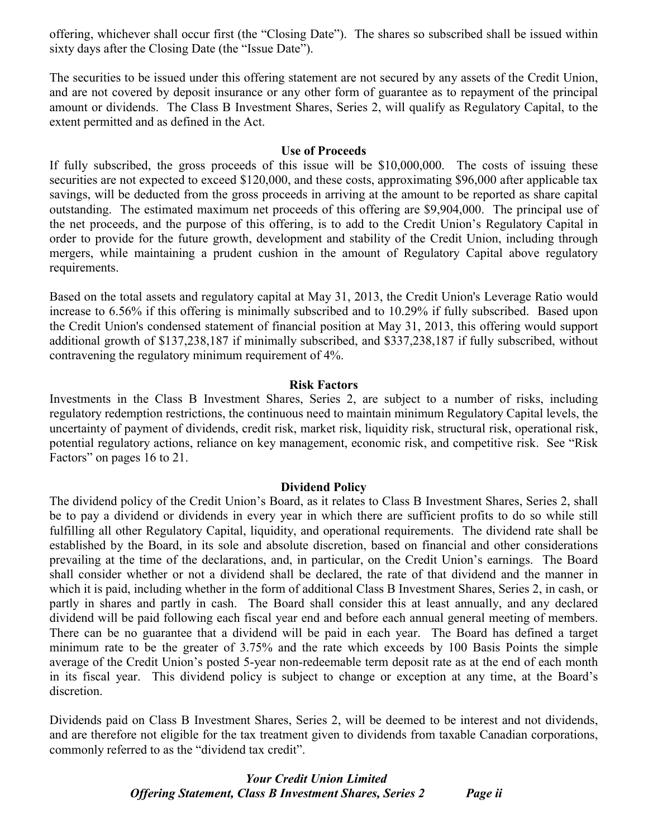offering, whichever shall occur first (the "Closing Date"). The shares so subscribed shall be issued within sixty days after the Closing Date (the "Issue Date").

The securities to be issued under this offering statement are not secured by any assets of the Credit Union, and are not covered by deposit insurance or any other form of guarantee as to repayment of the principal amount or dividends. The Class B Investment Shares, Series 2, will qualify as Regulatory Capital, to the extent permitted and as defined in the Act.

#### **Use of Proceeds**

If fully subscribed, the gross proceeds of this issue will be \$10,000,000. The costs of issuing these securities are not expected to exceed \$120,000, and these costs, approximating \$96,000 after applicable tax savings, will be deducted from the gross proceeds in arriving at the amount to be reported as share capital outstanding. The estimated maximum net proceeds of this offering are \$9,904,000. The principal use of the net proceeds, and the purpose of this offering, is to add to the Credit Union's Regulatory Capital in order to provide for the future growth, development and stability of the Credit Union, including through mergers, while maintaining a prudent cushion in the amount of Regulatory Capital above regulatory requirements.

Based on the total assets and regulatory capital at May 31, 2013, the Credit Union's Leverage Ratio would increase to 6.56% if this offering is minimally subscribed and to 10.29% if fully subscribed. Based upon the Credit Union's condensed statement of financial position at May 31, 2013, this offering would support additional growth of \$137,238,187 if minimally subscribed, and \$337,238,187 if fully subscribed, without contravening the regulatory minimum requirement of 4%.

#### **Risk Factors**

Investments in the Class B Investment Shares, Series 2, are subject to a number of risks, including regulatory redemption restrictions, the continuous need to maintain minimum Regulatory Capital levels, the uncertainty of payment of dividends, credit risk, market risk, liquidity risk, structural risk, operational risk, potential regulatory actions, reliance on key management, economic risk, and competitive risk. See "Risk Factors" on pages 16 to 21.

#### **Dividend Policy**

The dividend policy of the Credit Union's Board, as it relates to Class B Investment Shares, Series 2, shall be to pay a dividend or dividends in every year in which there are sufficient profits to do so while still fulfilling all other Regulatory Capital, liquidity, and operational requirements. The dividend rate shall be established by the Board, in its sole and absolute discretion, based on financial and other considerations prevailing at the time of the declarations, and, in particular, on the Credit Union's earnings. The Board shall consider whether or not a dividend shall be declared, the rate of that dividend and the manner in which it is paid, including whether in the form of additional Class B Investment Shares, Series 2, in cash, or partly in shares and partly in cash. The Board shall consider this at least annually, and any declared dividend will be paid following each fiscal year end and before each annual general meeting of members. There can be no guarantee that a dividend will be paid in each year. The Board has defined a target minimum rate to be the greater of 3.75% and the rate which exceeds by 100 Basis Points the simple average of the Credit Union's posted 5-year non-redeemable term deposit rate as at the end of each month in its fiscal year. This dividend policy is subject to change or exception at any time, at the Board's discretion.

Dividends paid on Class B Investment Shares, Series 2, will be deemed to be interest and not dividends, and are therefore not eligible for the tax treatment given to dividends from taxable Canadian corporations, commonly referred to as the "dividend tax credit".

# *Your Credit Union Limited Offering Statement, Class B Investment Shares, Series 2 Page ii*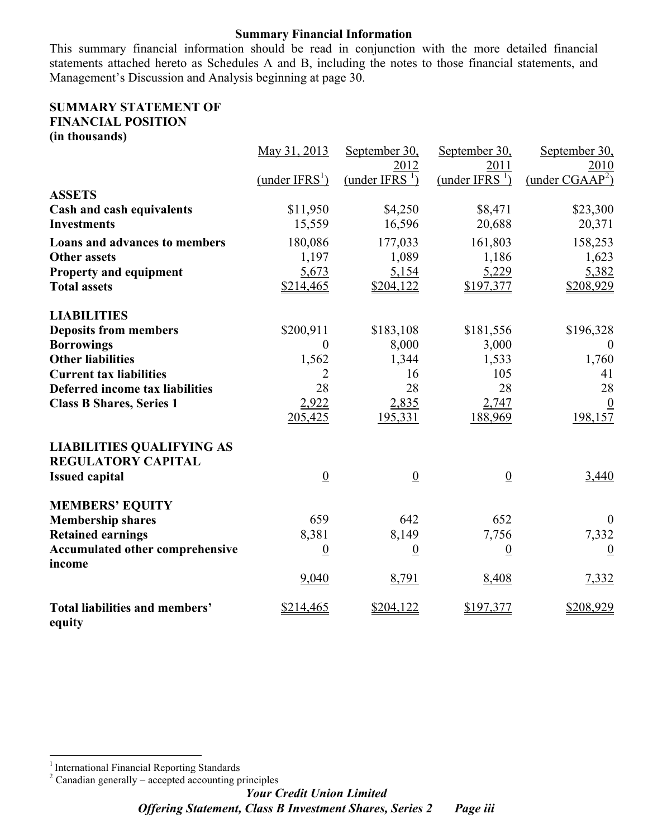#### **Summary Financial Information**

This summary financial information should be read in conjunction with the more detailed financial statements attached hereto as Schedules A and B, including the notes to those financial statements, and Management's Discussion and Analysis beginning at page 30.

#### **SUMMARY STATEMENT OF FINANCIAL POSITION (in thousands)**

|                                                  | May 31, 2013      | September 30,               | September 30,               | September 30,               |
|--------------------------------------------------|-------------------|-----------------------------|-----------------------------|-----------------------------|
|                                                  |                   | 2012                        | 2011                        | 2010                        |
|                                                  | (under $IFRS^1$ ) | (under IFRS $\frac{1}{2}$ ) | (under IFRS $\frac{1}{2}$ ) | (under CGAAP <sup>2</sup> ) |
| <b>ASSETS</b>                                    |                   |                             |                             |                             |
| <b>Cash and cash equivalents</b>                 | \$11,950          | \$4,250                     | \$8,471                     | \$23,300                    |
| <b>Investments</b>                               | 15,559            | 16,596                      | 20,688                      | 20,371                      |
| Loans and advances to members                    | 180,086           | 177,033                     | 161,803                     | 158,253                     |
| <b>Other assets</b>                              | 1,197             | 1,089                       | 1,186                       | 1,623                       |
| <b>Property and equipment</b>                    | 5,673             | 5,154                       | 5,229                       | 5,382                       |
| <b>Total assets</b>                              | \$214,465         | \$204,122                   | \$197,377                   | \$208,929                   |
| <b>LIABILITIES</b>                               |                   |                             |                             |                             |
| <b>Deposits from members</b>                     | \$200,911         | \$183,108                   | \$181,556                   | \$196,328                   |
| <b>Borrowings</b>                                | $\theta$          | 8,000                       | 3,000                       | $\theta$                    |
| <b>Other liabilities</b>                         | 1,562             | 1,344                       | 1,533                       | 1,760                       |
| <b>Current tax liabilities</b>                   | 2                 | 16                          | 105                         | 41                          |
| Deferred income tax liabilities                  | 28                | 28                          | 28                          | 28                          |
| <b>Class B Shares, Series 1</b>                  | 2,922             | 2,835                       | 2,747                       | $\boldsymbol{0}$            |
|                                                  | 205,425           | 195,331                     | 188,969                     | 198,157                     |
| <b>LIABILITIES QUALIFYING AS</b>                 |                   |                             |                             |                             |
| <b>REGULATORY CAPITAL</b>                        |                   |                             |                             |                             |
| <b>Issued capital</b>                            | $\underline{0}$   | $\underline{0}$             | $\underline{0}$             | 3,440                       |
| <b>MEMBERS' EQUITY</b>                           |                   |                             |                             |                             |
| <b>Membership shares</b>                         | 659               | 642                         | 652                         | $\boldsymbol{0}$            |
| <b>Retained earnings</b>                         | 8,381             | 8,149                       | 7,756                       | 7,332                       |
| <b>Accumulated other comprehensive</b><br>income | $\underline{0}$   | $\underline{0}$             | $\underline{0}$             | $\underline{0}$             |
|                                                  | 9,040             | 8,791                       | 8,408                       | 7,332                       |
| <b>Total liabilities and members'</b><br>equity  | \$214,465         | \$204,122                   | \$197,377                   | \$208,929                   |

 $2$  Canadian generally – accepted accounting principles

 1 International Financial Reporting Standards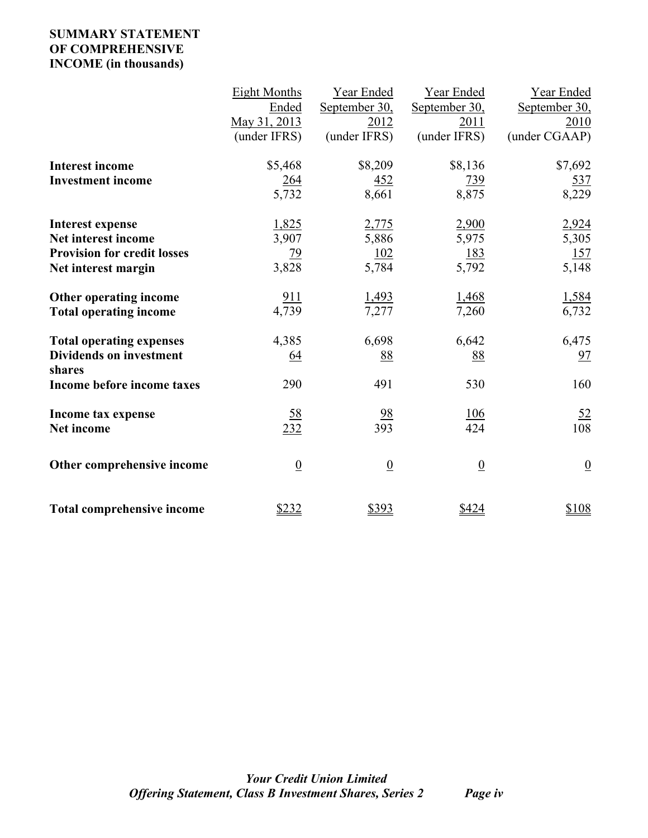# **SUMMARY STATEMENT OF COMPREHENSIVE INCOME (in thousands)**

|                                                                                                             | <b>Eight Months</b><br>Ended<br>May 31, 2013<br>(under IFRS) | Year Ended<br>September 30,<br>2012<br>(under IFRS) | Year Ended<br>September 30,<br>2011<br>(under IFRS) | Year Ended<br>September 30,<br>2010<br>(under CGAAP) |
|-------------------------------------------------------------------------------------------------------------|--------------------------------------------------------------|-----------------------------------------------------|-----------------------------------------------------|------------------------------------------------------|
| <b>Interest income</b><br><b>Investment income</b>                                                          | \$5,468<br>264<br>5,732                                      | \$8,209<br><u>452</u><br>8,661                      | \$8,136<br><u>739</u><br>8,875                      | \$7,692<br><u>537</u><br>8,229                       |
| <b>Interest expense</b><br>Net interest income<br><b>Provision for credit losses</b><br>Net interest margin | 1,825<br>3,907<br>$\frac{79}{3,828}$                         | 2,775<br>5,886<br>$\frac{102}{5,784}$               | 2,900<br>5,975<br>$\frac{183}{5,792}$               | 2,924<br>5,305<br>157<br>5,148                       |
| Other operating income<br><b>Total operating income</b>                                                     | 911<br>4,739                                                 | 1,493<br>7,277                                      | 1,468<br>7,260                                      | 1,584<br>6,732                                       |
| <b>Total operating expenses</b><br><b>Dividends on investment</b><br>shares<br>Income before income taxes   | 4,385<br>$\underline{64}$<br>290                             | 6,698<br>88<br>491                                  | 6,642<br>88<br>530                                  | 6,475<br>97<br>160                                   |
| Income tax expense<br>Net income                                                                            | $\frac{58}{232}$                                             | 98<br>393                                           | $\frac{106}{424}$                                   | <u>52</u><br>108                                     |
| Other comprehensive income                                                                                  | $\overline{0}$                                               | $\underline{0}$                                     | $\underline{0}$                                     | $\overline{0}$                                       |
| <b>Total comprehensive income</b>                                                                           | \$232                                                        | \$393                                               | \$424                                               | \$108                                                |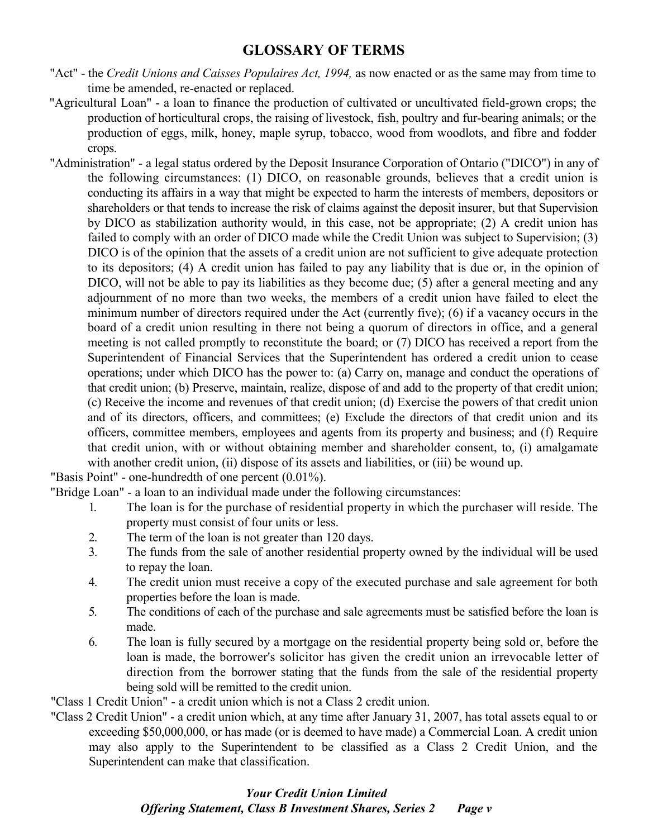# **GLOSSARY OF TERMS**

- "Act" the *Credit Unions and Caisses Populaires Act, 1994,* as now enacted or as the same may from time to time be amended, re-enacted or replaced.
- "Agricultural Loan" a loan to finance the production of cultivated or uncultivated field-grown crops; the production of horticultural crops, the raising of livestock, fish, poultry and fur-bearing animals; or the production of eggs, milk, honey, maple syrup, tobacco, wood from woodlots, and fibre and fodder crops.
- "Administration" a legal status ordered by the Deposit Insurance Corporation of Ontario ("DICO") in any of the following circumstances: (1) DICO, on reasonable grounds, believes that a credit union is conducting its affairs in a way that might be expected to harm the interests of members, depositors or shareholders or that tends to increase the risk of claims against the deposit insurer, but that Supervision by DICO as stabilization authority would, in this case, not be appropriate; (2) A credit union has failed to comply with an order of DICO made while the Credit Union was subject to Supervision; (3) DICO is of the opinion that the assets of a credit union are not sufficient to give adequate protection to its depositors; (4) A credit union has failed to pay any liability that is due or, in the opinion of DICO, will not be able to pay its liabilities as they become due; (5) after a general meeting and any adjournment of no more than two weeks, the members of a credit union have failed to elect the minimum number of directors required under the Act (currently five); (6) if a vacancy occurs in the board of a credit union resulting in there not being a quorum of directors in office, and a general meeting is not called promptly to reconstitute the board; or (7) DICO has received a report from the Superintendent of Financial Services that the Superintendent has ordered a credit union to cease operations; under which DICO has the power to: (a) Carry on, manage and conduct the operations of that credit union; (b) Preserve, maintain, realize, dispose of and add to the property of that credit union; (c) Receive the income and revenues of that credit union; (d) Exercise the powers of that credit union and of its directors, officers, and committees; (e) Exclude the directors of that credit union and its officers, committee members, employees and agents from its property and business; and (f) Require that credit union, with or without obtaining member and shareholder consent, to, (i) amalgamate with another credit union, (ii) dispose of its assets and liabilities, or (iii) be wound up.

"Basis Point" - one-hundredth of one percent (0.01%).

"Bridge Loan" - a loan to an individual made under the following circumstances:

- 1. The loan is for the purchase of residential property in which the purchaser will reside. The property must consist of four units or less.
- 2. The term of the loan is not greater than 120 days.
- 3. The funds from the sale of another residential property owned by the individual will be used to repay the loan.
- 4. The credit union must receive a copy of the executed purchase and sale agreement for both properties before the loan is made.
- 5. The conditions of each of the purchase and sale agreements must be satisfied before the loan is made.
- 6. The loan is fully secured by a mortgage on the residential property being sold or, before the loan is made, the borrower's solicitor has given the credit union an irrevocable letter of direction from the borrower stating that the funds from the sale of the residential property being sold will be remitted to the credit union.

"Class 1 Credit Union" - a credit union which is not a Class 2 credit union.

"Class 2 Credit Union" - a credit union which, at any time after January 31, 2007, has total assets equal to or exceeding \$50,000,000, or has made (or is deemed to have made) a Commercial Loan. A credit union may also apply to the Superintendent to be classified as a Class 2 Credit Union, and the Superintendent can make that classification.

# *Your Credit Union Limited Offering Statement, Class B Investment Shares, Series 2 Page v*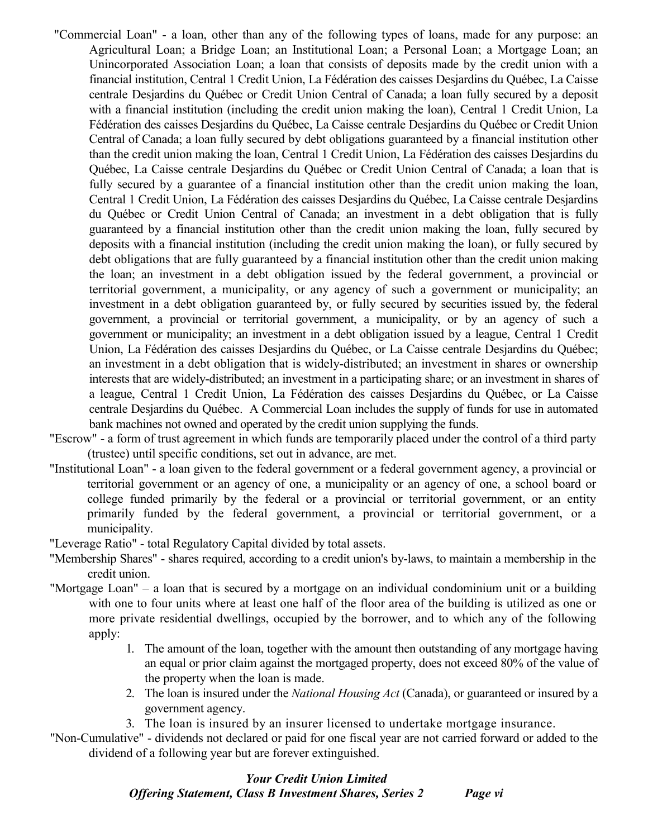- "Commercial Loan" a loan, other than any of the following types of loans, made for any purpose: an Agricultural Loan; a Bridge Loan; an Institutional Loan; a Personal Loan; a Mortgage Loan; an Unincorporated Association Loan; a loan that consists of deposits made by the credit union with a financial institution, Central 1 Credit Union, La Fédération des caisses Desjardins du Québec, La Caisse centrale Desjardins du Québec or Credit Union Central of Canada; a loan fully secured by a deposit with a financial institution (including the credit union making the loan), Central 1 Credit Union, La Fédération des caisses Desjardins du Québec, La Caisse centrale Desjardins du Québec or Credit Union Central of Canada; a loan fully secured by debt obligations guaranteed by a financial institution other than the credit union making the loan, Central 1 Credit Union, La Fédération des caisses Desjardins du Québec, La Caisse centrale Desjardins du Québec or Credit Union Central of Canada; a loan that is fully secured by a guarantee of a financial institution other than the credit union making the loan, Central 1 Credit Union, La Fédération des caisses Desjardins du Québec, La Caisse centrale Desjardins du Québec or Credit Union Central of Canada; an investment in a debt obligation that is fully guaranteed by a financial institution other than the credit union making the loan, fully secured by deposits with a financial institution (including the credit union making the loan), or fully secured by debt obligations that are fully guaranteed by a financial institution other than the credit union making the loan; an investment in a debt obligation issued by the federal government, a provincial or territorial government, a municipality, or any agency of such a government or municipality; an investment in a debt obligation guaranteed by, or fully secured by securities issued by, the federal government, a provincial or territorial government, a municipality, or by an agency of such a government or municipality; an investment in a debt obligation issued by a league, Central 1 Credit Union, La Fédération des caisses Desjardins du Québec, or La Caisse centrale Desjardins du Québec; an investment in a debt obligation that is widely-distributed; an investment in shares or ownership interests that are widely-distributed; an investment in a participating share; or an investment in shares of a league, Central 1 Credit Union, La Fédération des caisses Desjardins du Québec, or La Caisse centrale Desjardins du Québec. A Commercial Loan includes the supply of funds for use in automated bank machines not owned and operated by the credit union supplying the funds.
- "Escrow" a form of trust agreement in which funds are temporarily placed under the control of a third party (trustee) until specific conditions, set out in advance, are met.
- "Institutional Loan" a loan given to the federal government or a federal government agency, a provincial or territorial government or an agency of one, a municipality or an agency of one, a school board or college funded primarily by the federal or a provincial or territorial government, or an entity primarily funded by the federal government, a provincial or territorial government, or a municipality.

"Leverage Ratio" - total Regulatory Capital divided by total assets.

- "Membership Shares" shares required, according to a credit union's by-laws, to maintain a membership in the credit union.
- "Mortgage Loan" a loan that is secured by a mortgage on an individual condominium unit or a building with one to four units where at least one half of the floor area of the building is utilized as one or more private residential dwellings, occupied by the borrower, and to which any of the following apply:
	- 1. The amount of the loan, together with the amount then outstanding of any mortgage having an equal or prior claim against the mortgaged property, does not exceed 80% of the value of the property when the loan is made.
	- 2. The loan is insured under the *National Housing Act* (Canada), or guaranteed or insured by a government agency.
	- 3. The loan is insured by an insurer licensed to undertake mortgage insurance.
- "Non-Cumulative" dividends not declared or paid for one fiscal year are not carried forward or added to the dividend of a following year but are forever extinguished.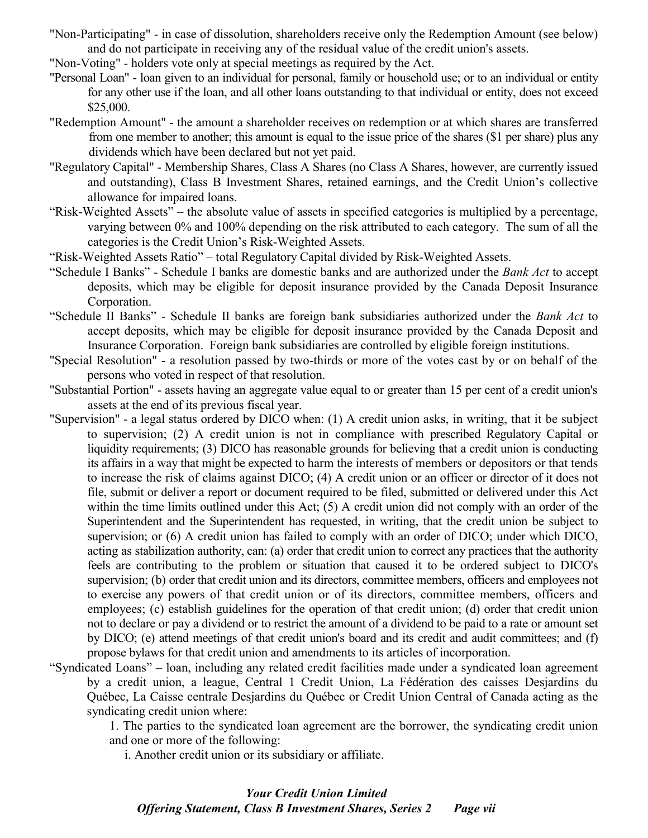- "Non-Participating" in case of dissolution, shareholders receive only the Redemption Amount (see below) and do not participate in receiving any of the residual value of the credit union's assets.
- "Non-Voting" holders vote only at special meetings as required by the Act.
- "Personal Loan" loan given to an individual for personal, family or household use; or to an individual or entity for any other use if the loan, and all other loans outstanding to that individual or entity, does not exceed \$25,000.
- "Redemption Amount" the amount a shareholder receives on redemption or at which shares are transferred from one member to another; this amount is equal to the issue price of the shares (\$1 per share) plus any dividends which have been declared but not yet paid.
- "Regulatory Capital" Membership Shares, Class A Shares (no Class A Shares, however, are currently issued and outstanding), Class B Investment Shares, retained earnings, and the Credit Union's collective allowance for impaired loans.
- "Risk-Weighted Assets" the absolute value of assets in specified categories is multiplied by a percentage, varying between 0% and 100% depending on the risk attributed to each category. The sum of all the categories is the Credit Union's Risk-Weighted Assets.
- "Risk-Weighted Assets Ratio" total Regulatory Capital divided by Risk-Weighted Assets.
- "Schedule I Banks" Schedule I banks are domestic banks and are authorized under the *Bank Act* to accept deposits, which may be eligible for deposit insurance provided by the Canada Deposit Insurance Corporation.
- "Schedule II Banks" Schedule II banks are foreign bank subsidiaries authorized under the *Bank Act* to accept deposits, which may be eligible for deposit insurance provided by the Canada Deposit and Insurance Corporation. Foreign bank subsidiaries are controlled by eligible foreign institutions.
- "Special Resolution" a resolution passed by two-thirds or more of the votes cast by or on behalf of the persons who voted in respect of that resolution.
- "Substantial Portion" assets having an aggregate value equal to or greater than 15 per cent of a credit union's assets at the end of its previous fiscal year.
- "Supervision" a legal status ordered by DICO when: (1) A credit union asks, in writing, that it be subject to supervision; (2) A credit union is not in compliance with prescribed Regulatory Capital or liquidity requirements; (3) DICO has reasonable grounds for believing that a credit union is conducting its affairs in a way that might be expected to harm the interests of members or depositors or that tends to increase the risk of claims against DICO; (4) A credit union or an officer or director of it does not file, submit or deliver a report or document required to be filed, submitted or delivered under this Act within the time limits outlined under this Act; (5) A credit union did not comply with an order of the Superintendent and the Superintendent has requested, in writing, that the credit union be subject to supervision; or (6) A credit union has failed to comply with an order of DICO; under which DICO, acting as stabilization authority, can: (a) order that credit union to correct any practices that the authority feels are contributing to the problem or situation that caused it to be ordered subject to DICO's supervision; (b) order that credit union and its directors, committee members, officers and employees not to exercise any powers of that credit union or of its directors, committee members, officers and employees; (c) establish guidelines for the operation of that credit union; (d) order that credit union not to declare or pay a dividend or to restrict the amount of a dividend to be paid to a rate or amount set by DICO; (e) attend meetings of that credit union's board and its credit and audit committees; and (f) propose bylaws for that credit union and amendments to its articles of incorporation.
- "Syndicated Loans" loan, including any related credit facilities made under a syndicated loan agreement by a credit union, a league, Central 1 Credit Union, La Fédération des caisses Desjardins du Québec, La Caisse centrale Desjardins du Québec or Credit Union Central of Canada acting as the syndicating credit union where:

1. The parties to the syndicated loan agreement are the borrower, the syndicating credit union and one or more of the following:

i. Another credit union or its subsidiary or affiliate.

# *Your Credit Union Limited Offering Statement, Class B Investment Shares, Series 2 Page vii*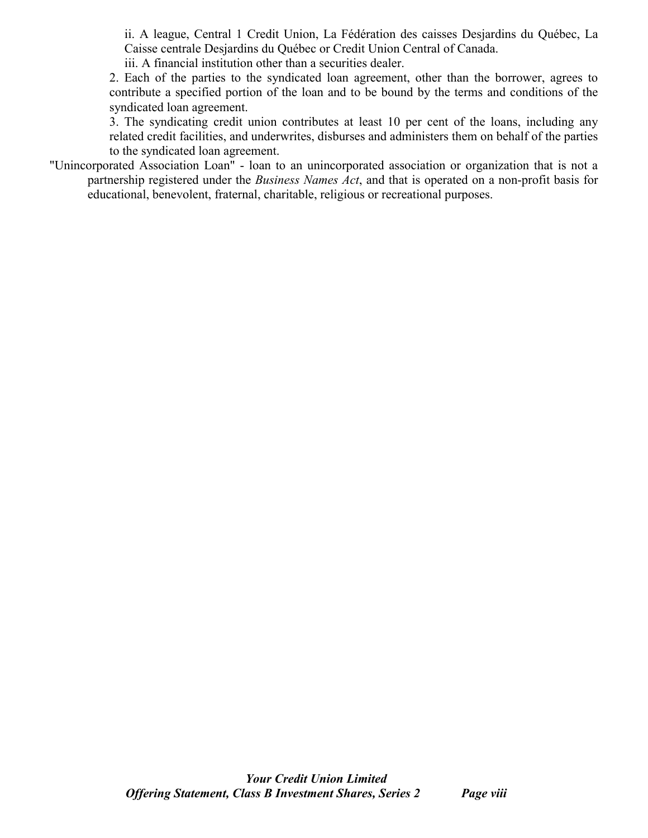ii. A league, Central 1 Credit Union, La Fédération des caisses Desjardins du Québec, La Caisse centrale Desjardins du Québec or Credit Union Central of Canada.

iii. A financial institution other than a securities dealer.

2. Each of the parties to the syndicated loan agreement, other than the borrower, agrees to contribute a specified portion of the loan and to be bound by the terms and conditions of the syndicated loan agreement.

3. The syndicating credit union contributes at least 10 per cent of the loans, including any related credit facilities, and underwrites, disburses and administers them on behalf of the parties to the syndicated loan agreement.

"Unincorporated Association Loan" - loan to an unincorporated association or organization that is not a partnership registered under the *Business Names Act*, and that is operated on a non-profit basis for educational, benevolent, fraternal, charitable, religious or recreational purposes.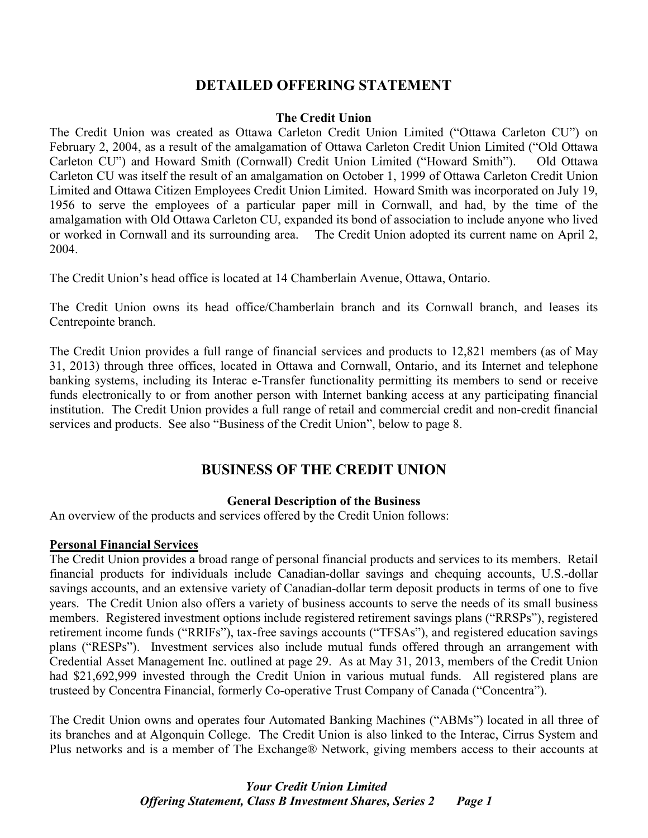# **DETAILED OFFERING STATEMENT**

#### **The Credit Union**

The Credit Union was created as Ottawa Carleton Credit Union Limited ("Ottawa Carleton CU") on February 2, 2004, as a result of the amalgamation of Ottawa Carleton Credit Union Limited ("Old Ottawa Carleton CU") and Howard Smith (Cornwall) Credit Union Limited ("Howard Smith"). Old Ottawa Carleton CU was itself the result of an amalgamation on October 1, 1999 of Ottawa Carleton Credit Union Limited and Ottawa Citizen Employees Credit Union Limited. Howard Smith was incorporated on July 19, 1956 to serve the employees of a particular paper mill in Cornwall, and had, by the time of the amalgamation with Old Ottawa Carleton CU, expanded its bond of association to include anyone who lived or worked in Cornwall and its surrounding area. The Credit Union adopted its current name on April 2, 2004.

The Credit Union's head office is located at 14 Chamberlain Avenue, Ottawa, Ontario.

The Credit Union owns its head office/Chamberlain branch and its Cornwall branch, and leases its Centrepointe branch.

The Credit Union provides a full range of financial services and products to 12,821 members (as of May 31, 2013) through three offices, located in Ottawa and Cornwall, Ontario, and its Internet and telephone banking systems, including its Interac e-Transfer functionality permitting its members to send or receive funds electronically to or from another person with Internet banking access at any participating financial institution. The Credit Union provides a full range of retail and commercial credit and non-credit financial services and products. See also "Business of the Credit Union", below to page 8.

# **BUSINESS OF THE CREDIT UNION**

#### **General Description of the Business**

An overview of the products and services offered by the Credit Union follows:

#### **Personal Financial Services**

The Credit Union provides a broad range of personal financial products and services to its members. Retail financial products for individuals include Canadian-dollar savings and chequing accounts, U.S.-dollar savings accounts, and an extensive variety of Canadian-dollar term deposit products in terms of one to five years. The Credit Union also offers a variety of business accounts to serve the needs of its small business members. Registered investment options include registered retirement savings plans ("RRSPs"), registered retirement income funds ("RRIFs"), tax-free savings accounts ("TFSAs"), and registered education savings plans ("RESPs"). Investment services also include mutual funds offered through an arrangement with Credential Asset Management Inc. outlined at page 29. As at May 31, 2013, members of the Credit Union had \$21,692,999 invested through the Credit Union in various mutual funds. All registered plans are trusteed by Concentra Financial, formerly Co-operative Trust Company of Canada ("Concentra").

The Credit Union owns and operates four Automated Banking Machines ("ABMs") located in all three of its branches and at Algonquin College. The Credit Union is also linked to the Interac, Cirrus System and Plus networks and is a member of The Exchange® Network, giving members access to their accounts at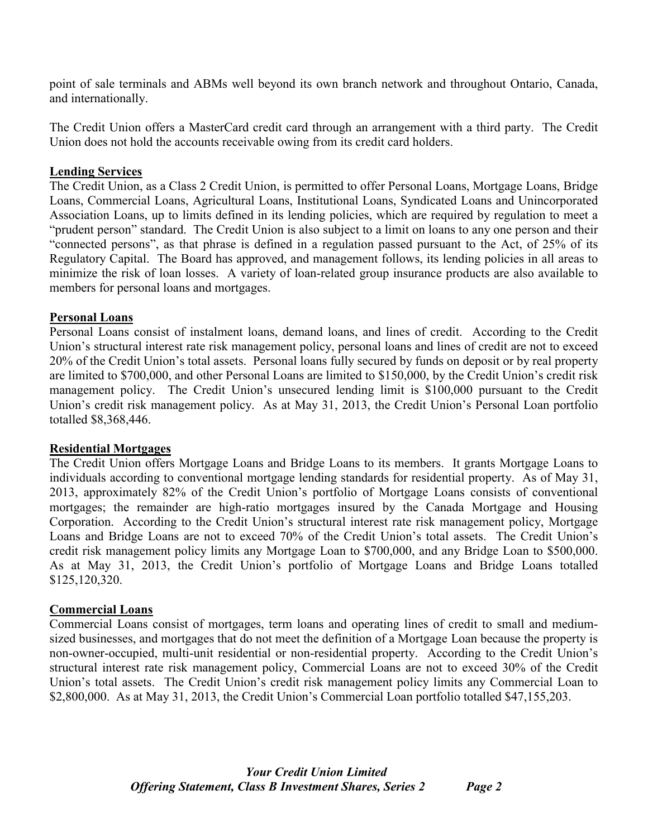point of sale terminals and ABMs well beyond its own branch network and throughout Ontario, Canada, and internationally.

The Credit Union offers a MasterCard credit card through an arrangement with a third party. The Credit Union does not hold the accounts receivable owing from its credit card holders.

## **Lending Services**

The Credit Union, as a Class 2 Credit Union, is permitted to offer Personal Loans, Mortgage Loans, Bridge Loans, Commercial Loans, Agricultural Loans, Institutional Loans, Syndicated Loans and Unincorporated Association Loans, up to limits defined in its lending policies, which are required by regulation to meet a "prudent person" standard. The Credit Union is also subject to a limit on loans to any one person and their "connected persons", as that phrase is defined in a regulation passed pursuant to the Act, of 25% of its Regulatory Capital. The Board has approved, and management follows, its lending policies in all areas to minimize the risk of loan losses. A variety of loan-related group insurance products are also available to members for personal loans and mortgages.

#### **Personal Loans**

Personal Loans consist of instalment loans, demand loans, and lines of credit. According to the Credit Union's structural interest rate risk management policy, personal loans and lines of credit are not to exceed 20% of the Credit Union's total assets. Personal loans fully secured by funds on deposit or by real property are limited to \$700,000, and other Personal Loans are limited to \$150,000, by the Credit Union's credit risk management policy. The Credit Union's unsecured lending limit is \$100,000 pursuant to the Credit Union's credit risk management policy. As at May 31, 2013, the Credit Union's Personal Loan portfolio totalled \$8,368,446.

#### **Residential Mortgages**

The Credit Union offers Mortgage Loans and Bridge Loans to its members. It grants Mortgage Loans to individuals according to conventional mortgage lending standards for residential property. As of May 31, 2013, approximately 82% of the Credit Union's portfolio of Mortgage Loans consists of conventional mortgages; the remainder are high-ratio mortgages insured by the Canada Mortgage and Housing Corporation. According to the Credit Union's structural interest rate risk management policy, Mortgage Loans and Bridge Loans are not to exceed 70% of the Credit Union's total assets. The Credit Union's credit risk management policy limits any Mortgage Loan to \$700,000, and any Bridge Loan to \$500,000. As at May 31, 2013, the Credit Union's portfolio of Mortgage Loans and Bridge Loans totalled \$125,120,320.

# **Commercial Loans**

Commercial Loans consist of mortgages, term loans and operating lines of credit to small and mediumsized businesses, and mortgages that do not meet the definition of a Mortgage Loan because the property is non-owner-occupied, multi-unit residential or non-residential property. According to the Credit Union's structural interest rate risk management policy, Commercial Loans are not to exceed 30% of the Credit Union's total assets. The Credit Union's credit risk management policy limits any Commercial Loan to \$2,800,000. As at May 31, 2013, the Credit Union's Commercial Loan portfolio totalled \$47,155,203.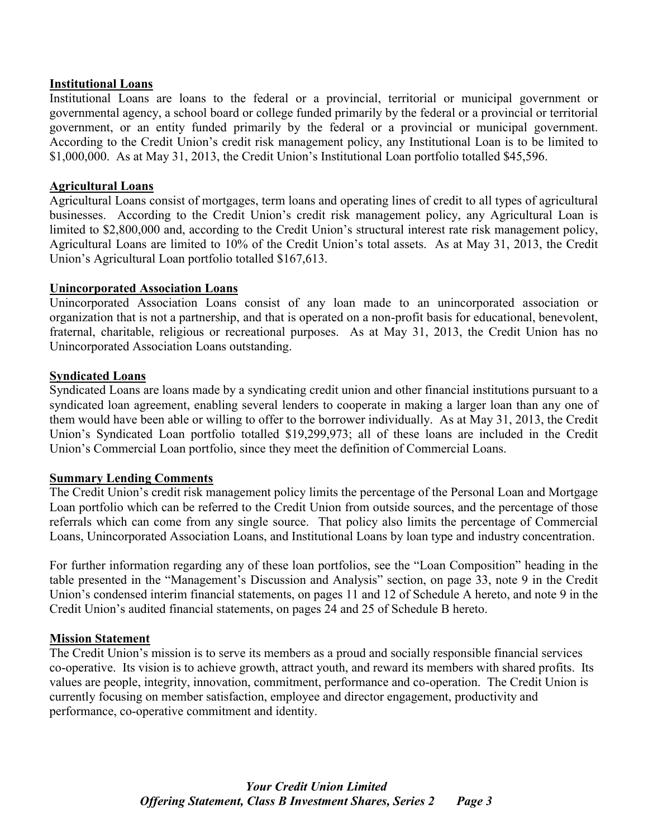#### **Institutional Loans**

Institutional Loans are loans to the federal or a provincial, territorial or municipal government or governmental agency, a school board or college funded primarily by the federal or a provincial or territorial government, or an entity funded primarily by the federal or a provincial or municipal government. According to the Credit Union's credit risk management policy, any Institutional Loan is to be limited to \$1,000,000. As at May 31, 2013, the Credit Union's Institutional Loan portfolio totalled \$45,596.

#### **Agricultural Loans**

Agricultural Loans consist of mortgages, term loans and operating lines of credit to all types of agricultural businesses. According to the Credit Union's credit risk management policy, any Agricultural Loan is limited to \$2,800,000 and, according to the Credit Union's structural interest rate risk management policy, Agricultural Loans are limited to 10% of the Credit Union's total assets. As at May 31, 2013, the Credit Union's Agricultural Loan portfolio totalled \$167,613.

#### **Unincorporated Association Loans**

Unincorporated Association Loans consist of any loan made to an unincorporated association or organization that is not a partnership, and that is operated on a non-profit basis for educational, benevolent, fraternal, charitable, religious or recreational purposes. As at May 31, 2013, the Credit Union has no Unincorporated Association Loans outstanding.

#### **Syndicated Loans**

Syndicated Loans are loans made by a syndicating credit union and other financial institutions pursuant to a syndicated loan agreement, enabling several lenders to cooperate in making a larger loan than any one of them would have been able or willing to offer to the borrower individually. As at May 31, 2013, the Credit Union's Syndicated Loan portfolio totalled \$19,299,973; all of these loans are included in the Credit Union's Commercial Loan portfolio, since they meet the definition of Commercial Loans.

#### **Summary Lending Comments**

The Credit Union's credit risk management policy limits the percentage of the Personal Loan and Mortgage Loan portfolio which can be referred to the Credit Union from outside sources, and the percentage of those referrals which can come from any single source. That policy also limits the percentage of Commercial Loans, Unincorporated Association Loans, and Institutional Loans by loan type and industry concentration.

For further information regarding any of these loan portfolios, see the "Loan Composition" heading in the table presented in the "Management's Discussion and Analysis" section, on page 33, note 9 in the Credit Union's condensed interim financial statements, on pages 11 and 12 of Schedule A hereto, and note 9 in the Credit Union's audited financial statements, on pages 24 and 25 of Schedule B hereto.

#### **Mission Statement**

The Credit Union's mission is to serve its members as a proud and socially responsible financial services co-operative. Its vision is to achieve growth, attract youth, and reward its members with shared profits. Its values are people, integrity, innovation, commitment, performance and co-operation. The Credit Union is currently focusing on member satisfaction, employee and director engagement, productivity and performance, co-operative commitment and identity.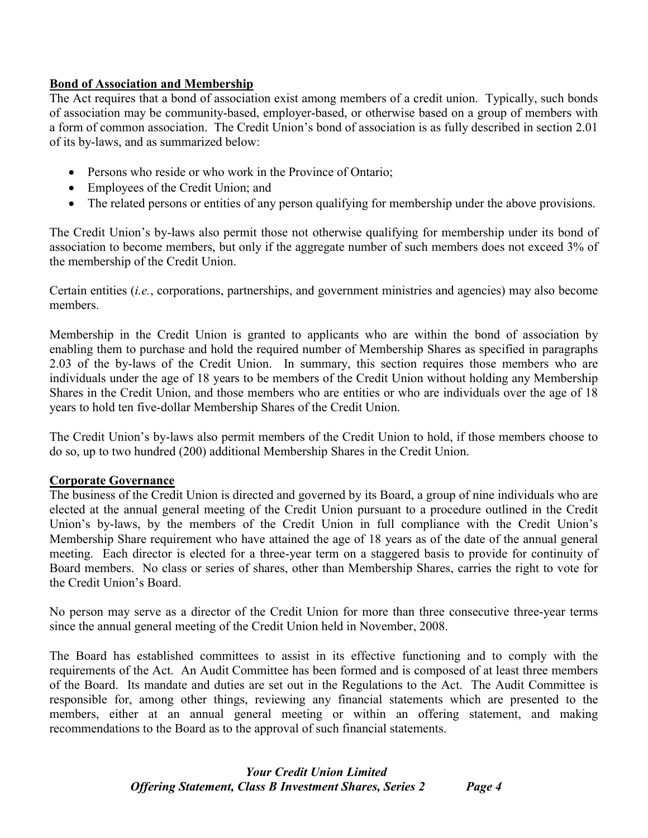# **Bond of Association and Membership**

The Act requires that a bond of association exist among members of a credit union. Typically, such bonds of association may be community-based, employer-based, or otherwise based on a group of members with a form of common association. The Credit Union's bond of association is as fully described in section 2.01 of its by-laws, and as summarized below:

- Persons who reside or who work in the Province of Ontario;
- Employees of the Credit Union; and
- The related persons or entities of any person qualifying for membership under the above provisions.

The Credit Union's by-laws also permit those not otherwise qualifying for membership under its bond of association to become members, but only if the aggregate number of such members does not exceed 3% of the membership of the Credit Union.

Certain entities (*i.e.*, corporations, partnerships, and government ministries and agencies) may also become members.

Membership in the Credit Union is granted to applicants who are within the bond of association by enabling them to purchase and hold the required number of Membership Shares as specified in paragraphs 2.03 of the by-laws of the Credit Union. In summary, this section requires those members who are individuals under the age of 18 years to be members of the Credit Union without holding any Membership Shares in the Credit Union, and those members who are entities or who are individuals over the age of 18 years to hold ten five-dollar Membership Shares of the Credit Union.

The Credit Union's by-laws also permit members of the Credit Union to hold, if those members choose to do so, up to two hundred (200) additional Membership Shares in the Credit Union.

# **Corporate Governance**

The business of the Credit Union is directed and governed by its Board, a group of nine individuals who are elected at the annual general meeting of the Credit Union pursuant to a procedure outlined in the Credit Union's by-laws, by the members of the Credit Union in full compliance with the Credit Union's Membership Share requirement who have attained the age of 18 years as of the date of the annual general meeting. Each director is elected for a three-year term on a staggered basis to provide for continuity of Board members. No class or series of shares, other than Membership Shares, carries the right to vote for the Credit Union's Board.

No person may serve as a director of the Credit Union for more than three consecutive three-year terms since the annual general meeting of the Credit Union held in November, 2008.

The Board has established committees to assist in its effective functioning and to comply with the requirements of the Act. An Audit Committee has been formed and is composed of at least three members of the Board. Its mandate and duties are set out in the Regulations to the Act. The Audit Committee is responsible for, among other things, reviewing any financial statements which are presented to the members, either at an annual general meeting or within an offering statement, and making recommendations to the Board as to the approval of such financial statements.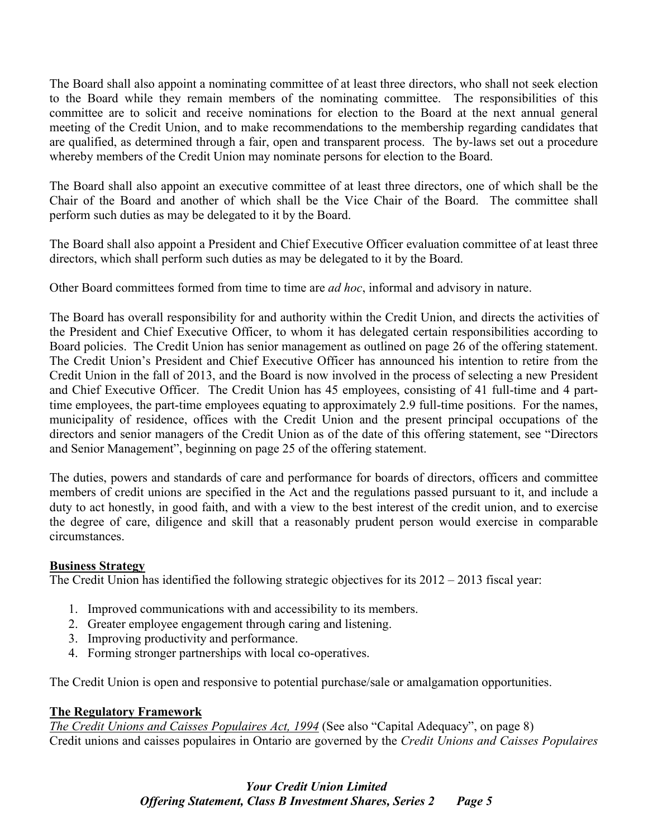The Board shall also appoint a nominating committee of at least three directors, who shall not seek election to the Board while they remain members of the nominating committee. The responsibilities of this committee are to solicit and receive nominations for election to the Board at the next annual general meeting of the Credit Union, and to make recommendations to the membership regarding candidates that are qualified, as determined through a fair, open and transparent process. The by-laws set out a procedure whereby members of the Credit Union may nominate persons for election to the Board.

The Board shall also appoint an executive committee of at least three directors, one of which shall be the Chair of the Board and another of which shall be the Vice Chair of the Board. The committee shall perform such duties as may be delegated to it by the Board.

The Board shall also appoint a President and Chief Executive Officer evaluation committee of at least three directors, which shall perform such duties as may be delegated to it by the Board.

Other Board committees formed from time to time are *ad hoc*, informal and advisory in nature.

The Board has overall responsibility for and authority within the Credit Union, and directs the activities of the President and Chief Executive Officer, to whom it has delegated certain responsibilities according to Board policies. The Credit Union has senior management as outlined on page 26 of the offering statement. The Credit Union's President and Chief Executive Officer has announced his intention to retire from the Credit Union in the fall of 2013, and the Board is now involved in the process of selecting a new President and Chief Executive Officer. The Credit Union has 45 employees, consisting of 41 full-time and 4 parttime employees, the part-time employees equating to approximately 2.9 full-time positions. For the names, municipality of residence, offices with the Credit Union and the present principal occupations of the directors and senior managers of the Credit Union as of the date of this offering statement, see "Directors and Senior Management", beginning on page 25 of the offering statement.

The duties, powers and standards of care and performance for boards of directors, officers and committee members of credit unions are specified in the Act and the regulations passed pursuant to it, and include a duty to act honestly, in good faith, and with a view to the best interest of the credit union, and to exercise the degree of care, diligence and skill that a reasonably prudent person would exercise in comparable circumstances.

# **Business Strategy**

The Credit Union has identified the following strategic objectives for its 2012 – 2013 fiscal year:

- 1. Improved communications with and accessibility to its members.
- 2. Greater employee engagement through caring and listening.
- 3. Improving productivity and performance.
- 4. Forming stronger partnerships with local co-operatives.

The Credit Union is open and responsive to potential purchase/sale or amalgamation opportunities.

# **The Regulatory Framework**

*The Credit Unions and Caisses Populaires Act, 1994* (See also "Capital Adequacy", on page 8) Credit unions and caisses populaires in Ontario are governed by the *Credit Unions and Caisses Populaires*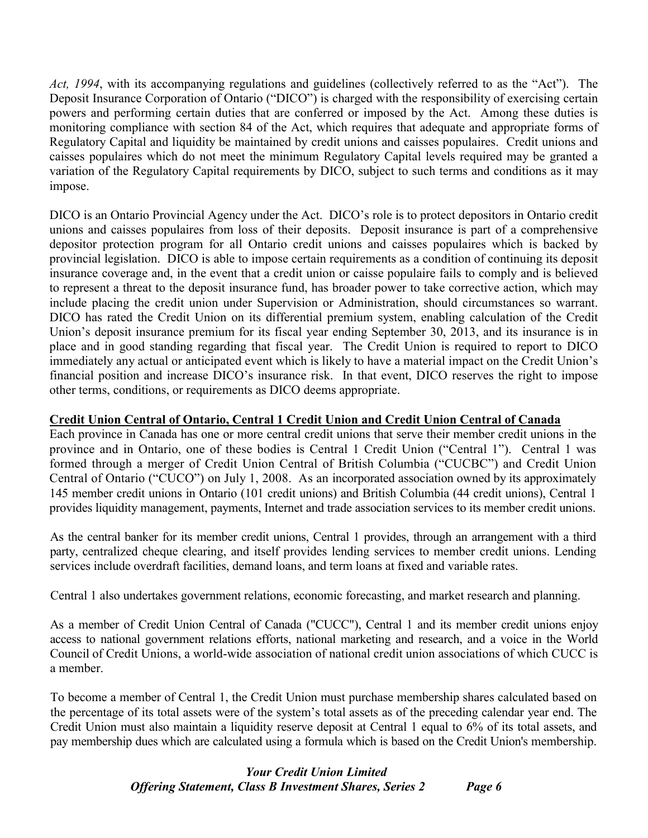*Act, 1994*, with its accompanying regulations and guidelines (collectively referred to as the "Act"). The Deposit Insurance Corporation of Ontario ("DICO") is charged with the responsibility of exercising certain powers and performing certain duties that are conferred or imposed by the Act. Among these duties is monitoring compliance with section 84 of the Act, which requires that adequate and appropriate forms of Regulatory Capital and liquidity be maintained by credit unions and caisses populaires. Credit unions and caisses populaires which do not meet the minimum Regulatory Capital levels required may be granted a variation of the Regulatory Capital requirements by DICO, subject to such terms and conditions as it may impose.

DICO is an Ontario Provincial Agency under the Act. DICO's role is to protect depositors in Ontario credit unions and caisses populaires from loss of their deposits. Deposit insurance is part of a comprehensive depositor protection program for all Ontario credit unions and caisses populaires which is backed by provincial legislation. DICO is able to impose certain requirements as a condition of continuing its deposit insurance coverage and, in the event that a credit union or caisse populaire fails to comply and is believed to represent a threat to the deposit insurance fund, has broader power to take corrective action, which may include placing the credit union under Supervision or Administration, should circumstances so warrant. DICO has rated the Credit Union on its differential premium system, enabling calculation of the Credit Union's deposit insurance premium for its fiscal year ending September 30, 2013, and its insurance is in place and in good standing regarding that fiscal year. The Credit Union is required to report to DICO immediately any actual or anticipated event which is likely to have a material impact on the Credit Union's financial position and increase DICO's insurance risk. In that event, DICO reserves the right to impose other terms, conditions, or requirements as DICO deems appropriate.

# **Credit Union Central of Ontario, Central 1 Credit Union and Credit Union Central of Canada**

Each province in Canada has one or more central credit unions that serve their member credit unions in the province and in Ontario, one of these bodies is Central 1 Credit Union ("Central 1"). Central 1 was formed through a merger of Credit Union Central of British Columbia ("CUCBC") and Credit Union Central of Ontario ("CUCO") on July 1, 2008. As an incorporated association owned by its approximately 145 member credit unions in Ontario (101 credit unions) and British Columbia (44 credit unions), Central 1 provides liquidity management, payments, Internet and trade association services to its member credit unions.

As the central banker for its member credit unions, Central 1 provides, through an arrangement with a third party, centralized cheque clearing, and itself provides lending services to member credit unions. Lending services include overdraft facilities, demand loans, and term loans at fixed and variable rates.

Central 1 also undertakes government relations, economic forecasting, and market research and planning.

As a member of Credit Union Central of Canada ("CUCC"), Central 1 and its member credit unions enjoy access to national government relations efforts, national marketing and research, and a voice in the World Council of Credit Unions, a world-wide association of national credit union associations of which CUCC is a member.

To become a member of Central 1, the Credit Union must purchase membership shares calculated based on the percentage of its total assets were of the system's total assets as of the preceding calendar year end. The Credit Union must also maintain a liquidity reserve deposit at Central 1 equal to 6% of its total assets, and pay membership dues which are calculated using a formula which is based on the Credit Union's membership.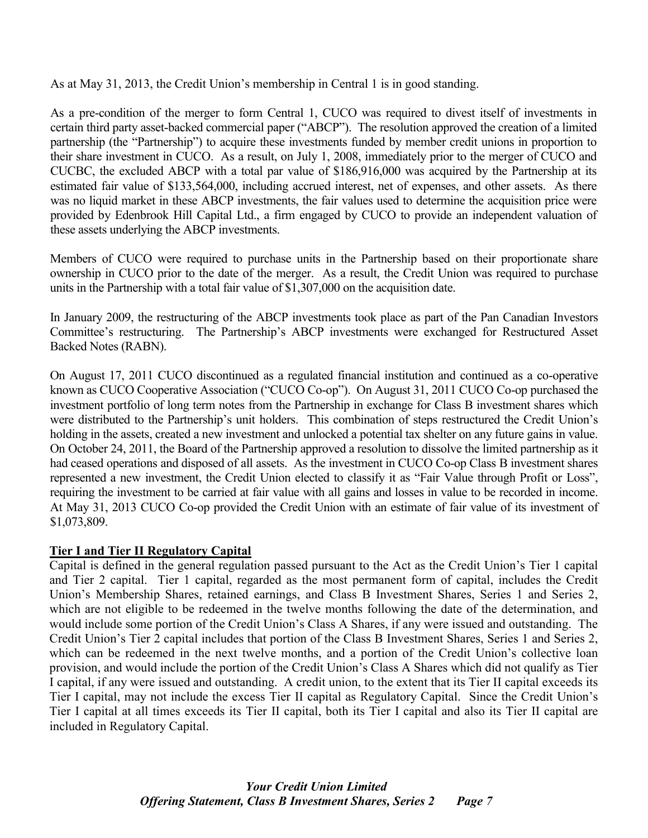As at May 31, 2013, the Credit Union's membership in Central 1 is in good standing.

As a pre-condition of the merger to form Central 1, CUCO was required to divest itself of investments in certain third party asset-backed commercial paper ("ABCP"). The resolution approved the creation of a limited partnership (the "Partnership") to acquire these investments funded by member credit unions in proportion to their share investment in CUCO. As a result, on July 1, 2008, immediately prior to the merger of CUCO and CUCBC, the excluded ABCP with a total par value of \$186,916,000 was acquired by the Partnership at its estimated fair value of \$133,564,000, including accrued interest, net of expenses, and other assets. As there was no liquid market in these ABCP investments, the fair values used to determine the acquisition price were provided by Edenbrook Hill Capital Ltd., a firm engaged by CUCO to provide an independent valuation of these assets underlying the ABCP investments.

Members of CUCO were required to purchase units in the Partnership based on their proportionate share ownership in CUCO prior to the date of the merger. As a result, the Credit Union was required to purchase units in the Partnership with a total fair value of \$1,307,000 on the acquisition date.

In January 2009, the restructuring of the ABCP investments took place as part of the Pan Canadian Investors Committee's restructuring. The Partnership's ABCP investments were exchanged for Restructured Asset Backed Notes (RABN).

On August 17, 2011 CUCO discontinued as a regulated financial institution and continued as a co-operative known as CUCO Cooperative Association ("CUCO Co-op"). On August 31, 2011 CUCO Co-op purchased the investment portfolio of long term notes from the Partnership in exchange for Class B investment shares which were distributed to the Partnership's unit holders. This combination of steps restructured the Credit Union's holding in the assets, created a new investment and unlocked a potential tax shelter on any future gains in value. On October 24, 2011, the Board of the Partnership approved a resolution to dissolve the limited partnership as it had ceased operations and disposed of all assets. As the investment in CUCO Co-op Class B investment shares represented a new investment, the Credit Union elected to classify it as "Fair Value through Profit or Loss", requiring the investment to be carried at fair value with all gains and losses in value to be recorded in income. At May 31, 2013 CUCO Co-op provided the Credit Union with an estimate of fair value of its investment of \$1,073,809.

# **Tier I and Tier II Regulatory Capital**

Capital is defined in the general regulation passed pursuant to the Act as the Credit Union's Tier 1 capital and Tier 2 capital. Tier 1 capital, regarded as the most permanent form of capital, includes the Credit Union's Membership Shares, retained earnings, and Class B Investment Shares, Series 1 and Series 2, which are not eligible to be redeemed in the twelve months following the date of the determination, and would include some portion of the Credit Union's Class A Shares, if any were issued and outstanding. The Credit Union's Tier 2 capital includes that portion of the Class B Investment Shares, Series 1 and Series 2, which can be redeemed in the next twelve months, and a portion of the Credit Union's collective loan provision, and would include the portion of the Credit Union's Class A Shares which did not qualify as Tier I capital, if any were issued and outstanding. A credit union, to the extent that its Tier II capital exceeds its Tier I capital, may not include the excess Tier II capital as Regulatory Capital. Since the Credit Union's Tier I capital at all times exceeds its Tier II capital, both its Tier I capital and also its Tier II capital are included in Regulatory Capital.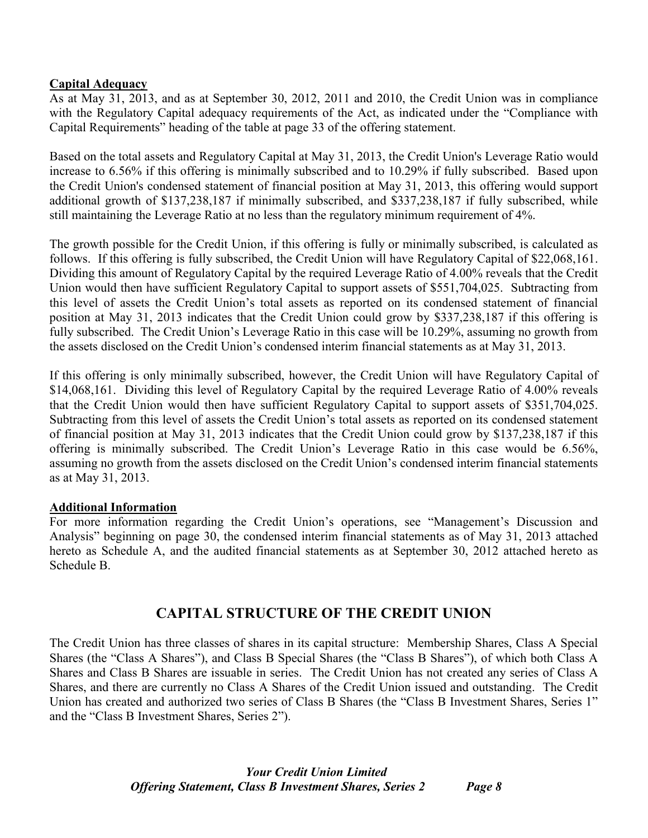# **Capital Adequacy**

As at May 31, 2013, and as at September 30, 2012, 2011 and 2010, the Credit Union was in compliance with the Regulatory Capital adequacy requirements of the Act, as indicated under the "Compliance with Capital Requirements" heading of the table at page 33 of the offering statement.

Based on the total assets and Regulatory Capital at May 31, 2013, the Credit Union's Leverage Ratio would increase to 6.56% if this offering is minimally subscribed and to 10.29% if fully subscribed. Based upon the Credit Union's condensed statement of financial position at May 31, 2013, this offering would support additional growth of \$137,238,187 if minimally subscribed, and \$337,238,187 if fully subscribed, while still maintaining the Leverage Ratio at no less than the regulatory minimum requirement of 4%.

The growth possible for the Credit Union, if this offering is fully or minimally subscribed, is calculated as follows. If this offering is fully subscribed, the Credit Union will have Regulatory Capital of \$22,068,161. Dividing this amount of Regulatory Capital by the required Leverage Ratio of 4.00% reveals that the Credit Union would then have sufficient Regulatory Capital to support assets of \$551,704,025. Subtracting from this level of assets the Credit Union's total assets as reported on its condensed statement of financial position at May 31, 2013 indicates that the Credit Union could grow by \$337,238,187 if this offering is fully subscribed. The Credit Union's Leverage Ratio in this case will be 10.29%, assuming no growth from the assets disclosed on the Credit Union's condensed interim financial statements as at May 31, 2013.

If this offering is only minimally subscribed, however, the Credit Union will have Regulatory Capital of \$14,068,161. Dividing this level of Regulatory Capital by the required Leverage Ratio of 4.00% reveals that the Credit Union would then have sufficient Regulatory Capital to support assets of \$351,704,025. Subtracting from this level of assets the Credit Union's total assets as reported on its condensed statement of financial position at May 31, 2013 indicates that the Credit Union could grow by \$137,238,187 if this offering is minimally subscribed. The Credit Union's Leverage Ratio in this case would be 6.56%, assuming no growth from the assets disclosed on the Credit Union's condensed interim financial statements as at May 31, 2013.

# **Additional Information**

For more information regarding the Credit Union's operations, see "Management's Discussion and Analysis" beginning on page 30, the condensed interim financial statements as of May 31, 2013 attached hereto as Schedule A, and the audited financial statements as at September 30, 2012 attached hereto as Schedule B.

# **CAPITAL STRUCTURE OF THE CREDIT UNION**

The Credit Union has three classes of shares in its capital structure: Membership Shares, Class A Special Shares (the "Class A Shares"), and Class B Special Shares (the "Class B Shares"), of which both Class A Shares and Class B Shares are issuable in series. The Credit Union has not created any series of Class A Shares, and there are currently no Class A Shares of the Credit Union issued and outstanding. The Credit Union has created and authorized two series of Class B Shares (the "Class B Investment Shares, Series 1" and the "Class B Investment Shares, Series 2").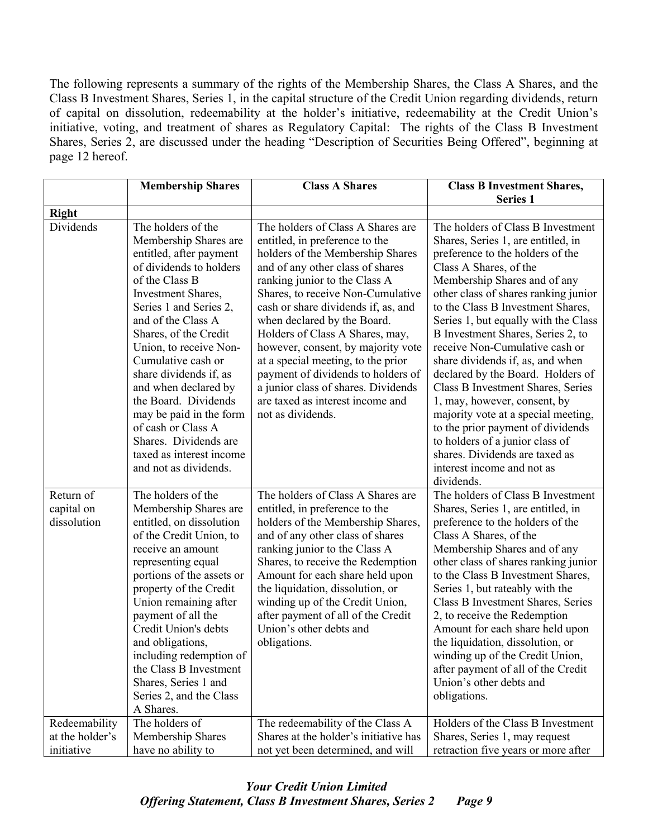The following represents a summary of the rights of the Membership Shares, the Class A Shares, and the Class B Investment Shares, Series 1, in the capital structure of the Credit Union regarding dividends, return of capital on dissolution, redeemability at the holder's initiative, redeemability at the Credit Union's initiative, voting, and treatment of shares as Regulatory Capital: The rights of the Class B Investment Shares, Series 2, are discussed under the heading "Description of Securities Being Offered", beginning at page 12 hereof.

|                                                | <b>Membership Shares</b>                                                                                                                                                                                                                                                                                                                                                                                                                                                    | <b>Class A Shares</b>                                                                                                                                                                                                                                                                                                                                                                                                                                                                                                                        | <b>Class B Investment Shares,</b>                                                                                                                                                                                                                                                                                                                                                                                                                                                                                                                                                                                                                                                                            |
|------------------------------------------------|-----------------------------------------------------------------------------------------------------------------------------------------------------------------------------------------------------------------------------------------------------------------------------------------------------------------------------------------------------------------------------------------------------------------------------------------------------------------------------|----------------------------------------------------------------------------------------------------------------------------------------------------------------------------------------------------------------------------------------------------------------------------------------------------------------------------------------------------------------------------------------------------------------------------------------------------------------------------------------------------------------------------------------------|--------------------------------------------------------------------------------------------------------------------------------------------------------------------------------------------------------------------------------------------------------------------------------------------------------------------------------------------------------------------------------------------------------------------------------------------------------------------------------------------------------------------------------------------------------------------------------------------------------------------------------------------------------------------------------------------------------------|
|                                                |                                                                                                                                                                                                                                                                                                                                                                                                                                                                             |                                                                                                                                                                                                                                                                                                                                                                                                                                                                                                                                              | <b>Series 1</b>                                                                                                                                                                                                                                                                                                                                                                                                                                                                                                                                                                                                                                                                                              |
| <b>Right</b>                                   |                                                                                                                                                                                                                                                                                                                                                                                                                                                                             |                                                                                                                                                                                                                                                                                                                                                                                                                                                                                                                                              |                                                                                                                                                                                                                                                                                                                                                                                                                                                                                                                                                                                                                                                                                                              |
| Dividends                                      | The holders of the<br>Membership Shares are<br>entitled, after payment<br>of dividends to holders<br>of the Class B<br>Investment Shares,<br>Series 1 and Series 2,<br>and of the Class A<br>Shares, of the Credit<br>Union, to receive Non-<br>Cumulative cash or<br>share dividends if, as<br>and when declared by<br>the Board. Dividends<br>may be paid in the form<br>of cash or Class A<br>Shares. Dividends are<br>taxed as interest income<br>and not as dividends. | The holders of Class A Shares are<br>entitled, in preference to the<br>holders of the Membership Shares<br>and of any other class of shares<br>ranking junior to the Class A<br>Shares, to receive Non-Cumulative<br>cash or share dividends if, as, and<br>when declared by the Board.<br>Holders of Class A Shares, may,<br>however, consent, by majority vote<br>at a special meeting, to the prior<br>payment of dividends to holders of<br>a junior class of shares. Dividends<br>are taxed as interest income and<br>not as dividends. | The holders of Class B Investment<br>Shares, Series 1, are entitled, in<br>preference to the holders of the<br>Class A Shares, of the<br>Membership Shares and of any<br>other class of shares ranking junior<br>to the Class B Investment Shares,<br>Series 1, but equally with the Class<br>B Investment Shares, Series 2, to<br>receive Non-Cumulative cash or<br>share dividends if, as, and when<br>declared by the Board. Holders of<br>Class B Investment Shares, Series<br>1, may, however, consent, by<br>majority vote at a special meeting,<br>to the prior payment of dividends<br>to holders of a junior class of<br>shares. Dividends are taxed as<br>interest income and not as<br>dividends. |
| Return of<br>capital on<br>dissolution         | The holders of the<br>Membership Shares are<br>entitled, on dissolution<br>of the Credit Union, to<br>receive an amount<br>representing equal<br>portions of the assets or<br>property of the Credit<br>Union remaining after<br>payment of all the<br>Credit Union's debts<br>and obligations,<br>including redemption of<br>the Class B Investment<br>Shares, Series 1 and<br>Series 2, and the Class<br>A Shares.                                                        | The holders of Class A Shares are<br>entitled, in preference to the<br>holders of the Membership Shares,<br>and of any other class of shares<br>ranking junior to the Class A<br>Shares, to receive the Redemption<br>Amount for each share held upon<br>the liquidation, dissolution, or<br>winding up of the Credit Union,<br>after payment of all of the Credit<br>Union's other debts and<br>obligations.                                                                                                                                | The holders of Class B Investment<br>Shares, Series 1, are entitled, in<br>preference to the holders of the<br>Class A Shares, of the<br>Membership Shares and of any<br>other class of shares ranking junior<br>to the Class B Investment Shares,<br>Series 1, but rateably with the<br>Class B Investment Shares, Series<br>2, to receive the Redemption<br>Amount for each share held upon<br>the liquidation, dissolution, or<br>winding up of the Credit Union,<br>after payment of all of the Credit<br>Union's other debts and<br>obligations.                                                                                                                                                        |
| Redeemability<br>at the holder's<br>initiative | The holders of<br>Membership Shares<br>have no ability to                                                                                                                                                                                                                                                                                                                                                                                                                   | The redeemability of the Class A<br>Shares at the holder's initiative has<br>not yet been determined, and will                                                                                                                                                                                                                                                                                                                                                                                                                               | Holders of the Class B Investment<br>Shares, Series 1, may request<br>retraction five years or more after                                                                                                                                                                                                                                                                                                                                                                                                                                                                                                                                                                                                    |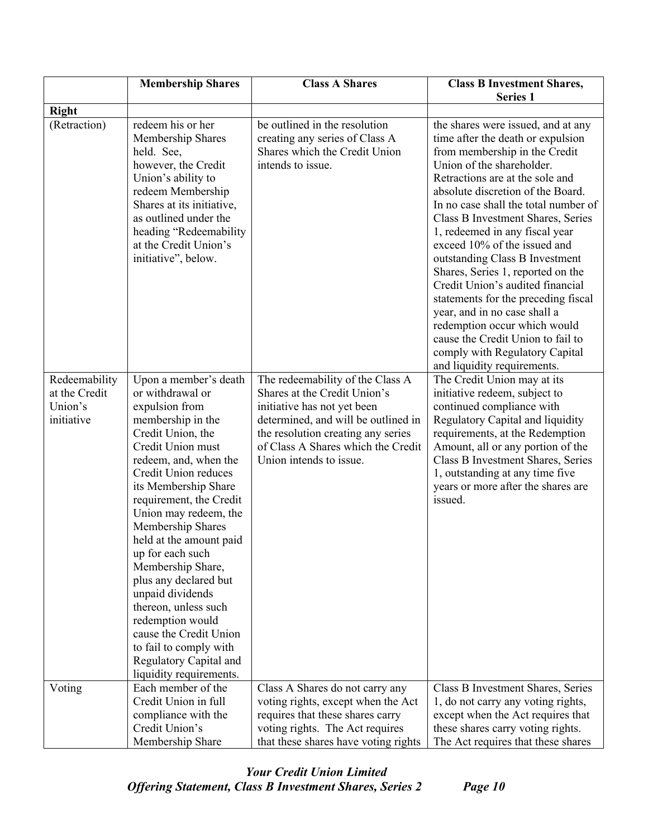|                                                         | <b>Membership Shares</b>                                                                                                                                                                                                                                                                                                                                                                                                                                                                                                                           | <b>Class A Shares</b>                                                                                                                                                                                                                         | <b>Class B Investment Shares,</b>                                                                                                                                                                                                                                                                                                                                                                                                                                                                                                                                                                                                                                                    |  |
|---------------------------------------------------------|----------------------------------------------------------------------------------------------------------------------------------------------------------------------------------------------------------------------------------------------------------------------------------------------------------------------------------------------------------------------------------------------------------------------------------------------------------------------------------------------------------------------------------------------------|-----------------------------------------------------------------------------------------------------------------------------------------------------------------------------------------------------------------------------------------------|--------------------------------------------------------------------------------------------------------------------------------------------------------------------------------------------------------------------------------------------------------------------------------------------------------------------------------------------------------------------------------------------------------------------------------------------------------------------------------------------------------------------------------------------------------------------------------------------------------------------------------------------------------------------------------------|--|
|                                                         |                                                                                                                                                                                                                                                                                                                                                                                                                                                                                                                                                    |                                                                                                                                                                                                                                               | <b>Series 1</b>                                                                                                                                                                                                                                                                                                                                                                                                                                                                                                                                                                                                                                                                      |  |
| <b>Right</b>                                            |                                                                                                                                                                                                                                                                                                                                                                                                                                                                                                                                                    |                                                                                                                                                                                                                                               |                                                                                                                                                                                                                                                                                                                                                                                                                                                                                                                                                                                                                                                                                      |  |
| (Retraction)                                            | redeem his or her<br>Membership Shares<br>held. See,<br>however, the Credit<br>Union's ability to<br>redeem Membership<br>Shares at its initiative,<br>as outlined under the<br>heading "Redeemability<br>at the Credit Union's<br>initiative", below.                                                                                                                                                                                                                                                                                             | be outlined in the resolution<br>creating any series of Class A<br>Shares which the Credit Union<br>intends to issue.                                                                                                                         | the shares were issued, and at any<br>time after the death or expulsion<br>from membership in the Credit<br>Union of the shareholder.<br>Retractions are at the sole and<br>absolute discretion of the Board.<br>In no case shall the total number of<br>Class B Investment Shares, Series<br>1, redeemed in any fiscal year<br>exceed 10% of the issued and<br>outstanding Class B Investment<br>Shares, Series 1, reported on the<br>Credit Union's audited financial<br>statements for the preceding fiscal<br>year, and in no case shall a<br>redemption occur which would<br>cause the Credit Union to fail to<br>comply with Regulatory Capital<br>and liquidity requirements. |  |
| Redeemability<br>at the Credit<br>Union's<br>initiative | Upon a member's death<br>or withdrawal or<br>expulsion from<br>membership in the<br>Credit Union, the<br>Credit Union must<br>redeem, and, when the<br>Credit Union reduces<br>its Membership Share<br>requirement, the Credit<br>Union may redeem, the<br>Membership Shares<br>held at the amount paid<br>up for each such<br>Membership Share,<br>plus any declared but<br>unpaid dividends<br>thereon, unless such<br>redemption would<br>cause the Credit Union<br>to fail to comply with<br>Regulatory Capital and<br>liquidity requirements. | The redeemability of the Class A<br>Shares at the Credit Union's<br>initiative has not yet been<br>determined, and will be outlined in<br>the resolution creating any series<br>of Class A Shares which the Credit<br>Union intends to issue. | The Credit Union may at its<br>initiative redeem, subject to<br>continued compliance with<br>Regulatory Capital and liquidity<br>requirements, at the Redemption<br>Amount, all or any portion of the<br>Class B Investment Shares, Series<br>1, outstanding at any time five<br>years or more after the shares are<br>issued.                                                                                                                                                                                                                                                                                                                                                       |  |
| Voting                                                  | Each member of the<br>Credit Union in full<br>compliance with the                                                                                                                                                                                                                                                                                                                                                                                                                                                                                  | Class A Shares do not carry any<br>voting rights, except when the Act<br>requires that these shares carry                                                                                                                                     | Class B Investment Shares, Series<br>1, do not carry any voting rights,<br>except when the Act requires that                                                                                                                                                                                                                                                                                                                                                                                                                                                                                                                                                                         |  |
|                                                         | Credit Union's<br>Membership Share                                                                                                                                                                                                                                                                                                                                                                                                                                                                                                                 | voting rights. The Act requires<br>that these shares have voting rights                                                                                                                                                                       | these shares carry voting rights.<br>The Act requires that these shares                                                                                                                                                                                                                                                                                                                                                                                                                                                                                                                                                                                                              |  |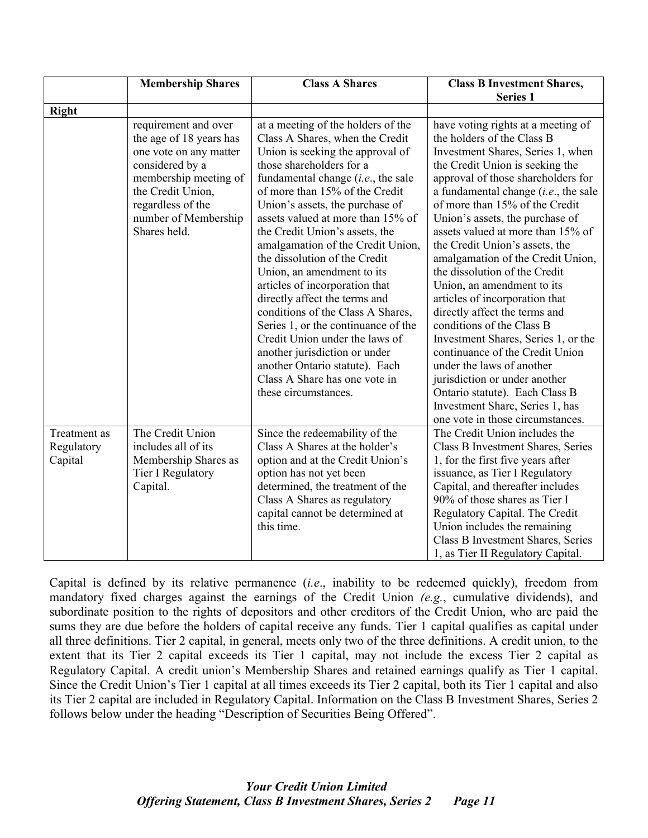|                                       | <b>Membership Shares</b>                                                                                                                                                                                | <b>Class A Shares</b>                                                                                                                                                                                                                                                                                                                                                                                                                                                                                                                                                                                                                                                                                                                      | <b>Class B Investment Shares,</b>                                                                                                                                                                                                                                                                                                                                                                                                                                                                                                                                                                                                                                                                                                                                                                                         |
|---------------------------------------|---------------------------------------------------------------------------------------------------------------------------------------------------------------------------------------------------------|--------------------------------------------------------------------------------------------------------------------------------------------------------------------------------------------------------------------------------------------------------------------------------------------------------------------------------------------------------------------------------------------------------------------------------------------------------------------------------------------------------------------------------------------------------------------------------------------------------------------------------------------------------------------------------------------------------------------------------------------|---------------------------------------------------------------------------------------------------------------------------------------------------------------------------------------------------------------------------------------------------------------------------------------------------------------------------------------------------------------------------------------------------------------------------------------------------------------------------------------------------------------------------------------------------------------------------------------------------------------------------------------------------------------------------------------------------------------------------------------------------------------------------------------------------------------------------|
|                                       |                                                                                                                                                                                                         |                                                                                                                                                                                                                                                                                                                                                                                                                                                                                                                                                                                                                                                                                                                                            | <b>Series 1</b>                                                                                                                                                                                                                                                                                                                                                                                                                                                                                                                                                                                                                                                                                                                                                                                                           |
| <b>Right</b>                          | requirement and over<br>the age of 18 years has<br>one vote on any matter<br>considered by a<br>membership meeting of<br>the Credit Union,<br>regardless of the<br>number of Membership<br>Shares held. | at a meeting of the holders of the<br>Class A Shares, when the Credit<br>Union is seeking the approval of<br>those shareholders for a<br>fundamental change $(i.e.,$ the sale<br>of more than 15% of the Credit<br>Union's assets, the purchase of<br>assets valued at more than 15% of<br>the Credit Union's assets, the<br>amalgamation of the Credit Union,<br>the dissolution of the Credit<br>Union, an amendment to its<br>articles of incorporation that<br>directly affect the terms and<br>conditions of the Class A Shares,<br>Series 1, or the continuance of the<br>Credit Union under the laws of<br>another jurisdiction or under<br>another Ontario statute). Each<br>Class A Share has one vote in<br>these circumstances. | have voting rights at a meeting of<br>the holders of the Class B<br>Investment Shares, Series 1, when<br>the Credit Union is seeking the<br>approval of those shareholders for<br>a fundamental change $(i.e.,$ the sale<br>of more than 15% of the Credit<br>Union's assets, the purchase of<br>assets valued at more than 15% of<br>the Credit Union's assets, the<br>amalgamation of the Credit Union,<br>the dissolution of the Credit<br>Union, an amendment to its<br>articles of incorporation that<br>directly affect the terms and<br>conditions of the Class B<br>Investment Shares, Series 1, or the<br>continuance of the Credit Union<br>under the laws of another<br>jurisdiction or under another<br>Ontario statute). Each Class B<br>Investment Share, Series 1, has<br>one vote in those circumstances. |
| Treatment as<br>Regulatory<br>Capital | The Credit Union<br>includes all of its<br>Membership Shares as<br>Tier I Regulatory<br>Capital.                                                                                                        | Since the redeemability of the<br>Class A Shares at the holder's<br>option and at the Credit Union's<br>option has not yet been<br>determined, the treatment of the<br>Class A Shares as regulatory<br>capital cannot be determined at<br>this time.                                                                                                                                                                                                                                                                                                                                                                                                                                                                                       | The Credit Union includes the<br>Class B Investment Shares, Series<br>1, for the first five years after<br>issuance, as Tier I Regulatory<br>Capital, and thereafter includes<br>90% of those shares as Tier I<br>Regulatory Capital. The Credit<br>Union includes the remaining<br>Class B Investment Shares, Series<br>1, as Tier II Regulatory Capital.                                                                                                                                                                                                                                                                                                                                                                                                                                                                |

Capital is defined by its relative permanence (*i.e*., inability to be redeemed quickly), freedom from mandatory fixed charges against the earnings of the Credit Union *(e.g.*, cumulative dividends), and subordinate position to the rights of depositors and other creditors of the Credit Union, who are paid the sums they are due before the holders of capital receive any funds. Tier 1 capital qualifies as capital under all three definitions. Tier 2 capital, in general, meets only two of the three definitions. A credit union, to the extent that its Tier 2 capital exceeds its Tier 1 capital, may not include the excess Tier 2 capital as Regulatory Capital. A credit union's Membership Shares and retained earnings qualify as Tier 1 capital. Since the Credit Union's Tier 1 capital at all times exceeds its Tier 2 capital, both its Tier 1 capital and also its Tier 2 capital are included in Regulatory Capital. Information on the Class B Investment Shares, Series 2 follows below under the heading "Description of Securities Being Offered".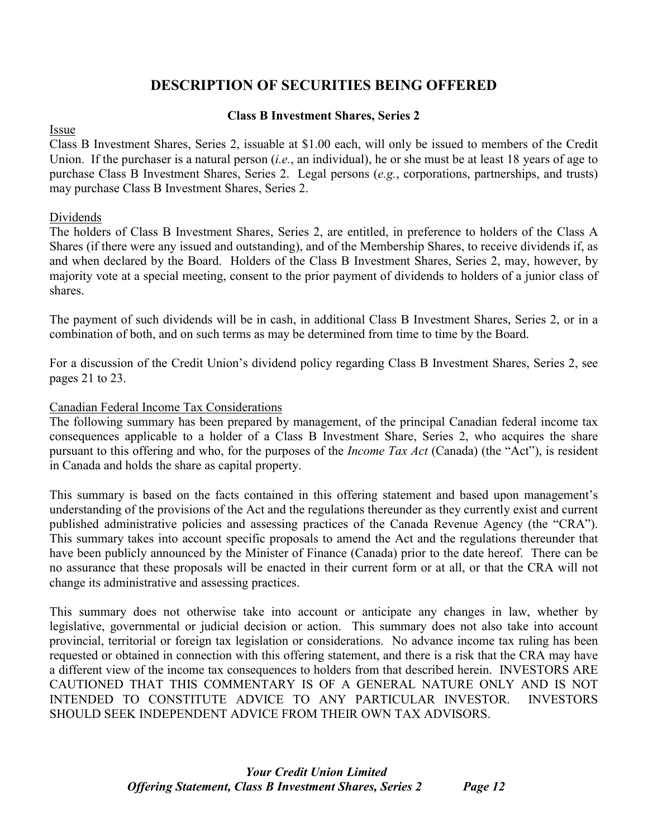# **DESCRIPTION OF SECURITIES BEING OFFERED**

# **Class B Investment Shares, Series 2**

#### Issue

Class B Investment Shares, Series 2, issuable at \$1.00 each, will only be issued to members of the Credit Union. If the purchaser is a natural person (*i.e.*, an individual), he or she must be at least 18 years of age to purchase Class B Investment Shares, Series 2. Legal persons (*e.g.*, corporations, partnerships, and trusts) may purchase Class B Investment Shares, Series 2.

# Dividends

The holders of Class B Investment Shares, Series 2, are entitled, in preference to holders of the Class A Shares (if there were any issued and outstanding), and of the Membership Shares, to receive dividends if, as and when declared by the Board. Holders of the Class B Investment Shares, Series 2, may, however, by majority vote at a special meeting, consent to the prior payment of dividends to holders of a junior class of shares.

The payment of such dividends will be in cash, in additional Class B Investment Shares, Series 2, or in a combination of both, and on such terms as may be determined from time to time by the Board.

For a discussion of the Credit Union's dividend policy regarding Class B Investment Shares, Series 2, see pages 21 to 23.

#### Canadian Federal Income Tax Considerations

The following summary has been prepared by management, of the principal Canadian federal income tax consequences applicable to a holder of a Class B Investment Share, Series 2, who acquires the share pursuant to this offering and who, for the purposes of the *Income Tax Act* (Canada) (the "Act"), is resident in Canada and holds the share as capital property.

This summary is based on the facts contained in this offering statement and based upon management's understanding of the provisions of the Act and the regulations thereunder as they currently exist and current published administrative policies and assessing practices of the Canada Revenue Agency (the "CRA"). This summary takes into account specific proposals to amend the Act and the regulations thereunder that have been publicly announced by the Minister of Finance (Canada) prior to the date hereof. There can be no assurance that these proposals will be enacted in their current form or at all, or that the CRA will not change its administrative and assessing practices.

This summary does not otherwise take into account or anticipate any changes in law, whether by legislative, governmental or judicial decision or action. This summary does not also take into account provincial, territorial or foreign tax legislation or considerations. No advance income tax ruling has been requested or obtained in connection with this offering statement, and there is a risk that the CRA may have a different view of the income tax consequences to holders from that described herein. INVESTORS ARE CAUTIONED THAT THIS COMMENTARY IS OF A GENERAL NATURE ONLY AND IS NOT INTENDED TO CONSTITUTE ADVICE TO ANY PARTICULAR INVESTOR. INVESTORS SHOULD SEEK INDEPENDENT ADVICE FROM THEIR OWN TAX ADVISORS.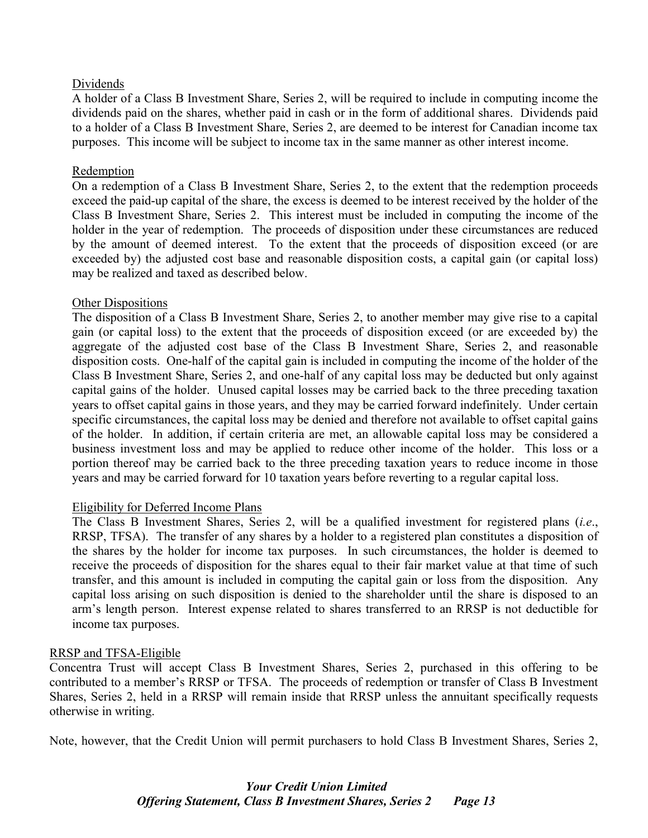#### Dividends

A holder of a Class B Investment Share, Series 2, will be required to include in computing income the dividends paid on the shares, whether paid in cash or in the form of additional shares. Dividends paid to a holder of a Class B Investment Share, Series 2, are deemed to be interest for Canadian income tax purposes. This income will be subject to income tax in the same manner as other interest income.

#### Redemption

On a redemption of a Class B Investment Share, Series 2, to the extent that the redemption proceeds exceed the paid-up capital of the share, the excess is deemed to be interest received by the holder of the Class B Investment Share, Series 2. This interest must be included in computing the income of the holder in the year of redemption. The proceeds of disposition under these circumstances are reduced by the amount of deemed interest. To the extent that the proceeds of disposition exceed (or are exceeded by) the adjusted cost base and reasonable disposition costs, a capital gain (or capital loss) may be realized and taxed as described below.

#### Other Dispositions

The disposition of a Class B Investment Share, Series 2, to another member may give rise to a capital gain (or capital loss) to the extent that the proceeds of disposition exceed (or are exceeded by) the aggregate of the adjusted cost base of the Class B Investment Share, Series 2, and reasonable disposition costs. One-half of the capital gain is included in computing the income of the holder of the Class B Investment Share, Series 2, and one-half of any capital loss may be deducted but only against capital gains of the holder. Unused capital losses may be carried back to the three preceding taxation years to offset capital gains in those years, and they may be carried forward indefinitely. Under certain specific circumstances, the capital loss may be denied and therefore not available to offset capital gains of the holder. In addition, if certain criteria are met, an allowable capital loss may be considered a business investment loss and may be applied to reduce other income of the holder. This loss or a portion thereof may be carried back to the three preceding taxation years to reduce income in those years and may be carried forward for 10 taxation years before reverting to a regular capital loss.

#### Eligibility for Deferred Income Plans

The Class B Investment Shares, Series 2, will be a qualified investment for registered plans (*i.e*., RRSP, TFSA). The transfer of any shares by a holder to a registered plan constitutes a disposition of the shares by the holder for income tax purposes. In such circumstances, the holder is deemed to receive the proceeds of disposition for the shares equal to their fair market value at that time of such transfer, and this amount is included in computing the capital gain or loss from the disposition. Any capital loss arising on such disposition is denied to the shareholder until the share is disposed to an arm's length person. Interest expense related to shares transferred to an RRSP is not deductible for income tax purposes.

#### RRSP and TFSA-Eligible

Concentra Trust will accept Class B Investment Shares, Series 2, purchased in this offering to be contributed to a member's RRSP or TFSA. The proceeds of redemption or transfer of Class B Investment Shares, Series 2, held in a RRSP will remain inside that RRSP unless the annuitant specifically requests otherwise in writing.

Note, however, that the Credit Union will permit purchasers to hold Class B Investment Shares, Series 2,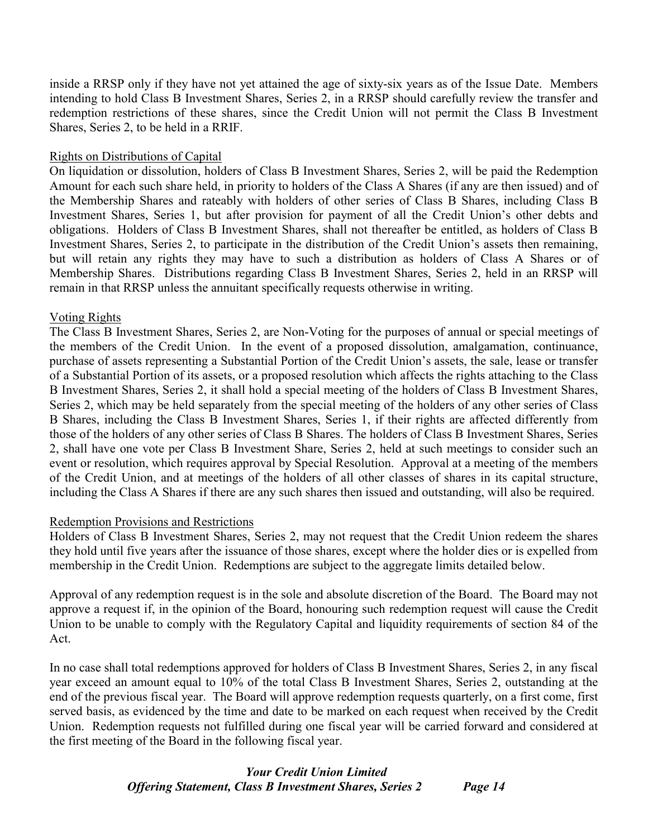inside a RRSP only if they have not yet attained the age of sixty-six years as of the Issue Date. Members intending to hold Class B Investment Shares, Series 2, in a RRSP should carefully review the transfer and redemption restrictions of these shares, since the Credit Union will not permit the Class B Investment Shares, Series 2, to be held in a RRIF.

#### Rights on Distributions of Capital

On liquidation or dissolution, holders of Class B Investment Shares, Series 2, will be paid the Redemption Amount for each such share held, in priority to holders of the Class A Shares (if any are then issued) and of the Membership Shares and rateably with holders of other series of Class B Shares, including Class B Investment Shares, Series 1, but after provision for payment of all the Credit Union's other debts and obligations. Holders of Class B Investment Shares, shall not thereafter be entitled, as holders of Class B Investment Shares, Series 2, to participate in the distribution of the Credit Union's assets then remaining, but will retain any rights they may have to such a distribution as holders of Class A Shares or of Membership Shares. Distributions regarding Class B Investment Shares, Series 2, held in an RRSP will remain in that RRSP unless the annuitant specifically requests otherwise in writing.

#### Voting Rights

The Class B Investment Shares, Series 2, are Non-Voting for the purposes of annual or special meetings of the members of the Credit Union. In the event of a proposed dissolution, amalgamation, continuance, purchase of assets representing a Substantial Portion of the Credit Union's assets, the sale, lease or transfer of a Substantial Portion of its assets, or a proposed resolution which affects the rights attaching to the Class B Investment Shares, Series 2, it shall hold a special meeting of the holders of Class B Investment Shares, Series 2, which may be held separately from the special meeting of the holders of any other series of Class B Shares, including the Class B Investment Shares, Series 1, if their rights are affected differently from those of the holders of any other series of Class B Shares. The holders of Class B Investment Shares, Series 2, shall have one vote per Class B Investment Share, Series 2, held at such meetings to consider such an event or resolution, which requires approval by Special Resolution. Approval at a meeting of the members of the Credit Union, and at meetings of the holders of all other classes of shares in its capital structure, including the Class A Shares if there are any such shares then issued and outstanding, will also be required.

#### Redemption Provisions and Restrictions

Holders of Class B Investment Shares, Series 2, may not request that the Credit Union redeem the shares they hold until five years after the issuance of those shares, except where the holder dies or is expelled from membership in the Credit Union. Redemptions are subject to the aggregate limits detailed below.

Approval of any redemption request is in the sole and absolute discretion of the Board. The Board may not approve a request if, in the opinion of the Board, honouring such redemption request will cause the Credit Union to be unable to comply with the Regulatory Capital and liquidity requirements of section 84 of the Act.

In no case shall total redemptions approved for holders of Class B Investment Shares, Series 2, in any fiscal year exceed an amount equal to 10% of the total Class B Investment Shares, Series 2, outstanding at the end of the previous fiscal year. The Board will approve redemption requests quarterly, on a first come, first served basis, as evidenced by the time and date to be marked on each request when received by the Credit Union. Redemption requests not fulfilled during one fiscal year will be carried forward and considered at the first meeting of the Board in the following fiscal year.

# *Your Credit Union Limited Offering Statement, Class B Investment Shares, Series 2 Page 14*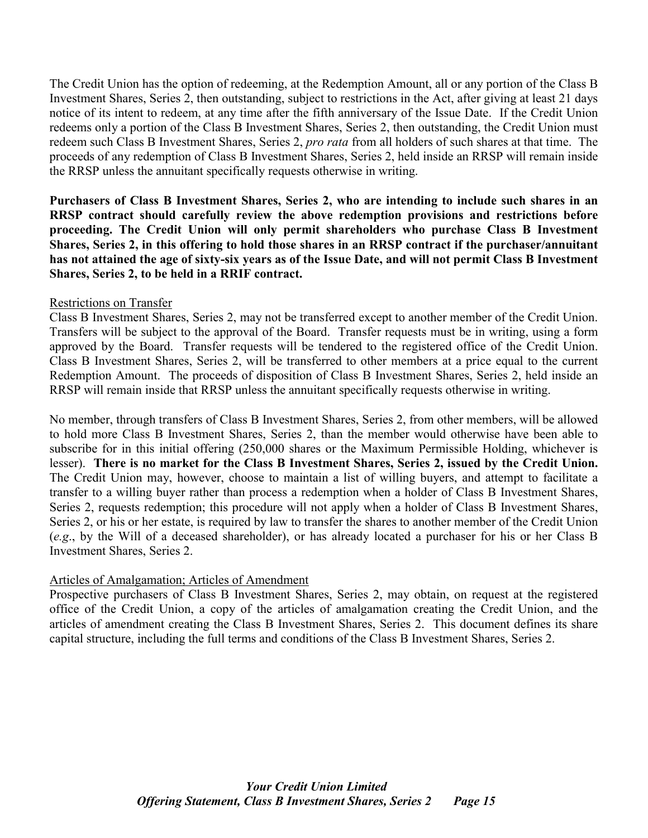The Credit Union has the option of redeeming, at the Redemption Amount, all or any portion of the Class B Investment Shares, Series 2, then outstanding, subject to restrictions in the Act, after giving at least 21 days notice of its intent to redeem, at any time after the fifth anniversary of the Issue Date. If the Credit Union redeems only a portion of the Class B Investment Shares, Series 2, then outstanding, the Credit Union must redeem such Class B Investment Shares, Series 2, *pro rata* from all holders of such shares at that time. The proceeds of any redemption of Class B Investment Shares, Series 2, held inside an RRSP will remain inside the RRSP unless the annuitant specifically requests otherwise in writing.

**Purchasers of Class B Investment Shares, Series 2, who are intending to include such shares in an RRSP contract should carefully review the above redemption provisions and restrictions before proceeding. The Credit Union will only permit shareholders who purchase Class B Investment Shares, Series 2, in this offering to hold those shares in an RRSP contract if the purchaser/annuitant has not attained the age of sixty-six years as of the Issue Date, and will not permit Class B Investment Shares, Series 2, to be held in a RRIF contract.**

#### Restrictions on Transfer

Class B Investment Shares, Series 2, may not be transferred except to another member of the Credit Union. Transfers will be subject to the approval of the Board. Transfer requests must be in writing, using a form approved by the Board. Transfer requests will be tendered to the registered office of the Credit Union. Class B Investment Shares, Series 2, will be transferred to other members at a price equal to the current Redemption Amount. The proceeds of disposition of Class B Investment Shares, Series 2, held inside an RRSP will remain inside that RRSP unless the annuitant specifically requests otherwise in writing.

No member, through transfers of Class B Investment Shares, Series 2, from other members, will be allowed to hold more Class B Investment Shares, Series 2, than the member would otherwise have been able to subscribe for in this initial offering (250,000 shares or the Maximum Permissible Holding, whichever is lesser). **There is no market for the Class B Investment Shares, Series 2, issued by the Credit Union.**  The Credit Union may, however, choose to maintain a list of willing buyers, and attempt to facilitate a transfer to a willing buyer rather than process a redemption when a holder of Class B Investment Shares, Series 2, requests redemption; this procedure will not apply when a holder of Class B Investment Shares, Series 2, or his or her estate, is required by law to transfer the shares to another member of the Credit Union (*e.g*., by the Will of a deceased shareholder), or has already located a purchaser for his or her Class B Investment Shares, Series 2.

# Articles of Amalgamation; Articles of Amendment

Prospective purchasers of Class B Investment Shares, Series 2, may obtain, on request at the registered office of the Credit Union, a copy of the articles of amalgamation creating the Credit Union, and the articles of amendment creating the Class B Investment Shares, Series 2. This document defines its share capital structure, including the full terms and conditions of the Class B Investment Shares, Series 2.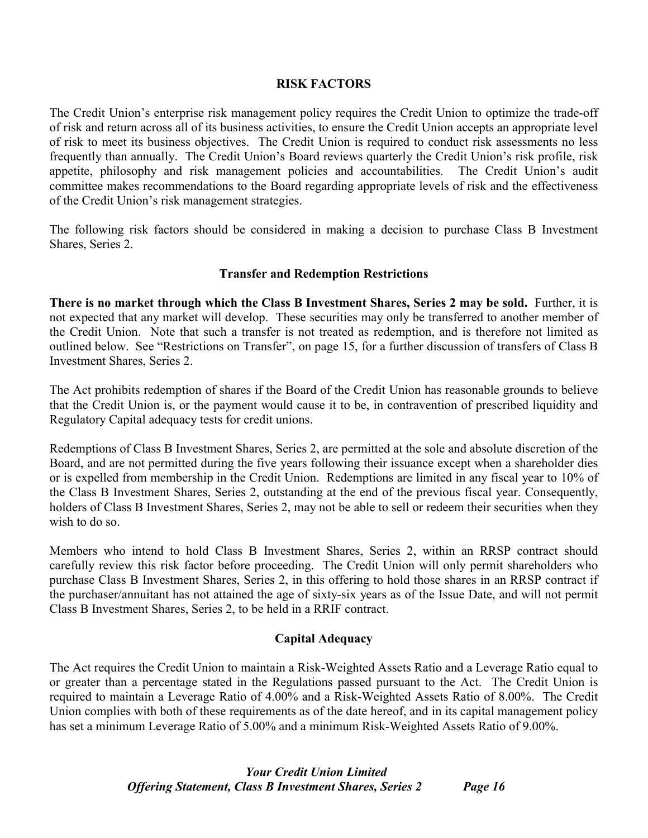#### **RISK FACTORS**

The Credit Union's enterprise risk management policy requires the Credit Union to optimize the trade-off of risk and return across all of its business activities, to ensure the Credit Union accepts an appropriate level of risk to meet its business objectives. The Credit Union is required to conduct risk assessments no less frequently than annually. The Credit Union's Board reviews quarterly the Credit Union's risk profile, risk appetite, philosophy and risk management policies and accountabilities. The Credit Union's audit committee makes recommendations to the Board regarding appropriate levels of risk and the effectiveness of the Credit Union's risk management strategies.

The following risk factors should be considered in making a decision to purchase Class B Investment Shares, Series 2.

# **Transfer and Redemption Restrictions**

**There is no market through which the Class B Investment Shares, Series 2 may be sold.** Further, it is not expected that any market will develop. These securities may only be transferred to another member of the Credit Union. Note that such a transfer is not treated as redemption, and is therefore not limited as outlined below. See "Restrictions on Transfer", on page 15, for a further discussion of transfers of Class B Investment Shares, Series 2.

The Act prohibits redemption of shares if the Board of the Credit Union has reasonable grounds to believe that the Credit Union is, or the payment would cause it to be, in contravention of prescribed liquidity and Regulatory Capital adequacy tests for credit unions.

Redemptions of Class B Investment Shares, Series 2, are permitted at the sole and absolute discretion of the Board, and are not permitted during the five years following their issuance except when a shareholder dies or is expelled from membership in the Credit Union. Redemptions are limited in any fiscal year to 10% of the Class B Investment Shares, Series 2, outstanding at the end of the previous fiscal year. Consequently, holders of Class B Investment Shares, Series 2, may not be able to sell or redeem their securities when they wish to do so.

Members who intend to hold Class B Investment Shares, Series 2, within an RRSP contract should carefully review this risk factor before proceeding. The Credit Union will only permit shareholders who purchase Class B Investment Shares, Series 2, in this offering to hold those shares in an RRSP contract if the purchaser/annuitant has not attained the age of sixty-six years as of the Issue Date, and will not permit Class B Investment Shares, Series 2, to be held in a RRIF contract.

#### **Capital Adequacy**

The Act requires the Credit Union to maintain a Risk-Weighted Assets Ratio and a Leverage Ratio equal to or greater than a percentage stated in the Regulations passed pursuant to the Act. The Credit Union is required to maintain a Leverage Ratio of 4.00% and a Risk-Weighted Assets Ratio of 8.00%. The Credit Union complies with both of these requirements as of the date hereof, and in its capital management policy has set a minimum Leverage Ratio of 5.00% and a minimum Risk-Weighted Assets Ratio of 9.00%.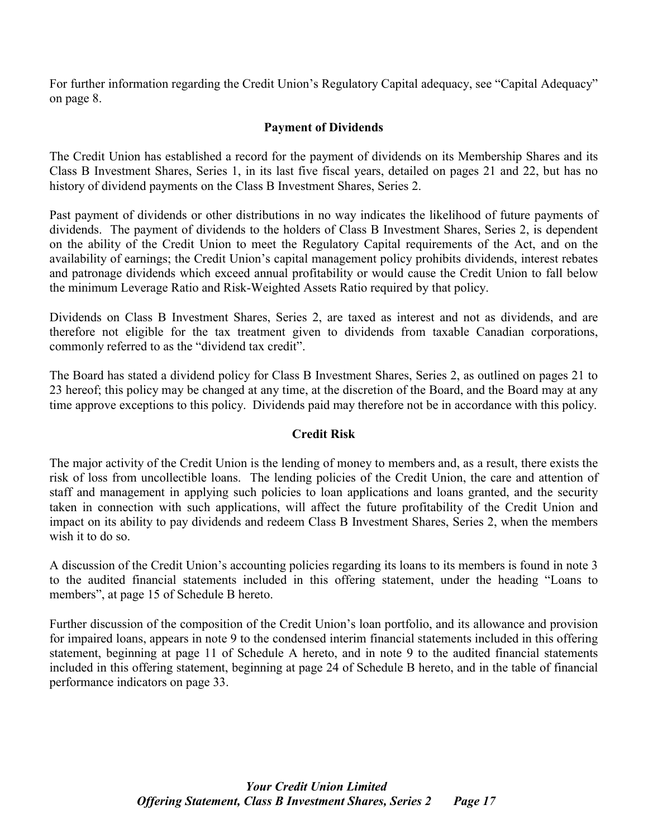For further information regarding the Credit Union's Regulatory Capital adequacy, see "Capital Adequacy" on page 8.

# **Payment of Dividends**

The Credit Union has established a record for the payment of dividends on its Membership Shares and its Class B Investment Shares, Series 1, in its last five fiscal years, detailed on pages 21 and 22, but has no history of dividend payments on the Class B Investment Shares, Series 2.

Past payment of dividends or other distributions in no way indicates the likelihood of future payments of dividends. The payment of dividends to the holders of Class B Investment Shares, Series 2, is dependent on the ability of the Credit Union to meet the Regulatory Capital requirements of the Act, and on the availability of earnings; the Credit Union's capital management policy prohibits dividends, interest rebates and patronage dividends which exceed annual profitability or would cause the Credit Union to fall below the minimum Leverage Ratio and Risk-Weighted Assets Ratio required by that policy.

Dividends on Class B Investment Shares, Series 2, are taxed as interest and not as dividends, and are therefore not eligible for the tax treatment given to dividends from taxable Canadian corporations, commonly referred to as the "dividend tax credit".

The Board has stated a dividend policy for Class B Investment Shares, Series 2, as outlined on pages 21 to 23 hereof; this policy may be changed at any time, at the discretion of the Board, and the Board may at any time approve exceptions to this policy. Dividends paid may therefore not be in accordance with this policy.

# **Credit Risk**

The major activity of the Credit Union is the lending of money to members and, as a result, there exists the risk of loss from uncollectible loans. The lending policies of the Credit Union, the care and attention of staff and management in applying such policies to loan applications and loans granted, and the security taken in connection with such applications, will affect the future profitability of the Credit Union and impact on its ability to pay dividends and redeem Class B Investment Shares, Series 2, when the members wish it to do so.

A discussion of the Credit Union's accounting policies regarding its loans to its members is found in note 3 to the audited financial statements included in this offering statement, under the heading "Loans to members", at page 15 of Schedule B hereto.

Further discussion of the composition of the Credit Union's loan portfolio, and its allowance and provision for impaired loans, appears in note 9 to the condensed interim financial statements included in this offering statement, beginning at page 11 of Schedule A hereto, and in note 9 to the audited financial statements included in this offering statement, beginning at page 24 of Schedule B hereto, and in the table of financial performance indicators on page 33.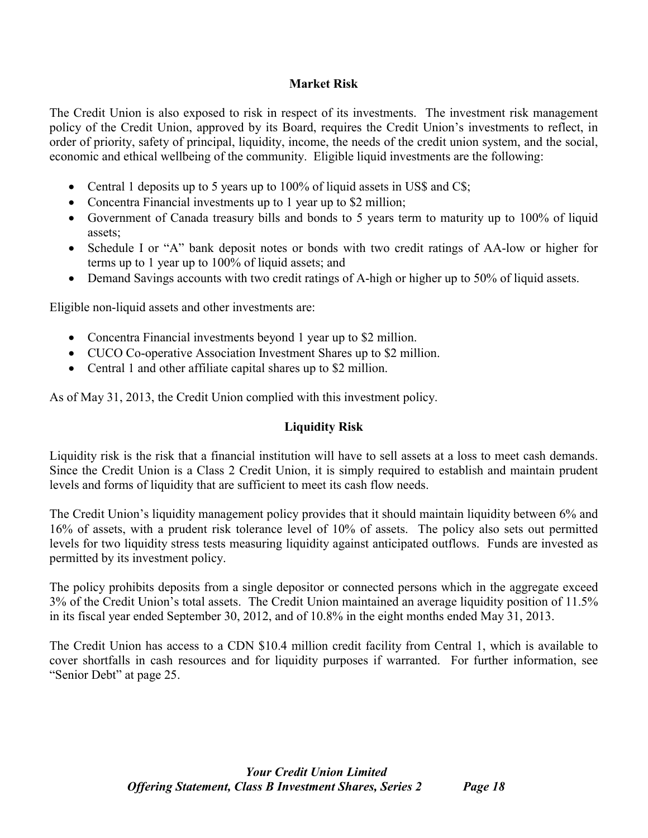# **Market Risk**

The Credit Union is also exposed to risk in respect of its investments. The investment risk management policy of the Credit Union, approved by its Board, requires the Credit Union's investments to reflect, in order of priority, safety of principal, liquidity, income, the needs of the credit union system, and the social, economic and ethical wellbeing of the community. Eligible liquid investments are the following:

- Central 1 deposits up to 5 years up to 100% of liquid assets in US\$ and C\$;
- Concentra Financial investments up to 1 year up to \$2 million;
- Government of Canada treasury bills and bonds to 5 years term to maturity up to 100% of liquid assets;
- Schedule I or "A" bank deposit notes or bonds with two credit ratings of AA-low or higher for terms up to 1 year up to 100% of liquid assets; and
- Demand Savings accounts with two credit ratings of A-high or higher up to 50% of liquid assets.

Eligible non-liquid assets and other investments are:

- Concentra Financial investments beyond 1 year up to \$2 million.
- CUCO Co-operative Association Investment Shares up to \$2 million.
- Central 1 and other affiliate capital shares up to \$2 million.

As of May 31, 2013, the Credit Union complied with this investment policy.

# **Liquidity Risk**

Liquidity risk is the risk that a financial institution will have to sell assets at a loss to meet cash demands. Since the Credit Union is a Class 2 Credit Union, it is simply required to establish and maintain prudent levels and forms of liquidity that are sufficient to meet its cash flow needs.

The Credit Union's liquidity management policy provides that it should maintain liquidity between 6% and 16% of assets, with a prudent risk tolerance level of 10% of assets. The policy also sets out permitted levels for two liquidity stress tests measuring liquidity against anticipated outflows. Funds are invested as permitted by its investment policy.

The policy prohibits deposits from a single depositor or connected persons which in the aggregate exceed 3% of the Credit Union's total assets. The Credit Union maintained an average liquidity position of 11.5% in its fiscal year ended September 30, 2012, and of 10.8% in the eight months ended May 31, 2013.

The Credit Union has access to a CDN \$10.4 million credit facility from Central 1, which is available to cover shortfalls in cash resources and for liquidity purposes if warranted. For further information, see "Senior Debt" at page 25.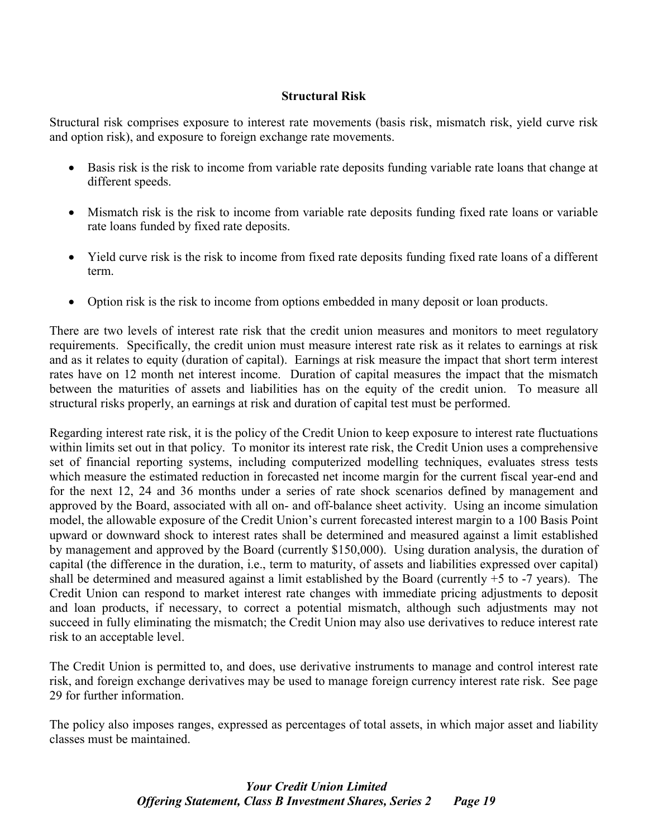### **Structural Risk**

Structural risk comprises exposure to interest rate movements (basis risk, mismatch risk, yield curve risk and option risk), and exposure to foreign exchange rate movements.

- Basis risk is the risk to income from variable rate deposits funding variable rate loans that change at different speeds.
- Mismatch risk is the risk to income from variable rate deposits funding fixed rate loans or variable rate loans funded by fixed rate deposits.
- Yield curve risk is the risk to income from fixed rate deposits funding fixed rate loans of a different term.
- Option risk is the risk to income from options embedded in many deposit or loan products.

There are two levels of interest rate risk that the credit union measures and monitors to meet regulatory requirements. Specifically, the credit union must measure interest rate risk as it relates to earnings at risk and as it relates to equity (duration of capital). Earnings at risk measure the impact that short term interest rates have on 12 month net interest income. Duration of capital measures the impact that the mismatch between the maturities of assets and liabilities has on the equity of the credit union. To measure all structural risks properly, an earnings at risk and duration of capital test must be performed.

Regarding interest rate risk, it is the policy of the Credit Union to keep exposure to interest rate fluctuations within limits set out in that policy. To monitor its interest rate risk, the Credit Union uses a comprehensive set of financial reporting systems, including computerized modelling techniques, evaluates stress tests which measure the estimated reduction in forecasted net income margin for the current fiscal year-end and for the next 12, 24 and 36 months under a series of rate shock scenarios defined by management and approved by the Board, associated with all on- and off-balance sheet activity. Using an income simulation model, the allowable exposure of the Credit Union's current forecasted interest margin to a 100 Basis Point upward or downward shock to interest rates shall be determined and measured against a limit established by management and approved by the Board (currently \$150,000). Using duration analysis, the duration of capital (the difference in the duration, i.e., term to maturity, of assets and liabilities expressed over capital) shall be determined and measured against a limit established by the Board (currently +5 to -7 years). The Credit Union can respond to market interest rate changes with immediate pricing adjustments to deposit and loan products, if necessary, to correct a potential mismatch, although such adjustments may not succeed in fully eliminating the mismatch; the Credit Union may also use derivatives to reduce interest rate risk to an acceptable level.

The Credit Union is permitted to, and does, use derivative instruments to manage and control interest rate risk, and foreign exchange derivatives may be used to manage foreign currency interest rate risk. See page 29 for further information.

The policy also imposes ranges, expressed as percentages of total assets, in which major asset and liability classes must be maintained.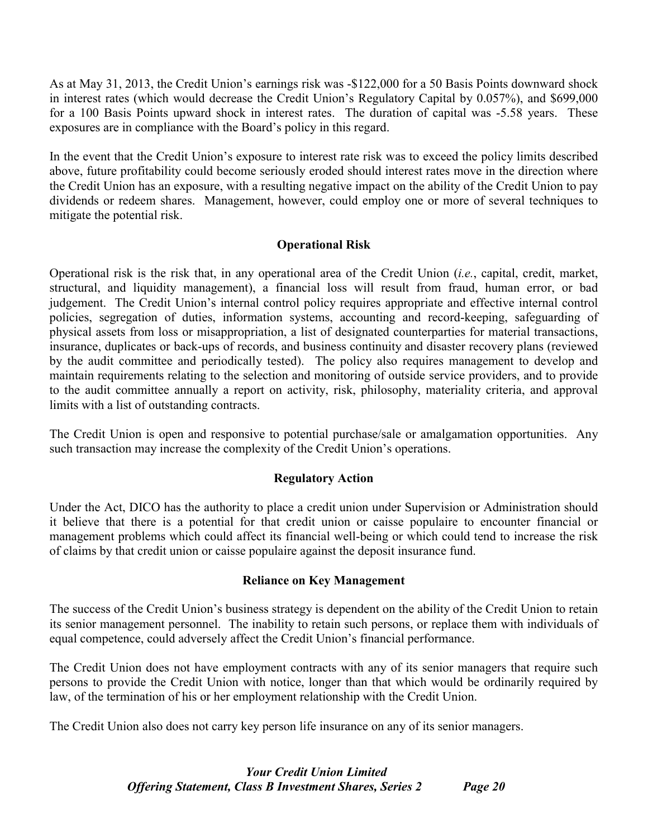As at May 31, 2013, the Credit Union's earnings risk was -\$122,000 for a 50 Basis Points downward shock in interest rates (which would decrease the Credit Union's Regulatory Capital by 0.057%), and \$699,000 for a 100 Basis Points upward shock in interest rates. The duration of capital was -5.58 years. These exposures are in compliance with the Board's policy in this regard.

In the event that the Credit Union's exposure to interest rate risk was to exceed the policy limits described above, future profitability could become seriously eroded should interest rates move in the direction where the Credit Union has an exposure, with a resulting negative impact on the ability of the Credit Union to pay dividends or redeem shares. Management, however, could employ one or more of several techniques to mitigate the potential risk.

# **Operational Risk**

Operational risk is the risk that, in any operational area of the Credit Union (*i.e.*, capital, credit, market, structural, and liquidity management), a financial loss will result from fraud, human error, or bad judgement. The Credit Union's internal control policy requires appropriate and effective internal control policies, segregation of duties, information systems, accounting and record-keeping, safeguarding of physical assets from loss or misappropriation, a list of designated counterparties for material transactions, insurance, duplicates or back-ups of records, and business continuity and disaster recovery plans (reviewed by the audit committee and periodically tested). The policy also requires management to develop and maintain requirements relating to the selection and monitoring of outside service providers, and to provide to the audit committee annually a report on activity, risk, philosophy, materiality criteria, and approval limits with a list of outstanding contracts.

The Credit Union is open and responsive to potential purchase/sale or amalgamation opportunities. Any such transaction may increase the complexity of the Credit Union's operations.

# **Regulatory Action**

Under the Act, DICO has the authority to place a credit union under Supervision or Administration should it believe that there is a potential for that credit union or caisse populaire to encounter financial or management problems which could affect its financial well-being or which could tend to increase the risk of claims by that credit union or caisse populaire against the deposit insurance fund.

# **Reliance on Key Management**

The success of the Credit Union's business strategy is dependent on the ability of the Credit Union to retain its senior management personnel. The inability to retain such persons, or replace them with individuals of equal competence, could adversely affect the Credit Union's financial performance.

The Credit Union does not have employment contracts with any of its senior managers that require such persons to provide the Credit Union with notice, longer than that which would be ordinarily required by law, of the termination of his or her employment relationship with the Credit Union.

The Credit Union also does not carry key person life insurance on any of its senior managers.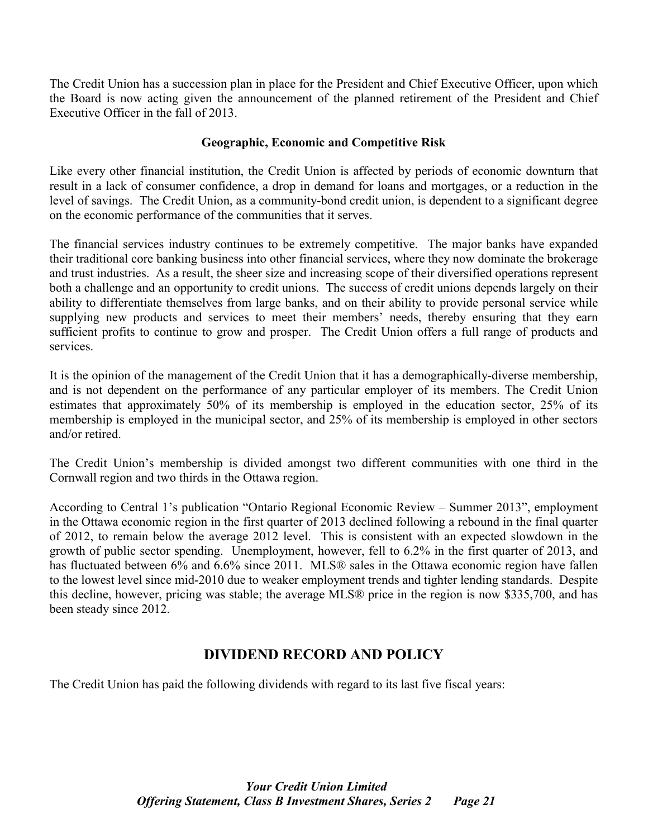The Credit Union has a succession plan in place for the President and Chief Executive Officer, upon which the Board is now acting given the announcement of the planned retirement of the President and Chief Executive Officer in the fall of 2013.

# **Geographic, Economic and Competitive Risk**

Like every other financial institution, the Credit Union is affected by periods of economic downturn that result in a lack of consumer confidence, a drop in demand for loans and mortgages, or a reduction in the level of savings. The Credit Union, as a community-bond credit union, is dependent to a significant degree on the economic performance of the communities that it serves.

The financial services industry continues to be extremely competitive. The major banks have expanded their traditional core banking business into other financial services, where they now dominate the brokerage and trust industries. As a result, the sheer size and increasing scope of their diversified operations represent both a challenge and an opportunity to credit unions. The success of credit unions depends largely on their ability to differentiate themselves from large banks, and on their ability to provide personal service while supplying new products and services to meet their members' needs, thereby ensuring that they earn sufficient profits to continue to grow and prosper. The Credit Union offers a full range of products and services.

It is the opinion of the management of the Credit Union that it has a demographically-diverse membership, and is not dependent on the performance of any particular employer of its members. The Credit Union estimates that approximately 50% of its membership is employed in the education sector, 25% of its membership is employed in the municipal sector, and 25% of its membership is employed in other sectors and/or retired.

The Credit Union's membership is divided amongst two different communities with one third in the Cornwall region and two thirds in the Ottawa region.

According to Central 1's publication "Ontario Regional Economic Review – Summer 2013", employment in the Ottawa economic region in the first quarter of 2013 declined following a rebound in the final quarter of 2012, to remain below the average 2012 level. This is consistent with an expected slowdown in the growth of public sector spending. Unemployment, however, fell to 6.2% in the first quarter of 2013, and has fluctuated between 6% and 6.6% since 2011. MLS® sales in the Ottawa economic region have fallen to the lowest level since mid-2010 due to weaker employment trends and tighter lending standards. Despite this decline, however, pricing was stable; the average MLS® price in the region is now \$335,700, and has been steady since 2012.

# **DIVIDEND RECORD AND POLICY**

The Credit Union has paid the following dividends with regard to its last five fiscal years: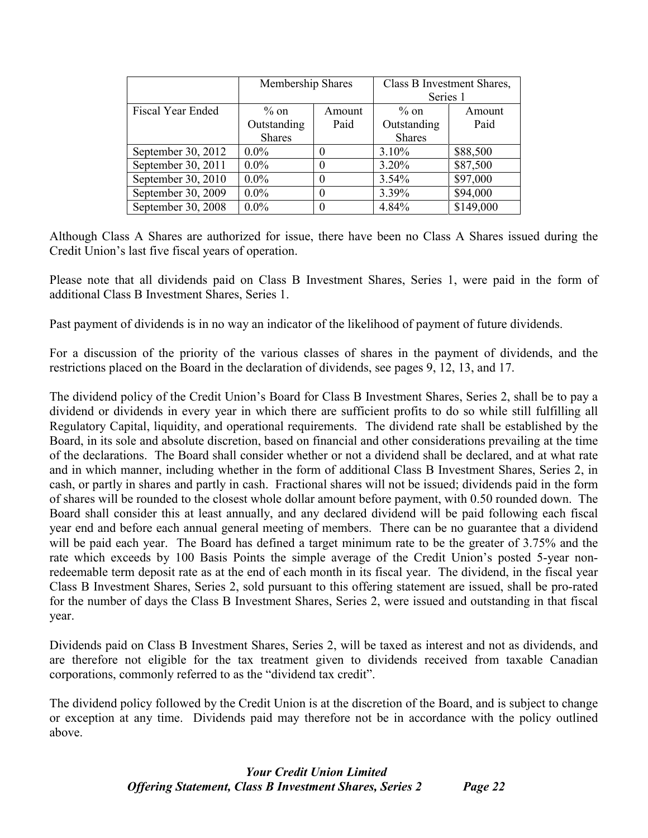|                    | Membership Shares |      | Class B Investment Shares,<br>Series 1 |           |  |
|--------------------|-------------------|------|----------------------------------------|-----------|--|
| Fiscal Year Ended  | $\%$ on<br>Amount |      | $\%$ on                                | Amount    |  |
|                    | Outstanding       | Paid | Outstanding                            | Paid      |  |
|                    | <b>Shares</b>     |      | <b>Shares</b>                          |           |  |
| September 30, 2012 | $0.0\%$           |      | 3.10%                                  | \$88,500  |  |
| September 30, 2011 | $0.0\%$           |      | $3.20\%$                               | \$87,500  |  |
| September 30, 2010 | $0.0\%$           | 0    | $3.54\%$                               | \$97,000  |  |
| September 30, 2009 | $0.0\%$           | 0    | 3.39%                                  | \$94,000  |  |
| September 30, 2008 | $0.0\%$           |      | 4.84%                                  | \$149,000 |  |

Although Class A Shares are authorized for issue, there have been no Class A Shares issued during the Credit Union's last five fiscal years of operation.

Please note that all dividends paid on Class B Investment Shares, Series 1, were paid in the form of additional Class B Investment Shares, Series 1.

Past payment of dividends is in no way an indicator of the likelihood of payment of future dividends.

For a discussion of the priority of the various classes of shares in the payment of dividends, and the restrictions placed on the Board in the declaration of dividends, see pages 9, 12, 13, and 17.

The dividend policy of the Credit Union's Board for Class B Investment Shares, Series 2, shall be to pay a dividend or dividends in every year in which there are sufficient profits to do so while still fulfilling all Regulatory Capital, liquidity, and operational requirements. The dividend rate shall be established by the Board, in its sole and absolute discretion, based on financial and other considerations prevailing at the time of the declarations. The Board shall consider whether or not a dividend shall be declared, and at what rate and in which manner, including whether in the form of additional Class B Investment Shares, Series 2, in cash, or partly in shares and partly in cash. Fractional shares will not be issued; dividends paid in the form of shares will be rounded to the closest whole dollar amount before payment, with 0.50 rounded down. The Board shall consider this at least annually, and any declared dividend will be paid following each fiscal year end and before each annual general meeting of members. There can be no guarantee that a dividend will be paid each year. The Board has defined a target minimum rate to be the greater of 3.75% and the rate which exceeds by 100 Basis Points the simple average of the Credit Union's posted 5-year nonredeemable term deposit rate as at the end of each month in its fiscal year. The dividend, in the fiscal year Class B Investment Shares, Series 2, sold pursuant to this offering statement are issued, shall be pro-rated for the number of days the Class B Investment Shares, Series 2, were issued and outstanding in that fiscal year.

Dividends paid on Class B Investment Shares, Series 2, will be taxed as interest and not as dividends, and are therefore not eligible for the tax treatment given to dividends received from taxable Canadian corporations, commonly referred to as the "dividend tax credit".

The dividend policy followed by the Credit Union is at the discretion of the Board, and is subject to change or exception at any time. Dividends paid may therefore not be in accordance with the policy outlined above.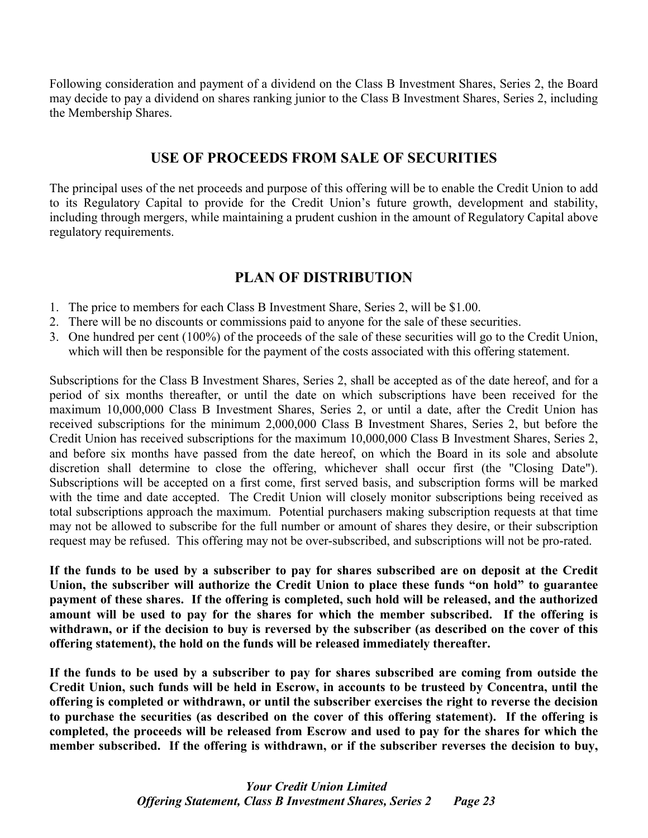Following consideration and payment of a dividend on the Class B Investment Shares, Series 2, the Board may decide to pay a dividend on shares ranking junior to the Class B Investment Shares, Series 2, including the Membership Shares.

# **USE OF PROCEEDS FROM SALE OF SECURITIES**

The principal uses of the net proceeds and purpose of this offering will be to enable the Credit Union to add to its Regulatory Capital to provide for the Credit Union's future growth, development and stability, including through mergers, while maintaining a prudent cushion in the amount of Regulatory Capital above regulatory requirements.

# **PLAN OF DISTRIBUTION**

- 1. The price to members for each Class B Investment Share, Series 2, will be \$1.00.
- 2. There will be no discounts or commissions paid to anyone for the sale of these securities.
- 3. One hundred per cent (100%) of the proceeds of the sale of these securities will go to the Credit Union, which will then be responsible for the payment of the costs associated with this offering statement.

Subscriptions for the Class B Investment Shares, Series 2, shall be accepted as of the date hereof, and for a period of six months thereafter, or until the date on which subscriptions have been received for the maximum 10,000,000 Class B Investment Shares, Series 2, or until a date, after the Credit Union has received subscriptions for the minimum 2,000,000 Class B Investment Shares, Series 2, but before the Credit Union has received subscriptions for the maximum 10,000,000 Class B Investment Shares, Series 2, and before six months have passed from the date hereof, on which the Board in its sole and absolute discretion shall determine to close the offering, whichever shall occur first (the "Closing Date"). Subscriptions will be accepted on a first come, first served basis, and subscription forms will be marked with the time and date accepted. The Credit Union will closely monitor subscriptions being received as total subscriptions approach the maximum. Potential purchasers making subscription requests at that time may not be allowed to subscribe for the full number or amount of shares they desire, or their subscription request may be refused. This offering may not be over-subscribed, and subscriptions will not be pro-rated.

**If the funds to be used by a subscriber to pay for shares subscribed are on deposit at the Credit Union, the subscriber will authorize the Credit Union to place these funds "on hold" to guarantee payment of these shares. If the offering is completed, such hold will be released, and the authorized amount will be used to pay for the shares for which the member subscribed. If the offering is withdrawn, or if the decision to buy is reversed by the subscriber (as described on the cover of this offering statement), the hold on the funds will be released immediately thereafter.**

**If the funds to be used by a subscriber to pay for shares subscribed are coming from outside the Credit Union, such funds will be held in Escrow, in accounts to be trusteed by Concentra, until the offering is completed or withdrawn, or until the subscriber exercises the right to reverse the decision to purchase the securities (as described on the cover of this offering statement). If the offering is completed, the proceeds will be released from Escrow and used to pay for the shares for which the member subscribed. If the offering is withdrawn, or if the subscriber reverses the decision to buy,**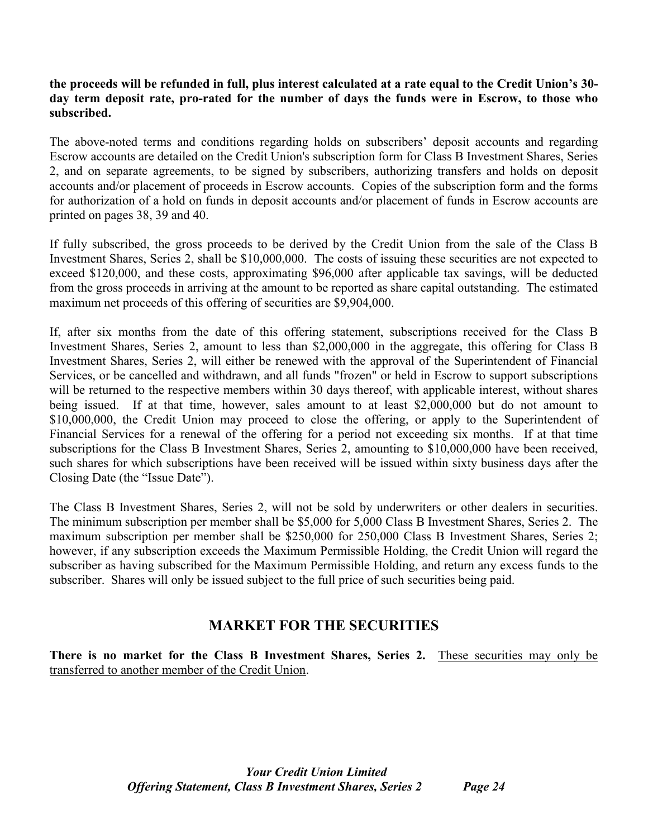### **the proceeds will be refunded in full, plus interest calculated at a rate equal to the Credit Union's 30 day term deposit rate, pro-rated for the number of days the funds were in Escrow, to those who subscribed.**

The above-noted terms and conditions regarding holds on subscribers' deposit accounts and regarding Escrow accounts are detailed on the Credit Union's subscription form for Class B Investment Shares, Series 2, and on separate agreements, to be signed by subscribers, authorizing transfers and holds on deposit accounts and/or placement of proceeds in Escrow accounts. Copies of the subscription form and the forms for authorization of a hold on funds in deposit accounts and/or placement of funds in Escrow accounts are printed on pages 38, 39 and 40.

If fully subscribed, the gross proceeds to be derived by the Credit Union from the sale of the Class B Investment Shares, Series 2, shall be \$10,000,000. The costs of issuing these securities are not expected to exceed \$120,000, and these costs, approximating \$96,000 after applicable tax savings, will be deducted from the gross proceeds in arriving at the amount to be reported as share capital outstanding. The estimated maximum net proceeds of this offering of securities are \$9,904,000.

If, after six months from the date of this offering statement, subscriptions received for the Class B Investment Shares, Series 2, amount to less than \$2,000,000 in the aggregate, this offering for Class B Investment Shares, Series 2, will either be renewed with the approval of the Superintendent of Financial Services, or be cancelled and withdrawn, and all funds "frozen" or held in Escrow to support subscriptions will be returned to the respective members within 30 days thereof, with applicable interest, without shares being issued. If at that time, however, sales amount to at least \$2,000,000 but do not amount to \$10,000,000, the Credit Union may proceed to close the offering, or apply to the Superintendent of Financial Services for a renewal of the offering for a period not exceeding six months. If at that time subscriptions for the Class B Investment Shares, Series 2, amounting to \$10,000,000 have been received, such shares for which subscriptions have been received will be issued within sixty business days after the Closing Date (the "Issue Date").

The Class B Investment Shares, Series 2, will not be sold by underwriters or other dealers in securities. The minimum subscription per member shall be \$5,000 for 5,000 Class B Investment Shares, Series 2. The maximum subscription per member shall be \$250,000 for 250,000 Class B Investment Shares, Series 2; however, if any subscription exceeds the Maximum Permissible Holding, the Credit Union will regard the subscriber as having subscribed for the Maximum Permissible Holding, and return any excess funds to the subscriber. Shares will only be issued subject to the full price of such securities being paid.

# **MARKET FOR THE SECURITIES**

**There is no market for the Class B Investment Shares, Series 2.** These securities may only be transferred to another member of the Credit Union.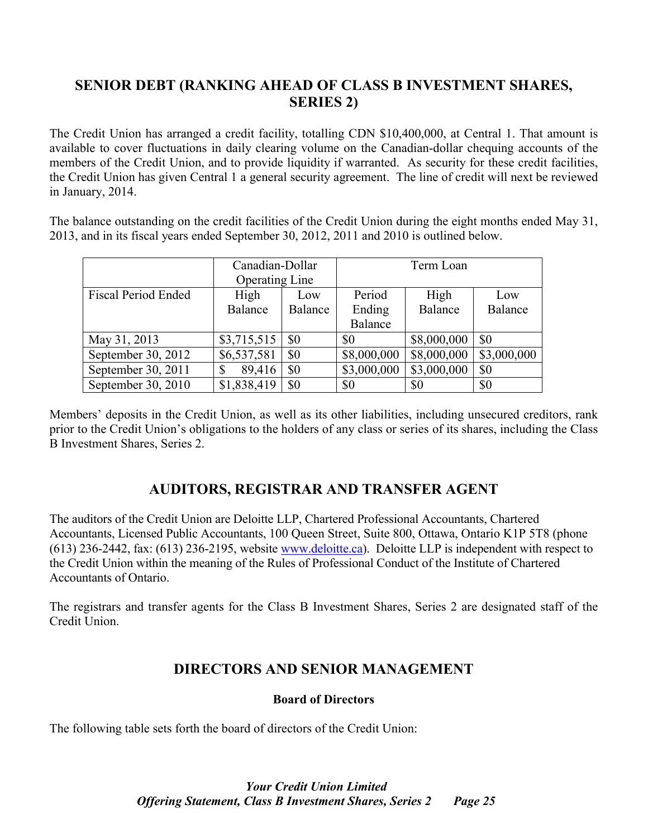# **SENIOR DEBT (RANKING AHEAD OF CLASS B INVESTMENT SHARES, SERIES 2)**

The Credit Union has arranged a credit facility, totalling CDN \$10,400,000, at Central 1. That amount is available to cover fluctuations in daily clearing volume on the Canadian-dollar chequing accounts of the members of the Credit Union, and to provide liquidity if warranted. As security for these credit facilities, the Credit Union has given Central 1 a general security agreement. The line of credit will next be reviewed in January, 2014.

The balance outstanding on the credit facilities of the Credit Union during the eight months ended May 31, 2013, and in its fiscal years ended September 30, 2012, 2011 and 2010 is outlined below.

|                            | Canadian-Dollar       |         | Term Loan      |             |             |
|----------------------------|-----------------------|---------|----------------|-------------|-------------|
|                            | <b>Operating Line</b> |         |                |             |             |
| <b>Fiscal Period Ended</b> | High                  | Low     | Period         | High        | Low         |
|                            | <b>Balance</b>        | Balance | Ending         | Balance     | Balance     |
|                            |                       |         | <b>Balance</b> |             |             |
| May 31, 2013               | \$3,715,515           | \$0     | \$0            | \$8,000,000 | \$0         |
| September 30, 2012         | \$6,537,581           | \$0     | \$8,000,000    | \$8,000,000 | \$3,000,000 |
| September 30, 2011         | 89,416                | \$0     | \$3,000,000    | \$3,000,000 | \$0         |
| September 30, 2010         | \$1,838,419           | \$0     | \$0            | \$0         | \$0         |

Members' deposits in the Credit Union, as well as its other liabilities, including unsecured creditors, rank prior to the Credit Union's obligations to the holders of any class or series of its shares, including the Class B Investment Shares, Series 2.

# **AUDITORS, REGISTRAR AND TRANSFER AGENT**

The auditors of the Credit Union are Deloitte LLP, Chartered Professional Accountants, Chartered Accountants, Licensed Public Accountants, 100 Queen Street, Suite 800, Ottawa, Ontario K1P 5T8 (phone (613) 236-2442, fax: (613) 236-2195, website www.deloitte.ca). Deloitte LLP is independent with respect to the Credit Union within the meaning of the Rules of Professional Conduct of the Institute of Chartered Accountants of Ontario.

The registrars and transfer agents for the Class B Investment Shares, Series 2 are designated staff of the Credit Union.

# **DIRECTORS AND SENIOR MANAGEMENT**

# **Board of Directors**

The following table sets forth the board of directors of the Credit Union: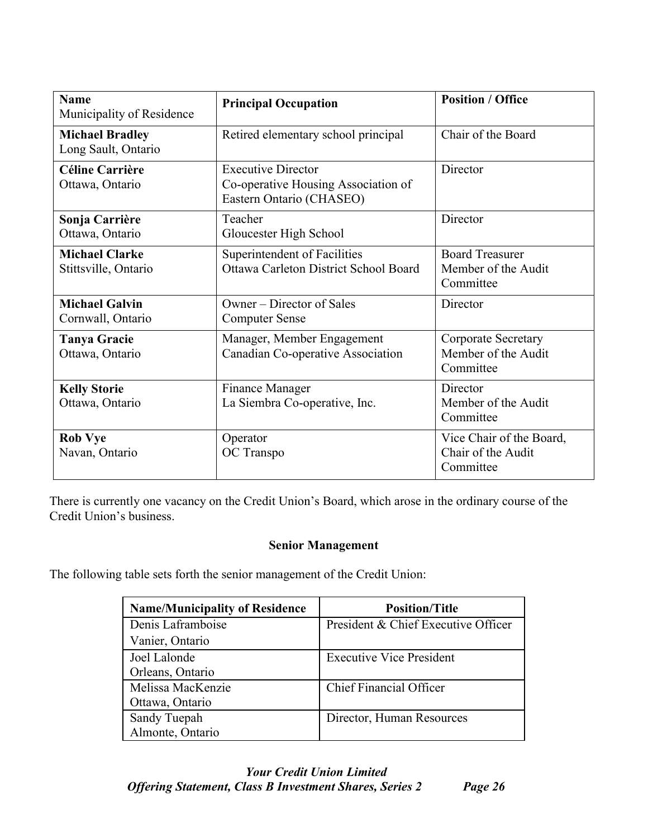| <b>Name</b><br>Municipality of Residence      | <b>Principal Occupation</b>                                                                  | <b>Position / Office</b>                                    |
|-----------------------------------------------|----------------------------------------------------------------------------------------------|-------------------------------------------------------------|
| <b>Michael Bradley</b><br>Long Sault, Ontario | Retired elementary school principal                                                          | Chair of the Board                                          |
| <b>Céline Carrière</b><br>Ottawa, Ontario     | <b>Executive Director</b><br>Co-operative Housing Association of<br>Eastern Ontario (CHASEO) | Director                                                    |
| Sonja Carrière<br>Ottawa, Ontario             | Teacher<br>Gloucester High School                                                            | Director                                                    |
| <b>Michael Clarke</b><br>Stittsville, Ontario | Superintendent of Facilities<br>Ottawa Carleton District School Board                        | <b>Board Treasurer</b><br>Member of the Audit<br>Committee  |
| <b>Michael Galvin</b><br>Cornwall, Ontario    | Owner – Director of Sales<br><b>Computer Sense</b>                                           | Director                                                    |
| <b>Tanya Gracie</b><br>Ottawa, Ontario        | Manager, Member Engagement<br>Canadian Co-operative Association                              | Corporate Secretary<br>Member of the Audit<br>Committee     |
| <b>Kelly Storie</b><br>Ottawa, Ontario        | Finance Manager<br>La Siembra Co-operative, Inc.                                             | Director<br>Member of the Audit<br>Committee                |
| <b>Rob Vye</b><br>Navan, Ontario              | Operator<br>OC Transpo                                                                       | Vice Chair of the Board,<br>Chair of the Audit<br>Committee |

There is currently one vacancy on the Credit Union's Board, which arose in the ordinary course of the Credit Union's business.

### **Senior Management**

The following table sets forth the senior management of the Credit Union:

| <b>Name/Municipality of Residence</b> | <b>Position/Title</b>               |
|---------------------------------------|-------------------------------------|
| Denis Laframboise                     | President & Chief Executive Officer |
| Vanier, Ontario                       |                                     |
| Joel Lalonde                          | <b>Executive Vice President</b>     |
| Orleans, Ontario                      |                                     |
| Melissa MacKenzie                     | <b>Chief Financial Officer</b>      |
| Ottawa, Ontario                       |                                     |
| Sandy Tuepah                          | Director, Human Resources           |
| Almonte, Ontario                      |                                     |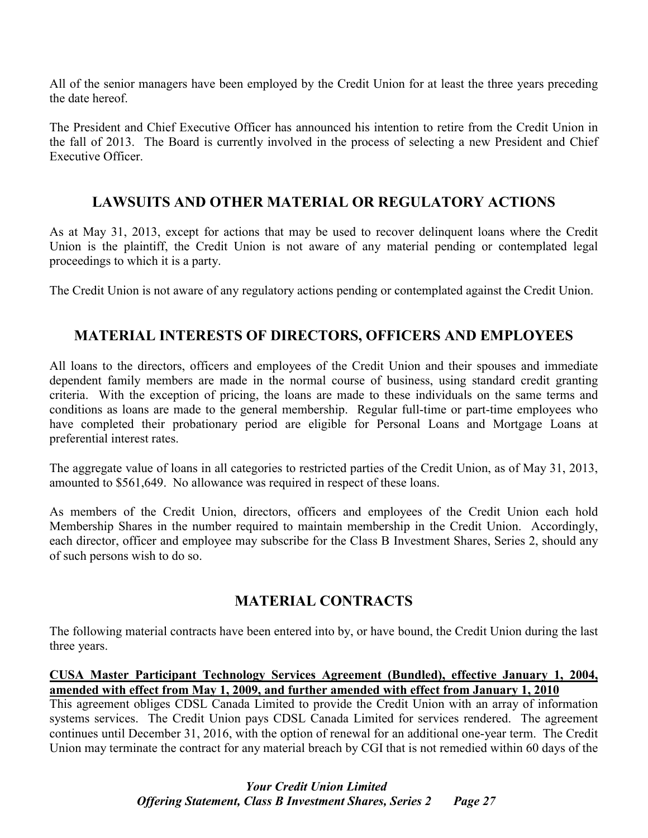All of the senior managers have been employed by the Credit Union for at least the three years preceding the date hereof.

The President and Chief Executive Officer has announced his intention to retire from the Credit Union in the fall of 2013. The Board is currently involved in the process of selecting a new President and Chief Executive Officer.

## **LAWSUITS AND OTHER MATERIAL OR REGULATORY ACTIONS**

As at May 31, 2013, except for actions that may be used to recover delinquent loans where the Credit Union is the plaintiff, the Credit Union is not aware of any material pending or contemplated legal proceedings to which it is a party.

The Credit Union is not aware of any regulatory actions pending or contemplated against the Credit Union.

## **MATERIAL INTERESTS OF DIRECTORS, OFFICERS AND EMPLOYEES**

All loans to the directors, officers and employees of the Credit Union and their spouses and immediate dependent family members are made in the normal course of business, using standard credit granting criteria. With the exception of pricing, the loans are made to these individuals on the same terms and conditions as loans are made to the general membership. Regular full-time or part-time employees who have completed their probationary period are eligible for Personal Loans and Mortgage Loans at preferential interest rates.

The aggregate value of loans in all categories to restricted parties of the Credit Union, as of May 31, 2013, amounted to \$561,649. No allowance was required in respect of these loans.

As members of the Credit Union, directors, officers and employees of the Credit Union each hold Membership Shares in the number required to maintain membership in the Credit Union. Accordingly, each director, officer and employee may subscribe for the Class B Investment Shares, Series 2, should any of such persons wish to do so.

## **MATERIAL CONTRACTS**

The following material contracts have been entered into by, or have bound, the Credit Union during the last three years.

### **CUSA Master Participant Technology Services Agreement (Bundled), effective January 1, 2004, amended with effect from May 1, 2009, and further amended with effect from January 1, 2010**

This agreement obliges CDSL Canada Limited to provide the Credit Union with an array of information systems services. The Credit Union pays CDSL Canada Limited for services rendered. The agreement continues until December 31, 2016, with the option of renewal for an additional one-year term. The Credit Union may terminate the contract for any material breach by CGI that is not remedied within 60 days of the

## *Your Credit Union Limited Offering Statement, Class B Investment Shares, Series 2 Page 27*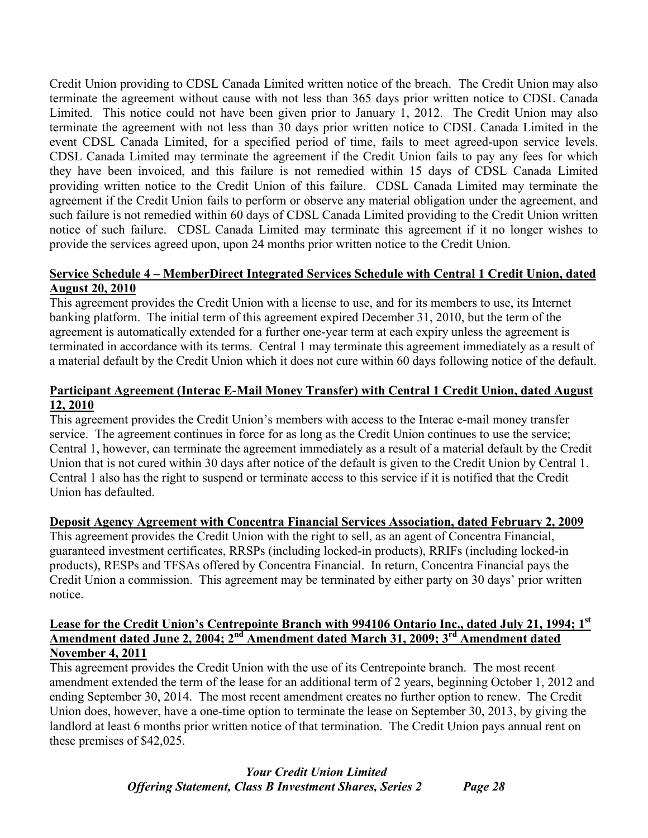Credit Union providing to CDSL Canada Limited written notice of the breach. The Credit Union may also terminate the agreement without cause with not less than 365 days prior written notice to CDSL Canada Limited. This notice could not have been given prior to January 1, 2012. The Credit Union may also terminate the agreement with not less than 30 days prior written notice to CDSL Canada Limited in the event CDSL Canada Limited, for a specified period of time, fails to meet agreed-upon service levels. CDSL Canada Limited may terminate the agreement if the Credit Union fails to pay any fees for which they have been invoiced, and this failure is not remedied within 15 days of CDSL Canada Limited providing written notice to the Credit Union of this failure. CDSL Canada Limited may terminate the agreement if the Credit Union fails to perform or observe any material obligation under the agreement, and such failure is not remedied within 60 days of CDSL Canada Limited providing to the Credit Union written notice of such failure. CDSL Canada Limited may terminate this agreement if it no longer wishes to provide the services agreed upon, upon 24 months prior written notice to the Credit Union.

### **Service Schedule 4 – MemberDirect Integrated Services Schedule with Central 1 Credit Union, dated August 20, 2010**

This agreement provides the Credit Union with a license to use, and for its members to use, its Internet banking platform. The initial term of this agreement expired December 31, 2010, but the term of the agreement is automatically extended for a further one-year term at each expiry unless the agreement is terminated in accordance with its terms. Central 1 may terminate this agreement immediately as a result of a material default by the Credit Union which it does not cure within 60 days following notice of the default.

### **Participant Agreement (Interac E-Mail Money Transfer) with Central 1 Credit Union, dated August 12, 2010**

This agreement provides the Credit Union's members with access to the Interac e-mail money transfer service. The agreement continues in force for as long as the Credit Union continues to use the service; Central 1, however, can terminate the agreement immediately as a result of a material default by the Credit Union that is not cured within 30 days after notice of the default is given to the Credit Union by Central 1. Central 1 also has the right to suspend or terminate access to this service if it is notified that the Credit Union has defaulted.

### **Deposit Agency Agreement with Concentra Financial Services Association, dated February 2, 2009**

This agreement provides the Credit Union with the right to sell, as an agent of Concentra Financial, guaranteed investment certificates, RRSPs (including locked-in products), RRIFs (including locked-in products), RESPs and TFSAs offered by Concentra Financial. In return, Concentra Financial pays the Credit Union a commission. This agreement may be terminated by either party on 30 days' prior written notice.

### **Lease for the Credit Union's Centrepointe Branch with 994106 Ontario Inc., dated July 21, 1994; 1st Amendment dated June 2, 2004; 2nd Amendment dated March 31, 2009; 3rd Amendment dated November 4, 2011**

This agreement provides the Credit Union with the use of its Centrepointe branch. The most recent amendment extended the term of the lease for an additional term of 2 years, beginning October 1, 2012 and ending September 30, 2014. The most recent amendment creates no further option to renew. The Credit Union does, however, have a one-time option to terminate the lease on September 30, 2013, by giving the landlord at least 6 months prior written notice of that termination. The Credit Union pays annual rent on these premises of \$42,025.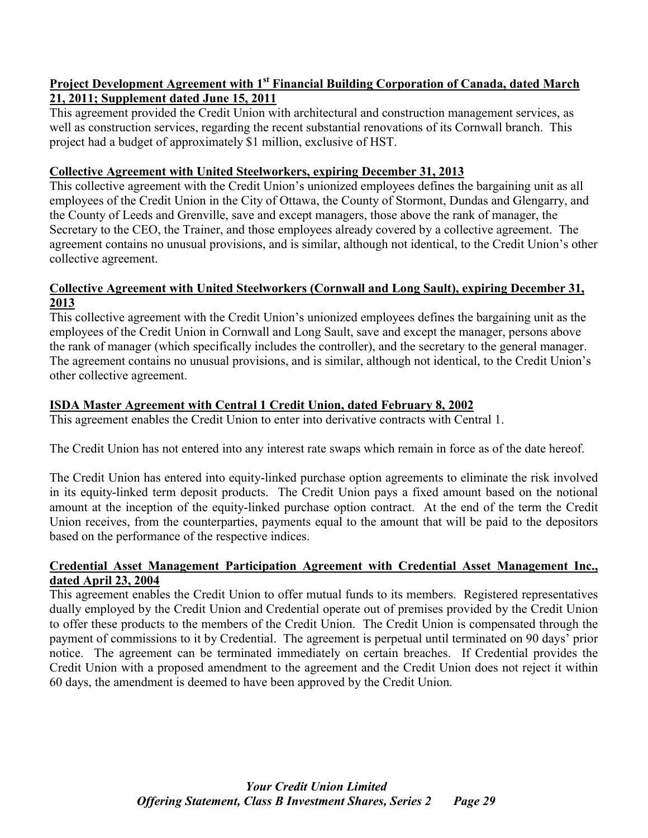### **Project Development Agreement with 1st Financial Building Corporation of Canada, dated March 21, 2011; Supplement dated June 15, 2011**

This agreement provided the Credit Union with architectural and construction management services, as well as construction services, regarding the recent substantial renovations of its Cornwall branch. This project had a budget of approximately \$1 million, exclusive of HST.

### **Collective Agreement with United Steelworkers, expiring December 31, 2013**

This collective agreement with the Credit Union's unionized employees defines the bargaining unit as all employees of the Credit Union in the City of Ottawa, the County of Stormont, Dundas and Glengarry, and the County of Leeds and Grenville, save and except managers, those above the rank of manager, the Secretary to the CEO, the Trainer, and those employees already covered by a collective agreement. The agreement contains no unusual provisions, and is similar, although not identical, to the Credit Union's other collective agreement.

### **Collective Agreement with United Steelworkers (Cornwall and Long Sault), expiring December 31, 2013**

This collective agreement with the Credit Union's unionized employees defines the bargaining unit as the employees of the Credit Union in Cornwall and Long Sault, save and except the manager, persons above the rank of manager (which specifically includes the controller), and the secretary to the general manager. The agreement contains no unusual provisions, and is similar, although not identical, to the Credit Union's other collective agreement.

## **ISDA Master Agreement with Central 1 Credit Union, dated February 8, 2002**

This agreement enables the Credit Union to enter into derivative contracts with Central 1.

The Credit Union has not entered into any interest rate swaps which remain in force as of the date hereof.

The Credit Union has entered into equity-linked purchase option agreements to eliminate the risk involved in its equity-linked term deposit products. The Credit Union pays a fixed amount based on the notional amount at the inception of the equity-linked purchase option contract. At the end of the term the Credit Union receives, from the counterparties, payments equal to the amount that will be paid to the depositors based on the performance of the respective indices.

### **Credential Asset Management Participation Agreement with Credential Asset Management Inc., dated April 23, 2004**

This agreement enables the Credit Union to offer mutual funds to its members. Registered representatives dually employed by the Credit Union and Credential operate out of premises provided by the Credit Union to offer these products to the members of the Credit Union. The Credit Union is compensated through the payment of commissions to it by Credential. The agreement is perpetual until terminated on 90 days' prior notice. The agreement can be terminated immediately on certain breaches. If Credential provides the Credit Union with a proposed amendment to the agreement and the Credit Union does not reject it within 60 days, the amendment is deemed to have been approved by the Credit Union.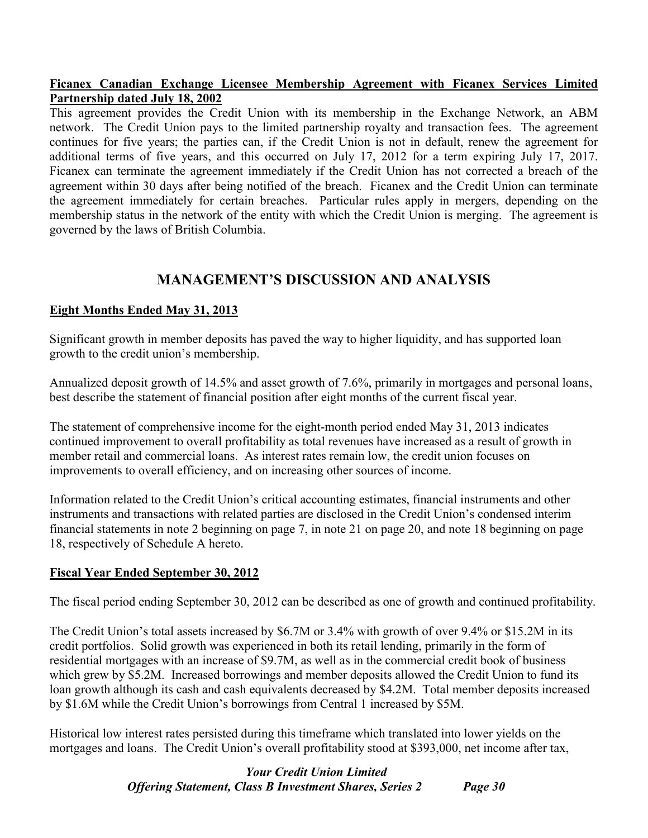### **Ficanex Canadian Exchange Licensee Membership Agreement with Ficanex Services Limited Partnership dated July 18, 2002**

This agreement provides the Credit Union with its membership in the Exchange Network, an ABM network. The Credit Union pays to the limited partnership royalty and transaction fees. The agreement continues for five years; the parties can, if the Credit Union is not in default, renew the agreement for additional terms of five years, and this occurred on July 17, 2012 for a term expiring July 17, 2017. Ficanex can terminate the agreement immediately if the Credit Union has not corrected a breach of the agreement within 30 days after being notified of the breach. Ficanex and the Credit Union can terminate the agreement immediately for certain breaches. Particular rules apply in mergers, depending on the membership status in the network of the entity with which the Credit Union is merging. The agreement is governed by the laws of British Columbia.

## **MANAGEMENT'S DISCUSSION AND ANALYSIS**

### **Eight Months Ended May 31, 2013**

Significant growth in member deposits has paved the way to higher liquidity, and has supported loan growth to the credit union's membership.

Annualized deposit growth of 14.5% and asset growth of 7.6%, primarily in mortgages and personal loans, best describe the statement of financial position after eight months of the current fiscal year.

The statement of comprehensive income for the eight-month period ended May 31, 2013 indicates continued improvement to overall profitability as total revenues have increased as a result of growth in member retail and commercial loans. As interest rates remain low, the credit union focuses on improvements to overall efficiency, and on increasing other sources of income.

Information related to the Credit Union's critical accounting estimates, financial instruments and other instruments and transactions with related parties are disclosed in the Credit Union's condensed interim financial statements in note 2 beginning on page 7, in note 21 on page 20, and note 18 beginning on page 18, respectively of Schedule A hereto.

### **Fiscal Year Ended September 30, 2012**

The fiscal period ending September 30, 2012 can be described as one of growth and continued profitability.

The Credit Union's total assets increased by \$6.7M or 3.4% with growth of over 9.4% or \$15.2M in its credit portfolios. Solid growth was experienced in both its retail lending, primarily in the form of residential mortgages with an increase of \$9.7M, as well as in the commercial credit book of business which grew by \$5.2M. Increased borrowings and member deposits allowed the Credit Union to fund its loan growth although its cash and cash equivalents decreased by \$4.2M. Total member deposits increased by \$1.6M while the Credit Union's borrowings from Central 1 increased by \$5M.

Historical low interest rates persisted during this timeframe which translated into lower yields on the mortgages and loans. The Credit Union's overall profitability stood at \$393,000, net income after tax,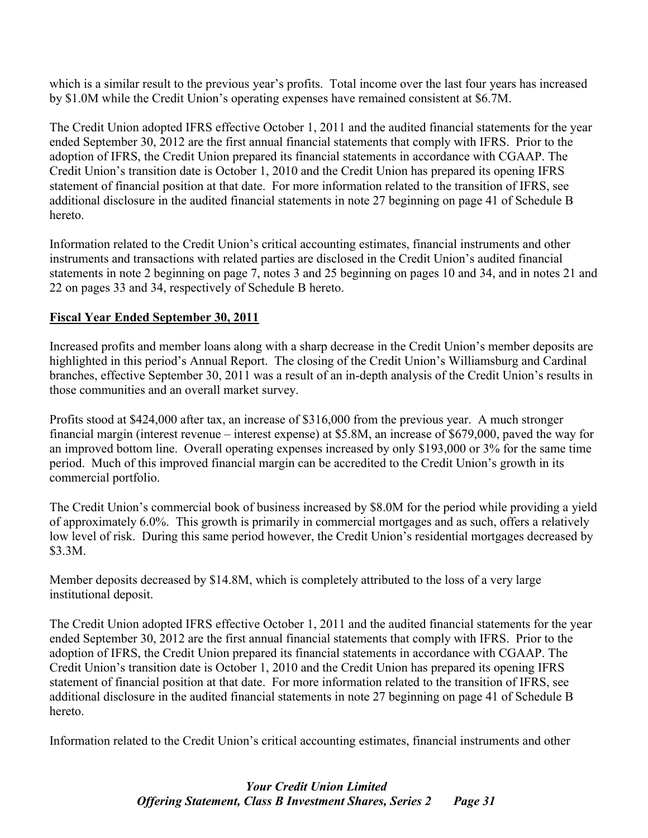which is a similar result to the previous year's profits. Total income over the last four years has increased by \$1.0M while the Credit Union's operating expenses have remained consistent at \$6.7M.

The Credit Union adopted IFRS effective October 1, 2011 and the audited financial statements for the year ended September 30, 2012 are the first annual financial statements that comply with IFRS. Prior to the adoption of IFRS, the Credit Union prepared its financial statements in accordance with CGAAP. The Credit Union's transition date is October 1, 2010 and the Credit Union has prepared its opening IFRS statement of financial position at that date. For more information related to the transition of IFRS, see additional disclosure in the audited financial statements in note 27 beginning on page 41 of Schedule B hereto.

Information related to the Credit Union's critical accounting estimates, financial instruments and other instruments and transactions with related parties are disclosed in the Credit Union's audited financial statements in note 2 beginning on page 7, notes 3 and 25 beginning on pages 10 and 34, and in notes 21 and 22 on pages 33 and 34, respectively of Schedule B hereto.

### **Fiscal Year Ended September 30, 2011**

Increased profits and member loans along with a sharp decrease in the Credit Union's member deposits are highlighted in this period's Annual Report. The closing of the Credit Union's Williamsburg and Cardinal branches, effective September 30, 2011 was a result of an in-depth analysis of the Credit Union's results in those communities and an overall market survey.

Profits stood at \$424,000 after tax, an increase of \$316,000 from the previous year. A much stronger financial margin (interest revenue – interest expense) at \$5.8M, an increase of \$679,000, paved the way for an improved bottom line. Overall operating expenses increased by only \$193,000 or 3% for the same time period. Much of this improved financial margin can be accredited to the Credit Union's growth in its commercial portfolio.

The Credit Union's commercial book of business increased by \$8.0M for the period while providing a yield of approximately 6.0%. This growth is primarily in commercial mortgages and as such, offers a relatively low level of risk. During this same period however, the Credit Union's residential mortgages decreased by \$3.3M.

Member deposits decreased by \$14.8M, which is completely attributed to the loss of a very large institutional deposit.

The Credit Union adopted IFRS effective October 1, 2011 and the audited financial statements for the year ended September 30, 2012 are the first annual financial statements that comply with IFRS. Prior to the adoption of IFRS, the Credit Union prepared its financial statements in accordance with CGAAP. The Credit Union's transition date is October 1, 2010 and the Credit Union has prepared its opening IFRS statement of financial position at that date. For more information related to the transition of IFRS, see additional disclosure in the audited financial statements in note 27 beginning on page 41 of Schedule B hereto.

Information related to the Credit Union's critical accounting estimates, financial instruments and other

## *Your Credit Union Limited Offering Statement, Class B Investment Shares, Series 2 Page 31*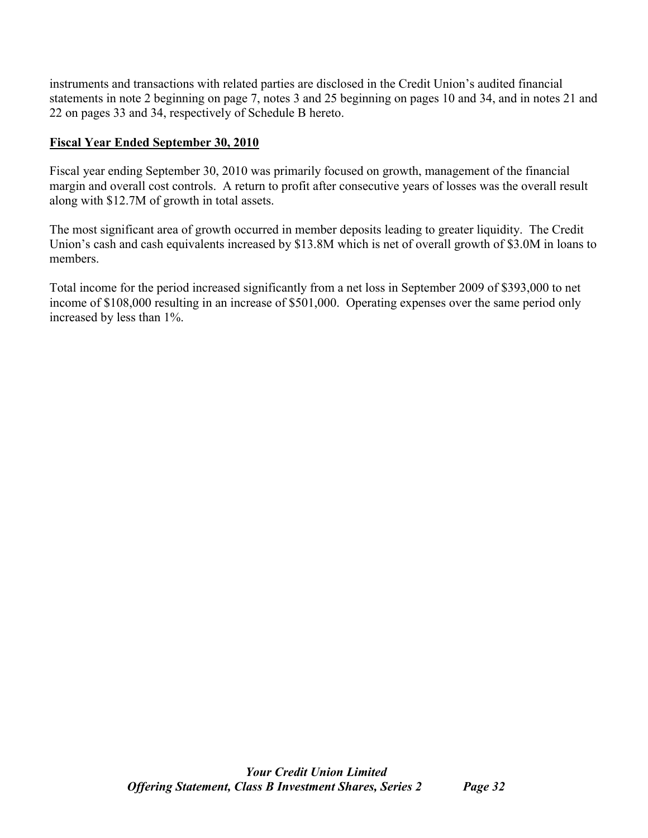instruments and transactions with related parties are disclosed in the Credit Union's audited financial statements in note 2 beginning on page 7, notes 3 and 25 beginning on pages 10 and 34, and in notes 21 and 22 on pages 33 and 34, respectively of Schedule B hereto.

### **Fiscal Year Ended September 30, 2010**

Fiscal year ending September 30, 2010 was primarily focused on growth, management of the financial margin and overall cost controls. A return to profit after consecutive years of losses was the overall result along with \$12.7M of growth in total assets.

The most significant area of growth occurred in member deposits leading to greater liquidity. The Credit Union's cash and cash equivalents increased by \$13.8M which is net of overall growth of \$3.0M in loans to members.

Total income for the period increased significantly from a net loss in September 2009 of \$393,000 to net income of \$108,000 resulting in an increase of \$501,000. Operating expenses over the same period only increased by less than 1%.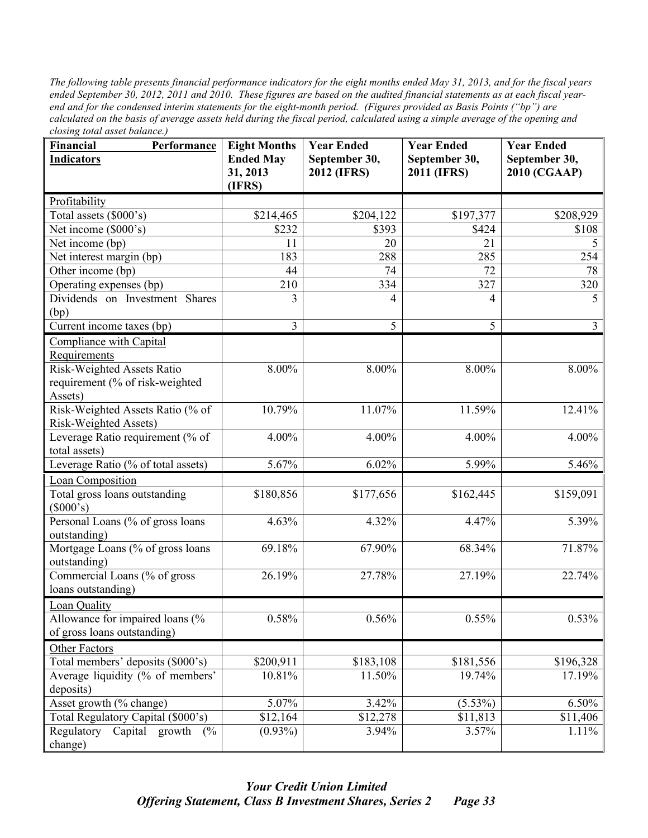*The following table presents financial performance indicators for the eight months ended May 31, 2013, and for the fiscal years ended September 30, 2012, 2011 and 2010. These figures are based on the audited financial statements as at each fiscal yearend and for the condensed interim statements for the eight-month period. (Figures provided as Basis Points ("bp") are calculated on the basis of average assets held during the fiscal period, calculated using a simple average of the opening and closing total asset balance.)*

| Financial<br>Performance              | <b>Eight Months</b> | <b>Year Ended</b>  | <b>Year Ended</b> | <b>Year Ended</b>   |
|---------------------------------------|---------------------|--------------------|-------------------|---------------------|
| <b>Indicators</b>                     | <b>Ended May</b>    | September 30,      | September 30,     | September 30,       |
|                                       | 31, 2013<br>(IFRS)  | <b>2012 (IFRS)</b> | 2011 (IFRS)       | <b>2010 (CGAAP)</b> |
| Profitability                         |                     |                    |                   |                     |
| Total assets (\$000's)                | \$214,465           | \$204,122          | \$197,377         | \$208,929           |
| Net income (\$000's)                  | \$232               | \$393              | \$424             | \$108               |
| Net income (bp)                       | 11                  | 20                 | 21                | 5                   |
| Net interest margin (bp)              | 183                 | 288                | 285               | 254                 |
| Other income (bp)                     | 44                  | 74                 | 72                | 78                  |
| Operating expenses (bp)               | 210                 | 334                | 327               | 320                 |
| Dividends on Investment Shares        | 3                   | 4                  | 4                 | 5                   |
| (bp)                                  |                     |                    |                   |                     |
| Current income taxes (bp)             | 3                   | 5                  | 5                 | $\overline{3}$      |
| Compliance with Capital               |                     |                    |                   |                     |
| Requirements                          |                     |                    |                   |                     |
| Risk-Weighted Assets Ratio            | $8.00\%$            | 8.00%              | 8.00%             | 8.00%               |
| requirement (% of risk-weighted       |                     |                    |                   |                     |
| Assets)                               |                     |                    |                   |                     |
| Risk-Weighted Assets Ratio (% of      | 10.79%              | 11.07%             | 11.59%            | 12.41%              |
| Risk-Weighted Assets)                 |                     |                    |                   |                     |
| Leverage Ratio requirement (% of      | 4.00%               | 4.00%              | 4.00%             | 4.00%               |
| total assets)                         |                     |                    |                   |                     |
| Leverage Ratio (% of total assets)    | 5.67%               | 6.02%              | 5.99%             | 5.46%               |
| Loan Composition                      |                     |                    |                   |                     |
| Total gross loans outstanding         | \$180,856           | \$177,656          | \$162,445         | \$159,091           |
| (\$000's)                             |                     |                    |                   |                     |
| Personal Loans (% of gross loans      | 4.63%               | 4.32%              | 4.47%             | 5.39%               |
| outstanding)                          |                     |                    |                   |                     |
| Mortgage Loans (% of gross loans      | 69.18%              | 67.90%             | 68.34%            | 71.87%              |
| outstanding)                          |                     |                    |                   |                     |
| Commercial Loans (% of gross          | 26.19%              | 27.78%             | 27.19%            | 22.74%              |
| loans outstanding)                    |                     |                    |                   |                     |
| <b>Loan Quality</b>                   |                     |                    |                   |                     |
| Allowance for impaired loans (%       | 0.58%               | 0.56%              | 0.55%             | 0.53%               |
| of gross loans outstanding)           |                     |                    |                   |                     |
| Other Factors                         |                     |                    |                   |                     |
| Total members' deposits (\$000's)     | \$200,911           | \$183,108          | \$181,556         | \$196,328           |
| Average liquidity (% of members'      | 10.81%              | 11.50%             | 19.74%            | 17.19%              |
| deposits)                             |                     |                    |                   |                     |
| Asset growth (% change)               | 5.07%               | 3.42%              | $(5.53\%)$        | $6.50\%$            |
| Total Regulatory Capital (\$000's)    | \$12,164            | \$12,278           | \$11,813          | \$11,406            |
| Regulatory<br>(%<br>Capital<br>growth | $(0.93\%)$          | 3.94%              | 3.57%             | 1.11%               |
| change)                               |                     |                    |                   |                     |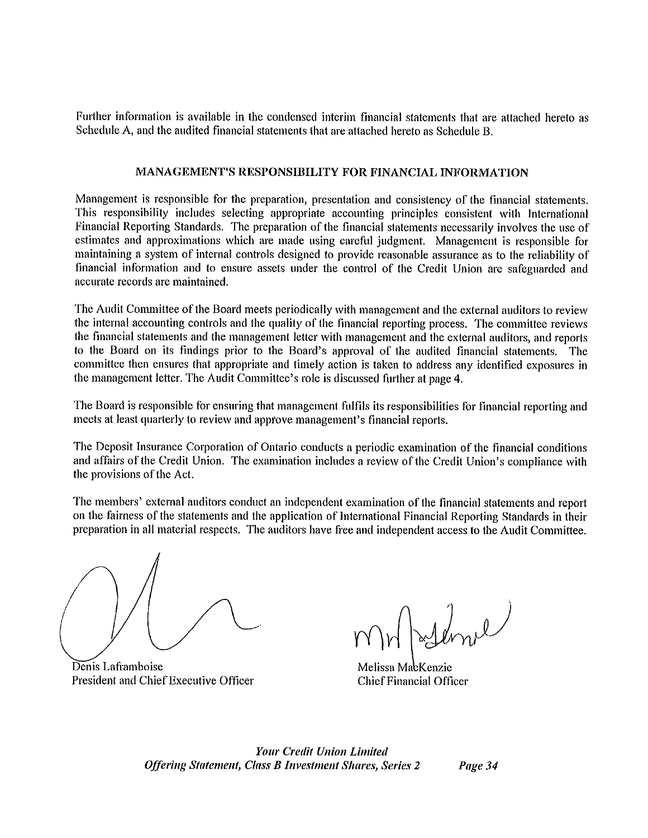Further information is available in the condensed interim financial statements that are attached hereto as Schedule A, and the audited financial statements that are attached hereto as Schedule B.

### MANAGEMENT'S RESPONSIBILITY FOR FINANCIAL INFORMATION

Management is responsible for the preparation, presentation and consistency of the financial statements. This responsibility includes selecting appropriate accounting principles consistent with International Financial Reporting Standards. The preparation of the financial statements necessarily involves the use of estimates and approximations which are made using careful judgment. Management is responsible for maintaining a system of internal controls designed to provide reasonable assurance as to the reliability of financial information and to ensure assets under the control of the Credit Union are safeguarded and accurate records are maintained.

The Audit Committee of the Board meets periodically with management and the external auditors to review the internal accounting controls and the quality of the financial reporting process. The committee reviews the financial statements and the management letter with management and the external auditors, and reports to the Board on its findings prior to the Board's approval of the audited financial statements. The committee then ensures that appropriate and timely action is taken to address any identified exposures in the management letter. The Audit Committee's role is discussed further at page 4.

The Board is responsible for ensuring that management fulfils its responsibilities for financial reporting and meets at least quarterly to review and approve management's financial reports.

The Deposit Insurance Corporation of Ontario conducts a periodic examination of the financial conditions and affairs of the Credit Union. The examination includes a review of the Credit Union's compliance with the provisions of the Act.

The members' external auditors conduct an independent examination of the financial statements and report on the fairness of the statements and the application of International Financial Reporting Standards in their preparation in all material respects. The auditors have free and independent access to the Audit Committee.

Denis Laframboise President and Chief Executive Officer

Melissa MacKenzie **Chief Financial Officer** 

**Your Credit Union Limited Offering Statement, Class B Investment Shares, Series 2** 

Page 34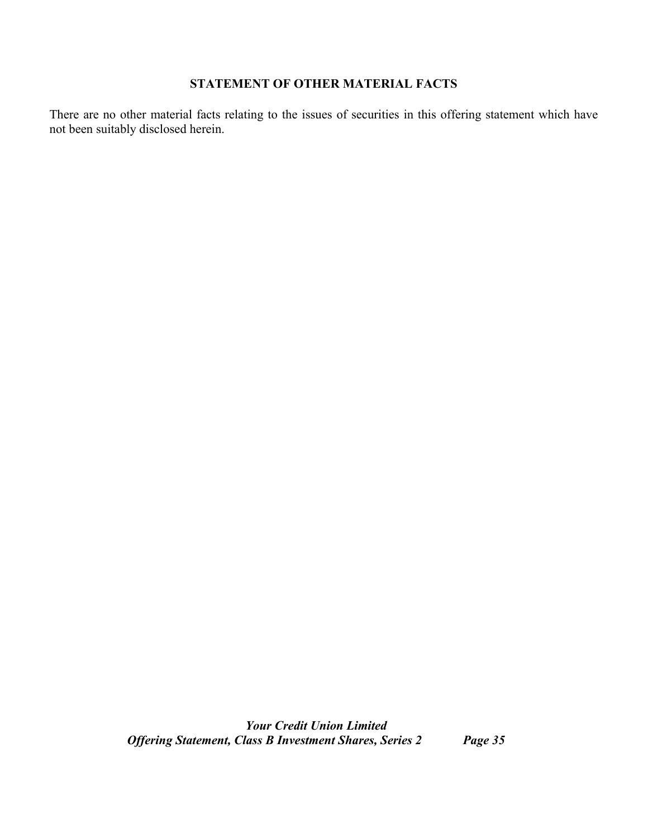## **STATEMENT OF OTHER MATERIAL FACTS**

There are no other material facts relating to the issues of securities in this offering statement which have not been suitably disclosed herein.

> *Your Credit Union Limited Offering Statement, Class B Investment Shares, Series 2 Page 35*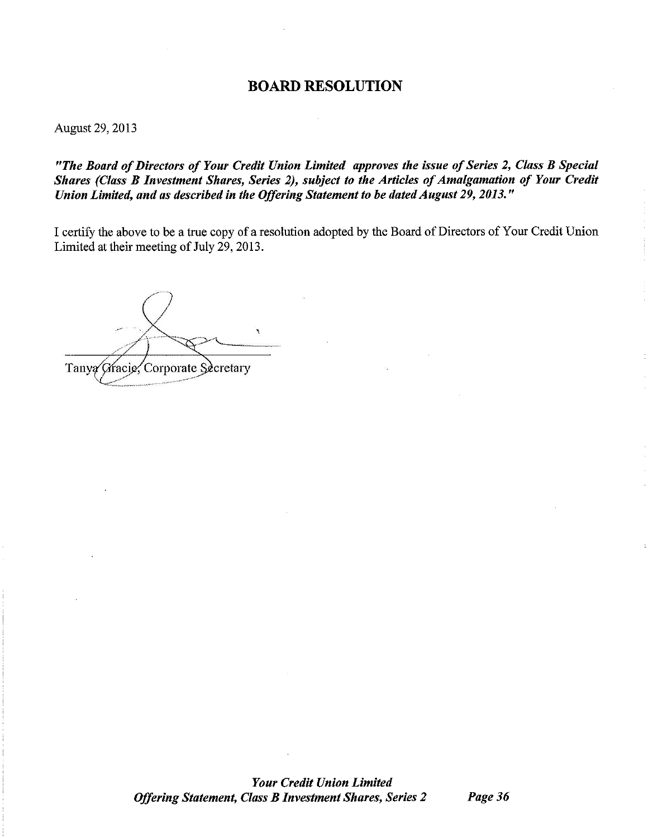### **BOARD RESOLUTION**

August 29, 2013

"The Board of Directors of Your Credit Union Limited approves the issue of Series 2, Class B Special Shares (Class B Investment Shares, Series 2), subject to the Articles of Amalgamation of Your Credit Union Limited, and as described in the Offering Statement to be dated August 29, 2013."

I certify the above to be a true copy of a resolution adopted by the Board of Directors of Your Credit Union Limited at their meeting of July 29, 2013.

Tanya Gracie, Corporate Secretary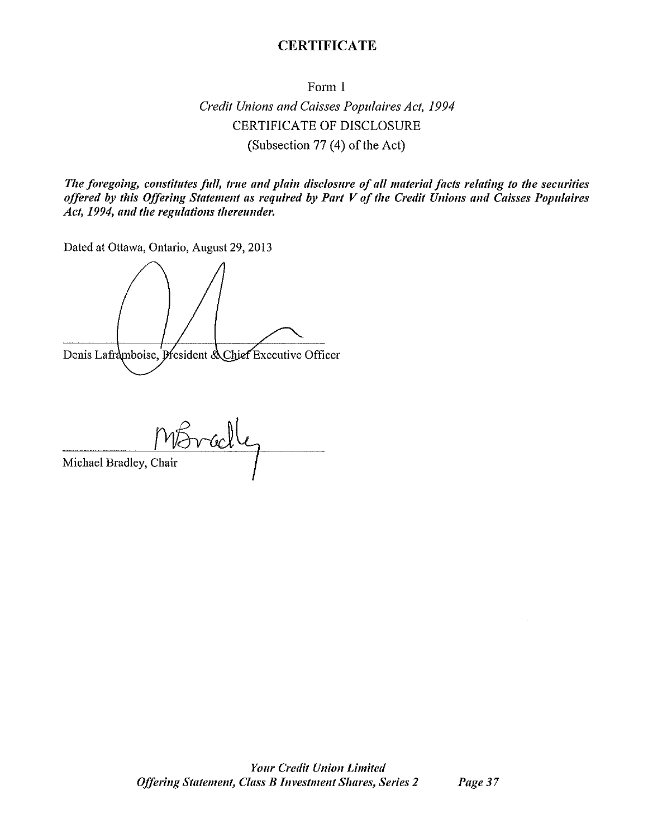### **CERTIFICATE**

Form 1

Credit Unions and Caisses Populaires Act, 1994 **CERTIFICATE OF DISCLOSURE** (Subsection 77 (4) of the Act)

The foregoing, constitutes full, true and plain disclosure of all material facts relating to the securities offered by this Offering Statement as required by Part V of the Credit Unions and Caisses Populaires Act, 1994, and the regulations thereunder.

Dated at Ottawa, Ontario, August 29, 2013

Denis Laframboise, President & Chief Executive Officer

Michael Bradley, Chair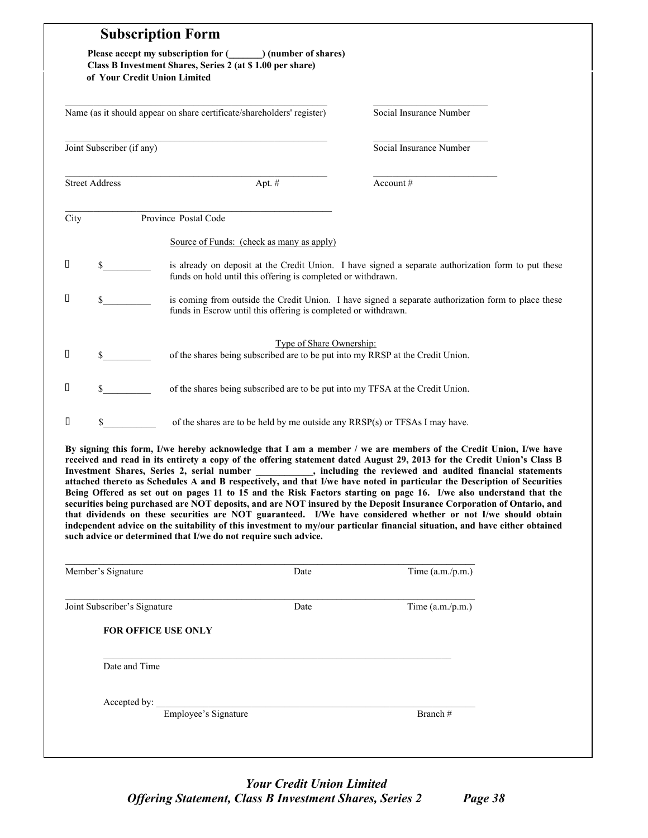|      | of Your Credit Union Limited | <b>Subscription Form</b><br>Please accept my subscription for (Comparently (number of shares)<br>Class B Investment Shares, Series 2 (at \$1.00 per share) |                                                                                                                                                                                                                                                                                                                                                                                                                                                                                                                                                                                                                                                                                                                                                                                                                                                                                                                                                                                                               |
|------|------------------------------|------------------------------------------------------------------------------------------------------------------------------------------------------------|---------------------------------------------------------------------------------------------------------------------------------------------------------------------------------------------------------------------------------------------------------------------------------------------------------------------------------------------------------------------------------------------------------------------------------------------------------------------------------------------------------------------------------------------------------------------------------------------------------------------------------------------------------------------------------------------------------------------------------------------------------------------------------------------------------------------------------------------------------------------------------------------------------------------------------------------------------------------------------------------------------------|
|      |                              | Name (as it should appear on share certificate/shareholders' register)                                                                                     | Social Insurance Number                                                                                                                                                                                                                                                                                                                                                                                                                                                                                                                                                                                                                                                                                                                                                                                                                                                                                                                                                                                       |
|      | Joint Subscriber (if any)    |                                                                                                                                                            | Social Insurance Number                                                                                                                                                                                                                                                                                                                                                                                                                                                                                                                                                                                                                                                                                                                                                                                                                                                                                                                                                                                       |
|      | <b>Street Address</b>        | Apt. #                                                                                                                                                     | Account#                                                                                                                                                                                                                                                                                                                                                                                                                                                                                                                                                                                                                                                                                                                                                                                                                                                                                                                                                                                                      |
| City |                              | Province Postal Code                                                                                                                                       |                                                                                                                                                                                                                                                                                                                                                                                                                                                                                                                                                                                                                                                                                                                                                                                                                                                                                                                                                                                                               |
|      |                              | Source of Funds: (check as many as apply)                                                                                                                  |                                                                                                                                                                                                                                                                                                                                                                                                                                                                                                                                                                                                                                                                                                                                                                                                                                                                                                                                                                                                               |
| Д    |                              | funds on hold until this offering is completed or withdrawn.                                                                                               | is already on deposit at the Credit Union. I have signed a separate authorization form to put these                                                                                                                                                                                                                                                                                                                                                                                                                                                                                                                                                                                                                                                                                                                                                                                                                                                                                                           |
| О    | \$                           | funds in Escrow until this offering is completed or withdrawn.                                                                                             | is coming from outside the Credit Union. I have signed a separate authorization form to place these                                                                                                                                                                                                                                                                                                                                                                                                                                                                                                                                                                                                                                                                                                                                                                                                                                                                                                           |
| П    | S.                           | Type of Share Ownership:<br>of the shares being subscribed are to be put into my RRSP at the Credit Union.                                                 |                                                                                                                                                                                                                                                                                                                                                                                                                                                                                                                                                                                                                                                                                                                                                                                                                                                                                                                                                                                                               |
| П    | \$                           | of the shares being subscribed are to be put into my TFSA at the Credit Union.                                                                             |                                                                                                                                                                                                                                                                                                                                                                                                                                                                                                                                                                                                                                                                                                                                                                                                                                                                                                                                                                                                               |
| П    | \$                           | of the shares are to be held by me outside any RRSP(s) or TFSAs I may have.                                                                                |                                                                                                                                                                                                                                                                                                                                                                                                                                                                                                                                                                                                                                                                                                                                                                                                                                                                                                                                                                                                               |
|      | Member's Signature           | such advice or determined that I/we do not require such advice.<br>Date                                                                                    | By signing this form, I/we hereby acknowledge that I am a member / we are members of the Credit Union, I/we have<br>received and read in its entirety a copy of the offering statement dated August 29, 2013 for the Credit Union's Class B<br>Investment Shares, Series 2, serial number _________, including the reviewed and audited financial statements<br>attached thereto as Schedules A and B respectively, and that I/we have noted in particular the Description of Securities<br>Being Offered as set out on pages 11 to 15 and the Risk Factors starting on page 16. I/we also understand that the<br>securities being purchased are NOT deposits, and are NOT insured by the Deposit Insurance Corporation of Ontario, and<br>that dividends on these securities are NOT guaranteed. I/We have considered whether or not I/we should obtain<br>independent advice on the suitability of this investment to my/our particular financial situation, and have either obtained<br>Time $(a.m./p.m.)$ |
|      |                              |                                                                                                                                                            |                                                                                                                                                                                                                                                                                                                                                                                                                                                                                                                                                                                                                                                                                                                                                                                                                                                                                                                                                                                                               |
|      | Joint Subscriber's Signature | Date                                                                                                                                                       | Time (a.m./p.m.)                                                                                                                                                                                                                                                                                                                                                                                                                                                                                                                                                                                                                                                                                                                                                                                                                                                                                                                                                                                              |
|      |                              | <b>FOR OFFICE USE ONLY</b>                                                                                                                                 |                                                                                                                                                                                                                                                                                                                                                                                                                                                                                                                                                                                                                                                                                                                                                                                                                                                                                                                                                                                                               |
|      | Date and Time                |                                                                                                                                                            |                                                                                                                                                                                                                                                                                                                                                                                                                                                                                                                                                                                                                                                                                                                                                                                                                                                                                                                                                                                                               |
|      |                              |                                                                                                                                                            |                                                                                                                                                                                                                                                                                                                                                                                                                                                                                                                                                                                                                                                                                                                                                                                                                                                                                                                                                                                                               |
|      | Accepted by: $\_\_$          | Employee's Signature                                                                                                                                       |                                                                                                                                                                                                                                                                                                                                                                                                                                                                                                                                                                                                                                                                                                                                                                                                                                                                                                                                                                                                               |

## *Your Credit Union Limited Offering Statement, Class B Investment Shares, Series 2 Page 38*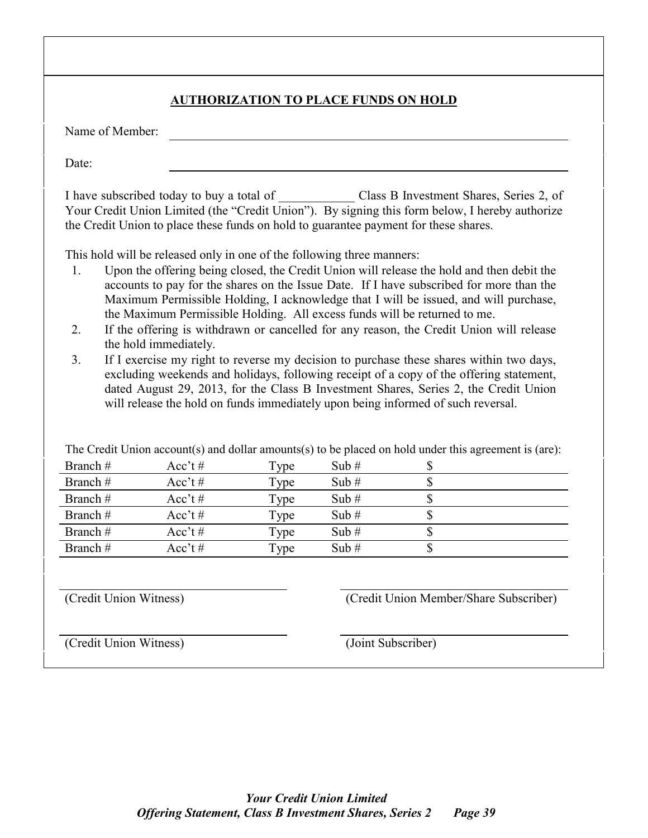|                                                                                          |                                                                                                 |             | <b>AUTHORIZATION TO PLACE FUNDS ON HOLD</b> |                                                                                                                                                                                                                                                                                                                                                                                                                                                                                                                                                  |
|------------------------------------------------------------------------------------------|-------------------------------------------------------------------------------------------------|-------------|---------------------------------------------|--------------------------------------------------------------------------------------------------------------------------------------------------------------------------------------------------------------------------------------------------------------------------------------------------------------------------------------------------------------------------------------------------------------------------------------------------------------------------------------------------------------------------------------------------|
| Name of Member:                                                                          |                                                                                                 |             |                                             |                                                                                                                                                                                                                                                                                                                                                                                                                                                                                                                                                  |
| Date:                                                                                    |                                                                                                 |             |                                             |                                                                                                                                                                                                                                                                                                                                                                                                                                                                                                                                                  |
|                                                                                          |                                                                                                 |             |                                             | I have subscribed today to buy a total of Class B Investment Shares, Series 2, of<br>Your Credit Union Limited (the "Credit Union"). By signing this form below, I hereby authorize<br>the Credit Union to place these funds on hold to guarantee payment for these shares.                                                                                                                                                                                                                                                                      |
| 1.<br>2.<br>3.                                                                           | This hold will be released only in one of the following three manners:<br>the hold immediately. |             |                                             | Upon the offering being closed, the Credit Union will release the hold and then debit the<br>accounts to pay for the shares on the Issue Date. If I have subscribed for more than the<br>Maximum Permissible Holding, I acknowledge that I will be issued, and will purchase,<br>the Maximum Permissible Holding. All excess funds will be returned to me.<br>If the offering is withdrawn or cancelled for any reason, the Credit Union will release<br>If I exercise my right to reverse my decision to purchase these shares within two days, |
|                                                                                          |                                                                                                 |             |                                             | excluding weekends and holidays, following receipt of a copy of the offering statement,<br>dated August 29, 2013, for the Class B Investment Shares, Series 2, the Credit Union<br>will release the hold on funds immediately upon being informed of such reversal.                                                                                                                                                                                                                                                                              |
|                                                                                          |                                                                                                 |             |                                             | The Credit Union account(s) and dollar amounts(s) to be placed on hold under this agreement is (are):                                                                                                                                                                                                                                                                                                                                                                                                                                            |
|                                                                                          | Acc't#                                                                                          | <b>Type</b> | Sub $#$                                     | \$                                                                                                                                                                                                                                                                                                                                                                                                                                                                                                                                               |
|                                                                                          | $Acc't$ #                                                                                       | <b>Type</b> | Sub $#$                                     | \$                                                                                                                                                                                                                                                                                                                                                                                                                                                                                                                                               |
|                                                                                          | $Acc't$ #                                                                                       | Type        | Sub $#$                                     | \$                                                                                                                                                                                                                                                                                                                                                                                                                                                                                                                                               |
|                                                                                          | $Acc't$ #                                                                                       | Type        | Sub $#$                                     | \$                                                                                                                                                                                                                                                                                                                                                                                                                                                                                                                                               |
|                                                                                          | $Acc't$ #                                                                                       | Type        | Sub $#$                                     | \$                                                                                                                                                                                                                                                                                                                                                                                                                                                                                                                                               |
| Branch#<br>Branch#<br>Branch#<br>Branch#<br>Branch#<br>Branch#<br>(Credit Union Witness) | $Acc't$ #                                                                                       | Type        | Sub#                                        | \$<br>(Credit Union Member/Share Subscriber)                                                                                                                                                                                                                                                                                                                                                                                                                                                                                                     |

Г

٦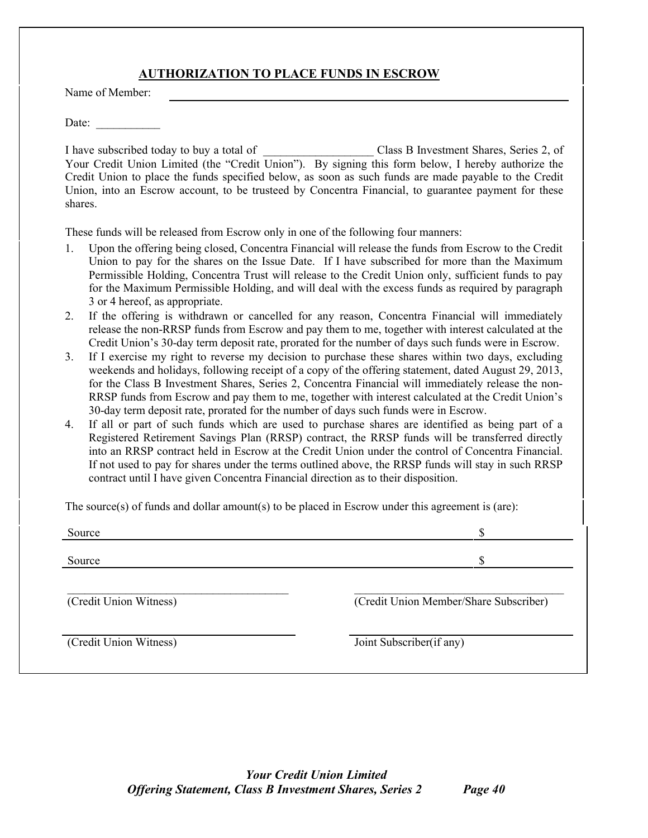### **AUTHORIZATION TO PLACE FUNDS IN ESCROW**

Name of Member:

Date:  $\overline{\phantom{a}}$ 

I have subscribed today to buy a total of **Example 2.** Class B Investment Shares, Series 2, of Your Credit Union Limited (the "Credit Union"). By signing this form below, I hereby authorize the Credit Union to place the funds specified below, as soon as such funds are made payable to the Credit Union, into an Escrow account, to be trusteed by Concentra Financial, to guarantee payment for these shares.

These funds will be released from Escrow only in one of the following four manners:

- 1. Upon the offering being closed, Concentra Financial will release the funds from Escrow to the Credit Union to pay for the shares on the Issue Date. If I have subscribed for more than the Maximum Permissible Holding, Concentra Trust will release to the Credit Union only, sufficient funds to pay for the Maximum Permissible Holding, and will deal with the excess funds as required by paragraph 3 or 4 hereof, as appropriate.
- 2. If the offering is withdrawn or cancelled for any reason, Concentra Financial will immediately release the non-RRSP funds from Escrow and pay them to me, together with interest calculated at the Credit Union's 30-day term deposit rate, prorated for the number of days such funds were in Escrow.
- 3. If I exercise my right to reverse my decision to purchase these shares within two days, excluding weekends and holidays, following receipt of a copy of the offering statement, dated August 29, 2013, for the Class B Investment Shares, Series 2, Concentra Financial will immediately release the non-RRSP funds from Escrow and pay them to me, together with interest calculated at the Credit Union's 30-day term deposit rate, prorated for the number of days such funds were in Escrow.
- 4. If all or part of such funds which are used to purchase shares are identified as being part of a Registered Retirement Savings Plan (RRSP) contract, the RRSP funds will be transferred directly into an RRSP contract held in Escrow at the Credit Union under the control of Concentra Financial. If not used to pay for shares under the terms outlined above, the RRSP funds will stay in such RRSP contract until I have given Concentra Financial direction as to their disposition.

The source(s) of funds and dollar amount(s) to be placed in Escrow under this agreement is (are):

| Source                 | J                                      |
|------------------------|----------------------------------------|
| Source                 | J                                      |
| (Credit Union Witness) | (Credit Union Member/Share Subscriber) |
| (Credit Union Witness) | Joint Subscriber(if any)               |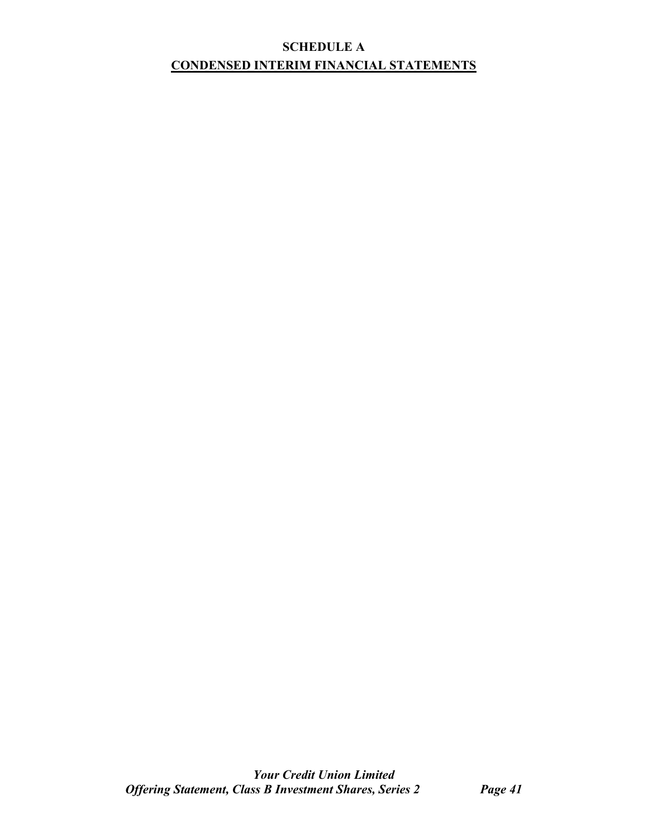## **SCHEDULE A CONDENSED INTERIM FINANCIAL STATEMENTS**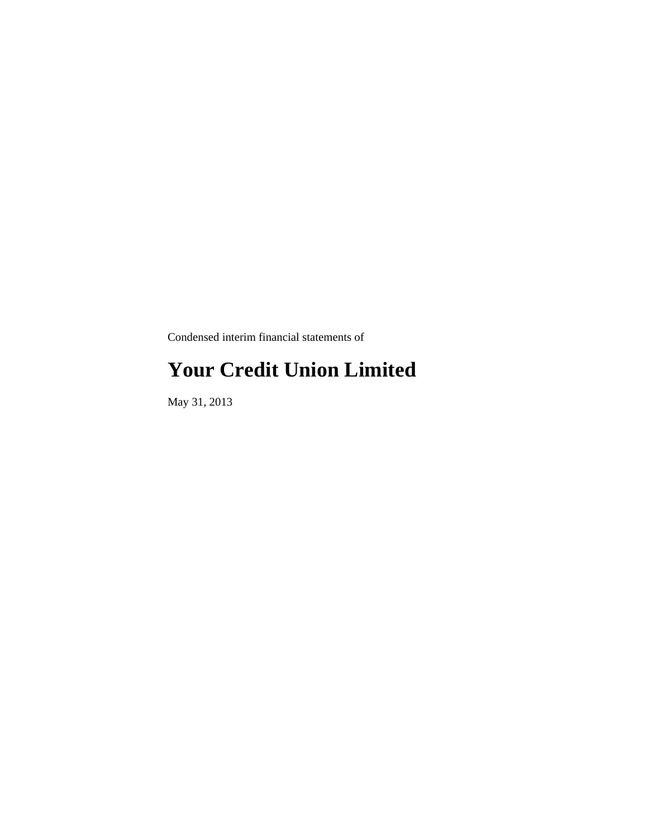Condensed interim financial statements of

## **Your Credit Union Limited**

May 31, 2013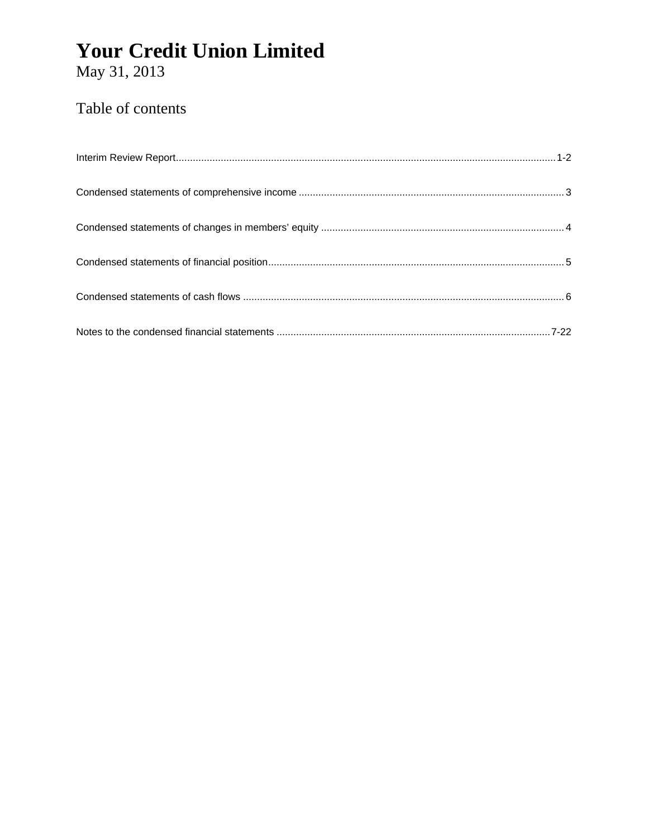May 31, 2013

## Table of contents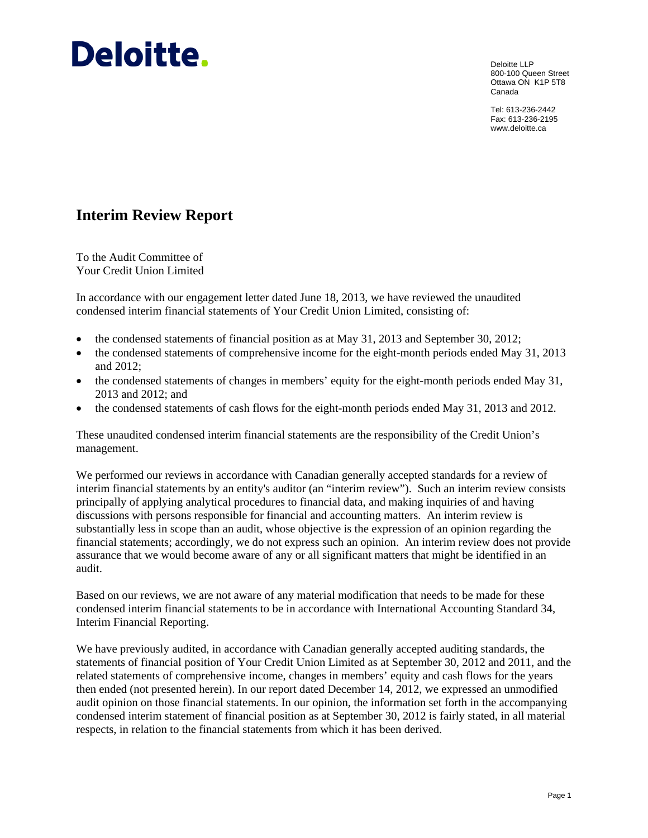# Deloitte.

Deloitte LLP 800-100 Queen Street Ottawa ON K1P 5T8 Canada

Tel: 613-236-2442 Fax: 613-236-2195 www.deloitte.ca

## **Interim Review Report**

To the Audit Committee of Your Credit Union Limited

In accordance with our engagement letter dated June 18, 2013, we have reviewed the unaudited condensed interim financial statements of Your Credit Union Limited, consisting of:

- the condensed statements of financial position as at May 31, 2013 and September 30, 2012;
- the condensed statements of comprehensive income for the eight-month periods ended May 31, 2013 and 2012;
- the condensed statements of changes in members' equity for the eight-month periods ended May 31, 2013 and 2012; and
- the condensed statements of cash flows for the eight-month periods ended May 31, 2013 and 2012.

These unaudited condensed interim financial statements are the responsibility of the Credit Union's management.

We performed our reviews in accordance with Canadian generally accepted standards for a review of interim financial statements by an entity's auditor (an "interim review"). Such an interim review consists principally of applying analytical procedures to financial data, and making inquiries of and having discussions with persons responsible for financial and accounting matters. An interim review is substantially less in scope than an audit, whose objective is the expression of an opinion regarding the financial statements; accordingly, we do not express such an opinion. An interim review does not provide assurance that we would become aware of any or all significant matters that might be identified in an audit.

Based on our reviews, we are not aware of any material modification that needs to be made for these condensed interim financial statements to be in accordance with International Accounting Standard 34, Interim Financial Reporting.

We have previously audited, in accordance with Canadian generally accepted auditing standards, the statements of financial position of Your Credit Union Limited as at September 30, 2012 and 2011, and the related statements of comprehensive income, changes in members' equity and cash flows for the years then ended (not presented herein). In our report dated December 14, 2012, we expressed an unmodified audit opinion on those financial statements. In our opinion, the information set forth in the accompanying condensed interim statement of financial position as at September 30, 2012 is fairly stated, in all material respects, in relation to the financial statements from which it has been derived.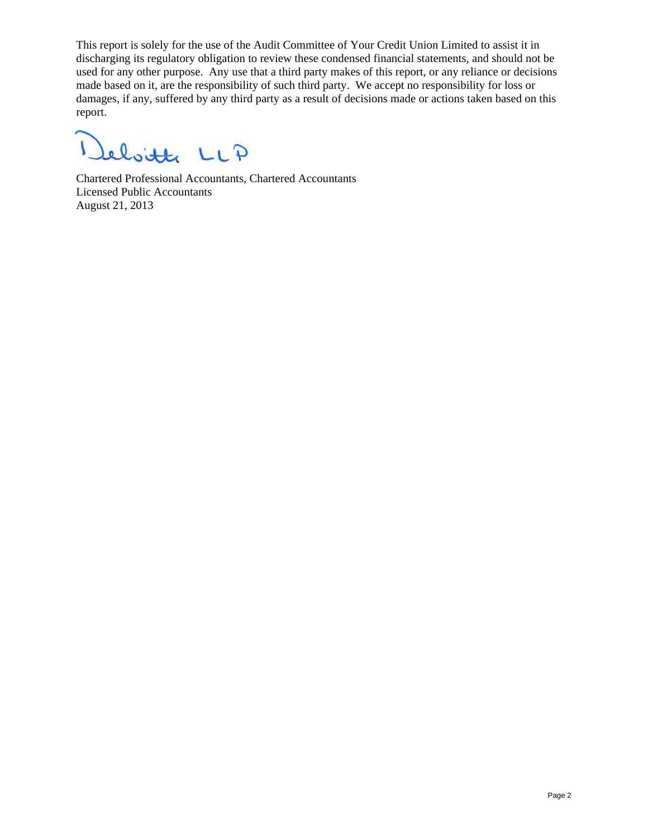This report is solely for the use of the Audit Committee of Your Credit Union Limited to assist it in discharging its regulatory obligation to review these condensed financial statements, and should not be used for any other purpose. Any use that a third party makes of this report, or any reliance or decisions made based on it, are the responsibility of such third party. We accept no responsibility for loss or damages, if any, suffered by any third party as a result of decisions made or actions taken based on this report.

 $\overline{1}$ leboitte LLP

Chartered Professional Accountants, Chartered Accountants Licensed Public Accountants August 21, 2013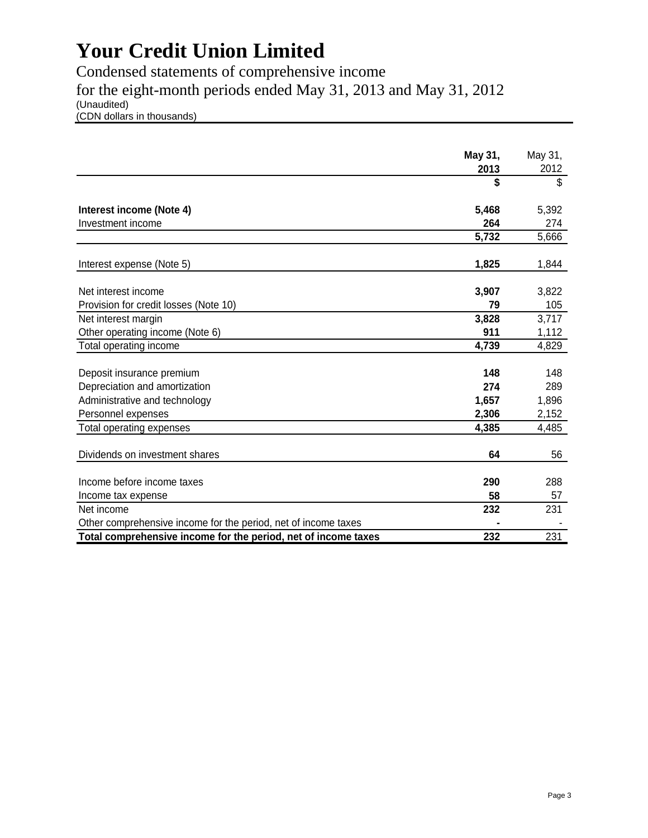Condensed statements of comprehensive income for the eight-month periods ended May 31, 2013 and May 31, 2012 (Unaudited)

(CDN dollars in thousands)

|                                                                | May 31, | May 31, |
|----------------------------------------------------------------|---------|---------|
|                                                                | 2013    | 2012    |
|                                                                | \$      | \$      |
| Interest income (Note 4)                                       | 5,468   | 5,392   |
| Investment income                                              | 264     | 274     |
|                                                                | 5,732   | 5,666   |
|                                                                |         |         |
| Interest expense (Note 5)                                      | 1,825   | 1,844   |
|                                                                |         |         |
| Net interest income                                            | 3,907   | 3,822   |
| Provision for credit losses (Note 10)                          | 79      | 105     |
| Net interest margin                                            | 3,828   | 3,717   |
| Other operating income (Note 6)                                | 911     | 1,112   |
| Total operating income                                         | 4,739   | 4,829   |
|                                                                |         |         |
| Deposit insurance premium                                      | 148     | 148     |
| Depreciation and amortization                                  | 274     | 289     |
| Administrative and technology                                  | 1,657   | 1,896   |
| Personnel expenses                                             | 2,306   | 2,152   |
| Total operating expenses                                       | 4,385   | 4,485   |
|                                                                |         |         |
| Dividends on investment shares                                 | 64      | 56      |
|                                                                |         |         |
| Income before income taxes                                     | 290     | 288     |
| Income tax expense                                             | 58      | 57      |
| Net income                                                     | 232     | 231     |
| Other comprehensive income for the period, net of income taxes |         |         |
| Total comprehensive income for the period, net of income taxes | 232     | 231     |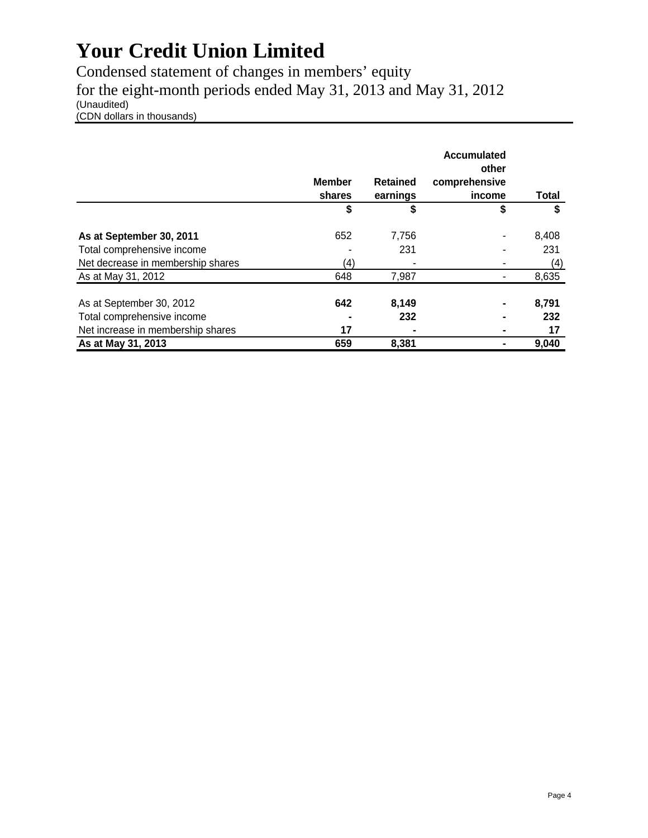Condensed statement of changes in members' equity for the eight-month periods ended May 31, 2013 and May 31, 2012 (Unaudited) (CDN dollars in thousands)

|                                   | <b>Member</b><br>shares | <b>Retained</b><br>earnings | Accumulated<br>other<br>comprehensive<br>income | Total |
|-----------------------------------|-------------------------|-----------------------------|-------------------------------------------------|-------|
|                                   | \$                      | \$                          | \$                                              | \$    |
| As at September 30, 2011          | 652                     | 7,756                       | ٠                                               | 8,408 |
| Total comprehensive income        |                         | 231                         |                                                 | 231   |
| Net decrease in membership shares | (4)                     |                             |                                                 | (4)   |
| As at May 31, 2012                | 648                     | 7,987                       |                                                 | 8,635 |
| As at September 30, 2012          | 642                     | 8,149                       |                                                 | 8,791 |
| Total comprehensive income        |                         | 232                         | -                                               | 232   |
| Net increase in membership shares | 17                      |                             | ۰                                               | 17    |
| As at May 31, 2013                | 659                     | 8,381                       |                                                 | 9,040 |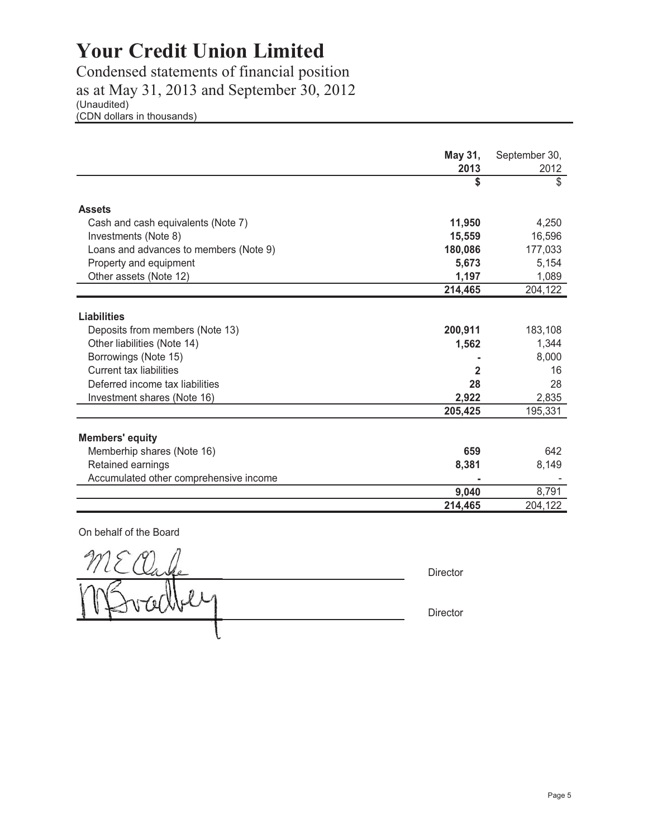Condensed statements of financial position as at May 31, 2013 and September 30, 2012 (Unaudited) (CDN dollars in thousands)

|                                        | May 31,     | September 30,        |
|----------------------------------------|-------------|----------------------|
|                                        | 2013<br>\$  | 2012<br>$\mathbb{S}$ |
|                                        |             |                      |
| <b>Assets</b>                          |             |                      |
| Cash and cash equivalents (Note 7)     | 11,950      | 4,250                |
| Investments (Note 8)                   | 15,559      | 16,596               |
| Loans and advances to members (Note 9) | 180,086     | 177,033              |
| Property and equipment                 | 5,673       | 5,154                |
| Other assets (Note 12)                 | 1,197       | 1,089                |
|                                        | 214,465     | 204,122              |
|                                        |             |                      |
| <b>Liabilities</b>                     |             |                      |
| Deposits from members (Note 13)        | 200,911     | 183,108              |
| Other liabilities (Note 14)            | 1,562       | 1,344                |
| Borrowings (Note 15)                   |             | 8,000                |
| <b>Current tax liabilities</b>         | $\mathbf 2$ | 16                   |
| Deferred income tax liabilities        | 28          | 28                   |
| Investment shares (Note 16)            | 2,922       | 2,835                |
|                                        | 205,425     | 195,331              |
|                                        |             |                      |
| <b>Members' equity</b>                 |             |                      |
| Memberhip shares (Note 16)             | 659         | 642                  |
| Retained earnings                      | 8,381       | 8,149                |
| Accumulated other comprehensive income |             |                      |
|                                        | 9,040       | 8,791                |
|                                        | 214,465     | 204,122              |

On behalf of the Board

**Director** Director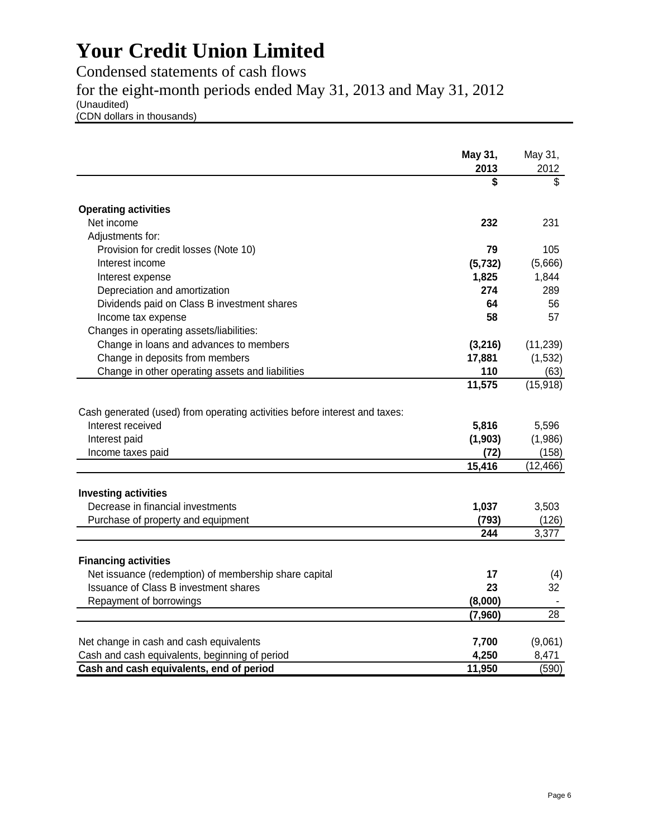Condensed statements of cash flows

for the eight-month periods ended May 31, 2013 and May 31, 2012

(Unaudited)

(CDN dollars in thousands)

|                                                                            | May 31,<br>2013 | May 31,<br>2012 |
|----------------------------------------------------------------------------|-----------------|-----------------|
|                                                                            | \$              | \$              |
| <b>Operating activities</b>                                                |                 |                 |
| Net income                                                                 | 232             | 231             |
| Adjustments for:                                                           |                 |                 |
| Provision for credit losses (Note 10)                                      | 79              | 105             |
| Interest income                                                            | (5, 732)        | (5,666)         |
| Interest expense                                                           | 1,825           | 1,844           |
| Depreciation and amortization                                              | 274             | 289             |
| Dividends paid on Class B investment shares                                | 64              | 56              |
| Income tax expense                                                         | 58              | 57              |
| Changes in operating assets/liabilities:                                   |                 |                 |
| Change in loans and advances to members                                    | (3,216)         | (11, 239)       |
| Change in deposits from members                                            | 17,881          | (1,532)         |
| Change in other operating assets and liabilities                           | 110             | (63)            |
|                                                                            | 11,575          | (15, 918)       |
|                                                                            |                 |                 |
| Cash generated (used) from operating activities before interest and taxes: |                 |                 |
| Interest received                                                          | 5,816           | 5,596           |
| Interest paid                                                              | (1, 903)        | (1,986)         |
| Income taxes paid                                                          | (72)            | (158)           |
|                                                                            | 15,416          | (12, 466)       |
| <b>Investing activities</b>                                                |                 |                 |
| Decrease in financial investments                                          | 1,037           | 3,503           |
| Purchase of property and equipment                                         | (793)           | (126)           |
|                                                                            | 244             | 3,377           |
|                                                                            |                 |                 |
| <b>Financing activities</b>                                                |                 |                 |
| Net issuance (redemption) of membership share capital                      | 17              | (4)             |
| Issuance of Class B investment shares                                      | 23              | 32              |
| Repayment of borrowings                                                    | (8,000)         |                 |
|                                                                            | (7,960)         | 28              |
|                                                                            |                 |                 |
| Net change in cash and cash equivalents                                    | 7,700           | (9,061)         |
| Cash and cash equivalents, beginning of period                             | 4,250           | 8,471           |
| Cash and cash equivalents, end of period                                   | 11,950          | (590)           |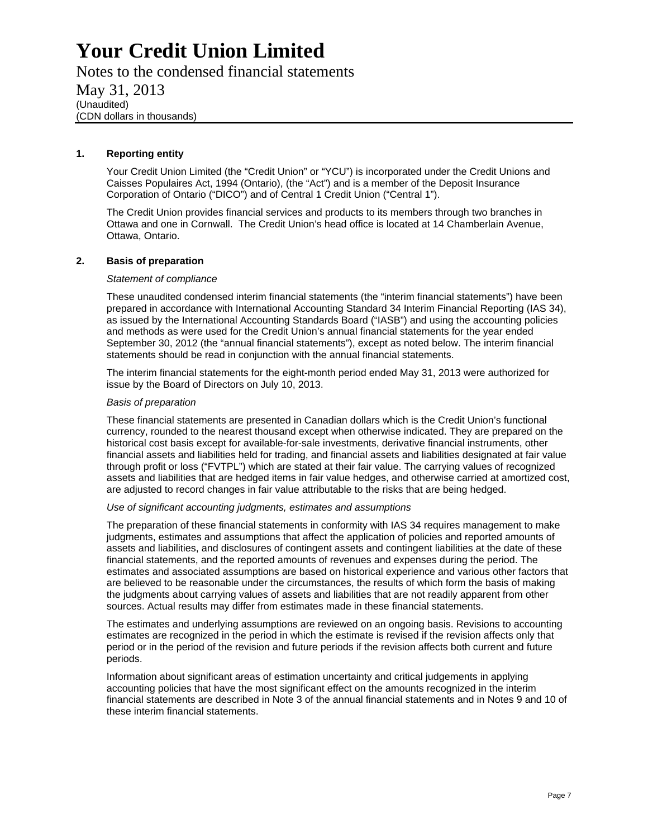Notes to the condensed financial statements May 31, 2013 (Unaudited) (CDN dollars in thousands)

#### **1. Reporting entity**

Your Credit Union Limited (the "Credit Union" or "YCU") is incorporated under the Credit Unions and Caisses Populaires Act, 1994 (Ontario), (the "Act") and is a member of the Deposit Insurance Corporation of Ontario ("DICO") and of Central 1 Credit Union ("Central 1").

The Credit Union provides financial services and products to its members through two branches in Ottawa and one in Cornwall. The Credit Union's head office is located at 14 Chamberlain Avenue, Ottawa, Ontario.

#### **2. Basis of preparation**

#### *Statement of compliance*

These unaudited condensed interim financial statements (the "interim financial statements") have been prepared in accordance with International Accounting Standard 34 Interim Financial Reporting (IAS 34), as issued by the International Accounting Standards Board ("IASB") and using the accounting policies and methods as were used for the Credit Union's annual financial statements for the year ended September 30, 2012 (the "annual financial statements"), except as noted below. The interim financial statements should be read in conjunction with the annual financial statements.

The interim financial statements for the eight-month period ended May 31, 2013 were authorized for issue by the Board of Directors on July 10, 2013.

#### *Basis of preparation*

These financial statements are presented in Canadian dollars which is the Credit Union's functional currency, rounded to the nearest thousand except when otherwise indicated. They are prepared on the historical cost basis except for available-for-sale investments, derivative financial instruments, other financial assets and liabilities held for trading, and financial assets and liabilities designated at fair value through profit or loss ("FVTPL") which are stated at their fair value. The carrying values of recognized assets and liabilities that are hedged items in fair value hedges, and otherwise carried at amortized cost, are adjusted to record changes in fair value attributable to the risks that are being hedged.

#### *Use of significant accounting judgments, estimates and assumptions*

The preparation of these financial statements in conformity with IAS 34 requires management to make judgments, estimates and assumptions that affect the application of policies and reported amounts of assets and liabilities, and disclosures of contingent assets and contingent liabilities at the date of these financial statements, and the reported amounts of revenues and expenses during the period. The estimates and associated assumptions are based on historical experience and various other factors that are believed to be reasonable under the circumstances, the results of which form the basis of making the judgments about carrying values of assets and liabilities that are not readily apparent from other sources. Actual results may differ from estimates made in these financial statements.

The estimates and underlying assumptions are reviewed on an ongoing basis. Revisions to accounting estimates are recognized in the period in which the estimate is revised if the revision affects only that period or in the period of the revision and future periods if the revision affects both current and future periods.

Information about significant areas of estimation uncertainty and critical judgements in applying accounting policies that have the most significant effect on the amounts recognized in the interim financial statements are described in Note 3 of the annual financial statements and in Notes 9 and 10 of these interim financial statements.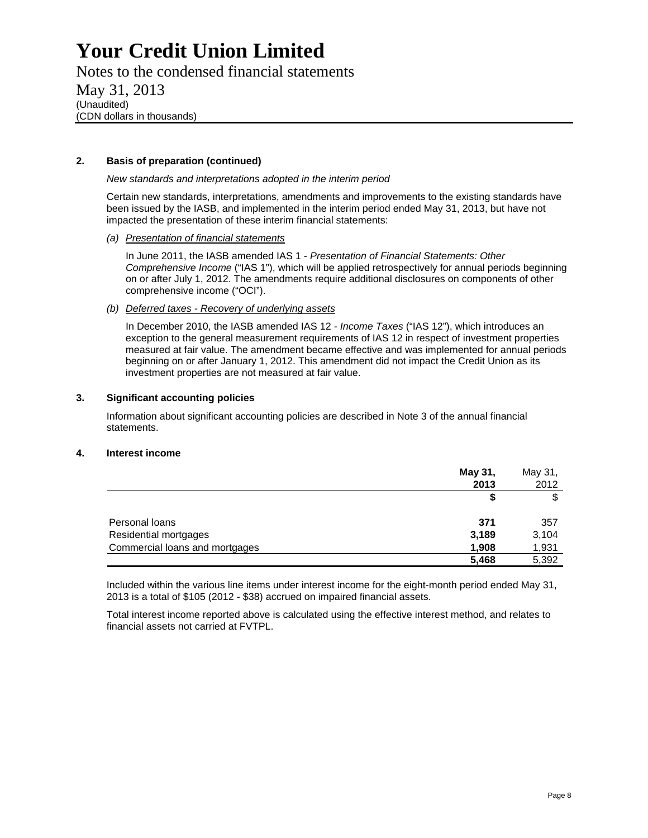Notes to the condensed financial statements

May 31, 2013 (Unaudited) (CDN dollars in thousands)

#### **2. Basis of preparation (continued)**

*New standards and interpretations adopted in the interim period* 

Certain new standards, interpretations, amendments and improvements to the existing standards have been issued by the IASB, and implemented in the interim period ended May 31, 2013, but have not impacted the presentation of these interim financial statements:

*(a) Presentation of financial statements* 

In June 2011, the IASB amended IAS 1 - *Presentation of Financial Statements: Other Comprehensive Income* ("IAS 1"), which will be applied retrospectively for annual periods beginning on or after July 1, 2012. The amendments require additional disclosures on components of other comprehensive income ("OCI").

#### *(b) Deferred taxes - Recovery of underlying assets*

In December 2010, the IASB amended IAS 12 - *Income Taxes* ("IAS 12"), which introduces an exception to the general measurement requirements of IAS 12 in respect of investment properties measured at fair value. The amendment became effective and was implemented for annual periods beginning on or after January 1, 2012. This amendment did not impact the Credit Union as its investment properties are not measured at fair value.

#### **3. Significant accounting policies**

Information about significant accounting policies are described in Note 3 of the annual financial statements.

#### **4. Interest income**

|                                | May 31, | May 31, |
|--------------------------------|---------|---------|
|                                | 2013    | 2012    |
|                                |         | \$      |
| Personal loans                 | 371     | 357     |
| Residential mortgages          | 3,189   | 3,104   |
| Commercial loans and mortgages | 1,908   | 1,931   |
|                                | 5,468   | 5,392   |

Included within the various line items under interest income for the eight-month period ended May 31, 2013 is a total of \$105 (2012 - \$38) accrued on impaired financial assets.

Total interest income reported above is calculated using the effective interest method, and relates to financial assets not carried at FVTPL.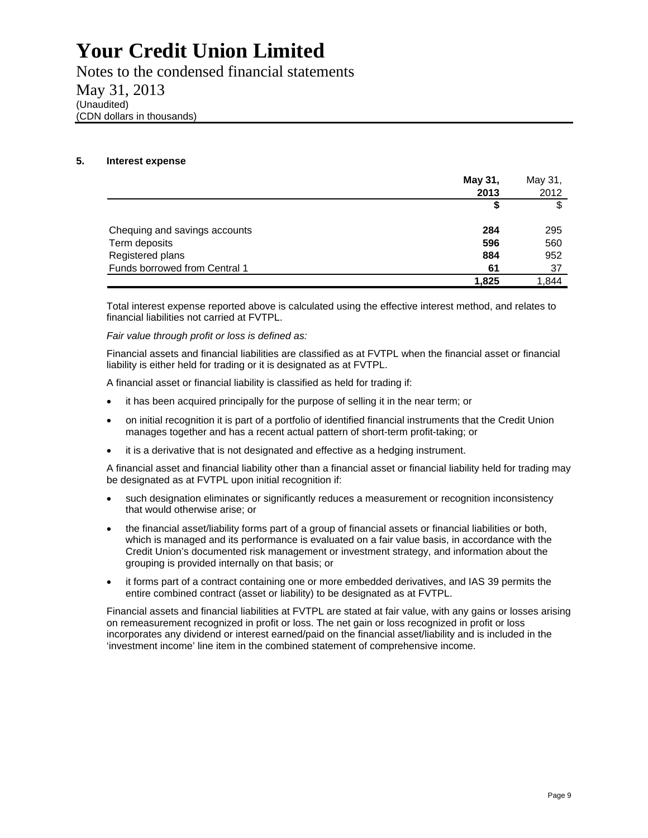Notes to the condensed financial statements May 31, 2013 (Unaudited) (CDN dollars in thousands)

#### **5. Interest expense**

|                               | May 31, | May 31, |
|-------------------------------|---------|---------|
|                               | 2013    | 2012    |
|                               |         | \$      |
| Chequing and savings accounts | 284     | 295     |
| Term deposits                 | 596     | 560     |
| Registered plans              | 884     | 952     |
| Funds borrowed from Central 1 | 61      | 37      |
|                               | 1,825   | 1,844   |

Total interest expense reported above is calculated using the effective interest method, and relates to financial liabilities not carried at FVTPL.

*Fair value through profit or loss is defined as:* 

Financial assets and financial liabilities are classified as at FVTPL when the financial asset or financial liability is either held for trading or it is designated as at FVTPL.

A financial asset or financial liability is classified as held for trading if:

- it has been acquired principally for the purpose of selling it in the near term; or
- on initial recognition it is part of a portfolio of identified financial instruments that the Credit Union manages together and has a recent actual pattern of short-term profit-taking; or
- it is a derivative that is not designated and effective as a hedging instrument.

A financial asset and financial liability other than a financial asset or financial liability held for trading may be designated as at FVTPL upon initial recognition if:

- such designation eliminates or significantly reduces a measurement or recognition inconsistency that would otherwise arise; or
- the financial asset/liability forms part of a group of financial assets or financial liabilities or both, which is managed and its performance is evaluated on a fair value basis, in accordance with the Credit Union's documented risk management or investment strategy, and information about the grouping is provided internally on that basis; or
- it forms part of a contract containing one or more embedded derivatives, and IAS 39 permits the entire combined contract (asset or liability) to be designated as at FVTPL.

Financial assets and financial liabilities at FVTPL are stated at fair value, with any gains or losses arising on remeasurement recognized in profit or loss. The net gain or loss recognized in profit or loss incorporates any dividend or interest earned/paid on the financial asset/liability and is included in the 'investment income' line item in the combined statement of comprehensive income.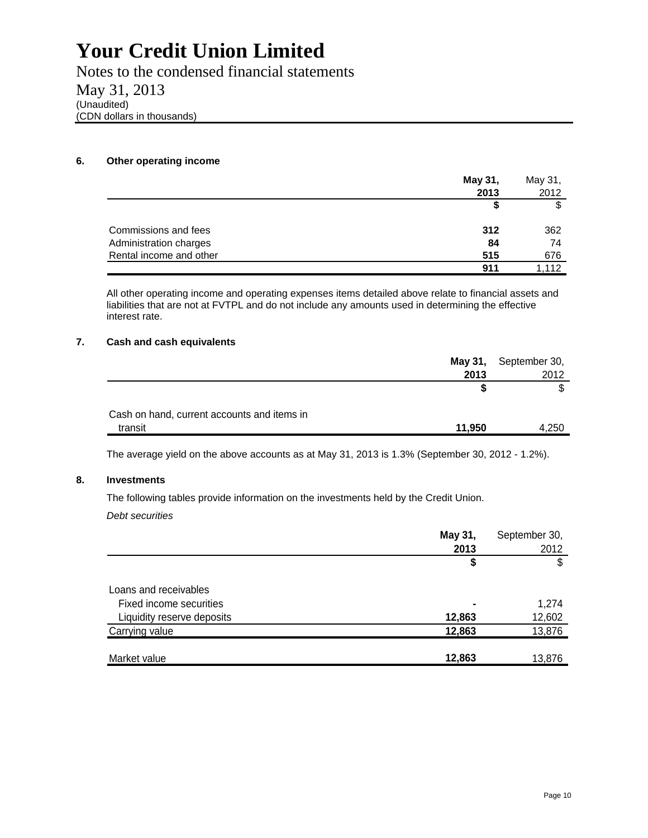Notes to the condensed financial statements May 31, 2013 (Unaudited) (CDN dollars in thousands)

#### **6. Other operating income**

|                         | May 31, | May 31, |
|-------------------------|---------|---------|
|                         | 2013    | 2012    |
|                         |         | \$      |
| Commissions and fees    | 312     | 362     |
| Administration charges  | 84      | 74      |
| Rental income and other | 515     | 676     |
|                         | 911     | 1.112   |

All other operating income and operating expenses items detailed above relate to financial assets and liabilities that are not at FVTPL and do not include any amounts used in determining the effective interest rate.

#### **7. Cash and cash equivalents**

|                                             |        | May 31, September 30, |
|---------------------------------------------|--------|-----------------------|
|                                             | 2013   | 2012                  |
|                                             |        |                       |
| Cash on hand, current accounts and items in |        |                       |
| transit                                     | 11.950 | 4.250                 |

The average yield on the above accounts as at May 31, 2013 is 1.3% (September 30, 2012 - 1.2%).

#### **8. Investments**

The following tables provide information on the investments held by the Credit Union.

*Debt securities* 

|                            | May 31,<br>2013 | September 30,<br>2012 |
|----------------------------|-----------------|-----------------------|
|                            | \$              | \$                    |
| Loans and receivables      |                 |                       |
| Fixed income securities    | ٠               | 1,274                 |
| Liquidity reserve deposits | 12,863          | 12,602                |
| Carrying value             | 12,863          | 13,876                |
|                            |                 |                       |
| Market value               | 12,863          | 13,876                |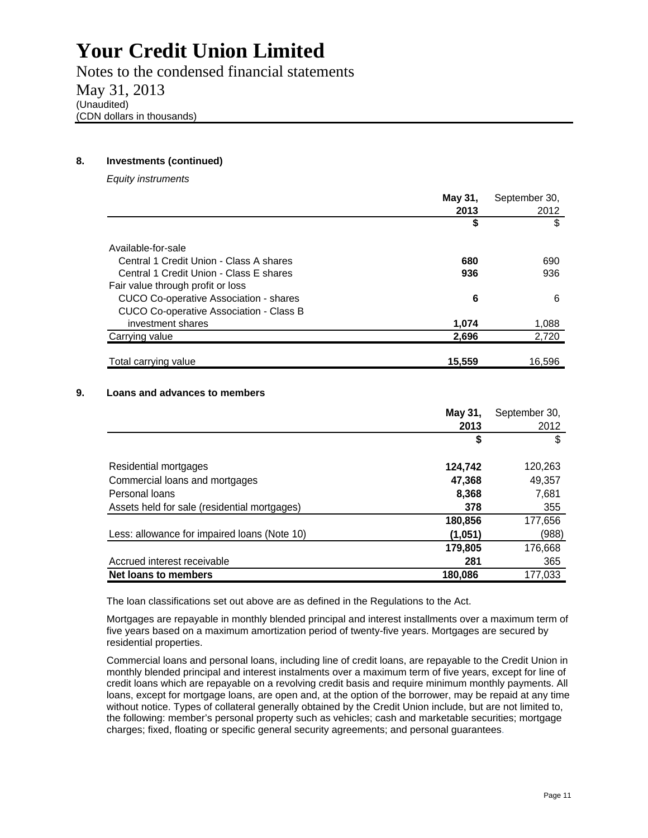Notes to the condensed financial statements May 31, 2013 (Unaudited) (CDN dollars in thousands)

#### **8. Investments (continued)**

*Equity instruments* 

|                                         | May 31, | September 30, |
|-----------------------------------------|---------|---------------|
|                                         | 2013    | 2012          |
|                                         | \$      | \$            |
| Available-for-sale                      |         |               |
| Central 1 Credit Union - Class A shares | 680     | 690           |
| Central 1 Credit Union - Class E shares | 936     | 936           |
| Fair value through profit or loss       |         |               |
| CUCO Co-operative Association - shares  | 6       | 6             |
| CUCO Co-operative Association - Class B |         |               |
| investment shares                       | 1,074   | 1,088         |
| Carrying value                          | 2,696   | 2,720         |
|                                         |         |               |
| Total carrying value                    | 15,559  | 16.596        |

#### **9. Loans and advances to members**

|                                              | May 31, | September 30, |
|----------------------------------------------|---------|---------------|
|                                              | 2013    | 2012          |
|                                              | \$      | S             |
| Residential mortgages                        | 124,742 | 120,263       |
| Commercial loans and mortgages               | 47,368  | 49,357        |
| Personal loans                               | 8,368   | 7,681         |
| Assets held for sale (residential mortgages) | 378     | 355           |
|                                              | 180,856 | 177,656       |
| Less: allowance for impaired loans (Note 10) | (1,051) | (988)         |
|                                              | 179,805 | 176,668       |
| Accrued interest receivable                  | 281     | 365           |
| Net loans to members                         | 180.086 | 177.033       |

The loan classifications set out above are as defined in the Regulations to the Act.

Mortgages are repayable in monthly blended principal and interest installments over a maximum term of five years based on a maximum amortization period of twenty-five years. Mortgages are secured by residential properties.

Commercial loans and personal loans, including line of credit loans, are repayable to the Credit Union in monthly blended principal and interest instalments over a maximum term of five years, except for line of credit loans which are repayable on a revolving credit basis and require minimum monthly payments. All loans, except for mortgage loans, are open and, at the option of the borrower, may be repaid at any time without notice. Types of collateral generally obtained by the Credit Union include, but are not limited to, the following: member's personal property such as vehicles; cash and marketable securities; mortgage charges; fixed, floating or specific general security agreements; and personal guarantees.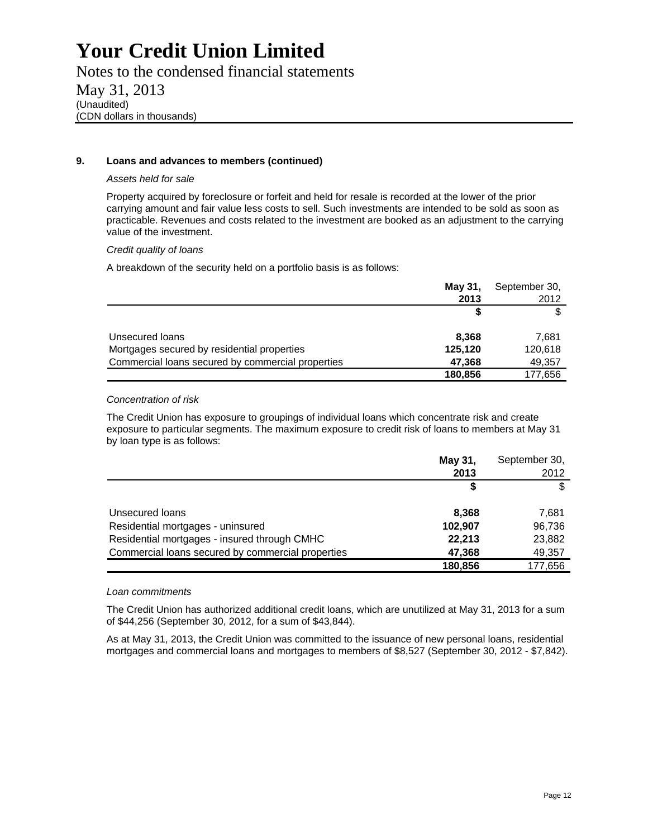Notes to the condensed financial statements May 31, 2013 (Unaudited) (CDN dollars in thousands)

#### **9. Loans and advances to members (continued)**

#### *Assets held for sale*

Property acquired by foreclosure or forfeit and held for resale is recorded at the lower of the prior carrying amount and fair value less costs to sell. Such investments are intended to be sold as soon as practicable. Revenues and costs related to the investment are booked as an adjustment to the carrying value of the investment.

#### *Credit quality of loans*

A breakdown of the security held on a portfolio basis is as follows:

|                                                   | May 31, | September 30, |
|---------------------------------------------------|---------|---------------|
|                                                   | 2013    | 2012          |
|                                                   |         |               |
| Unsecured loans                                   | 8,368   | 7.681         |
| Mortgages secured by residential properties       | 125,120 | 120,618       |
| Commercial loans secured by commercial properties | 47,368  | 49.357        |
|                                                   | 180,856 | 177,656       |

#### *Concentration of risk*

The Credit Union has exposure to groupings of individual loans which concentrate risk and create exposure to particular segments. The maximum exposure to credit risk of loans to members at May 31 by loan type is as follows:

|                                                   | May 31, | September 30, |
|---------------------------------------------------|---------|---------------|
|                                                   | 2013    | 2012          |
|                                                   |         |               |
| Unsecured loans                                   | 8.368   | 7,681         |
| Residential mortgages - uninsured                 | 102,907 | 96,736        |
| Residential mortgages - insured through CMHC      | 22,213  | 23,882        |
| Commercial loans secured by commercial properties | 47,368  | 49,357        |
|                                                   | 180,856 | 177,656       |

#### *Loan commitments*

The Credit Union has authorized additional credit loans, which are unutilized at May 31, 2013 for a sum of \$44,256 (September 30, 2012, for a sum of \$43,844).

As at May 31, 2013, the Credit Union was committed to the issuance of new personal loans, residential mortgages and commercial loans and mortgages to members of \$8,527 (September 30, 2012 - \$7,842).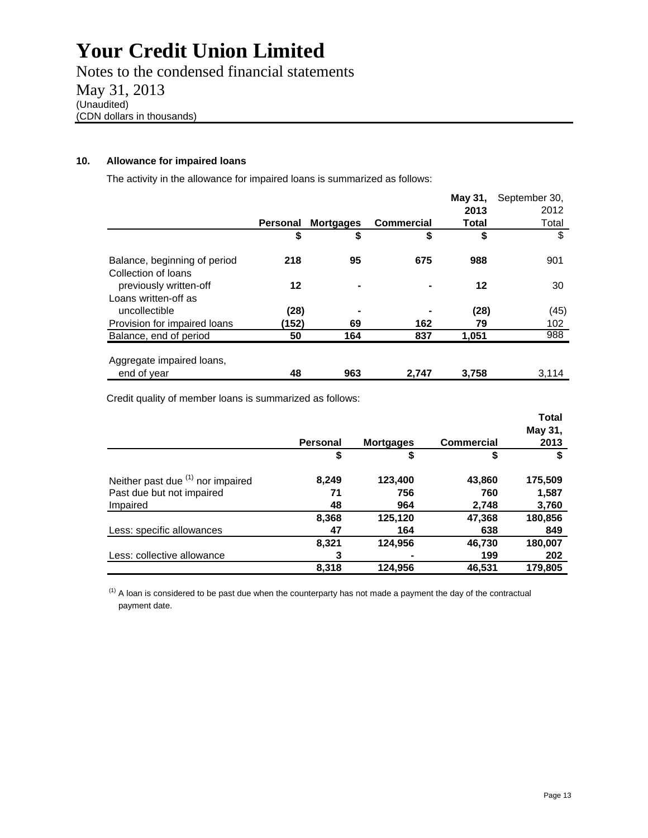Notes to the condensed financial statements May 31, 2013 (Unaudited) (CDN dollars in thousands)

#### **10. Allowance for impaired loans**

The activity in the allowance for impaired loans is summarized as follows:

|                                                     |                 |                  |                   | May 31, | September 30, |
|-----------------------------------------------------|-----------------|------------------|-------------------|---------|---------------|
|                                                     |                 |                  |                   | 2013    | 2012          |
|                                                     | <b>Personal</b> | <b>Mortgages</b> | <b>Commercial</b> | Total   | Total         |
|                                                     | \$              | \$               | \$                | \$      | \$            |
| Balance, beginning of period<br>Collection of loans | 218             | 95               | 675               | 988     | 901           |
| previously written-off                              | 12              |                  |                   | 12      | 30            |
| Loans written-off as                                |                 |                  |                   |         |               |
| uncollectible                                       | (28)            |                  |                   | (28)    | (45)          |
| Provision for impaired loans                        | (152)           | 69               | 162               | 79      | 102           |
| Balance, end of period                              | 50              | 164              | 837               | 1.051   | 988           |
| Aggregate impaired loans,                           |                 |                  |                   |         |               |
| end of year                                         | 48              | 963              | 2.747             | 3.758   | 3.114         |

Credit quality of member loans is summarized as follows:

|                                   |                 |                  |                   | <b>Total</b> |
|-----------------------------------|-----------------|------------------|-------------------|--------------|
|                                   |                 |                  |                   | May 31,      |
|                                   | <b>Personal</b> | <b>Mortgages</b> | <b>Commercial</b> | 2013         |
|                                   | \$              | \$               | \$                |              |
| Neither past due (1) nor impaired | 8,249           | 123,400          | 43,860            | 175,509      |
| Past due but not impaired         | 71              | 756              | 760               | 1,587        |
| Impaired                          | 48              | 964              | 2,748             | 3,760        |
|                                   | 8,368           | 125,120          | 47,368            | 180,856      |
| Less: specific allowances         | 47              | 164              | 638               | 849          |
|                                   | 8,321           | 124,956          | 46,730            | 180,007      |
| Less: collective allowance        | 3               | -                | 199               | 202          |
|                                   | 8,318           | 124.956          | 46,531            | 179,805      |

 $<sup>(1)</sup>$  A loan is considered to be past due when the counterparty has not made a payment the day of the contractual</sup> payment date.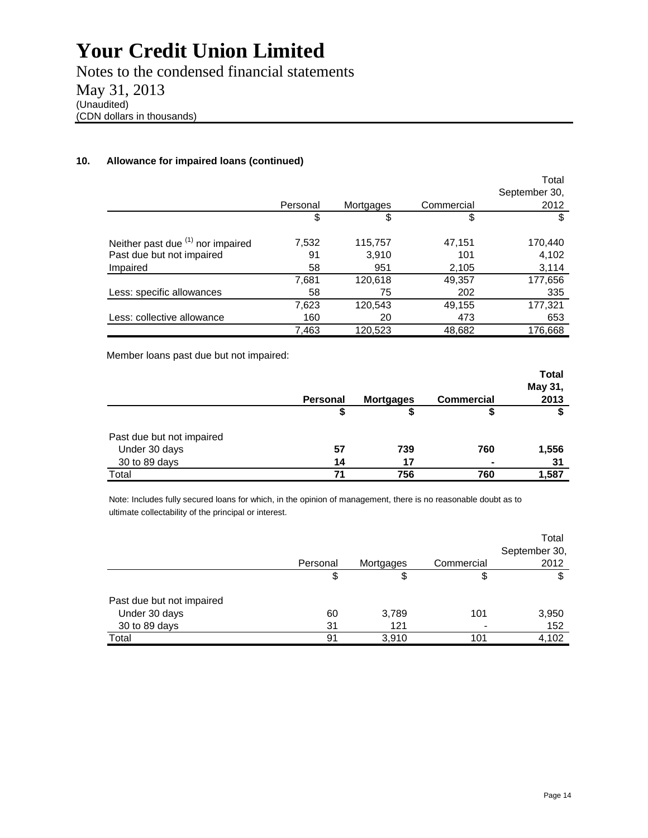Notes to the condensed financial statements May 31, 2013 (Unaudited) (CDN dollars in thousands)

#### **10. Allowance for impaired loans (continued)**

|                                   |          |           |            | Total         |
|-----------------------------------|----------|-----------|------------|---------------|
|                                   |          |           |            | September 30, |
|                                   | Personal | Mortgages | Commercial | 2012          |
|                                   | \$       | \$        | \$         | \$            |
| Neither past due (1) nor impaired | 7,532    | 115,757   | 47,151     | 170,440       |
| Past due but not impaired         | 91       | 3,910     | 101        | 4,102         |
| Impaired                          | 58       | 951       | 2,105      | 3,114         |
|                                   | 7,681    | 120,618   | 49,357     | 177,656       |
| Less: specific allowances         | 58       | 75        | 202        | 335           |
|                                   | 7,623    | 120,543   | 49,155     | 177,321       |
| Less: collective allowance        | 160      | 20        | 473        | 653           |
|                                   | 7,463    | 120,523   | 48,682     | 176,668       |

Member loans past due but not impaired:

|                           |                 |                  |                   | <b>Total</b> |
|---------------------------|-----------------|------------------|-------------------|--------------|
|                           |                 |                  |                   | May 31,      |
|                           | <b>Personal</b> | <b>Mortgages</b> | <b>Commercial</b> | 2013         |
|                           | \$              |                  | Φ                 |              |
| Past due but not impaired |                 |                  |                   |              |
| Under 30 days             | 57              | 739              | 760               | 1,556        |
| 30 to 89 days             | 14              | 17               |                   | 31           |
| Total                     | 71              | 756              | 760               | 1,587        |

Note: Includes fully secured loans for which, in the opinion of management, there is no reasonable doubt as to ultimate collectability of the principal or interest.

|                           | Personal | Mortgages | Commercial | Total<br>September 30,<br>2012 |
|---------------------------|----------|-----------|------------|--------------------------------|
|                           | \$       | \$        | \$         | \$                             |
| Past due but not impaired |          |           |            |                                |
| Under 30 days             | 60       | 3,789     | 101        | 3,950                          |
| 30 to 89 days             | 31       | 121       |            | 152                            |
| Total                     | 91       | 3,910     | 101        | 4,102                          |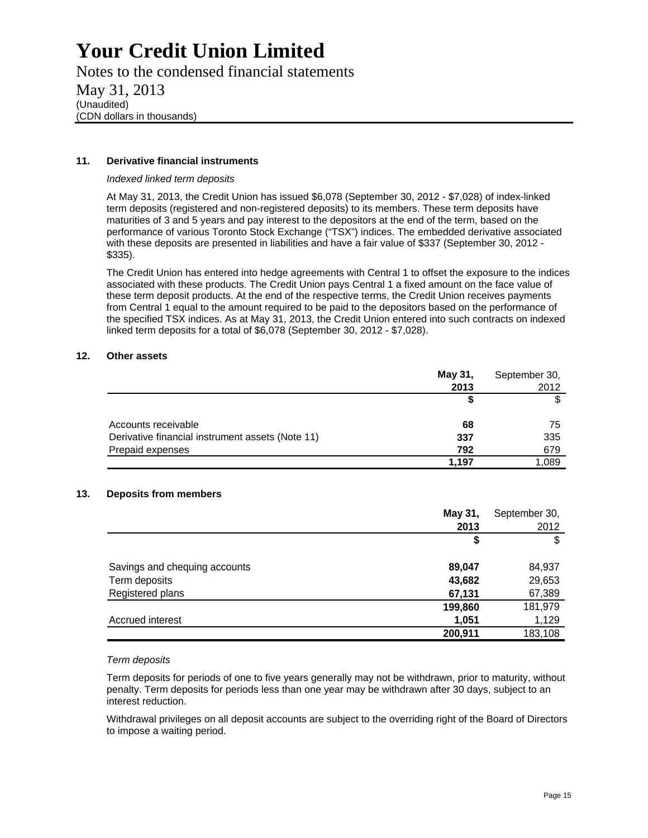Notes to the condensed financial statements May 31, 2013 (Unaudited) (CDN dollars in thousands)

#### **11. Derivative financial instruments**

#### *Indexed linked term deposits*

At May 31, 2013, the Credit Union has issued \$6,078 (September 30, 2012 - \$7,028) of index-linked term deposits (registered and non-registered deposits) to its members. These term deposits have maturities of 3 and 5 years and pay interest to the depositors at the end of the term, based on the performance of various Toronto Stock Exchange ("TSX") indices. The embedded derivative associated with these deposits are presented in liabilities and have a fair value of \$337 (September 30, 2012 -\$335).

The Credit Union has entered into hedge agreements with Central 1 to offset the exposure to the indices associated with these products. The Credit Union pays Central 1 a fixed amount on the face value of these term deposit products. At the end of the respective terms, the Credit Union receives payments from Central 1 equal to the amount required to be paid to the depositors based on the performance of the specified TSX indices. As at May 31, 2013, the Credit Union entered into such contracts on indexed linked term deposits for a total of \$6,078 (September 30, 2012 - \$7,028).

#### **12. Other assets**

|                                                  | May 31, | September 30, |
|--------------------------------------------------|---------|---------------|
|                                                  | 2013    | 2012          |
|                                                  |         |               |
| Accounts receivable                              | 68      | 75            |
| Derivative financial instrument assets (Note 11) | 337     | 335           |
| Prepaid expenses                                 | 792     | 679           |
|                                                  | 1,197   | 1,089         |

#### **13. Deposits from members**

|                               | May 31, | September 30, |
|-------------------------------|---------|---------------|
|                               | 2013    | 2012          |
|                               | \$      | \$            |
| Savings and chequing accounts | 89,047  | 84,937        |
| Term deposits                 | 43,682  | 29,653        |
| Registered plans              | 67,131  | 67,389        |
|                               | 199,860 | 181,979       |
| Accrued interest              | 1,051   | 1,129         |
|                               | 200,911 | 183,108       |

#### *Term deposits*

Term deposits for periods of one to five years generally may not be withdrawn, prior to maturity, without penalty. Term deposits for periods less than one year may be withdrawn after 30 days, subject to an interest reduction.

Withdrawal privileges on all deposit accounts are subject to the overriding right of the Board of Directors to impose a waiting period.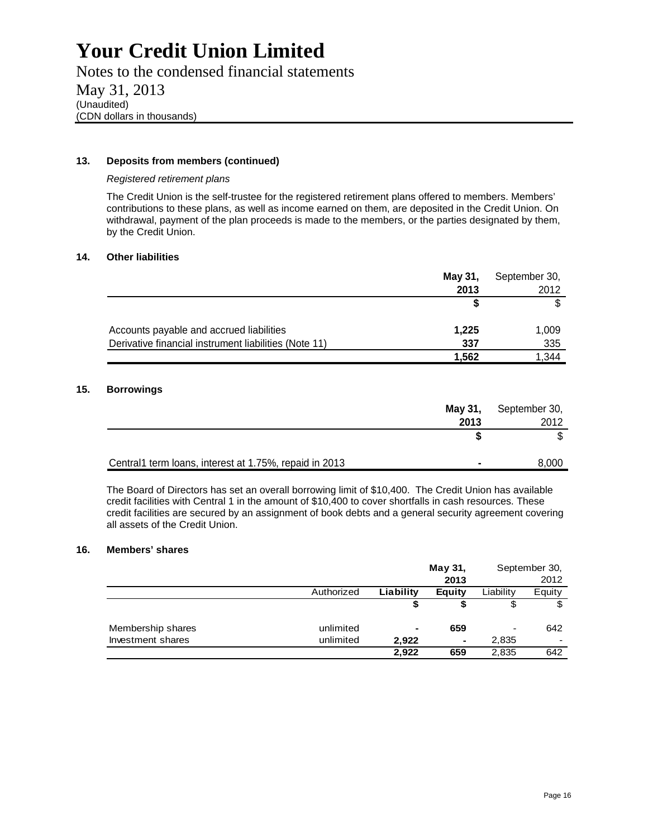Notes to the condensed financial statements May 31, 2013 (Unaudited) (CDN dollars in thousands)

#### **13. Deposits from members (continued)**

#### *Registered retirement plans*

The Credit Union is the self-trustee for the registered retirement plans offered to members. Members' contributions to these plans, as well as income earned on them, are deposited in the Credit Union. On withdrawal, payment of the plan proceeds is made to the members, or the parties designated by them, by the Credit Union.

#### **14. Other liabilities**

|                                                       | May 31, | September 30, |
|-------------------------------------------------------|---------|---------------|
|                                                       | 2013    | 2012          |
|                                                       |         |               |
| Accounts payable and accrued liabilities              | 1,225   | 1,009         |
| Derivative financial instrument liabilities (Note 11) | 337     | 335           |
|                                                       | 1.562   | .344          |

#### **15. Borrowings**

|                                                        | May 31, | September 30, |
|--------------------------------------------------------|---------|---------------|
|                                                        | 2013    | 2012          |
|                                                        |         |               |
|                                                        |         |               |
| Central1 term loans, interest at 1.75%, repaid in 2013 |         | 8,000         |

The Board of Directors has set an overall borrowing limit of \$10,400. The Credit Union has available credit facilities with Central 1 in the amount of \$10,400 to cover shortfalls in cash resources. These credit facilities are secured by an assignment of book debts and a general security agreement covering all assets of the Credit Union.

#### **16. Members' shares**

|                   |            |           | May 31, |           | September 30,            |
|-------------------|------------|-----------|---------|-----------|--------------------------|
|                   |            |           | 2013    |           | 2012                     |
|                   | Authorized | Liability | Equity  | Liability | Equity                   |
|                   |            |           |         | \$        | \$                       |
|                   |            |           |         |           |                          |
| Membership shares | unlimited  | ٠         | 659     | ۰         | 642                      |
| Investment shares | unlimited  | 2.922     | ۰       | 2,835     | $\overline{\phantom{0}}$ |
|                   |            | 2.922     | 659     | 2,835     | 642                      |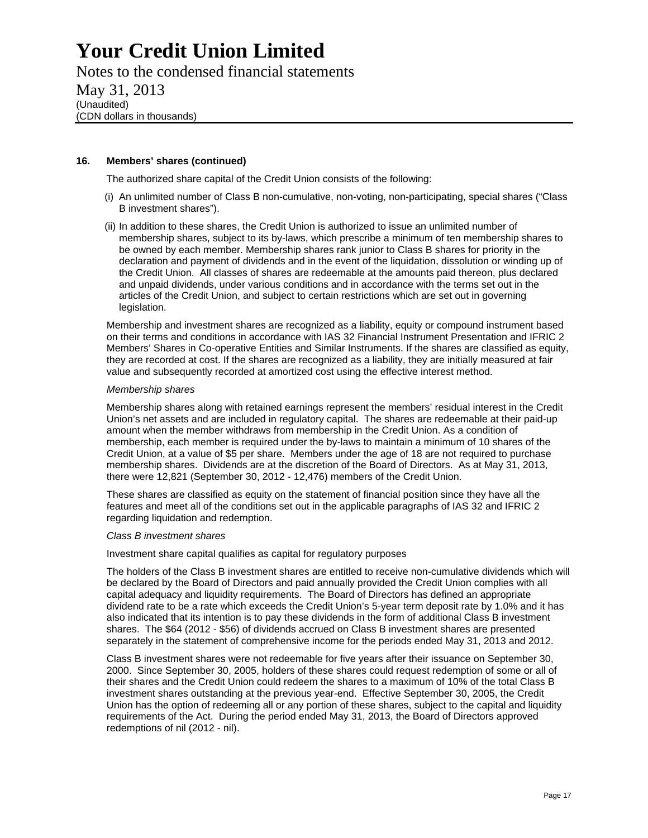Notes to the condensed financial statements May 31, 2013 (Unaudited) (CDN dollars in thousands)

#### **16. Members' shares (continued)**

The authorized share capital of the Credit Union consists of the following:

- (i) An unlimited number of Class B non-cumulative, non-voting, non-participating, special shares ("Class B investment shares").
- (ii) In addition to these shares, the Credit Union is authorized to issue an unlimited number of membership shares, subject to its by-laws, which prescribe a minimum of ten membership shares to be owned by each member. Membership shares rank junior to Class B shares for priority in the declaration and payment of dividends and in the event of the liquidation, dissolution or winding up of the Credit Union. All classes of shares are redeemable at the amounts paid thereon, plus declared and unpaid dividends, under various conditions and in accordance with the terms set out in the articles of the Credit Union, and subject to certain restrictions which are set out in governing legislation.

Membership and investment shares are recognized as a liability, equity or compound instrument based on their terms and conditions in accordance with IAS 32 Financial Instrument Presentation and IFRIC 2 Members' Shares in Co-operative Entities and Similar Instruments. If the shares are classified as equity, they are recorded at cost. If the shares are recognized as a liability, they are initially measured at fair value and subsequently recorded at amortized cost using the effective interest method.

#### *Membership shares*

Membership shares along with retained earnings represent the members' residual interest in the Credit Union's net assets and are included in regulatory capital. The shares are redeemable at their paid-up amount when the member withdraws from membership in the Credit Union. As a condition of membership, each member is required under the by-laws to maintain a minimum of 10 shares of the Credit Union, at a value of \$5 per share. Members under the age of 18 are not required to purchase membership shares. Dividends are at the discretion of the Board of Directors. As at May 31, 2013, there were 12,821 (September 30, 2012 - 12,476) members of the Credit Union.

These shares are classified as equity on the statement of financial position since they have all the features and meet all of the conditions set out in the applicable paragraphs of IAS 32 and IFRIC 2 regarding liquidation and redemption.

#### *Class B investment shares*

Investment share capital qualifies as capital for regulatory purposes

The holders of the Class B investment shares are entitled to receive non-cumulative dividends which will be declared by the Board of Directors and paid annually provided the Credit Union complies with all capital adequacy and liquidity requirements. The Board of Directors has defined an appropriate dividend rate to be a rate which exceeds the Credit Union's 5-year term deposit rate by 1.0% and it has also indicated that its intention is to pay these dividends in the form of additional Class B investment shares. The \$64 (2012 - \$56) of dividends accrued on Class B investment shares are presented separately in the statement of comprehensive income for the periods ended May 31, 2013 and 2012.

Class B investment shares were not redeemable for five years after their issuance on September 30, 2000. Since September 30, 2005, holders of these shares could request redemption of some or all of their shares and the Credit Union could redeem the shares to a maximum of 10% of the total Class B investment shares outstanding at the previous year-end. Effective September 30, 2005, the Credit Union has the option of redeeming all or any portion of these shares, subject to the capital and liquidity requirements of the Act. During the period ended May 31, 2013, the Board of Directors approved redemptions of nil (2012 - nil).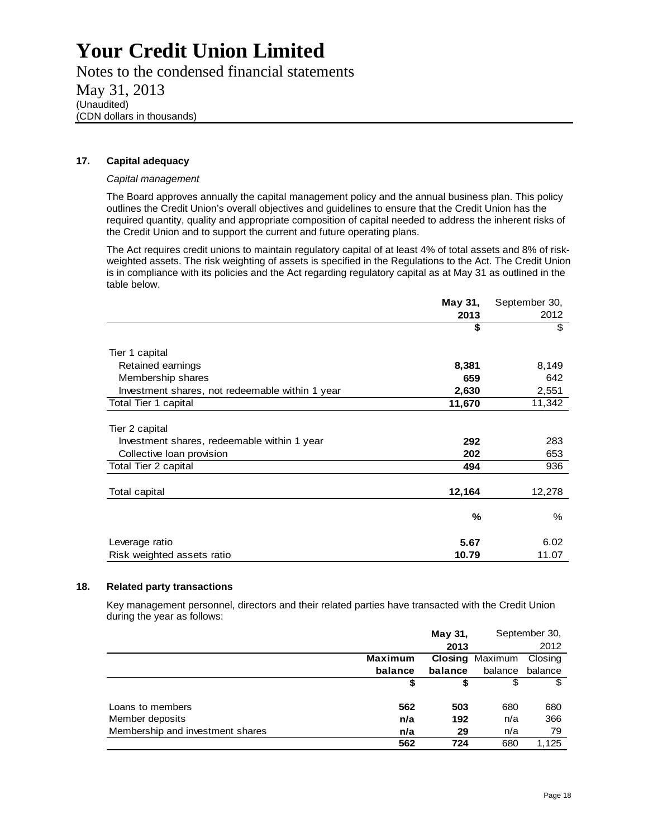Notes to the condensed financial statements May 31, 2013 (Unaudited) (CDN dollars in thousands)

#### **17. Capital adequacy**

#### *Capital management*

The Board approves annually the capital management policy and the annual business plan. This policy outlines the Credit Union's overall objectives and guidelines to ensure that the Credit Union has the required quantity, quality and appropriate composition of capital needed to address the inherent risks of the Credit Union and to support the current and future operating plans.

The Act requires credit unions to maintain regulatory capital of at least 4% of total assets and 8% of riskweighted assets. The risk weighting of assets is specified in the Regulations to the Act. The Credit Union is in compliance with its policies and the Act regarding regulatory capital as at May 31 as outlined in the table below.

|                                                 | May 31, | September 30, |
|-------------------------------------------------|---------|---------------|
|                                                 | 2013    | 2012          |
|                                                 | \$      | \$            |
| Tier 1 capital                                  |         |               |
| Retained earnings                               | 8,381   | 8,149         |
| Membership shares                               | 659     | 642           |
| Investment shares, not redeemable within 1 year | 2,630   | 2,551         |
| Total Tier 1 capital                            | 11,670  | 11,342        |
| Tier 2 capital                                  |         |               |
| Investment shares, redeemable within 1 year     | 292     | 283           |
| Collective loan provision                       | 202     | 653           |
| Total Tier 2 capital                            | 494     | 936           |
| Total capital                                   | 12,164  | 12,278        |
|                                                 | %       | %             |
| Leverage ratio                                  | 5.67    | 6.02          |
| Risk weighted assets ratio                      | 10.79   | 11.07         |

#### **18. Related party transactions**

Key management personnel, directors and their related parties have transacted with the Credit Union during the year as follows:

|                                  |                | May 31, | September 30,          |         |
|----------------------------------|----------------|---------|------------------------|---------|
|                                  |                | 2013    |                        | 2012    |
|                                  | <b>Maximum</b> |         | <b>Closing Maximum</b> | Closing |
|                                  | balance        | balance | balance                | balance |
|                                  |                |         | S                      | S       |
|                                  |                |         |                        |         |
| Loans to members                 | 562            | 503     | 680                    | 680     |
| Member deposits                  | n/a            | 192     | n/a                    | 366     |
| Membership and investment shares | n/a            | 29      | n/a                    | 79      |
|                                  | 562            | 724     | 680                    | 1.125   |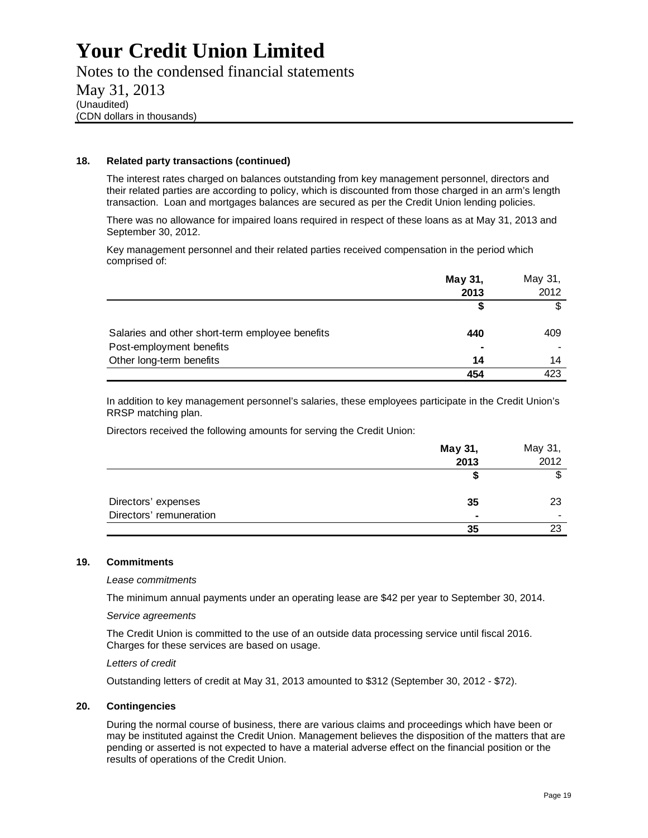Notes to the condensed financial statements May 31, 2013 (Unaudited) (CDN dollars in thousands)

#### **18. Related party transactions (continued)**

The interest rates charged on balances outstanding from key management personnel, directors and their related parties are according to policy, which is discounted from those charged in an arm's length transaction. Loan and mortgages balances are secured as per the Credit Union lending policies.

There was no allowance for impaired loans required in respect of these loans as at May 31, 2013 and September 30, 2012.

Key management personnel and their related parties received compensation in the period which comprised of:

|                                                 | May 31, | May 31, |
|-------------------------------------------------|---------|---------|
|                                                 | 2013    | 2012    |
|                                                 |         |         |
| Salaries and other short-term employee benefits | 440     | 409     |
| Post-employment benefits                        |         |         |
| Other long-term benefits                        | 14      | 14      |
|                                                 | 454     | 423     |

In addition to key management personnel's salaries, these employees participate in the Credit Union's RRSP matching plan.

Directors received the following amounts for serving the Credit Union:

|                         | May 31, | May 31,        |
|-------------------------|---------|----------------|
|                         | 2013    | 2012           |
|                         |         | œ              |
| Directors' expenses     | 35      | 23             |
| Directors' remuneration |         | $\blacksquare$ |
|                         | 35      | 23             |

#### **19. Commitments**

#### *Lease commitments*

The minimum annual payments under an operating lease are \$42 per year to September 30, 2014.

#### *Service agreements*

The Credit Union is committed to the use of an outside data processing service until fiscal 2016. Charges for these services are based on usage.

#### *Letters of credit*

Outstanding letters of credit at May 31, 2013 amounted to \$312 (September 30, 2012 - \$72).

### **20. Contingencies**

During the normal course of business, there are various claims and proceedings which have been or may be instituted against the Credit Union. Management believes the disposition of the matters that are pending or asserted is not expected to have a material adverse effect on the financial position or the results of operations of the Credit Union.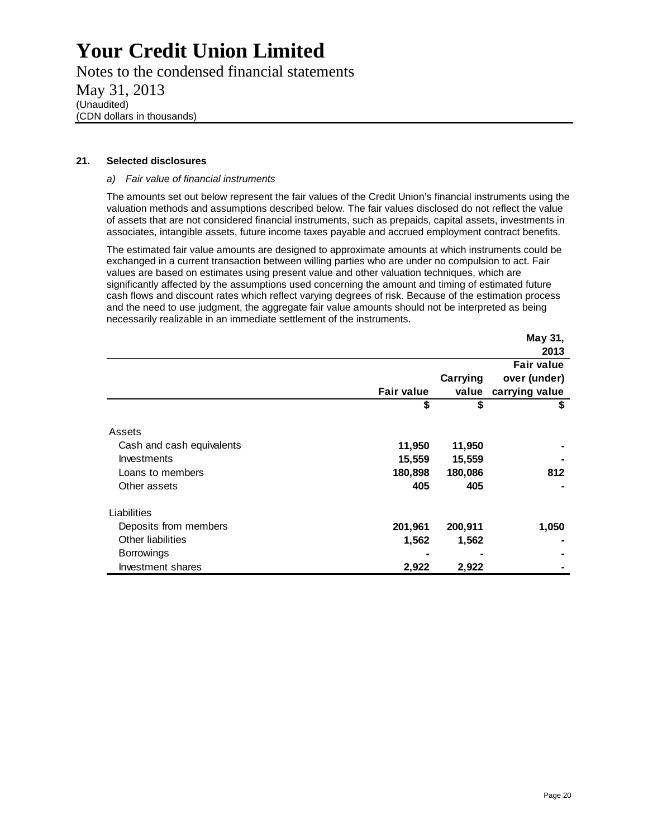Notes to the condensed financial statements May 31, 2013 (Unaudited) (CDN dollars in thousands)

#### **21. Selected disclosures**

#### *a) Fair value of financial instruments*

The amounts set out below represent the fair values of the Credit Union's financial instruments using the valuation methods and assumptions described below. The fair values disclosed do not reflect the value of assets that are not considered financial instruments, such as prepaids, capital assets, investments in associates, intangible assets, future income taxes payable and accrued employment contract benefits.

The estimated fair value amounts are designed to approximate amounts at which instruments could be exchanged in a current transaction between willing parties who are under no compulsion to act. Fair values are based on estimates using present value and other valuation techniques, which are significantly affected by the assumptions used concerning the amount and timing of estimated future cash flows and discount rates which reflect varying degrees of risk. Because of the estimation process and the need to use judgment, the aggregate fair value amounts should not be interpreted as being necessarily realizable in an immediate settlement of the instruments.

|                           |                   |          | May 31,           |
|---------------------------|-------------------|----------|-------------------|
|                           |                   |          | 2013              |
|                           |                   |          | <b>Fair value</b> |
|                           |                   | Carrying | over (under)      |
|                           | <b>Fair value</b> | value    | carrying value    |
|                           | \$                | \$       | \$                |
| Assets                    |                   |          |                   |
| Cash and cash equivalents | 11,950            | 11,950   |                   |
| Investments               | 15,559            | 15,559   |                   |
| Loans to members          | 180,898           | 180,086  | 812               |
| Other assets              | 405               | 405      |                   |
| Liabilities               |                   |          |                   |
| Deposits from members     | 201,961           | 200,911  | 1,050             |
| Other liabilities         | 1,562             | 1,562    |                   |
| <b>Borrowings</b>         |                   |          |                   |
| Investment shares         | 2,922             | 2,922    |                   |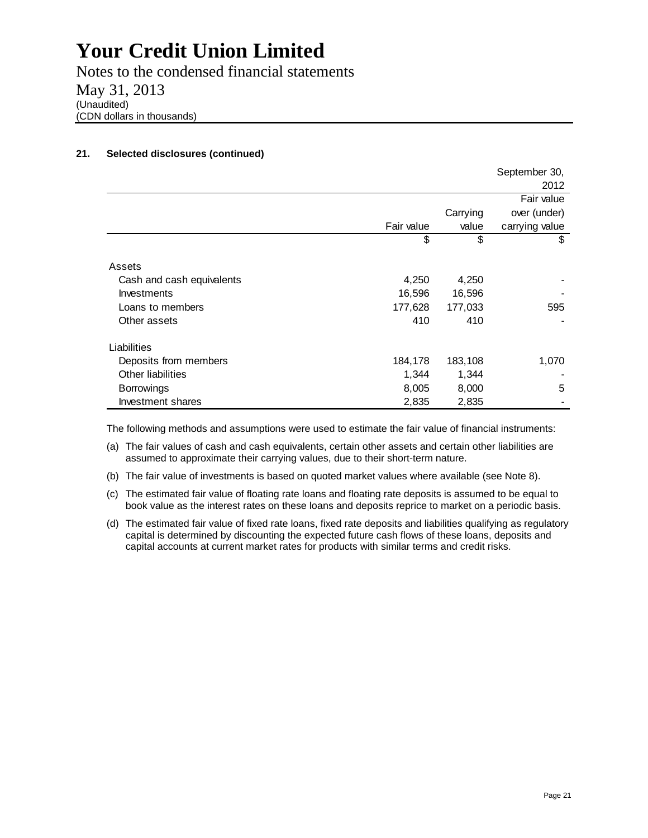Notes to the condensed financial statements May 31, 2013 (Unaudited) (CDN dollars in thousands)

### **21. Selected disclosures (continued)**

|                           |            |          | September 30,  |
|---------------------------|------------|----------|----------------|
|                           |            |          | 2012           |
|                           |            |          | Fair value     |
|                           |            | Carrying | over (under)   |
|                           | Fair value | value    | carrying value |
|                           | \$         | \$       | \$             |
| Assets                    |            |          |                |
| Cash and cash equivalents | 4,250      | 4,250    |                |
| Investments               | 16,596     | 16,596   |                |
| Loans to members          | 177,628    | 177,033  | 595            |
| Other assets              | 410        | 410      |                |
| Liabilities               |            |          |                |
| Deposits from members     | 184,178    | 183,108  | 1,070          |
| Other liabilities         | 1,344      | 1,344    |                |
| <b>Borrowings</b>         | 8,005      | 8,000    | 5              |
| Investment shares         | 2,835      | 2,835    |                |

The following methods and assumptions were used to estimate the fair value of financial instruments:

- (a) The fair values of cash and cash equivalents, certain other assets and certain other liabilities are assumed to approximate their carrying values, due to their short-term nature.
- (b) The fair value of investments is based on quoted market values where available (see Note 8).
- (c) The estimated fair value of floating rate loans and floating rate deposits is assumed to be equal to book value as the interest rates on these loans and deposits reprice to market on a periodic basis.
- (d) The estimated fair value of fixed rate loans, fixed rate deposits and liabilities qualifying as regulatory capital is determined by discounting the expected future cash flows of these loans, deposits and capital accounts at current market rates for products with similar terms and credit risks.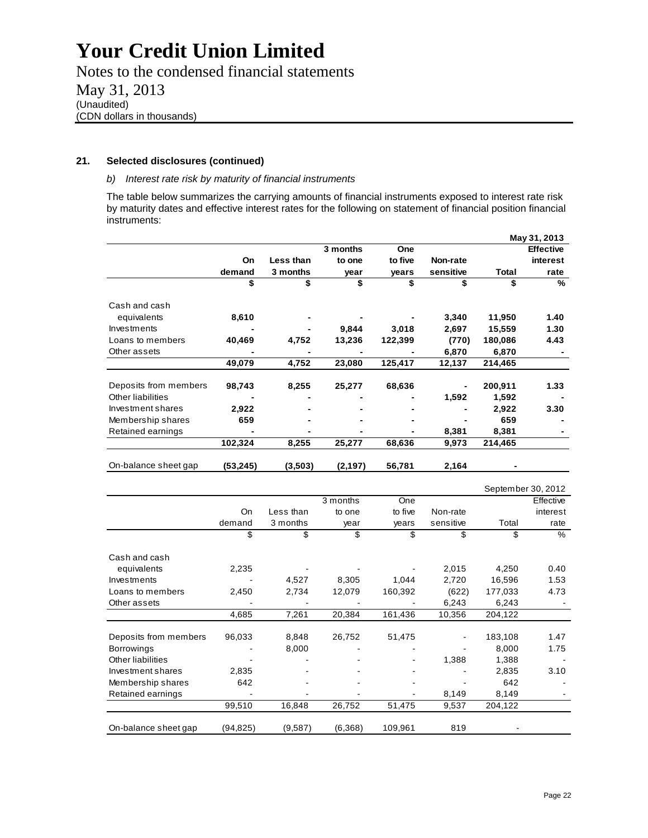Notes to the condensed financial statements May 31, 2013 (Unaudited) (CDN dollars in thousands)

#### **21. Selected disclosures (continued)**

#### *b) Interest rate risk by maturity of financial instruments*

The table below summarizes the carrying amounts of financial instruments exposed to interest rate risk by maturity dates and effective interest rates for the following on statement of financial position financial instruments:

|                       |          |           |          |         |           |         | May 31, 2013     |
|-----------------------|----------|-----------|----------|---------|-----------|---------|------------------|
|                       |          |           | 3 months | One     |           |         | <b>Effective</b> |
|                       | On       | Less than | to one   | to five | Non-rate  |         | interest         |
|                       | demand   | 3 months  | vear     | vears   | sensitive | Total   | rate             |
|                       | \$       | \$        | \$       |         | \$        | \$      | %                |
| Cash and cash         |          |           |          |         |           |         |                  |
| equivalents           | 8,610    |           |          |         | 3,340     | 11,950  | 1.40             |
| Investments           |          |           | 9,844    | 3,018   | 2,697     | 15,559  | 1.30             |
| Loans to members      | 40,469   | 4,752     | 13,236   | 122,399 | (770)     | 180,086 | 4.43             |
| Other assets          |          |           |          |         | 6,870     | 6,870   |                  |
|                       | 49,079   | 4,752     | 23,080   | 125,417 | 12,137    | 214,465 |                  |
| Deposits from members | 98,743   | 8,255     | 25,277   | 68,636  |           | 200,911 | 1.33             |
| Other liabilities     |          |           |          |         | 1,592     | 1,592   |                  |
| Investment shares     | 2,922    |           |          |         |           | 2,922   | 3.30             |
| Membership shares     | 659      |           |          |         |           | 659     |                  |
| Retained earnings     |          |           |          |         | 8,381     | 8,381   |                  |
|                       | 102,324  | 8,255     | 25,277   | 68,636  | 9,973     | 214,465 |                  |
| On-balance sheet gap  | (53,245) | (3,503)   | (2, 197) | 56,781  | 2,164     |         |                  |

|                       |           |           |          |         |           | September 30, 2012 |           |
|-----------------------|-----------|-----------|----------|---------|-----------|--------------------|-----------|
|                       |           |           | 3 months | One     |           |                    | Effective |
|                       | On        | Less than | to one   | to five | Non-rate  |                    | interest  |
|                       | demand    | 3 months  | year     | years   | sensitive | Total              | rate      |
|                       | \$        | \$        | \$       | \$      | \$        | \$                 | %         |
| Cash and cash         |           |           |          |         |           |                    |           |
| equivalents           | 2,235     |           |          |         | 2,015     | 4,250              | 0.40      |
| Investments           |           | 4,527     | 8,305    | 1,044   | 2,720     | 16,596             | 1.53      |
| Loans to members      | 2,450     | 2,734     | 12,079   | 160,392 | (622)     | 177,033            | 4.73      |
| Other assets          |           |           |          |         | 6,243     | 6,243              |           |
|                       | 4,685     | 7,261     | 20,384   | 161,436 | 10,356    | 204,122            |           |
| Deposits from members | 96,033    | 8,848     | 26,752   | 51,475  |           | 183,108            | 1.47      |
| <b>Borrowings</b>     |           | 8,000     |          |         |           | 8,000              | 1.75      |
| Other liabilities     |           |           |          |         | 1,388     | 1,388              |           |
| Investment shares     | 2,835     |           |          |         |           | 2,835              | 3.10      |
| Membership shares     | 642       |           |          |         |           | 642                |           |
| Retained earnings     |           |           |          |         | 8,149     | 8,149              |           |
|                       | 99,510    | 16,848    | 26,752   | 51,475  | 9,537     | 204,122            |           |
| On-balance sheet gap  | (94, 825) | (9,587)   | (6,368)  | 109,961 | 819       |                    |           |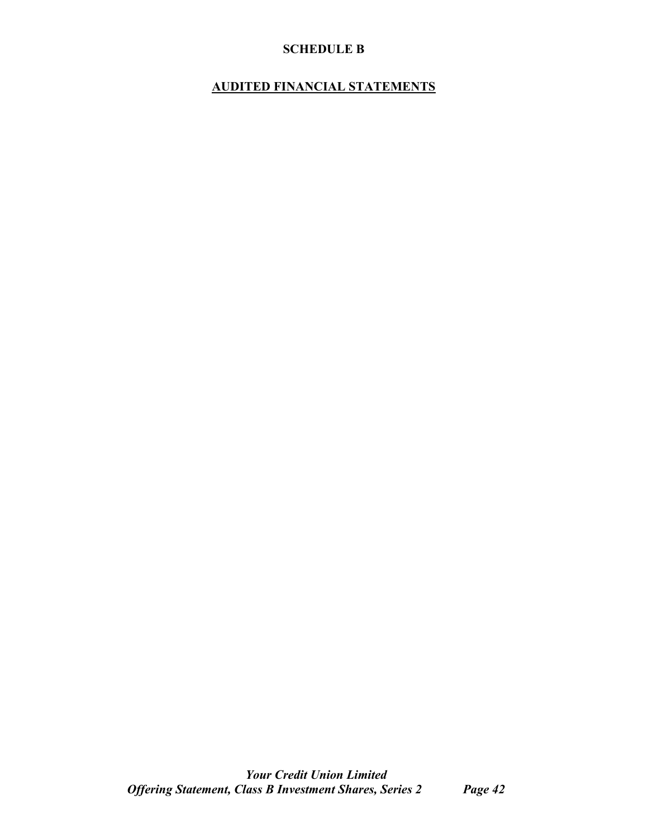# **SCHEDULE B**

# **AUDITED FINANCIAL STATEMENTS**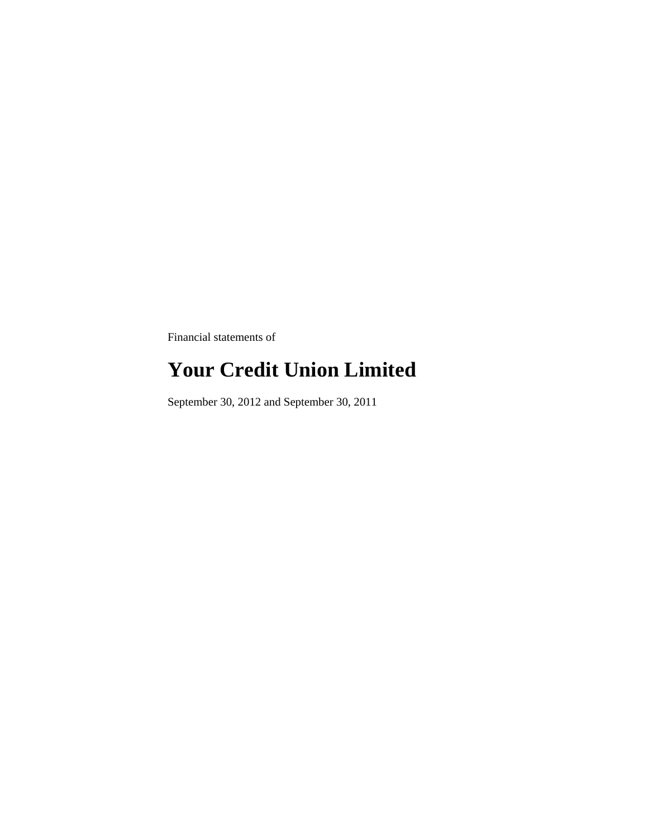Financial statements of

# **Your Credit Union Limited**

September 30, 2012 and September 30, 2011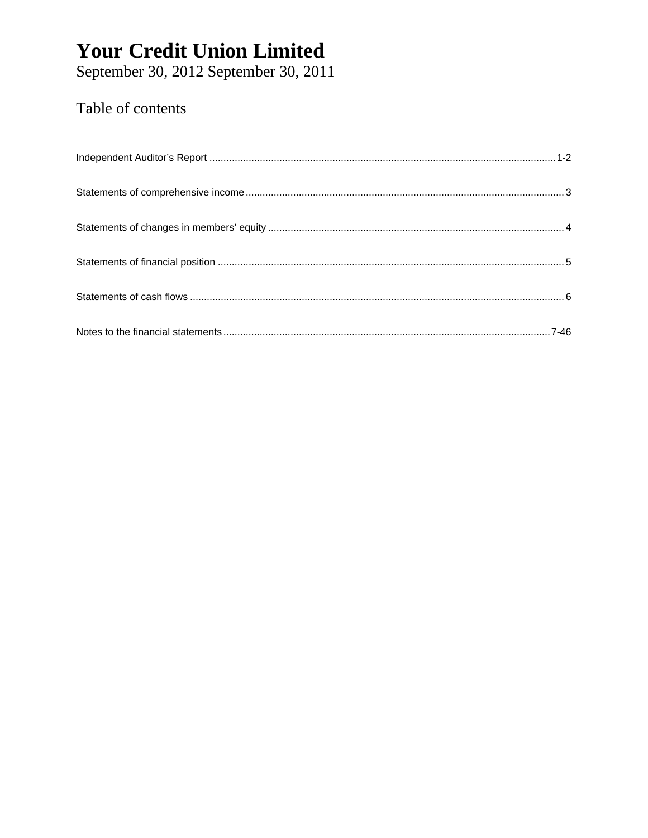September 30, 2012 September 30, 2011

# Table of contents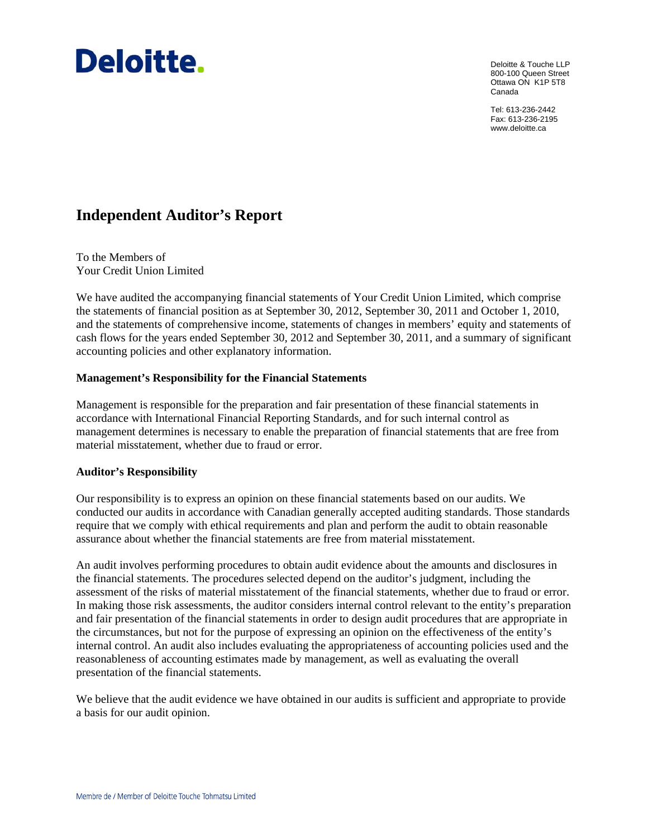

Deloitte & Touche LLP 800-100 Queen Street Ottawa ON K1P 5T8 Canada

Tel: 613-236-2442 Fax: 613-236-2195 www.deloitte.ca

# **Independent Auditor's Report**

To the Members of Your Credit Union Limited

We have audited the accompanying financial statements of Your Credit Union Limited, which comprise the statements of financial position as at September 30, 2012, September 30, 2011 and October 1, 2010, and the statements of comprehensive income, statements of changes in members' equity and statements of cash flows for the years ended September 30, 2012 and September 30, 2011, and a summary of significant accounting policies and other explanatory information.

# **Management's Responsibility for the Financial Statements**

Management is responsible for the preparation and fair presentation of these financial statements in accordance with International Financial Reporting Standards, and for such internal control as management determines is necessary to enable the preparation of financial statements that are free from material misstatement, whether due to fraud or error.

# **Auditor's Responsibility**

Our responsibility is to express an opinion on these financial statements based on our audits. We conducted our audits in accordance with Canadian generally accepted auditing standards. Those standards require that we comply with ethical requirements and plan and perform the audit to obtain reasonable assurance about whether the financial statements are free from material misstatement.

An audit involves performing procedures to obtain audit evidence about the amounts and disclosures in the financial statements. The procedures selected depend on the auditor's judgment, including the assessment of the risks of material misstatement of the financial statements, whether due to fraud or error. In making those risk assessments, the auditor considers internal control relevant to the entity's preparation and fair presentation of the financial statements in order to design audit procedures that are appropriate in the circumstances, but not for the purpose of expressing an opinion on the effectiveness of the entity's internal control. An audit also includes evaluating the appropriateness of accounting policies used and the reasonableness of accounting estimates made by management, as well as evaluating the overall presentation of the financial statements.

We believe that the audit evidence we have obtained in our audits is sufficient and appropriate to provide a basis for our audit opinion.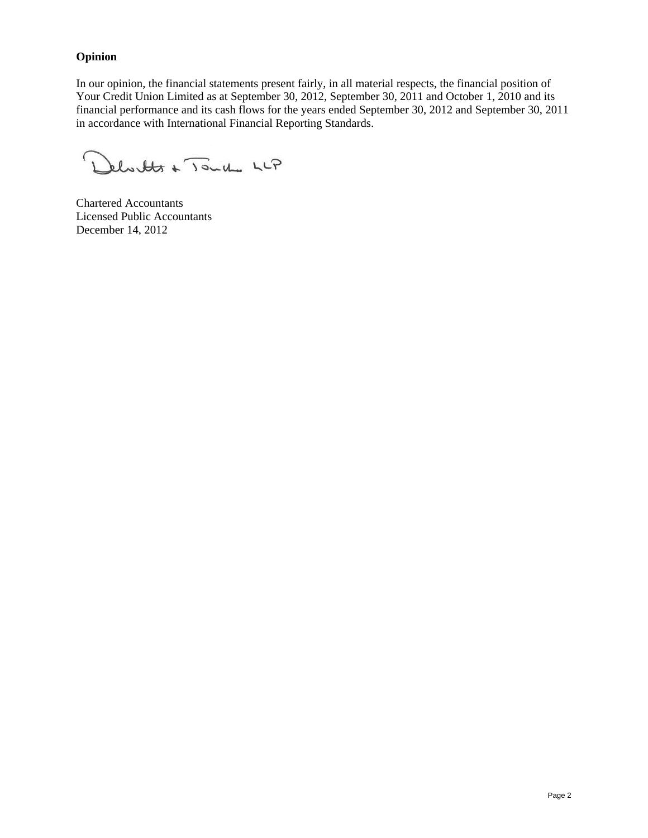# **Opinion**

In our opinion, the financial statements present fairly, in all material respects, the financial position of Your Credit Union Limited as at September 30, 2012, September 30, 2011 and October 1, 2010 and its financial performance and its cash flows for the years ended September 30, 2012 and September 30, 2011 in accordance with International Financial Reporting Standards.

 $\left($ Delistets + Touche LLP

Chartered Accountants Licensed Public Accountants December 14, 2012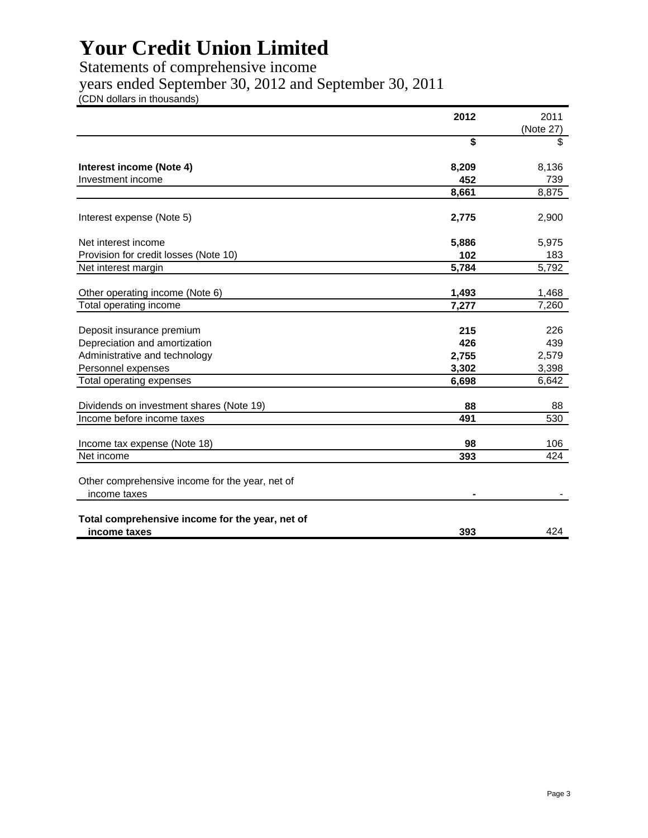Statements of comprehensive income

years ended September 30, 2012 and September 30, 2011

(CDN dollars in thousands)

|                                                 | 2012  | 2011      |
|-------------------------------------------------|-------|-----------|
|                                                 |       | (Note 27) |
|                                                 | \$    | \$        |
|                                                 |       |           |
| Interest income (Note 4)                        | 8,209 | 8,136     |
| Investment income                               | 452   | 739       |
|                                                 | 8,661 | 8,875     |
|                                                 |       |           |
| Interest expense (Note 5)                       | 2,775 | 2,900     |
| Net interest income                             | 5,886 | 5,975     |
| Provision for credit losses (Note 10)           | 102   | 183       |
| Net interest margin                             | 5,784 | 5,792     |
|                                                 |       |           |
| Other operating income (Note 6)                 | 1,493 | 1,468     |
| Total operating income                          | 7,277 | 7,260     |
|                                                 |       |           |
| Deposit insurance premium                       | 215   | 226       |
| Depreciation and amortization                   | 426   | 439       |
| Administrative and technology                   | 2,755 | 2,579     |
| Personnel expenses                              | 3,302 | 3,398     |
| Total operating expenses                        | 6,698 | 6,642     |
| Dividends on investment shares (Note 19)        | 88    | 88        |
| Income before income taxes                      | 491   | 530       |
|                                                 |       |           |
| Income tax expense (Note 18)                    | 98    | 106       |
| Net income                                      | 393   | 424       |
|                                                 |       |           |
| Other comprehensive income for the year, net of |       |           |
| income taxes                                    |       |           |
|                                                 |       |           |
| Total comprehensive income for the year, net of |       |           |
| income taxes                                    | 393   | 424       |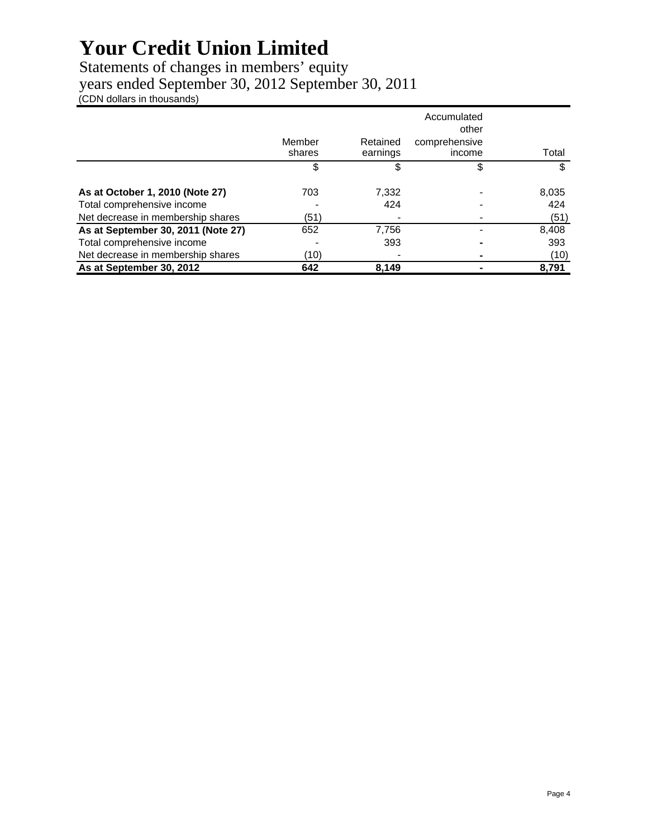# Statements of changes in members' equity

years ended September 30, 2012 September 30, 2011

(CDN dollars in thousands)

|                                    |        |          | Accumulated<br>other |       |
|------------------------------------|--------|----------|----------------------|-------|
|                                    | Member | Retained | comprehensive        |       |
|                                    | shares | earnings | income               | Total |
|                                    | S      | S        |                      | S     |
| As at October 1, 2010 (Note 27)    | 703    | 7,332    |                      | 8,035 |
| Total comprehensive income         |        | 424      |                      | 424   |
| Net decrease in membership shares  | (51)   |          |                      | (51)  |
| As at September 30, 2011 (Note 27) | 652    | 7,756    |                      | 8,408 |
| Total comprehensive income         |        | 393      |                      | 393   |
| Net decrease in membership shares  | (10)   |          |                      | (10)  |
| As at September 30, 2012           | 642    | 8.149    |                      | 8,791 |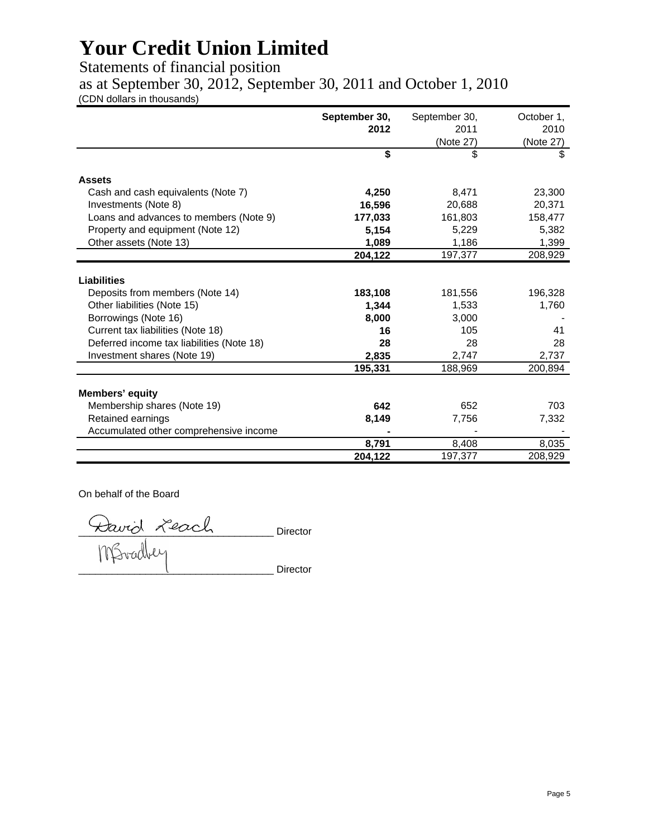Statements of financial position

as at September 30, 2012, September 30, 2011 and October 1, 2010

(CDN dollars in thousands)

|                                           | September 30,<br>2012 | September 30,<br>2011 | October 1,<br>2010 |
|-------------------------------------------|-----------------------|-----------------------|--------------------|
|                                           |                       | (Note 27)             | (Note 27)          |
|                                           | \$                    | \$                    | \$                 |
|                                           |                       |                       |                    |
| <b>Assets</b>                             |                       |                       |                    |
| Cash and cash equivalents (Note 7)        | 4,250                 | 8,471                 | 23,300             |
| Investments (Note 8)                      | 16,596                | 20,688                | 20,371             |
| Loans and advances to members (Note 9)    | 177,033               | 161,803               | 158,477            |
| Property and equipment (Note 12)          | 5,154                 | 5,229                 | 5,382              |
| Other assets (Note 13)                    | 1,089                 | 1,186                 | 1,399              |
|                                           | 204,122               | 197,377               | 208,929            |
|                                           |                       |                       |                    |
| <b>Liabilities</b>                        |                       |                       |                    |
| Deposits from members (Note 14)           | 183,108               | 181,556               | 196,328            |
| Other liabilities (Note 15)               | 1,344                 | 1,533                 | 1,760              |
| Borrowings (Note 16)                      | 8,000                 | 3,000                 |                    |
| Current tax liabilities (Note 18)         | 16                    | 105                   | 41                 |
| Deferred income tax liabilities (Note 18) | 28                    | 28                    | 28                 |
| Investment shares (Note 19)               | 2,835                 | 2,747                 | 2,737              |
|                                           | 195,331               | 188,969               | 200,894            |
|                                           |                       |                       |                    |
| <b>Members' equity</b>                    |                       |                       |                    |
| Membership shares (Note 19)               | 642                   | 652                   | 703                |
| Retained earnings                         | 8,149                 | 7,756                 | 7,332              |
| Accumulated other comprehensive income    |                       |                       |                    |
|                                           | 8,791                 | 8,408                 | 8,035              |
|                                           | 204,122               | 197,377               | 208,929            |

On behalf of the Board

\_\_\_\_\_\_\_\_\_\_\_\_\_\_\_\_\_\_\_\_\_\_\_\_\_\_\_\_\_\_\_\_\_\_\_ Director \_\_\_\_\_\_\_\_\_\_\_\_\_\_\_\_\_\_\_\_\_\_\_\_\_\_\_\_\_\_\_\_\_\_\_ Director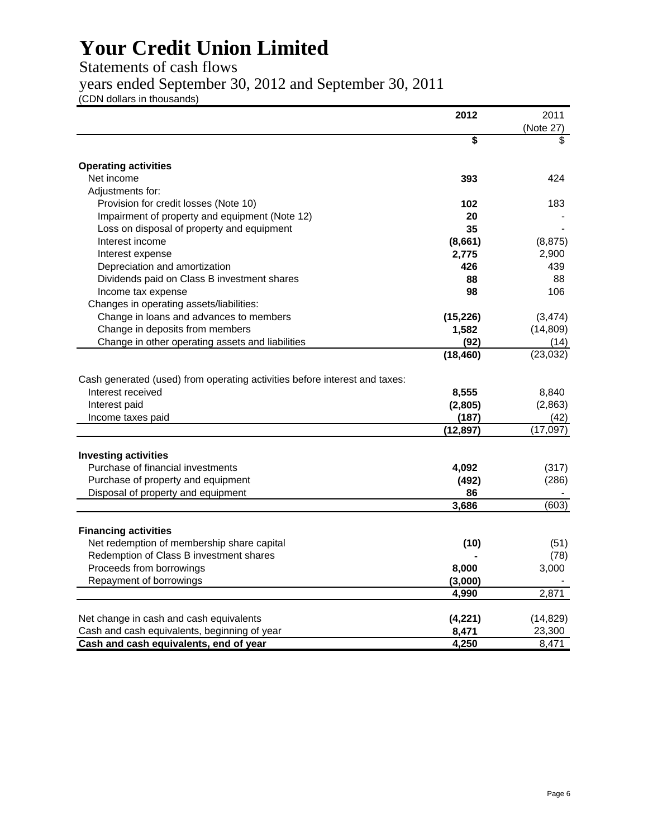# Statements of cash flows

years ended September 30, 2012 and September 30, 2011

(CDN dollars in thousands)

|                                                                            | 2012      | 2011             |
|----------------------------------------------------------------------------|-----------|------------------|
|                                                                            |           | (Note 27)        |
|                                                                            | \$        | \$               |
| <b>Operating activities</b>                                                |           |                  |
| Net income                                                                 | 393       | 424              |
| Adjustments for:                                                           |           |                  |
| Provision for credit losses (Note 10)                                      | 102       | 183              |
| Impairment of property and equipment (Note 12)                             | 20        |                  |
| Loss on disposal of property and equipment                                 | 35        |                  |
| Interest income                                                            | (8,661)   | (8, 875)         |
| Interest expense                                                           | 2,775     | 2,900            |
| Depreciation and amortization                                              | 426       | 439              |
| Dividends paid on Class B investment shares                                | 88        | 88               |
|                                                                            | 98        | 106              |
| Income tax expense                                                         |           |                  |
| Changes in operating assets/liabilities:                                   |           |                  |
| Change in loans and advances to members                                    | (15, 226) | (3, 474)         |
| Change in deposits from members                                            | 1,582     | (14, 809)        |
| Change in other operating assets and liabilities                           | (92)      | (14)             |
|                                                                            | (18, 460) | (23, 032)        |
| Cash generated (used) from operating activities before interest and taxes: |           |                  |
| Interest received                                                          | 8,555     | 8,840            |
| Interest paid                                                              | (2,805)   | (2,863)          |
|                                                                            | (187)     |                  |
| Income taxes paid                                                          | (12, 897) | (42)<br>(17,097) |
|                                                                            |           |                  |
| <b>Investing activities</b>                                                |           |                  |
| Purchase of financial investments                                          | 4,092     | (317)            |
| Purchase of property and equipment                                         | (492)     | (286)            |
| Disposal of property and equipment                                         | 86        |                  |
|                                                                            | 3,686     | (603)            |
|                                                                            |           |                  |
| <b>Financing activities</b>                                                |           |                  |
| Net redemption of membership share capital                                 | (10)      | (51)             |
| Redemption of Class B investment shares                                    |           | (78)             |
| Proceeds from borrowings                                                   | 8,000     | 3,000            |
| Repayment of borrowings                                                    | (3,000)   |                  |
|                                                                            | 4,990     | 2,871            |
|                                                                            |           |                  |
| Net change in cash and cash equivalents                                    | (4,221)   | (14, 829)        |
| Cash and cash equivalents, beginning of year                               | 8,471     | 23,300           |
| Cash and cash equivalents, end of year                                     | 4,250     | 8,471            |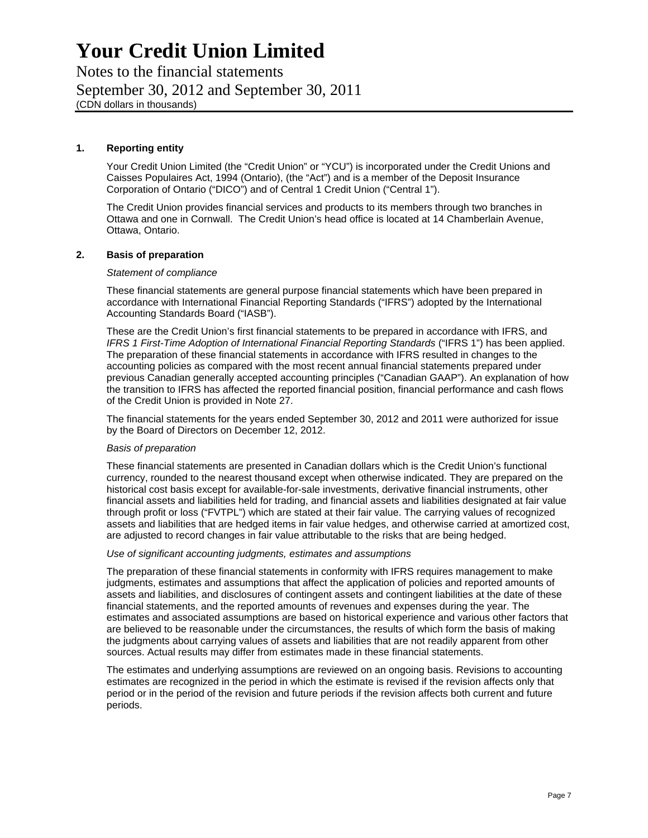Notes to the financial statements September 30, 2012 and September 30, 2011 (CDN dollars in thousands)

#### **1. Reporting entity**

Your Credit Union Limited (the "Credit Union" or "YCU") is incorporated under the Credit Unions and Caisses Populaires Act, 1994 (Ontario), (the "Act") and is a member of the Deposit Insurance Corporation of Ontario ("DICO") and of Central 1 Credit Union ("Central 1").

The Credit Union provides financial services and products to its members through two branches in Ottawa and one in Cornwall. The Credit Union's head office is located at 14 Chamberlain Avenue, Ottawa, Ontario.

#### **2. Basis of preparation**

#### *Statement of compliance*

These financial statements are general purpose financial statements which have been prepared in accordance with International Financial Reporting Standards ("IFRS") adopted by the International Accounting Standards Board ("IASB").

These are the Credit Union's first financial statements to be prepared in accordance with IFRS, and *IFRS 1 First-Time Adoption of International Financial Reporting Standards* ("IFRS 1") has been applied. The preparation of these financial statements in accordance with IFRS resulted in changes to the accounting policies as compared with the most recent annual financial statements prepared under previous Canadian generally accepted accounting principles ("Canadian GAAP"). An explanation of how the transition to IFRS has affected the reported financial position, financial performance and cash flows of the Credit Union is provided in Note 27.

The financial statements for the years ended September 30, 2012 and 2011 were authorized for issue by the Board of Directors on December 12, 2012.

#### *Basis of preparation*

These financial statements are presented in Canadian dollars which is the Credit Union's functional currency, rounded to the nearest thousand except when otherwise indicated. They are prepared on the historical cost basis except for available-for-sale investments, derivative financial instruments, other financial assets and liabilities held for trading, and financial assets and liabilities designated at fair value through profit or loss ("FVTPL") which are stated at their fair value. The carrying values of recognized assets and liabilities that are hedged items in fair value hedges, and otherwise carried at amortized cost, are adjusted to record changes in fair value attributable to the risks that are being hedged.

#### *Use of significant accounting judgments, estimates and assumptions*

The preparation of these financial statements in conformity with IFRS requires management to make judgments, estimates and assumptions that affect the application of policies and reported amounts of assets and liabilities, and disclosures of contingent assets and contingent liabilities at the date of these financial statements, and the reported amounts of revenues and expenses during the year. The estimates and associated assumptions are based on historical experience and various other factors that are believed to be reasonable under the circumstances, the results of which form the basis of making the judgments about carrying values of assets and liabilities that are not readily apparent from other sources. Actual results may differ from estimates made in these financial statements.

The estimates and underlying assumptions are reviewed on an ongoing basis. Revisions to accounting estimates are recognized in the period in which the estimate is revised if the revision affects only that period or in the period of the revision and future periods if the revision affects both current and future periods.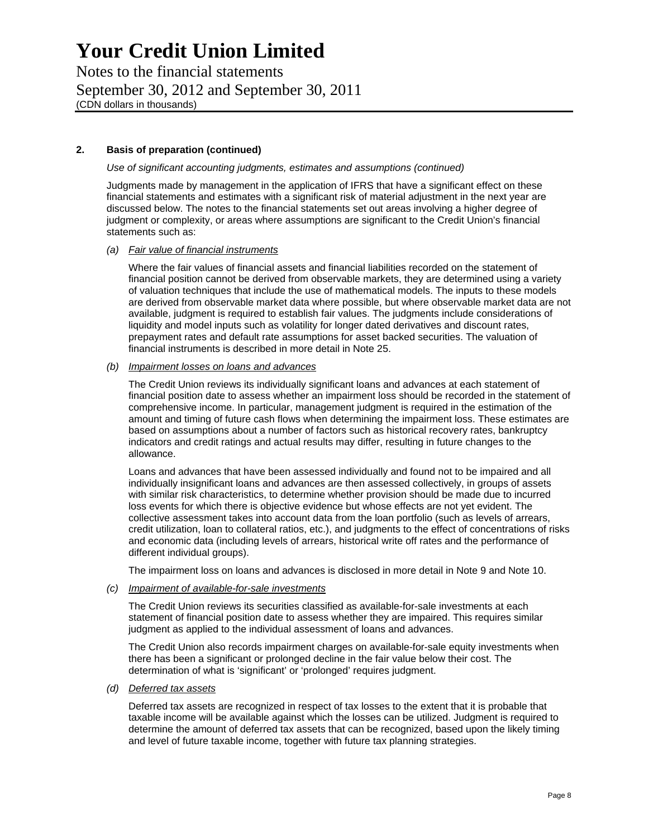Notes to the financial statements September 30, 2012 and September 30, 2011 (CDN dollars in thousands)

## **2. Basis of preparation (continued)**

*Use of significant accounting judgments, estimates and assumptions (continued)* 

Judgments made by management in the application of IFRS that have a significant effect on these financial statements and estimates with a significant risk of material adjustment in the next year are discussed below. The notes to the financial statements set out areas involving a higher degree of judgment or complexity, or areas where assumptions are significant to the Credit Union's financial statements such as:

#### *(a) Fair value of financial instruments*

Where the fair values of financial assets and financial liabilities recorded on the statement of financial position cannot be derived from observable markets, they are determined using a variety of valuation techniques that include the use of mathematical models. The inputs to these models are derived from observable market data where possible, but where observable market data are not available, judgment is required to establish fair values. The judgments include considerations of liquidity and model inputs such as volatility for longer dated derivatives and discount rates, prepayment rates and default rate assumptions for asset backed securities. The valuation of financial instruments is described in more detail in Note 25.

### *(b) Impairment losses on loans and advances*

The Credit Union reviews its individually significant loans and advances at each statement of financial position date to assess whether an impairment loss should be recorded in the statement of comprehensive income. In particular, management judgment is required in the estimation of the amount and timing of future cash flows when determining the impairment loss. These estimates are based on assumptions about a number of factors such as historical recovery rates, bankruptcy indicators and credit ratings and actual results may differ, resulting in future changes to the allowance.

Loans and advances that have been assessed individually and found not to be impaired and all individually insignificant loans and advances are then assessed collectively, in groups of assets with similar risk characteristics, to determine whether provision should be made due to incurred loss events for which there is objective evidence but whose effects are not yet evident. The collective assessment takes into account data from the loan portfolio (such as levels of arrears, credit utilization, loan to collateral ratios, etc.), and judgments to the effect of concentrations of risks and economic data (including levels of arrears, historical write off rates and the performance of different individual groups).

The impairment loss on loans and advances is disclosed in more detail in Note 9 and Note 10.

*(c) Impairment of available-for-sale investments* 

The Credit Union reviews its securities classified as available-for-sale investments at each statement of financial position date to assess whether they are impaired. This requires similar judgment as applied to the individual assessment of loans and advances.

The Credit Union also records impairment charges on available-for-sale equity investments when there has been a significant or prolonged decline in the fair value below their cost. The determination of what is 'significant' or 'prolonged' requires judgment.

#### *(d) Deferred tax assets*

Deferred tax assets are recognized in respect of tax losses to the extent that it is probable that taxable income will be available against which the losses can be utilized. Judgment is required to determine the amount of deferred tax assets that can be recognized, based upon the likely timing and level of future taxable income, together with future tax planning strategies.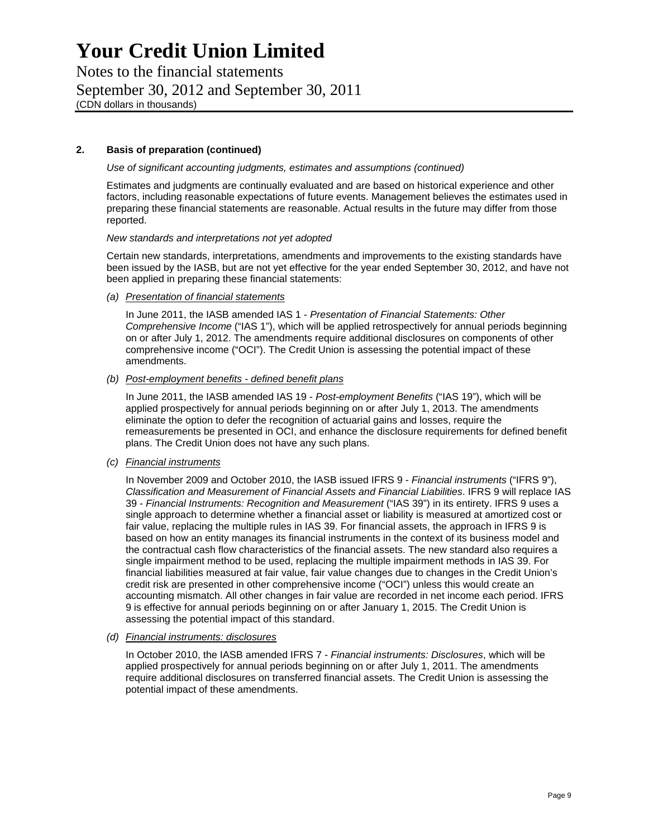Notes to the financial statements September 30, 2012 and September 30, 2011 (CDN dollars in thousands)

## **2. Basis of preparation (continued)**

*Use of significant accounting judgments, estimates and assumptions (continued)* 

Estimates and judgments are continually evaluated and are based on historical experience and other factors, including reasonable expectations of future events. Management believes the estimates used in preparing these financial statements are reasonable. Actual results in the future may differ from those reported.

#### *New standards and interpretations not yet adopted*

Certain new standards, interpretations, amendments and improvements to the existing standards have been issued by the IASB, but are not yet effective for the year ended September 30, 2012, and have not been applied in preparing these financial statements:

*(a) Presentation of financial statements* 

In June 2011, the IASB amended IAS 1 - *Presentation of Financial Statements: Other Comprehensive Income* ("IAS 1"), which will be applied retrospectively for annual periods beginning on or after July 1, 2012. The amendments require additional disclosures on components of other comprehensive income ("OCI"). The Credit Union is assessing the potential impact of these amendments.

*(b) Post-employment benefits - defined benefit plans* 

In June 2011, the IASB amended IAS 19 - *Post-employment Benefits* ("IAS 19"), which will be applied prospectively for annual periods beginning on or after July 1, 2013. The amendments eliminate the option to defer the recognition of actuarial gains and losses, require the remeasurements be presented in OCI, and enhance the disclosure requirements for defined benefit plans. The Credit Union does not have any such plans.

*(c) Financial instruments* 

In November 2009 and October 2010, the IASB issued IFRS 9 - *Financial instruments* ("IFRS 9"), *Classification and Measurement of Financial Assets and Financial Liabilities*. IFRS 9 will replace IAS 39 - *Financial Instruments: Recognition and Measurement* ("IAS 39") in its entirety. IFRS 9 uses a single approach to determine whether a financial asset or liability is measured at amortized cost or fair value, replacing the multiple rules in IAS 39. For financial assets, the approach in IFRS 9 is based on how an entity manages its financial instruments in the context of its business model and the contractual cash flow characteristics of the financial assets. The new standard also requires a single impairment method to be used, replacing the multiple impairment methods in IAS 39. For financial liabilities measured at fair value, fair value changes due to changes in the Credit Union's credit risk are presented in other comprehensive income ("OCI") unless this would create an accounting mismatch. All other changes in fair value are recorded in net income each period. IFRS 9 is effective for annual periods beginning on or after January 1, 2015. The Credit Union is assessing the potential impact of this standard.

*(d) Financial instruments: disclosures* 

In October 2010, the IASB amended IFRS 7 - *Financial instruments: Disclosures*, which will be applied prospectively for annual periods beginning on or after July 1, 2011. The amendments require additional disclosures on transferred financial assets. The Credit Union is assessing the potential impact of these amendments.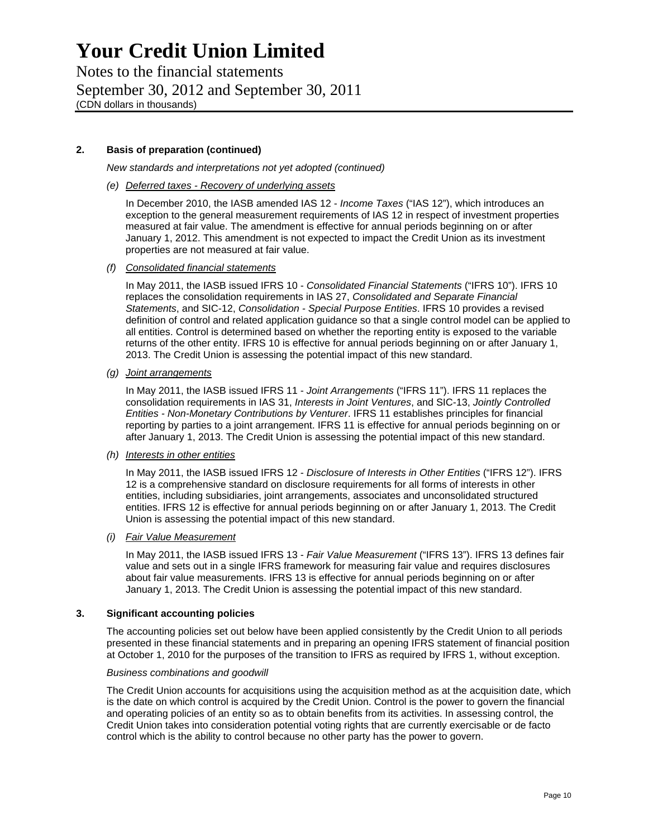Notes to the financial statements September 30, 2012 and September 30, 2011 (CDN dollars in thousands)

## **2. Basis of preparation (continued)**

*New standards and interpretations not yet adopted (continued)* 

*(e) Deferred taxes - Recovery of underlying assets* 

In December 2010, the IASB amended IAS 12 - *Income Taxes* ("IAS 12"), which introduces an exception to the general measurement requirements of IAS 12 in respect of investment properties measured at fair value. The amendment is effective for annual periods beginning on or after January 1, 2012. This amendment is not expected to impact the Credit Union as its investment properties are not measured at fair value.

*(f) Consolidated financial statements* 

In May 2011, the IASB issued IFRS 10 - *Consolidated Financial Statements* ("IFRS 10"). IFRS 10 replaces the consolidation requirements in IAS 27, *Consolidated and Separate Financial Statements*, and SIC-12, *Consolidation - Special Purpose Entities*. IFRS 10 provides a revised definition of control and related application guidance so that a single control model can be applied to all entities. Control is determined based on whether the reporting entity is exposed to the variable returns of the other entity. IFRS 10 is effective for annual periods beginning on or after January 1, 2013. The Credit Union is assessing the potential impact of this new standard.

*(g) Joint arrangements* 

In May 2011, the IASB issued IFRS 11 - *Joint Arrangements* ("IFRS 11"). IFRS 11 replaces the consolidation requirements in IAS 31, *Interests in Joint Ventures*, and SIC-13, *Jointly Controlled Entities - Non-Monetary Contributions by Venturer*. IFRS 11 establishes principles for financial reporting by parties to a joint arrangement. IFRS 11 is effective for annual periods beginning on or after January 1, 2013. The Credit Union is assessing the potential impact of this new standard.

### *(h) Interests in other entities*

In May 2011, the IASB issued IFRS 12 - *Disclosure of Interests in Other Entities* ("IFRS 12"). IFRS 12 is a comprehensive standard on disclosure requirements for all forms of interests in other entities, including subsidiaries, joint arrangements, associates and unconsolidated structured entities. IFRS 12 is effective for annual periods beginning on or after January 1, 2013. The Credit Union is assessing the potential impact of this new standard.

#### *(i) Fair Value Measurement*

In May 2011, the IASB issued IFRS 13 - *Fair Value Measurement* ("IFRS 13"). IFRS 13 defines fair value and sets out in a single IFRS framework for measuring fair value and requires disclosures about fair value measurements. IFRS 13 is effective for annual periods beginning on or after January 1, 2013. The Credit Union is assessing the potential impact of this new standard.

#### **3. Significant accounting policies**

The accounting policies set out below have been applied consistently by the Credit Union to all periods presented in these financial statements and in preparing an opening IFRS statement of financial position at October 1, 2010 for the purposes of the transition to IFRS as required by IFRS 1, without exception.

#### *Business combinations and goodwill*

The Credit Union accounts for acquisitions using the acquisition method as at the acquisition date, which is the date on which control is acquired by the Credit Union. Control is the power to govern the financial and operating policies of an entity so as to obtain benefits from its activities. In assessing control, the Credit Union takes into consideration potential voting rights that are currently exercisable or de facto control which is the ability to control because no other party has the power to govern.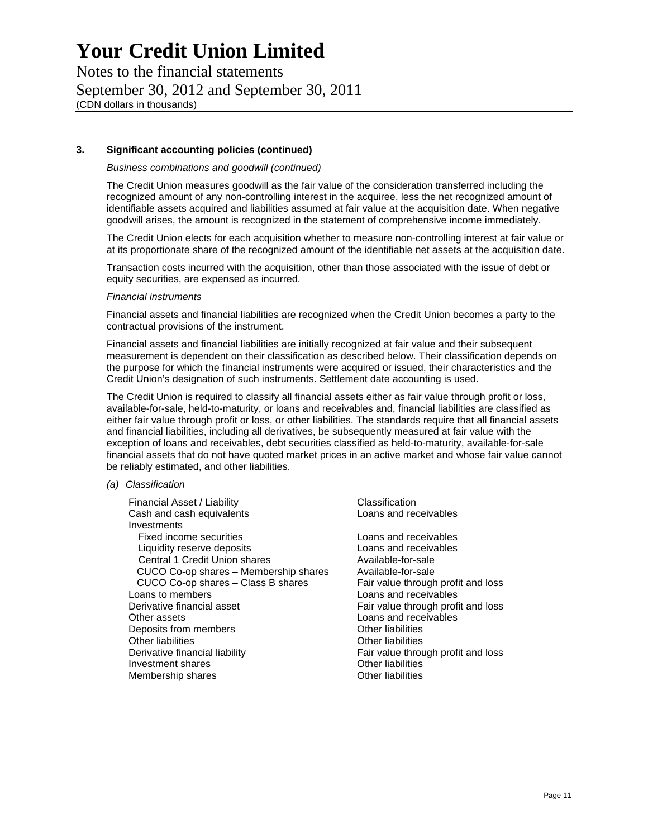Notes to the financial statements September 30, 2012 and September 30, 2011 (CDN dollars in thousands)

### **3. Significant accounting policies (continued)**

#### *Business combinations and goodwill (continued)*

The Credit Union measures goodwill as the fair value of the consideration transferred including the recognized amount of any non-controlling interest in the acquiree, less the net recognized amount of identifiable assets acquired and liabilities assumed at fair value at the acquisition date. When negative goodwill arises, the amount is recognized in the statement of comprehensive income immediately.

The Credit Union elects for each acquisition whether to measure non-controlling interest at fair value or at its proportionate share of the recognized amount of the identifiable net assets at the acquisition date.

Transaction costs incurred with the acquisition, other than those associated with the issue of debt or equity securities, are expensed as incurred.

#### *Financial instruments*

Financial assets and financial liabilities are recognized when the Credit Union becomes a party to the contractual provisions of the instrument.

Financial assets and financial liabilities are initially recognized at fair value and their subsequent measurement is dependent on their classification as described below. Their classification depends on the purpose for which the financial instruments were acquired or issued, their characteristics and the Credit Union's designation of such instruments. Settlement date accounting is used.

The Credit Union is required to classify all financial assets either as fair value through profit or loss, available-for-sale, held-to-maturity, or loans and receivables and, financial liabilities are classified as either fair value through profit or loss, or other liabilities. The standards require that all financial assets and financial liabilities, including all derivatives, be subsequently measured at fair value with the exception of loans and receivables, debt securities classified as held-to-maturity, available-for-sale financial assets that do not have quoted market prices in an active market and whose fair value cannot be reliably estimated, and other liabilities.

### *(a) Classification*

Financial Asset / Liability Classification Cash and cash equivalents Loans and receivables Investments Fixed income securities<br>
Loans and receivables<br>
Loans and receivables Liquidity reserve deposits Central 1 Credit Union shares Available-for-sale CUCO Co-op shares – Membership shares Available-for-sale CUCO Co-op shares – Class B shares Fair value through profit and loss Loans to members Loans and receivables Derivative financial asset **Fair value through profit and loss** Other assets<br>
Deposits from members<br>
Deposits from members<br>
Cther liabilities Deposits from members Other liabilities **Other liabilities** Other liabilities Derivative financial liability example of the Fair value through profit and loss Investment shares **Investment** shares **Other liabilities** Membership shares **Membership shares** Membership shares **Other liabilities**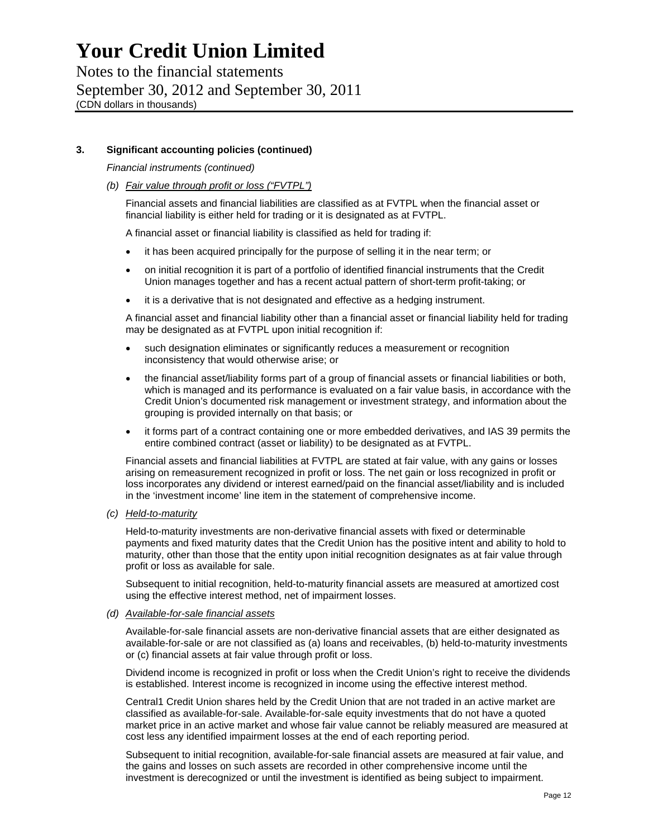Notes to the financial statements September 30, 2012 and September 30, 2011 (CDN dollars in thousands)

## **3. Significant accounting policies (continued)**

*Financial instruments (continued)* 

*(b) Fair value through profit or loss ("FVTPL")* 

Financial assets and financial liabilities are classified as at FVTPL when the financial asset or financial liability is either held for trading or it is designated as at FVTPL.

A financial asset or financial liability is classified as held for trading if:

- it has been acquired principally for the purpose of selling it in the near term; or
- on initial recognition it is part of a portfolio of identified financial instruments that the Credit Union manages together and has a recent actual pattern of short-term profit-taking; or
- it is a derivative that is not designated and effective as a hedging instrument.

A financial asset and financial liability other than a financial asset or financial liability held for trading may be designated as at FVTPL upon initial recognition if:

- such designation eliminates or significantly reduces a measurement or recognition inconsistency that would otherwise arise; or
- the financial asset/liability forms part of a group of financial assets or financial liabilities or both, which is managed and its performance is evaluated on a fair value basis, in accordance with the Credit Union's documented risk management or investment strategy, and information about the grouping is provided internally on that basis; or
- it forms part of a contract containing one or more embedded derivatives, and IAS 39 permits the entire combined contract (asset or liability) to be designated as at FVTPL.

Financial assets and financial liabilities at FVTPL are stated at fair value, with any gains or losses arising on remeasurement recognized in profit or loss. The net gain or loss recognized in profit or loss incorporates any dividend or interest earned/paid on the financial asset/liability and is included in the 'investment income' line item in the statement of comprehensive income.

*(c) Held-to-maturity* 

Held-to-maturity investments are non-derivative financial assets with fixed or determinable payments and fixed maturity dates that the Credit Union has the positive intent and ability to hold to maturity, other than those that the entity upon initial recognition designates as at fair value through profit or loss as available for sale.

Subsequent to initial recognition, held-to-maturity financial assets are measured at amortized cost using the effective interest method, net of impairment losses.

#### *(d) Available-for-sale financial assets*

Available-for-sale financial assets are non-derivative financial assets that are either designated as available-for-sale or are not classified as (a) loans and receivables, (b) held-to-maturity investments or (c) financial assets at fair value through profit or loss.

Dividend income is recognized in profit or loss when the Credit Union's right to receive the dividends is established. Interest income is recognized in income using the effective interest method.

Central1 Credit Union shares held by the Credit Union that are not traded in an active market are classified as available-for-sale. Available-for-sale equity investments that do not have a quoted market price in an active market and whose fair value cannot be reliably measured are measured at cost less any identified impairment losses at the end of each reporting period.

Subsequent to initial recognition, available-for-sale financial assets are measured at fair value, and the gains and losses on such assets are recorded in other comprehensive income until the investment is derecognized or until the investment is identified as being subject to impairment.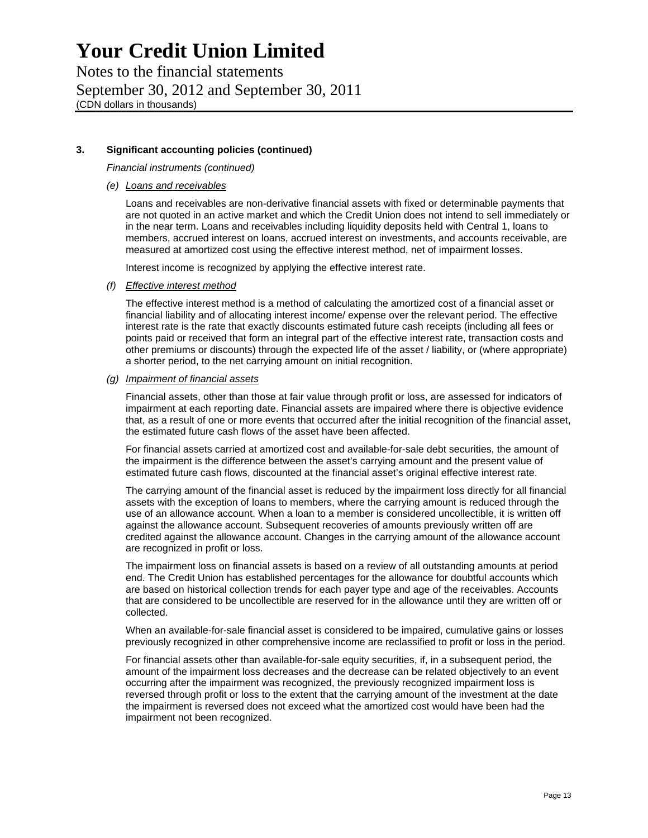Notes to the financial statements September 30, 2012 and September 30, 2011 (CDN dollars in thousands)

## **3. Significant accounting policies (continued)**

*Financial instruments (continued)* 

*(e) Loans and receivables* 

Loans and receivables are non-derivative financial assets with fixed or determinable payments that are not quoted in an active market and which the Credit Union does not intend to sell immediately or in the near term. Loans and receivables including liquidity deposits held with Central 1, loans to members, accrued interest on loans, accrued interest on investments, and accounts receivable, are measured at amortized cost using the effective interest method, net of impairment losses.

Interest income is recognized by applying the effective interest rate.

#### *(f) Effective interest method*

The effective interest method is a method of calculating the amortized cost of a financial asset or financial liability and of allocating interest income/ expense over the relevant period. The effective interest rate is the rate that exactly discounts estimated future cash receipts (including all fees or points paid or received that form an integral part of the effective interest rate, transaction costs and other premiums or discounts) through the expected life of the asset / liability, or (where appropriate) a shorter period, to the net carrying amount on initial recognition.

#### *(g) Impairment of financial assets*

Financial assets, other than those at fair value through profit or loss, are assessed for indicators of impairment at each reporting date. Financial assets are impaired where there is objective evidence that, as a result of one or more events that occurred after the initial recognition of the financial asset, the estimated future cash flows of the asset have been affected.

For financial assets carried at amortized cost and available-for-sale debt securities, the amount of the impairment is the difference between the asset's carrying amount and the present value of estimated future cash flows, discounted at the financial asset's original effective interest rate.

The carrying amount of the financial asset is reduced by the impairment loss directly for all financial assets with the exception of loans to members, where the carrying amount is reduced through the use of an allowance account. When a loan to a member is considered uncollectible, it is written off against the allowance account. Subsequent recoveries of amounts previously written off are credited against the allowance account. Changes in the carrying amount of the allowance account are recognized in profit or loss.

The impairment loss on financial assets is based on a review of all outstanding amounts at period end. The Credit Union has established percentages for the allowance for doubtful accounts which are based on historical collection trends for each payer type and age of the receivables. Accounts that are considered to be uncollectible are reserved for in the allowance until they are written off or collected.

When an available-for-sale financial asset is considered to be impaired, cumulative gains or losses previously recognized in other comprehensive income are reclassified to profit or loss in the period.

For financial assets other than available-for-sale equity securities, if, in a subsequent period, the amount of the impairment loss decreases and the decrease can be related objectively to an event occurring after the impairment was recognized, the previously recognized impairment loss is reversed through profit or loss to the extent that the carrying amount of the investment at the date the impairment is reversed does not exceed what the amortized cost would have been had the impairment not been recognized.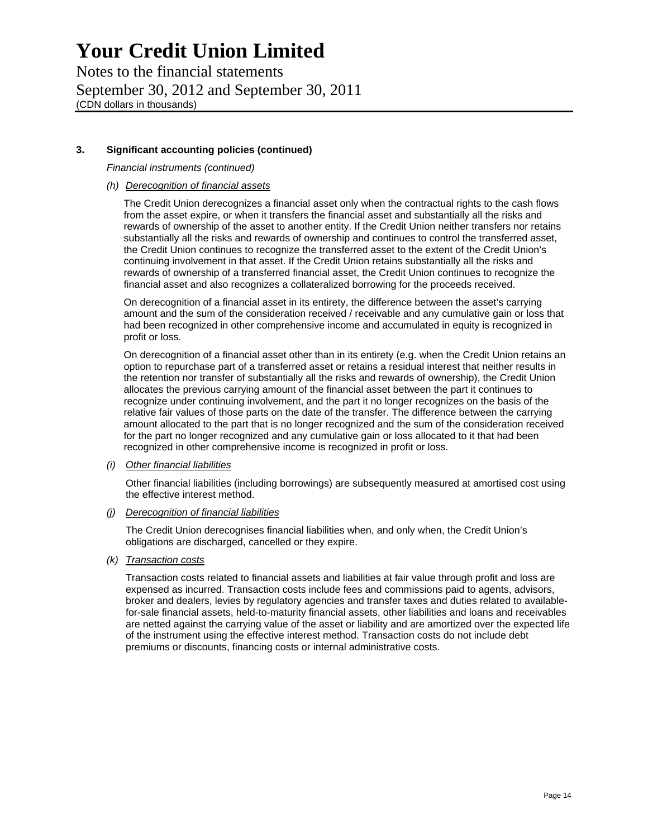Notes to the financial statements September 30, 2012 and September 30, 2011 (CDN dollars in thousands)

# **3. Significant accounting policies (continued)**

*Financial instruments (continued)* 

*(h) Derecognition of financial assets* 

The Credit Union derecognizes a financial asset only when the contractual rights to the cash flows from the asset expire, or when it transfers the financial asset and substantially all the risks and rewards of ownership of the asset to another entity. If the Credit Union neither transfers nor retains substantially all the risks and rewards of ownership and continues to control the transferred asset, the Credit Union continues to recognize the transferred asset to the extent of the Credit Union's continuing involvement in that asset. If the Credit Union retains substantially all the risks and rewards of ownership of a transferred financial asset, the Credit Union continues to recognize the financial asset and also recognizes a collateralized borrowing for the proceeds received.

On derecognition of a financial asset in its entirety, the difference between the asset's carrying amount and the sum of the consideration received / receivable and any cumulative gain or loss that had been recognized in other comprehensive income and accumulated in equity is recognized in profit or loss.

On derecognition of a financial asset other than in its entirety (e.g. when the Credit Union retains an option to repurchase part of a transferred asset or retains a residual interest that neither results in the retention nor transfer of substantially all the risks and rewards of ownership), the Credit Union allocates the previous carrying amount of the financial asset between the part it continues to recognize under continuing involvement, and the part it no longer recognizes on the basis of the relative fair values of those parts on the date of the transfer. The difference between the carrying amount allocated to the part that is no longer recognized and the sum of the consideration received for the part no longer recognized and any cumulative gain or loss allocated to it that had been recognized in other comprehensive income is recognized in profit or loss.

### *(i) Other financial liabilities*

Other financial liabilities (including borrowings) are subsequently measured at amortised cost using the effective interest method.

### *(j) Derecognition of financial liabilities*

The Credit Union derecognises financial liabilities when, and only when, the Credit Union's obligations are discharged, cancelled or they expire.

*(k) Transaction costs* 

Transaction costs related to financial assets and liabilities at fair value through profit and loss are expensed as incurred. Transaction costs include fees and commissions paid to agents, advisors, broker and dealers, levies by regulatory agencies and transfer taxes and duties related to availablefor-sale financial assets, held-to-maturity financial assets, other liabilities and loans and receivables are netted against the carrying value of the asset or liability and are amortized over the expected life of the instrument using the effective interest method. Transaction costs do not include debt premiums or discounts, financing costs or internal administrative costs.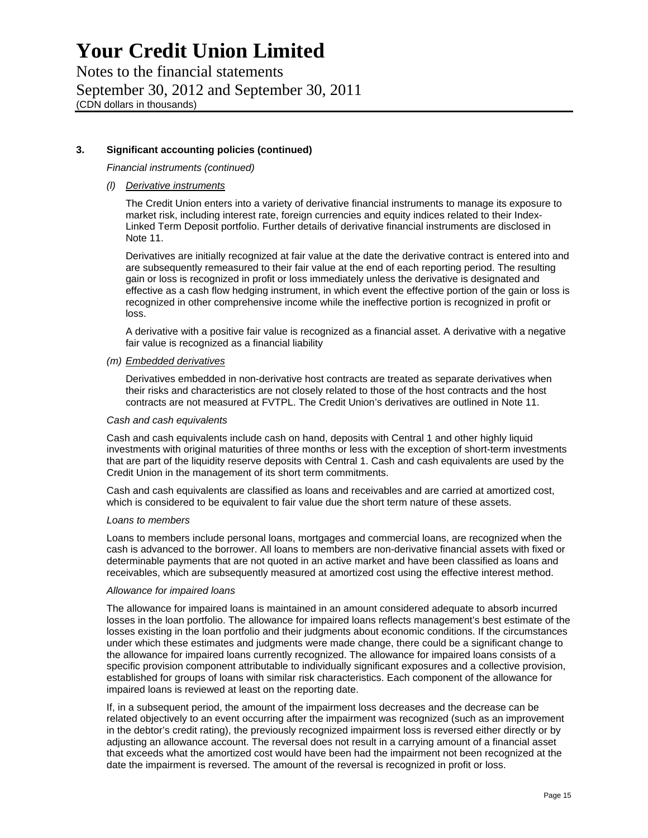Notes to the financial statements September 30, 2012 and September 30, 2011 (CDN dollars in thousands)

## **3. Significant accounting policies (continued)**

*Financial instruments (continued)* 

### *(l) Derivative instruments*

The Credit Union enters into a variety of derivative financial instruments to manage its exposure to market risk, including interest rate, foreign currencies and equity indices related to their Index-Linked Term Deposit portfolio. Further details of derivative financial instruments are disclosed in Note 11.

Derivatives are initially recognized at fair value at the date the derivative contract is entered into and are subsequently remeasured to their fair value at the end of each reporting period. The resulting gain or loss is recognized in profit or loss immediately unless the derivative is designated and effective as a cash flow hedging instrument, in which event the effective portion of the gain or loss is recognized in other comprehensive income while the ineffective portion is recognized in profit or loss.

A derivative with a positive fair value is recognized as a financial asset. A derivative with a negative fair value is recognized as a financial liability

#### *(m) Embedded derivatives*

Derivatives embedded in non-derivative host contracts are treated as separate derivatives when their risks and characteristics are not closely related to those of the host contracts and the host contracts are not measured at FVTPL. The Credit Union's derivatives are outlined in Note 11.

#### *Cash and cash equivalents*

Cash and cash equivalents include cash on hand, deposits with Central 1 and other highly liquid investments with original maturities of three months or less with the exception of short-term investments that are part of the liquidity reserve deposits with Central 1. Cash and cash equivalents are used by the Credit Union in the management of its short term commitments.

Cash and cash equivalents are classified as loans and receivables and are carried at amortized cost, which is considered to be equivalent to fair value due the short term nature of these assets.

#### *Loans to members*

Loans to members include personal loans, mortgages and commercial loans, are recognized when the cash is advanced to the borrower. All loans to members are non-derivative financial assets with fixed or determinable payments that are not quoted in an active market and have been classified as loans and receivables, which are subsequently measured at amortized cost using the effective interest method.

#### *Allowance for impaired loans*

The allowance for impaired loans is maintained in an amount considered adequate to absorb incurred losses in the loan portfolio. The allowance for impaired loans reflects management's best estimate of the losses existing in the loan portfolio and their judgments about economic conditions. If the circumstances under which these estimates and judgments were made change, there could be a significant change to the allowance for impaired loans currently recognized. The allowance for impaired loans consists of a specific provision component attributable to individually significant exposures and a collective provision, established for groups of loans with similar risk characteristics. Each component of the allowance for impaired loans is reviewed at least on the reporting date.

If, in a subsequent period, the amount of the impairment loss decreases and the decrease can be related objectively to an event occurring after the impairment was recognized (such as an improvement in the debtor's credit rating), the previously recognized impairment loss is reversed either directly or by adjusting an allowance account. The reversal does not result in a carrying amount of a financial asset that exceeds what the amortized cost would have been had the impairment not been recognized at the date the impairment is reversed. The amount of the reversal is recognized in profit or loss.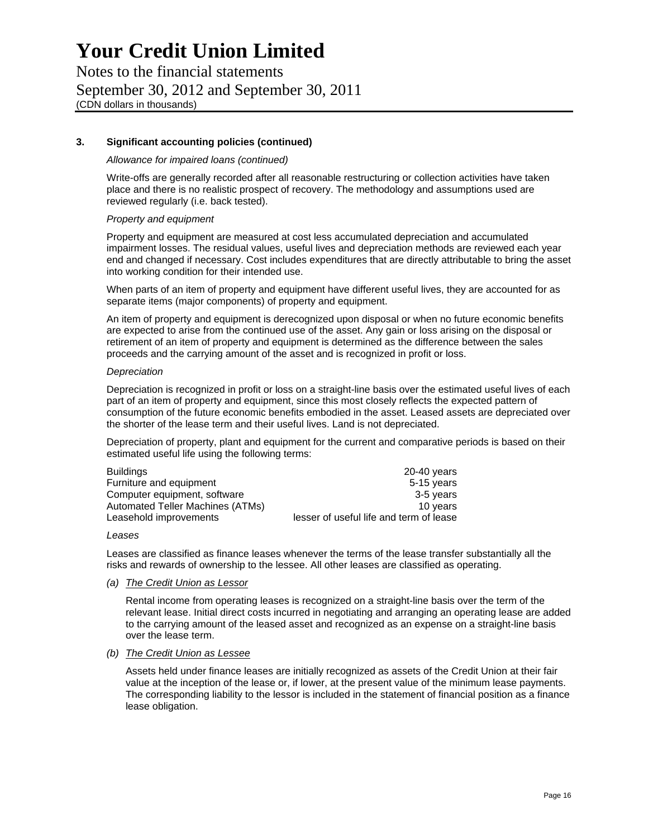Notes to the financial statements September 30, 2012 and September 30, 2011 (CDN dollars in thousands)

### **3. Significant accounting policies (continued)**

#### *Allowance for impaired loans (continued)*

Write-offs are generally recorded after all reasonable restructuring or collection activities have taken place and there is no realistic prospect of recovery. The methodology and assumptions used are reviewed regularly (i.e. back tested).

#### *Property and equipment*

Property and equipment are measured at cost less accumulated depreciation and accumulated impairment losses. The residual values, useful lives and depreciation methods are reviewed each year end and changed if necessary. Cost includes expenditures that are directly attributable to bring the asset into working condition for their intended use.

When parts of an item of property and equipment have different useful lives, they are accounted for as separate items (major components) of property and equipment.

An item of property and equipment is derecognized upon disposal or when no future economic benefits are expected to arise from the continued use of the asset. Any gain or loss arising on the disposal or retirement of an item of property and equipment is determined as the difference between the sales proceeds and the carrying amount of the asset and is recognized in profit or loss.

#### *Depreciation*

Depreciation is recognized in profit or loss on a straight-line basis over the estimated useful lives of each part of an item of property and equipment, since this most closely reflects the expected pattern of consumption of the future economic benefits embodied in the asset. Leased assets are depreciated over the shorter of the lease term and their useful lives. Land is not depreciated.

Depreciation of property, plant and equipment for the current and comparative periods is based on their estimated useful life using the following terms:

| <b>Buildings</b>                 | 20-40 years                             |
|----------------------------------|-----------------------------------------|
| Furniture and equipment          | 5-15 years                              |
| Computer equipment, software     | 3-5 years                               |
| Automated Teller Machines (ATMs) | 10 years                                |
| Leasehold improvements           | lesser of useful life and term of lease |

*Leases* 

Leases are classified as finance leases whenever the terms of the lease transfer substantially all the risks and rewards of ownership to the lessee. All other leases are classified as operating.

### *(a) The Credit Union as Lessor*

Rental income from operating leases is recognized on a straight-line basis over the term of the relevant lease. Initial direct costs incurred in negotiating and arranging an operating lease are added to the carrying amount of the leased asset and recognized as an expense on a straight-line basis over the lease term.

### *(b) The Credit Union as Lessee*

Assets held under finance leases are initially recognized as assets of the Credit Union at their fair value at the inception of the lease or, if lower, at the present value of the minimum lease payments. The corresponding liability to the lessor is included in the statement of financial position as a finance lease obligation.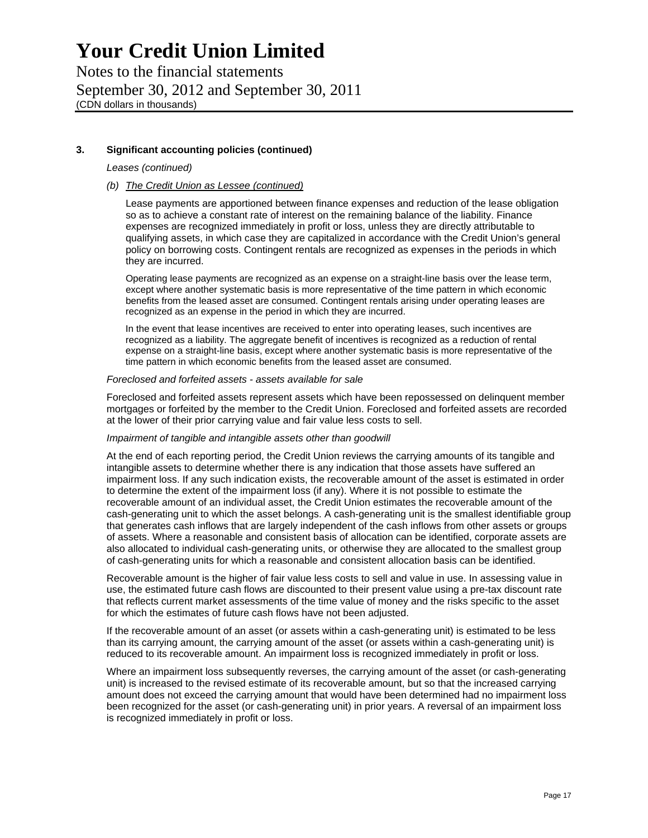Notes to the financial statements September 30, 2012 and September 30, 2011 (CDN dollars in thousands)

### **3. Significant accounting policies (continued)**

#### *Leases (continued)*

### *(b) The Credit Union as Lessee (continued)*

Lease payments are apportioned between finance expenses and reduction of the lease obligation so as to achieve a constant rate of interest on the remaining balance of the liability. Finance expenses are recognized immediately in profit or loss, unless they are directly attributable to qualifying assets, in which case they are capitalized in accordance with the Credit Union's general policy on borrowing costs. Contingent rentals are recognized as expenses in the periods in which they are incurred.

Operating lease payments are recognized as an expense on a straight-line basis over the lease term, except where another systematic basis is more representative of the time pattern in which economic benefits from the leased asset are consumed. Contingent rentals arising under operating leases are recognized as an expense in the period in which they are incurred.

In the event that lease incentives are received to enter into operating leases, such incentives are recognized as a liability. The aggregate benefit of incentives is recognized as a reduction of rental expense on a straight-line basis, except where another systematic basis is more representative of the time pattern in which economic benefits from the leased asset are consumed.

#### *Foreclosed and forfeited assets - assets available for sale*

Foreclosed and forfeited assets represent assets which have been repossessed on delinquent member mortgages or forfeited by the member to the Credit Union. Foreclosed and forfeited assets are recorded at the lower of their prior carrying value and fair value less costs to sell.

#### *Impairment of tangible and intangible assets other than goodwill*

At the end of each reporting period, the Credit Union reviews the carrying amounts of its tangible and intangible assets to determine whether there is any indication that those assets have suffered an impairment loss. If any such indication exists, the recoverable amount of the asset is estimated in order to determine the extent of the impairment loss (if any). Where it is not possible to estimate the recoverable amount of an individual asset, the Credit Union estimates the recoverable amount of the cash-generating unit to which the asset belongs. A cash-generating unit is the smallest identifiable group that generates cash inflows that are largely independent of the cash inflows from other assets or groups of assets. Where a reasonable and consistent basis of allocation can be identified, corporate assets are also allocated to individual cash-generating units, or otherwise they are allocated to the smallest group of cash-generating units for which a reasonable and consistent allocation basis can be identified.

Recoverable amount is the higher of fair value less costs to sell and value in use. In assessing value in use, the estimated future cash flows are discounted to their present value using a pre-tax discount rate that reflects current market assessments of the time value of money and the risks specific to the asset for which the estimates of future cash flows have not been adjusted.

If the recoverable amount of an asset (or assets within a cash-generating unit) is estimated to be less than its carrying amount, the carrying amount of the asset (or assets within a cash-generating unit) is reduced to its recoverable amount. An impairment loss is recognized immediately in profit or loss.

Where an impairment loss subsequently reverses, the carrying amount of the asset (or cash-generating unit) is increased to the revised estimate of its recoverable amount, but so that the increased carrying amount does not exceed the carrying amount that would have been determined had no impairment loss been recognized for the asset (or cash-generating unit) in prior years. A reversal of an impairment loss is recognized immediately in profit or loss.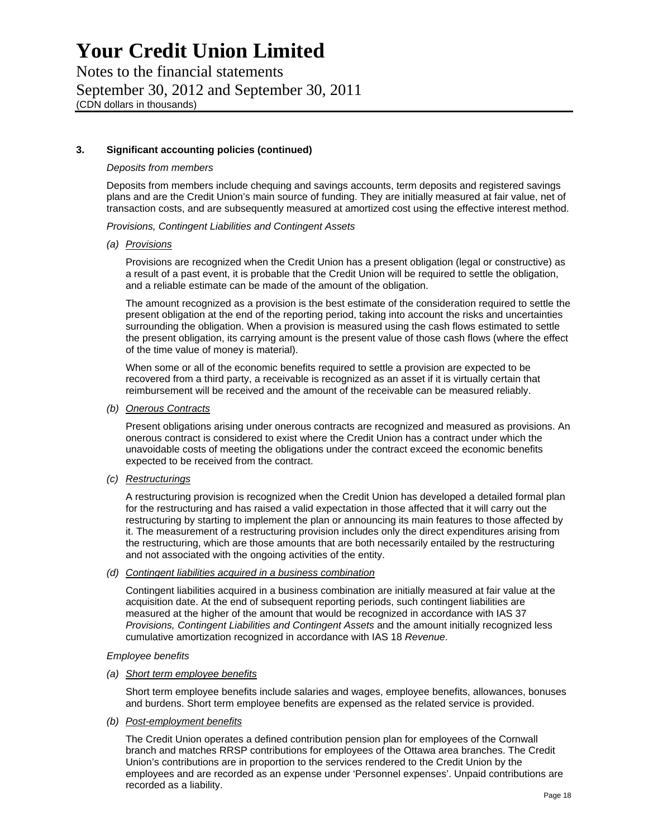Notes to the financial statements September 30, 2012 and September 30, 2011 (CDN dollars in thousands)

### **3. Significant accounting policies (continued)**

#### *Deposits from members*

Deposits from members include chequing and savings accounts, term deposits and registered savings plans and are the Credit Union's main source of funding. They are initially measured at fair value, net of transaction costs, and are subsequently measured at amortized cost using the effective interest method.

*Provisions, Contingent Liabilities and Contingent Assets* 

*(a) Provisions* 

Provisions are recognized when the Credit Union has a present obligation (legal or constructive) as a result of a past event, it is probable that the Credit Union will be required to settle the obligation, and a reliable estimate can be made of the amount of the obligation.

The amount recognized as a provision is the best estimate of the consideration required to settle the present obligation at the end of the reporting period, taking into account the risks and uncertainties surrounding the obligation. When a provision is measured using the cash flows estimated to settle the present obligation, its carrying amount is the present value of those cash flows (where the effect of the time value of money is material).

When some or all of the economic benefits required to settle a provision are expected to be recovered from a third party, a receivable is recognized as an asset if it is virtually certain that reimbursement will be received and the amount of the receivable can be measured reliably.

*(b) Onerous Contracts* 

Present obligations arising under onerous contracts are recognized and measured as provisions. An onerous contract is considered to exist where the Credit Union has a contract under which the unavoidable costs of meeting the obligations under the contract exceed the economic benefits expected to be received from the contract.

*(c) Restructurings* 

A restructuring provision is recognized when the Credit Union has developed a detailed formal plan for the restructuring and has raised a valid expectation in those affected that it will carry out the restructuring by starting to implement the plan or announcing its main features to those affected by it. The measurement of a restructuring provision includes only the direct expenditures arising from the restructuring, which are those amounts that are both necessarily entailed by the restructuring and not associated with the ongoing activities of the entity.

### *(d) Contingent liabilities acquired in a business combination*

Contingent liabilities acquired in a business combination are initially measured at fair value at the acquisition date. At the end of subsequent reporting periods, such contingent liabilities are measured at the higher of the amount that would be recognized in accordance with IAS 37 *Provisions, Contingent Liabilities and Contingent Assets* and the amount initially recognized less cumulative amortization recognized in accordance with IAS 18 *Revenue*.

### *Employee benefits*

### *(a) Short term employee benefits*

Short term employee benefits include salaries and wages, employee benefits, allowances, bonuses and burdens. Short term employee benefits are expensed as the related service is provided.

### *(b) Post-employment benefits*

The Credit Union operates a defined contribution pension plan for employees of the Cornwall branch and matches RRSP contributions for employees of the Ottawa area branches. The Credit Union's contributions are in proportion to the services rendered to the Credit Union by the employees and are recorded as an expense under 'Personnel expenses'. Unpaid contributions are recorded as a liability.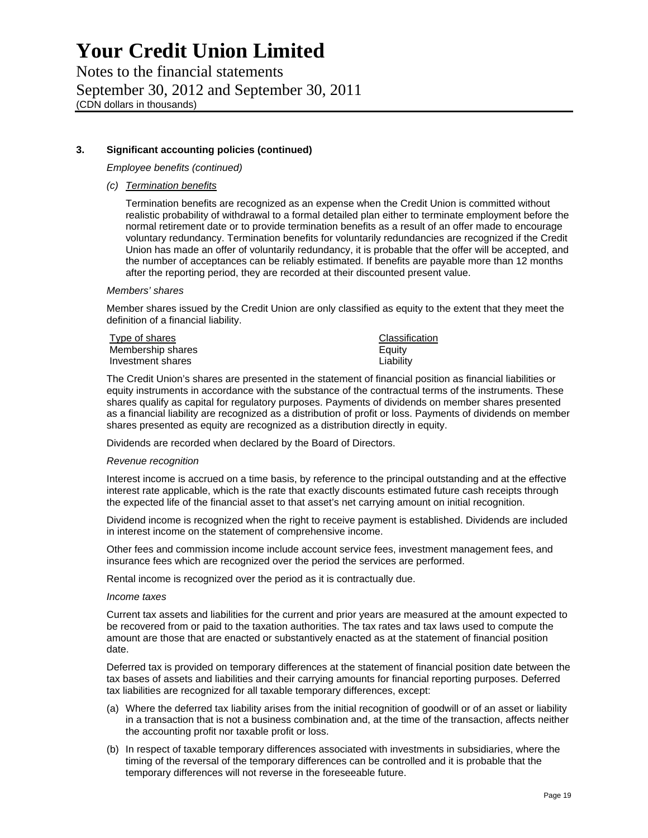Notes to the financial statements September 30, 2012 and September 30, 2011 (CDN dollars in thousands)

## **3. Significant accounting policies (continued)**

*Employee benefits (continued)* 

*(c) Termination benefits* 

Termination benefits are recognized as an expense when the Credit Union is committed without realistic probability of withdrawal to a formal detailed plan either to terminate employment before the normal retirement date or to provide termination benefits as a result of an offer made to encourage voluntary redundancy. Termination benefits for voluntarily redundancies are recognized if the Credit Union has made an offer of voluntarily redundancy, it is probable that the offer will be accepted, and the number of acceptances can be reliably estimated. If benefits are payable more than 12 months after the reporting period, they are recorded at their discounted present value.

#### *Members' shares*

Member shares issued by the Credit Union are only classified as equity to the extent that they meet the definition of a financial liability.

| Type of shares    | Classification |
|-------------------|----------------|
| Membership shares | Equity         |
| Investment shares | Liability      |

The Credit Union's shares are presented in the statement of financial position as financial liabilities or equity instruments in accordance with the substance of the contractual terms of the instruments. These shares qualify as capital for regulatory purposes. Payments of dividends on member shares presented as a financial liability are recognized as a distribution of profit or loss. Payments of dividends on member shares presented as equity are recognized as a distribution directly in equity.

Dividends are recorded when declared by the Board of Directors.

#### *Revenue recognition*

Interest income is accrued on a time basis, by reference to the principal outstanding and at the effective interest rate applicable, which is the rate that exactly discounts estimated future cash receipts through the expected life of the financial asset to that asset's net carrying amount on initial recognition.

Dividend income is recognized when the right to receive payment is established. Dividends are included in interest income on the statement of comprehensive income.

Other fees and commission income include account service fees, investment management fees, and insurance fees which are recognized over the period the services are performed.

Rental income is recognized over the period as it is contractually due.

#### *Income taxes*

Current tax assets and liabilities for the current and prior years are measured at the amount expected to be recovered from or paid to the taxation authorities. The tax rates and tax laws used to compute the amount are those that are enacted or substantively enacted as at the statement of financial position date.

Deferred tax is provided on temporary differences at the statement of financial position date between the tax bases of assets and liabilities and their carrying amounts for financial reporting purposes. Deferred tax liabilities are recognized for all taxable temporary differences, except:

- (a) Where the deferred tax liability arises from the initial recognition of goodwill or of an asset or liability in a transaction that is not a business combination and, at the time of the transaction, affects neither the accounting profit nor taxable profit or loss.
- (b) In respect of taxable temporary differences associated with investments in subsidiaries, where the timing of the reversal of the temporary differences can be controlled and it is probable that the temporary differences will not reverse in the foreseeable future.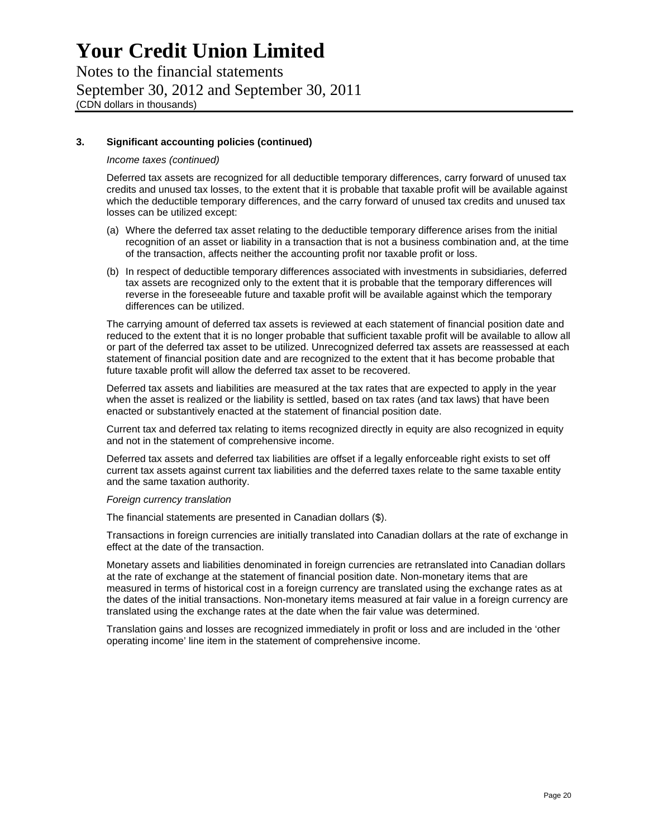Notes to the financial statements September 30, 2012 and September 30, 2011 (CDN dollars in thousands)

### **3. Significant accounting policies (continued)**

#### *Income taxes (continued)*

Deferred tax assets are recognized for all deductible temporary differences, carry forward of unused tax credits and unused tax losses, to the extent that it is probable that taxable profit will be available against which the deductible temporary differences, and the carry forward of unused tax credits and unused tax losses can be utilized except:

- (a) Where the deferred tax asset relating to the deductible temporary difference arises from the initial recognition of an asset or liability in a transaction that is not a business combination and, at the time of the transaction, affects neither the accounting profit nor taxable profit or loss.
- (b) In respect of deductible temporary differences associated with investments in subsidiaries, deferred tax assets are recognized only to the extent that it is probable that the temporary differences will reverse in the foreseeable future and taxable profit will be available against which the temporary differences can be utilized.

The carrying amount of deferred tax assets is reviewed at each statement of financial position date and reduced to the extent that it is no longer probable that sufficient taxable profit will be available to allow all or part of the deferred tax asset to be utilized. Unrecognized deferred tax assets are reassessed at each statement of financial position date and are recognized to the extent that it has become probable that future taxable profit will allow the deferred tax asset to be recovered.

Deferred tax assets and liabilities are measured at the tax rates that are expected to apply in the year when the asset is realized or the liability is settled, based on tax rates (and tax laws) that have been enacted or substantively enacted at the statement of financial position date.

Current tax and deferred tax relating to items recognized directly in equity are also recognized in equity and not in the statement of comprehensive income.

Deferred tax assets and deferred tax liabilities are offset if a legally enforceable right exists to set off current tax assets against current tax liabilities and the deferred taxes relate to the same taxable entity and the same taxation authority.

#### *Foreign currency translation*

The financial statements are presented in Canadian dollars (\$).

Transactions in foreign currencies are initially translated into Canadian dollars at the rate of exchange in effect at the date of the transaction.

Monetary assets and liabilities denominated in foreign currencies are retranslated into Canadian dollars at the rate of exchange at the statement of financial position date. Non-monetary items that are measured in terms of historical cost in a foreign currency are translated using the exchange rates as at the dates of the initial transactions. Non-monetary items measured at fair value in a foreign currency are translated using the exchange rates at the date when the fair value was determined.

Translation gains and losses are recognized immediately in profit or loss and are included in the 'other operating income' line item in the statement of comprehensive income.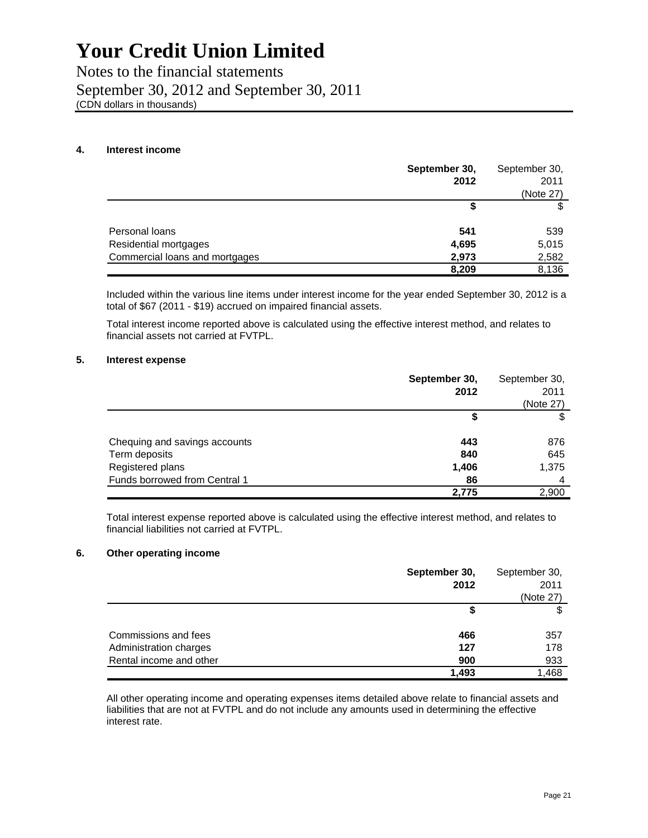Notes to the financial statements September 30, 2012 and September 30, 2011 (CDN dollars in thousands)

#### **4. Interest income**

|                                | September 30, | September 30, |
|--------------------------------|---------------|---------------|
|                                | 2012          | 2011          |
|                                |               | (Note 27)     |
|                                |               |               |
| Personal loans                 | 541           | 539           |
| Residential mortgages          | 4,695         | 5,015         |
| Commercial loans and mortgages | 2,973         | 2,582         |
|                                | 8,209         | 8,136         |

Included within the various line items under interest income for the year ended September 30, 2012 is a total of \$67 (2011 - \$19) accrued on impaired financial assets.

Total interest income reported above is calculated using the effective interest method, and relates to financial assets not carried at FVTPL.

#### **5. Interest expense**

|                               | September 30,<br>2012 | September 30,<br>2011<br>(Note 27) |
|-------------------------------|-----------------------|------------------------------------|
|                               | \$                    | S                                  |
| Chequing and savings accounts | 443                   | 876                                |
| Term deposits                 | 840                   | 645                                |
| Registered plans              | 1,406                 | 1,375                              |
| Funds borrowed from Central 1 | 86                    | 4                                  |
|                               | 2,775                 | 2,900                              |

Total interest expense reported above is calculated using the effective interest method, and relates to financial liabilities not carried at FVTPL.

### **6. Other operating income**

|                         | September 30, | September 30, |
|-------------------------|---------------|---------------|
|                         | 2012          | 2011          |
|                         |               | (Note 27)     |
|                         |               |               |
|                         |               |               |
| Commissions and fees    | 466           | 357           |
| Administration charges  | 127           | 178           |
| Rental income and other | 900           | 933           |
|                         | 1.493         | 1.468         |

All other operating income and operating expenses items detailed above relate to financial assets and liabilities that are not at FVTPL and do not include any amounts used in determining the effective interest rate.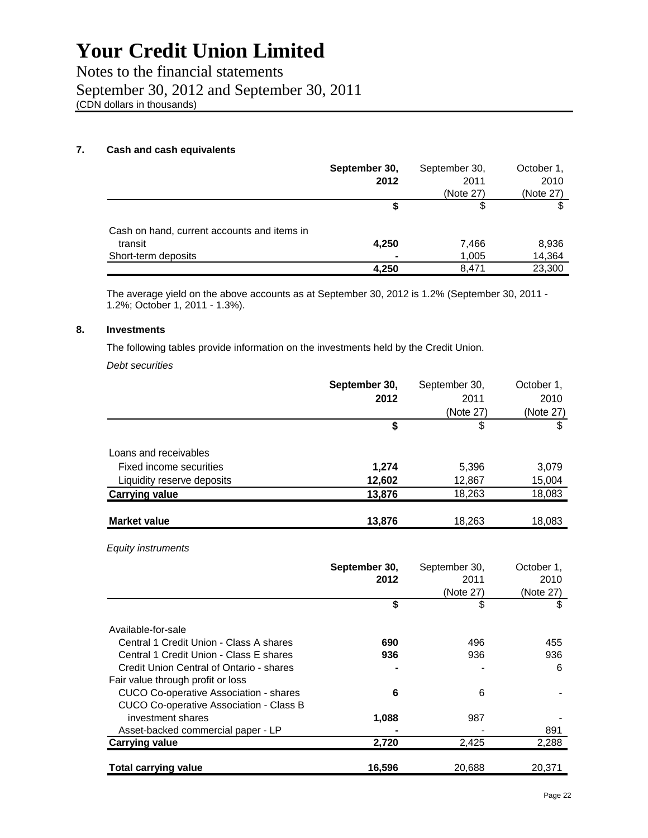Notes to the financial statements September 30, 2012 and September 30, 2011 (CDN dollars in thousands)

## **7. Cash and cash equivalents**

|                                             | September 30, | September 30, | October 1, |
|---------------------------------------------|---------------|---------------|------------|
|                                             | 2012          | 2011          | 2010       |
|                                             |               | (Note 27)     | (Note 27)  |
|                                             | S             | S             |            |
| Cash on hand, current accounts and items in |               |               |            |
| transit                                     | 4,250         | 7,466         | 8,936      |
| Short-term deposits                         | -             | 1,005         | 14,364     |
|                                             | 4,250         | 8.471         | 23,300     |

The average yield on the above accounts as at September 30, 2012 is 1.2% (September 30, 2011 - 1.2%; October 1, 2011 - 1.3%).

### **8. Investments**

The following tables provide information on the investments held by the Credit Union.

*Debt securities* 

| September 30, | September 30, | October 1, |
|---------------|---------------|------------|
| 2012          | 2011          | 2010       |
|               | (Note 27)     | (Note 27)  |
| \$            | \$            | \$         |
|               |               |            |
| 1,274         | 5,396         | 3,079      |
| 12,602        | 12,867        | 15,004     |
| 13,876        | 18,263        | 18,083     |
| 13,876        | 18,263        | 18,083     |
|               |               |            |

*Equity instruments* 

|                                               | September 30, | September 30, | October 1, |
|-----------------------------------------------|---------------|---------------|------------|
|                                               | 2012          | 2011          | 2010       |
|                                               |               | (Note 27)     | (Note 27)  |
|                                               | \$            | \$            | \$         |
| Available-for-sale                            |               |               |            |
| Central 1 Credit Union - Class A shares       | 690           | 496           | 455        |
| Central 1 Credit Union - Class E shares       | 936           | 936           | 936        |
| Credit Union Central of Ontario - shares      |               |               | 6          |
| Fair value through profit or loss             |               |               |            |
| <b>CUCO Co-operative Association - shares</b> | 6             | 6             |            |
| CUCO Co-operative Association - Class B       |               |               |            |
| investment shares                             | 1,088         | 987           |            |
| Asset-backed commercial paper - LP            |               |               | 891        |
| <b>Carrying value</b>                         | 2,720         | 2,425         | 2,288      |
| <b>Total carrying value</b>                   | 16,596        | 20.688        | 20.371     |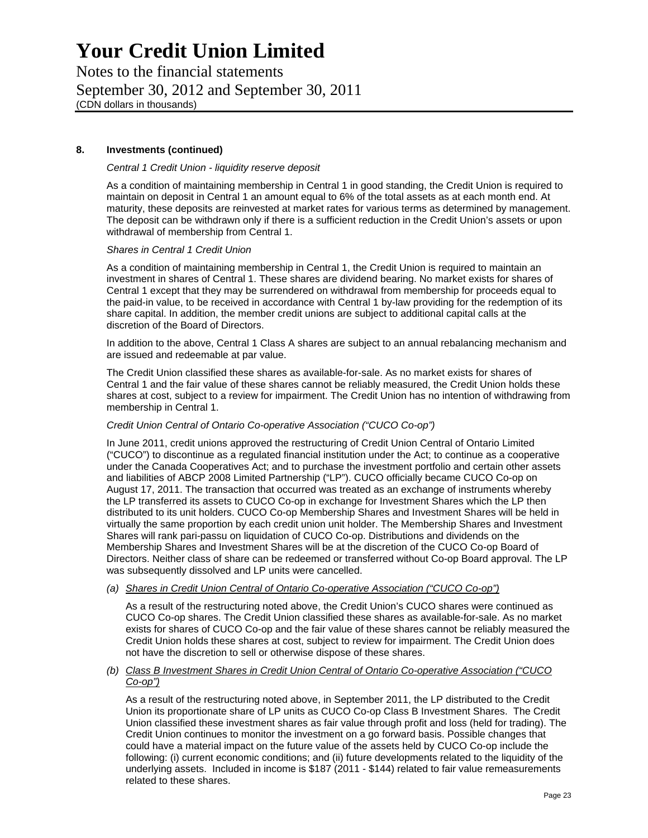Notes to the financial statements September 30, 2012 and September 30, 2011 (CDN dollars in thousands)

### **8. Investments (continued)**

#### *Central 1 Credit Union - liquidity reserve deposit*

As a condition of maintaining membership in Central 1 in good standing, the Credit Union is required to maintain on deposit in Central 1 an amount equal to 6% of the total assets as at each month end. At maturity, these deposits are reinvested at market rates for various terms as determined by management. The deposit can be withdrawn only if there is a sufficient reduction in the Credit Union's assets or upon withdrawal of membership from Central 1.

#### *Shares in Central 1 Credit Union*

As a condition of maintaining membership in Central 1, the Credit Union is required to maintain an investment in shares of Central 1. These shares are dividend bearing. No market exists for shares of Central 1 except that they may be surrendered on withdrawal from membership for proceeds equal to the paid-in value, to be received in accordance with Central 1 by-law providing for the redemption of its share capital. In addition, the member credit unions are subject to additional capital calls at the discretion of the Board of Directors.

In addition to the above, Central 1 Class A shares are subject to an annual rebalancing mechanism and are issued and redeemable at par value.

The Credit Union classified these shares as available-for-sale. As no market exists for shares of Central 1 and the fair value of these shares cannot be reliably measured, the Credit Union holds these shares at cost, subject to a review for impairment. The Credit Union has no intention of withdrawing from membership in Central 1.

#### *Credit Union Central of Ontario Co-operative Association ("CUCO Co-op")*

In June 2011, credit unions approved the restructuring of Credit Union Central of Ontario Limited ("CUCO") to discontinue as a regulated financial institution under the Act; to continue as a cooperative under the Canada Cooperatives Act; and to purchase the investment portfolio and certain other assets and liabilities of ABCP 2008 Limited Partnership ("LP"). CUCO officially became CUCO Co-op on August 17, 2011. The transaction that occurred was treated as an exchange of instruments whereby the LP transferred its assets to CUCO Co-op in exchange for Investment Shares which the LP then distributed to its unit holders. CUCO Co-op Membership Shares and Investment Shares will be held in virtually the same proportion by each credit union unit holder. The Membership Shares and Investment Shares will rank pari-passu on liquidation of CUCO Co-op. Distributions and dividends on the Membership Shares and Investment Shares will be at the discretion of the CUCO Co-op Board of Directors. Neither class of share can be redeemed or transferred without Co-op Board approval. The LP was subsequently dissolved and LP units were cancelled.

#### *(a) Shares in Credit Union Central of Ontario Co-operative Association ("CUCO Co-op")*

As a result of the restructuring noted above, the Credit Union's CUCO shares were continued as CUCO Co-op shares. The Credit Union classified these shares as available-for-sale. As no market exists for shares of CUCO Co-op and the fair value of these shares cannot be reliably measured the Credit Union holds these shares at cost, subject to review for impairment. The Credit Union does not have the discretion to sell or otherwise dispose of these shares.

#### *(b) Class B Investment Shares in Credit Union Central of Ontario Co-operative Association ("CUCO Co-op")*

As a result of the restructuring noted above, in September 2011, the LP distributed to the Credit Union its proportionate share of LP units as CUCO Co-op Class B Investment Shares. The Credit Union classified these investment shares as fair value through profit and loss (held for trading). The Credit Union continues to monitor the investment on a go forward basis. Possible changes that could have a material impact on the future value of the assets held by CUCO Co-op include the following: (i) current economic conditions; and (ii) future developments related to the liquidity of the underlying assets. Included in income is \$187 (2011 - \$144) related to fair value remeasurements related to these shares.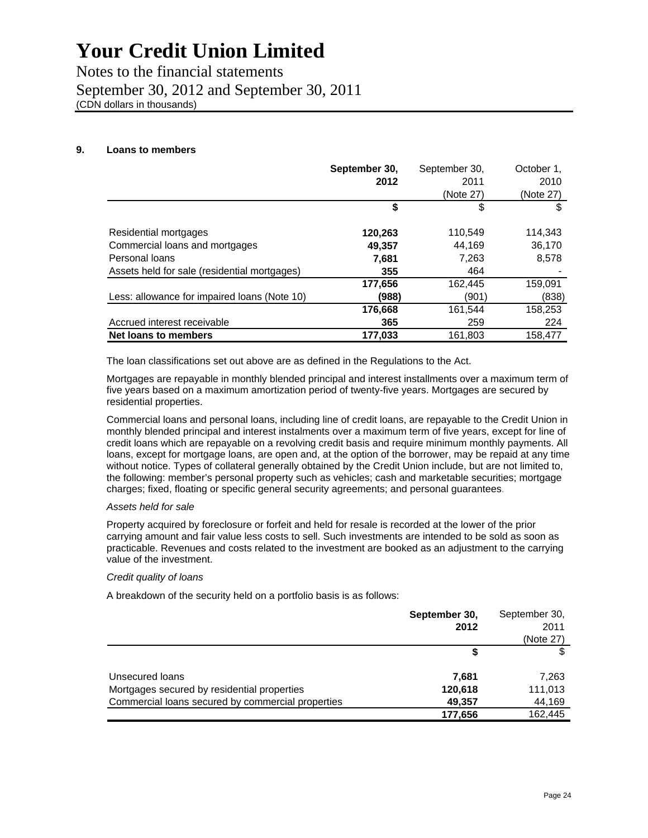Notes to the financial statements September 30, 2012 and September 30, 2011 (CDN dollars in thousands)

### **9. Loans to members**

|                                              | September 30, | September 30, | October 1. |
|----------------------------------------------|---------------|---------------|------------|
|                                              | 2012          | 2011          | 2010       |
|                                              |               | (Note 27)     | (Note 27)  |
|                                              | \$            | \$            | S          |
| Residential mortgages                        | 120,263       | 110,549       | 114,343    |
| Commercial loans and mortgages               | 49,357        | 44.169        | 36,170     |
| Personal loans                               | 7,681         | 7,263         | 8,578      |
| Assets held for sale (residential mortgages) | 355           | 464           |            |
|                                              | 177,656       | 162,445       | 159,091    |
| Less: allowance for impaired loans (Note 10) | (988)         | (901)         | (838)      |
|                                              | 176,668       | 161,544       | 158,253    |
| Accrued interest receivable                  | 365           | 259           | 224        |
| Net loans to members                         | 177.033       | 161.803       | 158.477    |

The loan classifications set out above are as defined in the Regulations to the Act.

Mortgages are repayable in monthly blended principal and interest installments over a maximum term of five years based on a maximum amortization period of twenty-five years. Mortgages are secured by residential properties.

Commercial loans and personal loans, including line of credit loans, are repayable to the Credit Union in monthly blended principal and interest instalments over a maximum term of five years, except for line of credit loans which are repayable on a revolving credit basis and require minimum monthly payments. All loans, except for mortgage loans, are open and, at the option of the borrower, may be repaid at any time without notice. Types of collateral generally obtained by the Credit Union include, but are not limited to, the following: member's personal property such as vehicles; cash and marketable securities; mortgage charges; fixed, floating or specific general security agreements; and personal guarantees.

#### *Assets held for sale*

Property acquired by foreclosure or forfeit and held for resale is recorded at the lower of the prior carrying amount and fair value less costs to sell. Such investments are intended to be sold as soon as practicable. Revenues and costs related to the investment are booked as an adjustment to the carrying value of the investment.

#### *Credit quality of loans*

A breakdown of the security held on a portfolio basis is as follows:

|                                                   | September 30, | September 30, |
|---------------------------------------------------|---------------|---------------|
|                                                   | 2012          | 2011          |
|                                                   |               | (Note 27)     |
|                                                   |               |               |
| Unsecured loans                                   | 7,681         | 7,263         |
| Mortgages secured by residential properties       | 120,618       | 111,013       |
| Commercial loans secured by commercial properties | 49,357        | 44,169        |
|                                                   | 177,656       | 162,445       |
|                                                   |               |               |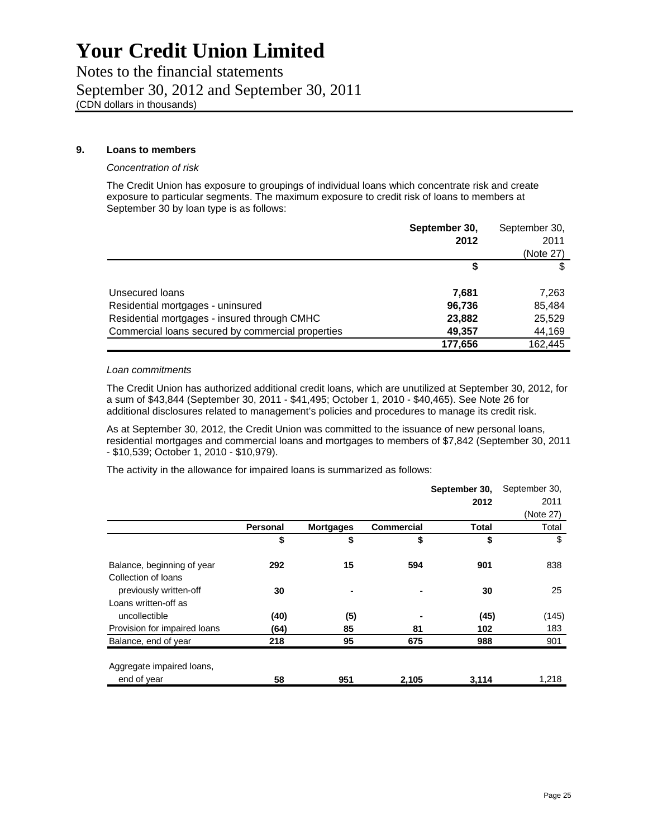Notes to the financial statements September 30, 2012 and September 30, 2011 (CDN dollars in thousands)

#### **9. Loans to members**

#### *Concentration of risk*

The Credit Union has exposure to groupings of individual loans which concentrate risk and create exposure to particular segments. The maximum exposure to credit risk of loans to members at September 30 by loan type is as follows:

|                                                   | September 30, | September 30, |
|---------------------------------------------------|---------------|---------------|
|                                                   | 2012          | 2011          |
|                                                   |               | (Note 27)     |
|                                                   |               |               |
| Unsecured loans                                   | 7.681         | 7,263         |
| Residential mortgages - uninsured                 | 96,736        | 85,484        |
| Residential mortgages - insured through CMHC      | 23,882        | 25,529        |
| Commercial loans secured by commercial properties | 49,357        | 44,169        |
|                                                   | 177,656       | 162.445       |

#### *Loan commitments*

The Credit Union has authorized additional credit loans, which are unutilized at September 30, 2012, for a sum of \$43,844 (September 30, 2011 - \$41,495; October 1, 2010 - \$40,465). See Note 26 for additional disclosures related to management's policies and procedures to manage its credit risk.

As at September 30, 2012, the Credit Union was committed to the issuance of new personal loans, residential mortgages and commercial loans and mortgages to members of \$7,842 (September 30, 2011 - \$10,539; October 1, 2010 - \$10,979).

The activity in the allowance for impaired loans is summarized as follows:

|                              |          |                  |                   | September 30, | September 30, |
|------------------------------|----------|------------------|-------------------|---------------|---------------|
|                              |          |                  |                   | 2012          | 2011          |
|                              |          |                  |                   |               | (Note 27)     |
|                              | Personal | <b>Mortgages</b> | <b>Commercial</b> | <b>Total</b>  | Total         |
|                              | \$       | \$               | \$                | \$            | \$            |
| Balance, beginning of year   | 292      | 15               | 594               | 901           | 838           |
| Collection of loans          |          |                  |                   |               |               |
| previously written-off       | 30       |                  |                   | 30            | 25            |
| Loans written-off as         |          |                  |                   |               |               |
| uncollectible                | (40)     | (5)              |                   | (45)          | (145)         |
| Provision for impaired loans | (64)     | 85               | 81                | 102           | 183           |
| Balance, end of year         | 218      | 95               | 675               | 988           | 901           |
| Aggregate impaired loans,    |          |                  |                   |               |               |
| end of year                  | 58       | 951              | 2,105             | 3,114         | 1,218         |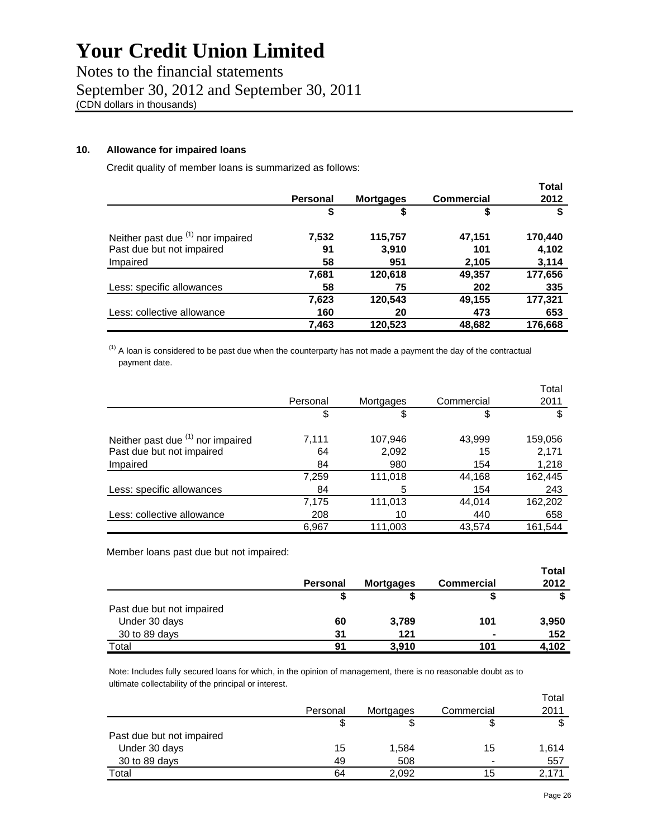Notes to the financial statements September 30, 2012 and September 30, 2011 (CDN dollars in thousands)

### **10. Allowance for impaired loans**

Credit quality of member loans is summarized as follows:

|                                   |                 |                  |                   | <b>Total</b> |
|-----------------------------------|-----------------|------------------|-------------------|--------------|
|                                   | <b>Personal</b> | <b>Mortgages</b> | <b>Commercial</b> | 2012         |
|                                   | \$              | \$               | \$                |              |
| Neither past due (1) nor impaired | 7,532           | 115,757          | 47,151            | 170,440      |
| Past due but not impaired         | 91              | 3,910            | 101               | 4,102        |
| Impaired                          | 58              | 951              | 2,105             | 3,114        |
|                                   | 7,681           | 120,618          | 49,357            | 177,656      |
| Less: specific allowances         | 58              | 75               | 202               | 335          |
|                                   | 7,623           | 120,543          | 49,155            | 177,321      |
| Less: collective allowance        | 160             | 20               | 473               | 653          |
|                                   | 7,463           | 120.523          | 48.682            | 176.668      |

 $<sup>(1)</sup>$  A loan is considered to be past due when the counterparty has not made a payment the day of the contractual</sup> payment date.

|                                   |          |           |            | Total   |
|-----------------------------------|----------|-----------|------------|---------|
|                                   | Personal | Mortgages | Commercial | 2011    |
|                                   | \$       | \$        | \$         |         |
| Neither past due (1) nor impaired | 7,111    | 107,946   | 43,999     | 159,056 |
| Past due but not impaired         | 64       | 2,092     | 15         | 2,171   |
| Impaired                          | 84       | 980       | 154        | 1,218   |
|                                   | 7,259    | 111,018   | 44,168     | 162,445 |
| Less: specific allowances         | 84       | 5         | 154        | 243     |
|                                   | 7,175    | 111,013   | 44,014     | 162,202 |
| Less: collective allowance        | 208      | 10        | 440        | 658     |
|                                   | 6,967    | 111,003   | 43,574     | 161,544 |

Member loans past due but not impaired:

|          |                  |                   | <b>Total</b> |
|----------|------------------|-------------------|--------------|
| Personal | <b>Mortgages</b> | <b>Commercial</b> | 2012         |
|          |                  |                   |              |
|          |                  |                   |              |
| 60       | 3,789            | 101               | 3,950        |
| 31       | 121              |                   | 152          |
| 91       | 3,910            | 101               | 4.102        |
|          |                  |                   |              |

Note: Includes fully secured loans for which, in the opinion of management, there is no reasonable doubt as to ultimate collectability of the principal or interest.

|                           |          |           |                | Total |
|---------------------------|----------|-----------|----------------|-------|
|                           | Personal | Mortgages | Commercial     | 2011  |
|                           |          |           | 3              |       |
| Past due but not impaired |          |           |                |       |
| Under 30 days             | 15       | 1,584     | 15             | 1,614 |
| 30 to 89 days             | 49       | 508       | $\blacksquare$ | 557   |
| Total                     | 64       | 2.092     | 15             |       |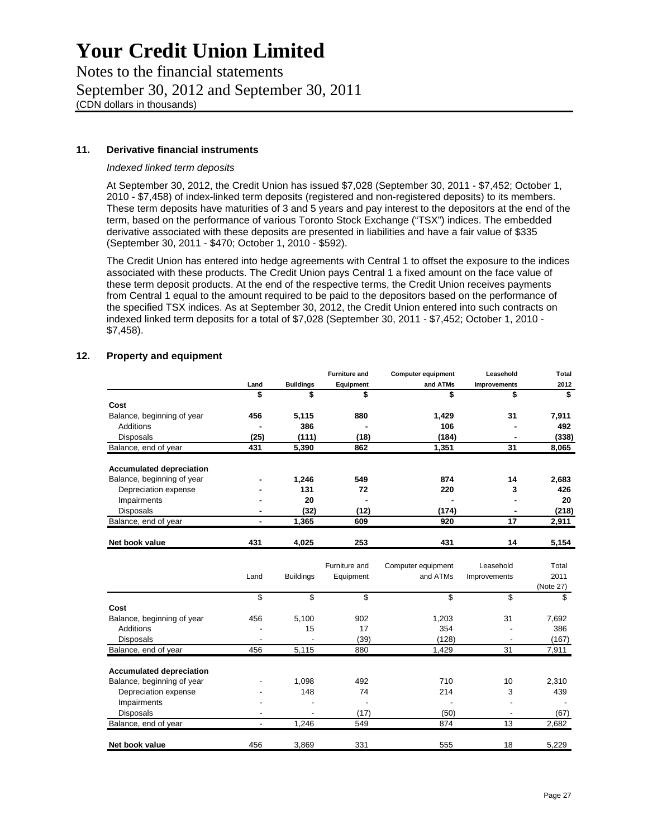Notes to the financial statements September 30, 2012 and September 30, 2011 (CDN dollars in thousands)

### **11. Derivative financial instruments**

### *Indexed linked term deposits*

At September 30, 2012, the Credit Union has issued \$7,028 (September 30, 2011 - \$7,452; October 1, 2010 - \$7,458) of index-linked term deposits (registered and non-registered deposits) to its members. These term deposits have maturities of 3 and 5 years and pay interest to the depositors at the end of the term, based on the performance of various Toronto Stock Exchange ("TSX") indices. The embedded derivative associated with these deposits are presented in liabilities and have a fair value of \$335 (September 30, 2011 - \$470; October 1, 2010 - \$592).

The Credit Union has entered into hedge agreements with Central 1 to offset the exposure to the indices associated with these products. The Credit Union pays Central 1 a fixed amount on the face value of these term deposit products. At the end of the respective terms, the Credit Union receives payments from Central 1 equal to the amount required to be paid to the depositors based on the performance of the specified TSX indices. As at September 30, 2012, the Credit Union entered into such contracts on indexed linked term deposits for a total of \$7,028 (September 30, 2011 - \$7,452; October 1, 2010 - \$7,458).

## **12. Property and equipment**

|                                 |                          |                  | <b>Furniture and</b> | <b>Computer equipment</b> | Leasehold    | Total     |
|---------------------------------|--------------------------|------------------|----------------------|---------------------------|--------------|-----------|
|                                 | Land                     | <b>Buildings</b> | Equipment            | and ATMs                  | Improvements | 2012      |
|                                 | \$                       | \$               | \$                   | \$                        | \$           | \$        |
| Cost                            |                          |                  |                      |                           |              |           |
| Balance, beginning of year      | 456                      | 5,115            | 880                  | 1,429                     | 31           | 7,911     |
| <b>Additions</b>                |                          | 386              |                      | 106                       |              | 492       |
| <b>Disposals</b>                | (25)                     | (111)            | (18)                 | (184)                     |              | (338)     |
| Balance, end of year            | 431                      | 5,390            | 862                  | 1,351                     | 31           | 8,065     |
|                                 |                          |                  |                      |                           |              |           |
| <b>Accumulated depreciation</b> |                          |                  | 549                  | 874                       | 14           | 2,683     |
| Balance, beginning of year      |                          | 1,246<br>131     | 72                   | 220                       |              | 426       |
| Depreciation expense            |                          | 20               |                      |                           | 3            | 20        |
| Impairments                     |                          |                  |                      |                           |              |           |
| <b>Disposals</b>                |                          | (32)             | (12)                 | (174)                     |              | (218)     |
| Balance, end of year            |                          | 1,365            | 609                  | 920                       | 17           | 2,911     |
| Net book value                  | 431                      | 4,025            | 253                  | 431                       | 14           | 5,154     |
|                                 |                          |                  | Furniture and        | Computer equipment        | Leasehold    | Total     |
|                                 | Land                     | <b>Buildings</b> | Equipment            | and ATMs                  | Improvements | 2011      |
|                                 |                          |                  |                      |                           |              | (Note 27) |
|                                 | \$                       | \$               | \$                   | \$                        | \$           | \$        |
| Cost                            |                          |                  |                      |                           |              |           |
| Balance, beginning of year      | 456                      | 5,100            | 902                  | 1,203                     | 31           | 7,692     |
| <b>Additions</b>                |                          | 15               | 17                   | 354                       |              | 386       |
| <b>Disposals</b>                |                          |                  | (39)                 | (128)                     |              | (167)     |
| Balance, end of year            | 456                      | 5,115            | 880                  | 1,429                     | 31           | 7,911     |
| <b>Accumulated depreciation</b> |                          |                  |                      |                           |              |           |
| Balance, beginning of year      |                          | 1,098            | 492                  | 710                       | 10           | 2,310     |
| Depreciation expense            |                          | 148              | 74                   | 214                       | 3            | 439       |
| Impairments                     |                          |                  |                      |                           |              |           |
| <b>Disposals</b>                |                          |                  | (17)                 | (50)                      |              | (67)      |
| Balance, end of year            | $\overline{\phantom{a}}$ | 1.246            | 549                  | 874                       | 13           | 2,682     |
|                                 |                          |                  |                      |                           |              |           |
| Net book value                  | 456                      | 3,869            | 331                  | 555                       | 18           | 5,229     |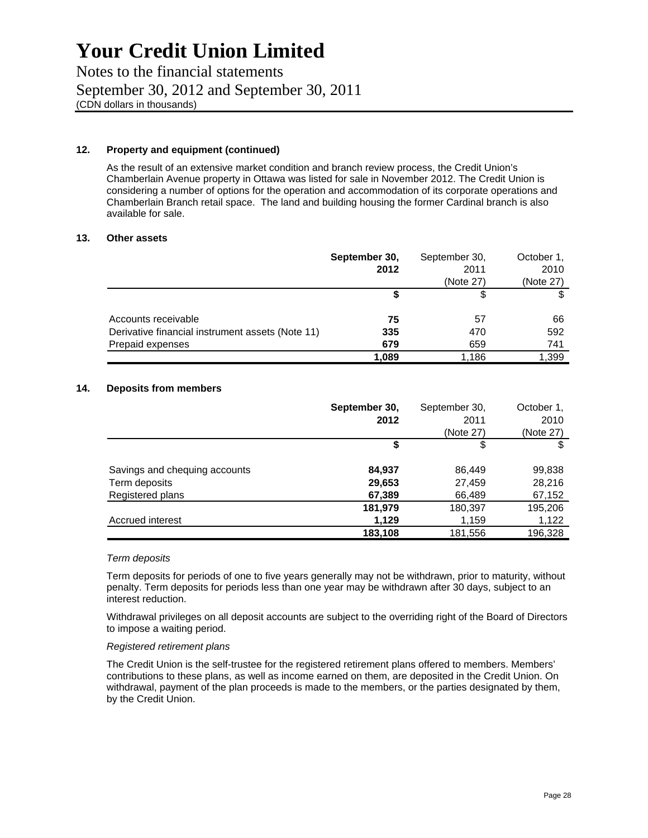Notes to the financial statements September 30, 2012 and September 30, 2011 (CDN dollars in thousands)

#### **12. Property and equipment (continued)**

As the result of an extensive market condition and branch review process, the Credit Union's Chamberlain Avenue property in Ottawa was listed for sale in November 2012. The Credit Union is considering a number of options for the operation and accommodation of its corporate operations and Chamberlain Branch retail space. The land and building housing the former Cardinal branch is also available for sale.

#### **13. Other assets**

|                                                  | September 30, | September 30, | October 1, |
|--------------------------------------------------|---------------|---------------|------------|
|                                                  | 2012          | 2011          | 2010       |
|                                                  |               | (Note 27)     | (Note 27)  |
|                                                  |               |               |            |
| Accounts receivable                              | 75            | 57            | 66         |
| Derivative financial instrument assets (Note 11) | 335           | 470           | 592        |
| Prepaid expenses                                 | 679           | 659           | 741        |
|                                                  | 1,089         | 1,186         | 1,399      |

#### **14. Deposits from members**

|                               | September 30, | September 30, | October 1, |
|-------------------------------|---------------|---------------|------------|
|                               | 2012          | 2011          | 2010       |
|                               |               | (Note 27)     | (Note 27)  |
|                               | \$            | \$            |            |
| Savings and chequing accounts | 84,937        | 86,449        | 99,838     |
| Term deposits                 | 29,653        | 27,459        | 28,216     |
| Registered plans              | 67,389        | 66,489        | 67,152     |
|                               | 181,979       | 180,397       | 195,206    |
| Accrued interest              | 1,129         | 1,159         | 1,122      |
|                               | 183,108       | 181,556       | 196,328    |

#### *Term deposits*

Term deposits for periods of one to five years generally may not be withdrawn, prior to maturity, without penalty. Term deposits for periods less than one year may be withdrawn after 30 days, subject to an interest reduction.

Withdrawal privileges on all deposit accounts are subject to the overriding right of the Board of Directors to impose a waiting period.

#### *Registered retirement plans*

The Credit Union is the self-trustee for the registered retirement plans offered to members. Members' contributions to these plans, as well as income earned on them, are deposited in the Credit Union. On withdrawal, payment of the plan proceeds is made to the members, or the parties designated by them, by the Credit Union.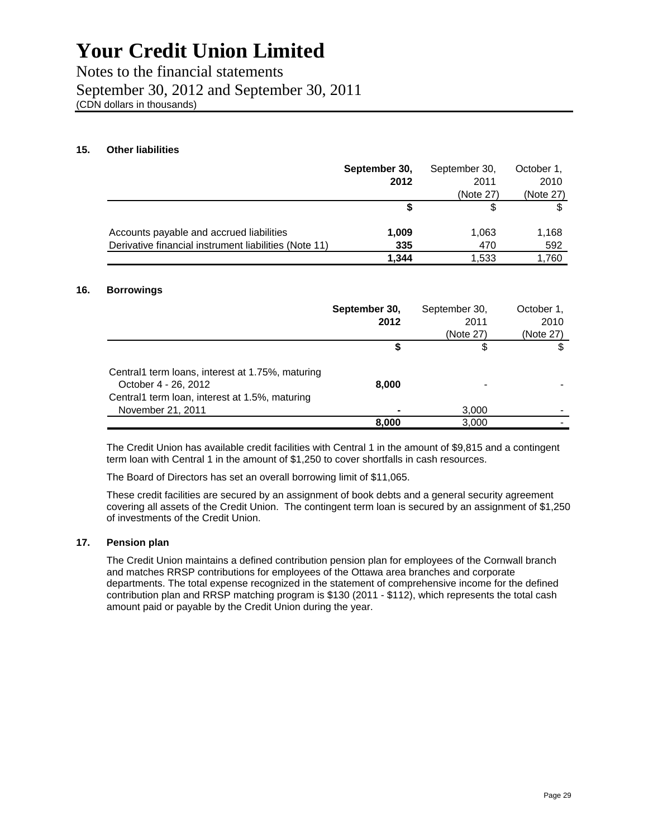Notes to the financial statements September 30, 2012 and September 30, 2011 (CDN dollars in thousands)

### **15. Other liabilities**

|                                                       | September 30, | September 30, | October 1, |
|-------------------------------------------------------|---------------|---------------|------------|
|                                                       | 2012          | 2011          | 2010       |
|                                                       |               | (Note 27)     | (Note 27)  |
|                                                       |               | S             |            |
| Accounts payable and accrued liabilities              | 1,009         | 1,063         | 1,168      |
| Derivative financial instrument liabilities (Note 11) | 335           | 470           | 592        |
|                                                       | 1.344         | 1.533         | 1.760      |

### **16. Borrowings**

|                                                                                                                            | September 30,<br>2012 | September 30,<br>2011<br>(Note 27) | October 1,<br>2010<br>(Note 27) |
|----------------------------------------------------------------------------------------------------------------------------|-----------------------|------------------------------------|---------------------------------|
|                                                                                                                            |                       | S                                  |                                 |
| Central1 term loans, interest at 1.75%, maturing<br>October 4 - 26, 2012<br>Central1 term loan, interest at 1.5%, maturing | 8.000                 |                                    |                                 |
| November 21, 2011                                                                                                          |                       | 3,000                              |                                 |
|                                                                                                                            | 8.000                 | 3,000                              |                                 |

The Credit Union has available credit facilities with Central 1 in the amount of \$9,815 and a contingent term loan with Central 1 in the amount of \$1,250 to cover shortfalls in cash resources.

The Board of Directors has set an overall borrowing limit of \$11,065.

These credit facilities are secured by an assignment of book debts and a general security agreement covering all assets of the Credit Union. The contingent term loan is secured by an assignment of \$1,250 of investments of the Credit Union.

### **17. Pension plan**

The Credit Union maintains a defined contribution pension plan for employees of the Cornwall branch and matches RRSP contributions for employees of the Ottawa area branches and corporate departments. The total expense recognized in the statement of comprehensive income for the defined contribution plan and RRSP matching program is \$130 (2011 - \$112), which represents the total cash amount paid or payable by the Credit Union during the year.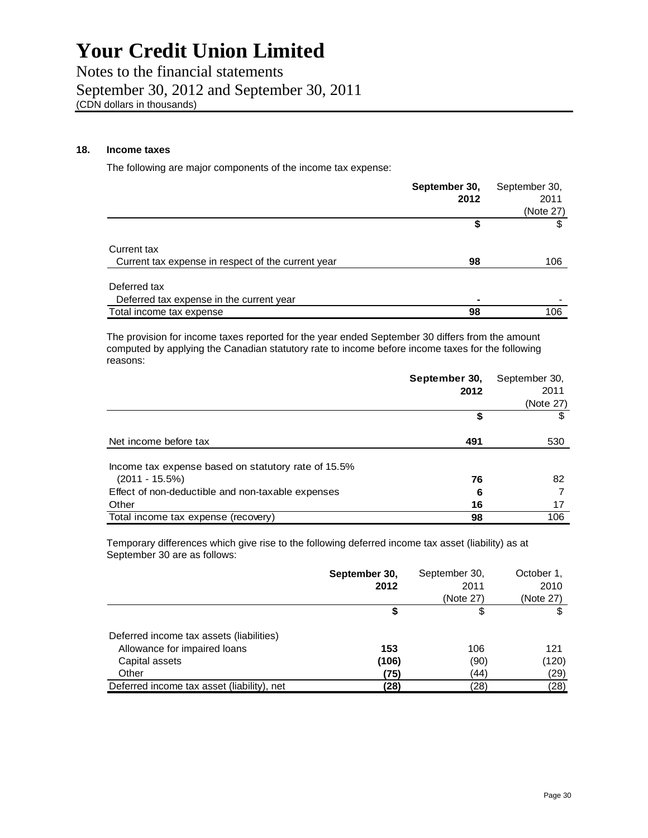Notes to the financial statements September 30, 2012 and September 30, 2011 (CDN dollars in thousands)

## **18. Income taxes**

The following are major components of the income tax expense:

|                                                    | September 30, | September 30, |
|----------------------------------------------------|---------------|---------------|
|                                                    | 2012          | 2011          |
|                                                    |               | (Note 27)     |
|                                                    | \$            |               |
| Current tax                                        |               |               |
| Current tax expense in respect of the current year | 98            | 106           |
| Deferred tax                                       |               |               |
| Deferred tax expense in the current year           |               |               |
| Total income tax expense                           | 98            | 106           |

The provision for income taxes reported for the year ended September 30 differs from the amount computed by applying the Canadian statutory rate to income before income taxes for the following reasons:

|                                                     | September 30, | September 30, |
|-----------------------------------------------------|---------------|---------------|
|                                                     | 2012          | 2011          |
|                                                     |               | (Note 27)     |
|                                                     | \$            |               |
| Net income before tax                               | 491           | 530           |
| Income tax expense based on statutory rate of 15.5% |               |               |
| $(2011 - 15.5\%)$                                   | 76            | 82            |
| Effect of non-deductible and non-taxable expenses   | 6             |               |
| Other                                               | 16            | 17            |
| Total income tax expense (recovery)                 | 98            | 106           |

Temporary differences which give rise to the following deferred income tax asset (liability) as at September 30 are as follows:

|                                            | September 30, | September 30, | October 1, |
|--------------------------------------------|---------------|---------------|------------|
|                                            | 2012          | 2011          | 2010       |
|                                            |               | (Note 27)     | (Note 27)  |
|                                            | \$            | \$            |            |
| Deferred income tax assets (liabilities)   |               |               |            |
| Allowance for impaired loans               | 153           | 106           | 121        |
| Capital assets                             | (106)         | (90)          | (120)      |
| Other                                      | (75)          | (44)          | (29)       |
| Deferred income tax asset (liability), net | (28)          | (28)          | (28)       |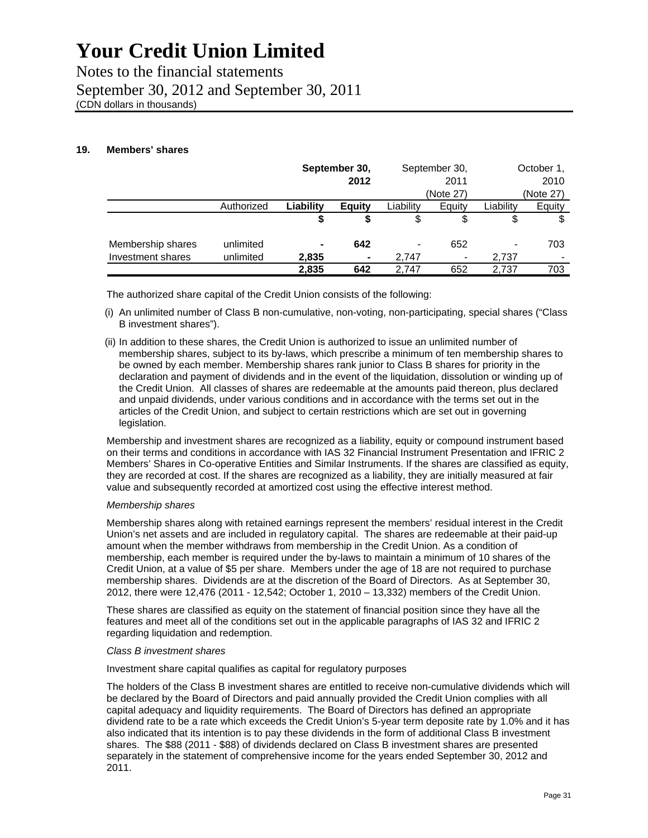Notes to the financial statements September 30, 2012 and September 30, 2011 (CDN dollars in thousands)

## **19. Members' shares**

|                   |            |           | September 30,<br>September 30, |                | October 1,     |                          |           |
|-------------------|------------|-----------|--------------------------------|----------------|----------------|--------------------------|-----------|
|                   |            | 2012      |                                |                | 2011           |                          | 2010      |
|                   |            |           |                                |                | (Note 27)      |                          | (Note 27) |
|                   | Authorized | Liability | Equity                         | Liability      | Equity         | Liability                | Equity    |
|                   |            | \$        |                                | \$             |                | \$                       |           |
| Membership shares | unlimited  | ۰         | 642                            | $\blacksquare$ | 652            | $\overline{\phantom{0}}$ | 703       |
| Investment shares | unlimited  | 2,835     | ٠                              | 2.747          | $\blacksquare$ | 2,737                    |           |
|                   |            | 2,835     | 642                            | 2.747          | 652            | 2.737                    | 703       |

The authorized share capital of the Credit Union consists of the following:

- (i) An unlimited number of Class B non-cumulative, non-voting, non-participating, special shares ("Class B investment shares").
- (ii) In addition to these shares, the Credit Union is authorized to issue an unlimited number of membership shares, subject to its by-laws, which prescribe a minimum of ten membership shares to be owned by each member. Membership shares rank junior to Class B shares for priority in the declaration and payment of dividends and in the event of the liquidation, dissolution or winding up of the Credit Union. All classes of shares are redeemable at the amounts paid thereon, plus declared and unpaid dividends, under various conditions and in accordance with the terms set out in the articles of the Credit Union, and subject to certain restrictions which are set out in governing legislation.

Membership and investment shares are recognized as a liability, equity or compound instrument based on their terms and conditions in accordance with IAS 32 Financial Instrument Presentation and IFRIC 2 Members' Shares in Co-operative Entities and Similar Instruments. If the shares are classified as equity, they are recorded at cost. If the shares are recognized as a liability, they are initially measured at fair value and subsequently recorded at amortized cost using the effective interest method.

#### *Membership shares*

Membership shares along with retained earnings represent the members' residual interest in the Credit Union's net assets and are included in regulatory capital. The shares are redeemable at their paid-up amount when the member withdraws from membership in the Credit Union. As a condition of membership, each member is required under the by-laws to maintain a minimum of 10 shares of the Credit Union, at a value of \$5 per share. Members under the age of 18 are not required to purchase membership shares. Dividends are at the discretion of the Board of Directors. As at September 30, 2012, there were 12,476 (2011 - 12,542; October 1, 2010 – 13,332) members of the Credit Union.

These shares are classified as equity on the statement of financial position since they have all the features and meet all of the conditions set out in the applicable paragraphs of IAS 32 and IFRIC 2 regarding liquidation and redemption.

## *Class B investment shares*

Investment share capital qualifies as capital for regulatory purposes

The holders of the Class B investment shares are entitled to receive non-cumulative dividends which will be declared by the Board of Directors and paid annually provided the Credit Union complies with all capital adequacy and liquidity requirements. The Board of Directors has defined an appropriate dividend rate to be a rate which exceeds the Credit Union's 5-year term deposite rate by 1.0% and it has also indicated that its intention is to pay these dividends in the form of additional Class B investment shares. The \$88 (2011 - \$88) of dividends declared on Class B investment shares are presented separately in the statement of comprehensive income for the years ended September 30, 2012 and 2011.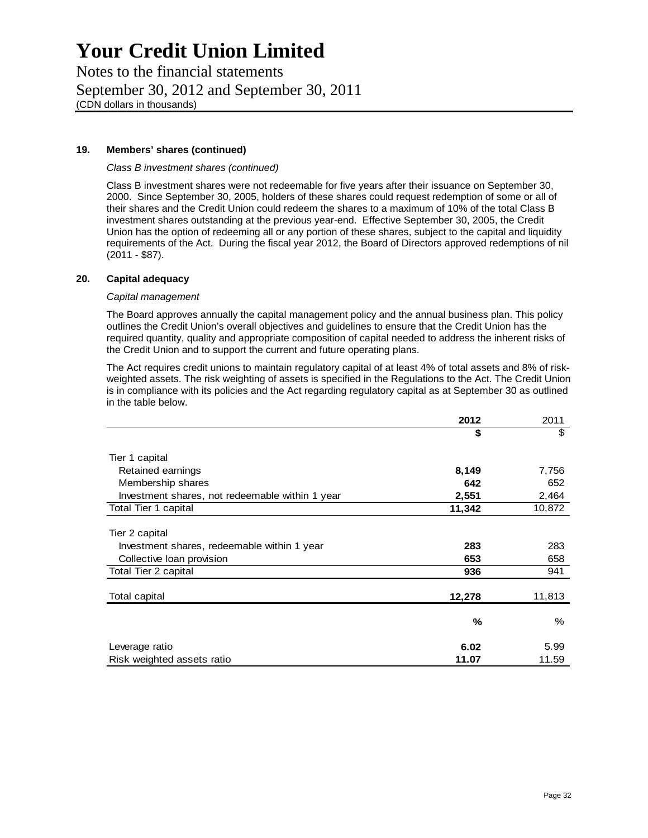Notes to the financial statements September 30, 2012 and September 30, 2011 (CDN dollars in thousands)

## **19. Members' shares (continued)**

### *Class B investment shares (continued)*

Class B investment shares were not redeemable for five years after their issuance on September 30, 2000. Since September 30, 2005, holders of these shares could request redemption of some or all of their shares and the Credit Union could redeem the shares to a maximum of 10% of the total Class B investment shares outstanding at the previous year-end. Effective September 30, 2005, the Credit Union has the option of redeeming all or any portion of these shares, subject to the capital and liquidity requirements of the Act. During the fiscal year 2012, the Board of Directors approved redemptions of nil (2011 - \$87).

### **20. Capital adequacy**

### *Capital management*

The Board approves annually the capital management policy and the annual business plan. This policy outlines the Credit Union's overall objectives and guidelines to ensure that the Credit Union has the required quantity, quality and appropriate composition of capital needed to address the inherent risks of the Credit Union and to support the current and future operating plans.

The Act requires credit unions to maintain regulatory capital of at least 4% of total assets and 8% of riskweighted assets. The risk weighting of assets is specified in the Regulations to the Act. The Credit Union is in compliance with its policies and the Act regarding regulatory capital as at September 30 as outlined in the table below.

|                                                 | 2012   | 2011   |
|-------------------------------------------------|--------|--------|
|                                                 | \$     | \$     |
| Tier 1 capital                                  |        |        |
| Retained earnings                               | 8,149  | 7,756  |
| Membership shares                               | 642    | 652    |
| Investment shares, not redeemable within 1 year | 2,551  | 2,464  |
| Total Tier 1 capital                            | 11,342 | 10,872 |
| Tier 2 capital                                  |        |        |
| Investment shares, redeemable within 1 year     | 283    | 283    |
| Collective loan provision                       | 653    | 658    |
| Total Tier 2 capital                            | 936    | 941    |
| Total capital                                   | 12,278 | 11,813 |
|                                                 | %      | %      |
| Leverage ratio                                  | 6.02   | 5.99   |
| Risk weighted assets ratio                      | 11.07  | 11.59  |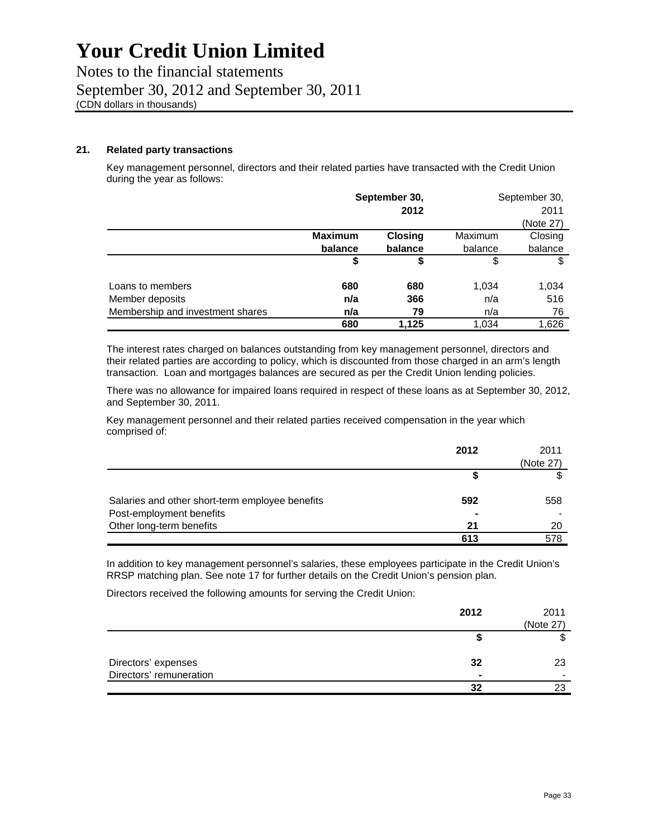Notes to the financial statements September 30, 2012 and September 30, 2011 (CDN dollars in thousands)

## **21. Related party transactions**

Key management personnel, directors and their related parties have transacted with the Credit Union during the year as follows:

|                                  | September 30,  |         |         | September 30, |
|----------------------------------|----------------|---------|---------|---------------|
|                                  |                | 2012    |         | 2011          |
|                                  |                |         |         | (Note 27)     |
|                                  | <b>Maximum</b> | Closing | Maximum | Closing       |
|                                  | balance        | balance | balance | balance       |
|                                  | \$             | \$      | \$      | \$            |
| Loans to members                 | 680            | 680     | 1,034   | 1,034         |
| Member deposits                  | n/a            | 366     | n/a     | 516           |
| Membership and investment shares | n/a            | 79      | n/a     | 76            |
|                                  | 680            | 1.125   | 1,034   | 1.626         |

The interest rates charged on balances outstanding from key management personnel, directors and their related parties are according to policy, which is discounted from those charged in an arm's length transaction. Loan and mortgages balances are secured as per the Credit Union lending policies.

There was no allowance for impaired loans required in respect of these loans as at September 30, 2012, and September 30, 2011.

Key management personnel and their related parties received compensation in the year which comprised of:

|                                                 | 2012 | 2011      |
|-------------------------------------------------|------|-----------|
|                                                 |      | (Note 27) |
|                                                 |      |           |
| Salaries and other short-term employee benefits | 592  | 558       |
| Post-employment benefits                        |      |           |
| Other long-term benefits                        | 21   | 20        |
|                                                 | 613  | 578       |

In addition to key management personnel's salaries, these employees participate in the Credit Union's RRSP matching plan. See note 17 for further details on the Credit Union's pension plan.

Directors received the following amounts for serving the Credit Union:

|                         | 2012 | 2011      |
|-------------------------|------|-----------|
|                         |      | (Note 27) |
|                         |      |           |
| Directors' expenses     | 32   | 23        |
| Directors' remuneration | -    |           |
|                         | 32   |           |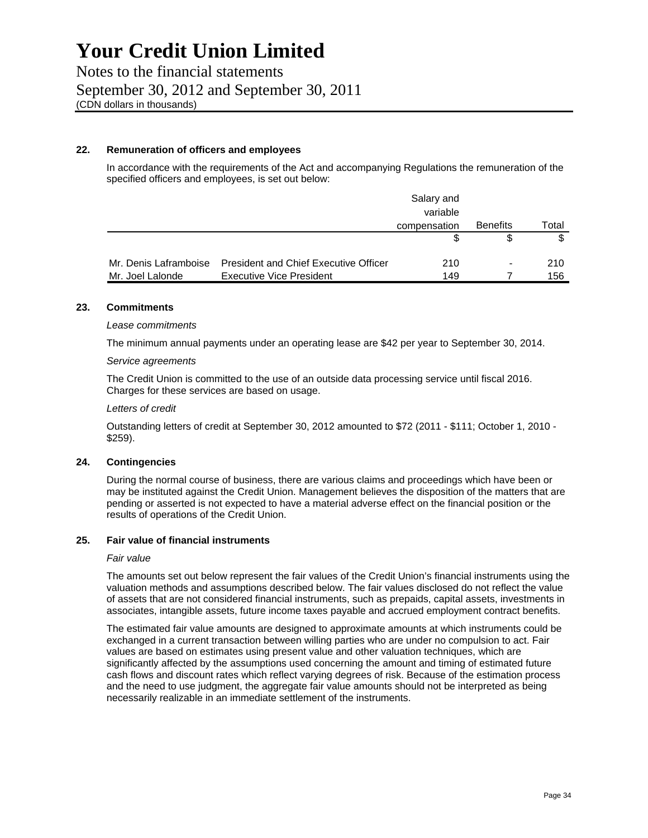Notes to the financial statements September 30, 2012 and September 30, 2011 (CDN dollars in thousands)

### **22. Remuneration of officers and employees**

In accordance with the requirements of the Act and accompanying Regulations the remuneration of the specified officers and employees, is set out below:

|                       |                                              | Salary and   |                          |       |
|-----------------------|----------------------------------------------|--------------|--------------------------|-------|
|                       |                                              | variable     |                          |       |
|                       |                                              | compensation | <b>Benefits</b>          | Total |
|                       |                                              |              |                          |       |
| Mr. Denis Laframboise | <b>President and Chief Executive Officer</b> | 210          | $\overline{\phantom{a}}$ | 210   |
| Mr. Joel Lalonde      | <b>Executive Vice President</b>              | 149          |                          | 156   |

### **23. Commitments**

#### *Lease commitments*

The minimum annual payments under an operating lease are \$42 per year to September 30, 2014.

#### *Service agreements*

The Credit Union is committed to the use of an outside data processing service until fiscal 2016. Charges for these services are based on usage.

### *Letters of credit*

Outstanding letters of credit at September 30, 2012 amounted to \$72 (2011 - \$111; October 1, 2010 - \$259).

#### **24. Contingencies**

During the normal course of business, there are various claims and proceedings which have been or may be instituted against the Credit Union. Management believes the disposition of the matters that are pending or asserted is not expected to have a material adverse effect on the financial position or the results of operations of the Credit Union.

### **25. Fair value of financial instruments**

#### *Fair value*

The amounts set out below represent the fair values of the Credit Union's financial instruments using the valuation methods and assumptions described below. The fair values disclosed do not reflect the value of assets that are not considered financial instruments, such as prepaids, capital assets, investments in associates, intangible assets, future income taxes payable and accrued employment contract benefits.

The estimated fair value amounts are designed to approximate amounts at which instruments could be exchanged in a current transaction between willing parties who are under no compulsion to act. Fair values are based on estimates using present value and other valuation techniques, which are significantly affected by the assumptions used concerning the amount and timing of estimated future cash flows and discount rates which reflect varying degrees of risk. Because of the estimation process and the need to use judgment, the aggregate fair value amounts should not be interpreted as being necessarily realizable in an immediate settlement of the instruments.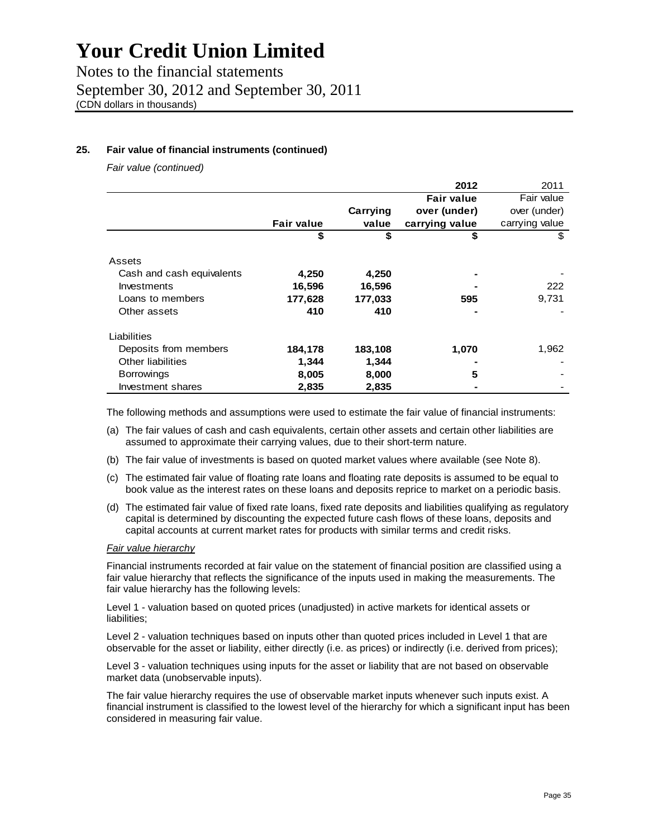Notes to the financial statements September 30, 2012 and September 30, 2011 (CDN dollars in thousands)

## **25. Fair value of financial instruments (continued)**

*Fair value (continued)* 

|                           |                   |          | 2012              | 2011           |
|---------------------------|-------------------|----------|-------------------|----------------|
|                           |                   |          | <b>Fair value</b> | Fair value     |
|                           |                   | Carrying | over (under)      | over (under)   |
|                           | <b>Fair value</b> | value    | carrying value    | carrying value |
|                           | \$                | \$       | \$                | \$             |
| Assets                    |                   |          |                   |                |
| Cash and cash equivalents | 4,250             | 4,250    |                   |                |
| Investments               | 16,596            | 16,596   |                   | 222            |
| Loans to members          | 177,628           | 177,033  | 595               | 9,731          |
| Other assets              | 410               | 410      |                   |                |
| Liabilities               |                   |          |                   |                |
| Deposits from members     | 184,178           | 183,108  | 1,070             | 1,962          |
| Other liabilities         | 1,344             | 1,344    |                   |                |
| <b>Borrowings</b>         | 8,005             | 8,000    | 5                 |                |
| Investment shares         | 2,835             | 2,835    |                   |                |

The following methods and assumptions were used to estimate the fair value of financial instruments:

- (a) The fair values of cash and cash equivalents, certain other assets and certain other liabilities are assumed to approximate their carrying values, due to their short-term nature.
- (b) The fair value of investments is based on quoted market values where available (see Note 8).
- (c) The estimated fair value of floating rate loans and floating rate deposits is assumed to be equal to book value as the interest rates on these loans and deposits reprice to market on a periodic basis.
- (d) The estimated fair value of fixed rate loans, fixed rate deposits and liabilities qualifying as regulatory capital is determined by discounting the expected future cash flows of these loans, deposits and capital accounts at current market rates for products with similar terms and credit risks.

## *Fair value hierarchy*

Financial instruments recorded at fair value on the statement of financial position are classified using a fair value hierarchy that reflects the significance of the inputs used in making the measurements. The fair value hierarchy has the following levels:

Level 1 - valuation based on quoted prices (unadjusted) in active markets for identical assets or liabilities;

Level 2 - valuation techniques based on inputs other than quoted prices included in Level 1 that are observable for the asset or liability, either directly (i.e. as prices) or indirectly (i.e. derived from prices);

Level 3 - valuation techniques using inputs for the asset or liability that are not based on observable market data (unobservable inputs).

The fair value hierarchy requires the use of observable market inputs whenever such inputs exist. A financial instrument is classified to the lowest level of the hierarchy for which a significant input has been considered in measuring fair value.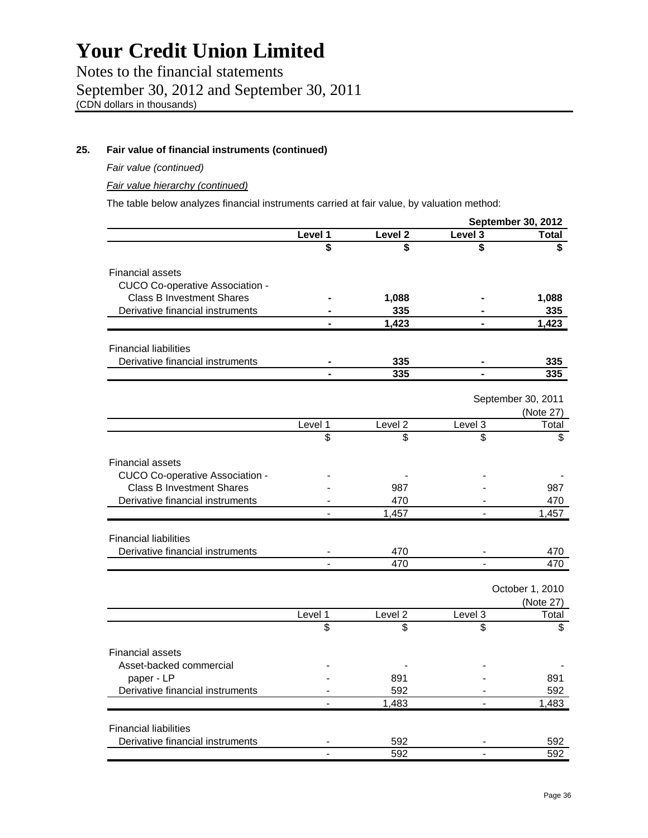Notes to the financial statements September 30, 2012 and September 30, 2011 (CDN dollars in thousands)

## **25. Fair value of financial instruments (continued)**

*Fair value (continued)* 

*Fair value hierarchy (continued)* 

The table below analyzes financial instruments carried at fair value, by valuation method:

|                                  |         |         |         | <b>September 30, 2012</b> |
|----------------------------------|---------|---------|---------|---------------------------|
|                                  | Level 1 | Level 2 | Level 3 | <b>Total</b>              |
|                                  | \$      | \$      | \$      |                           |
| Financial assets                 |         |         |         |                           |
| CUCO Co-operative Association -  |         |         |         |                           |
| <b>Class B Investment Shares</b> |         | 1,088   |         | 1,088                     |
| Derivative financial instruments |         | 335     |         | 335                       |
|                                  |         | 1,423   |         | 1,423                     |
|                                  |         |         |         |                           |
| <b>Financial liabilities</b>     |         |         |         |                           |
| Derivative financial instruments |         | 335     |         | 335                       |
|                                  |         | 335     |         | 335                       |
|                                  |         |         |         |                           |
|                                  |         |         |         | September 30, 2011        |
|                                  |         |         |         | (Note 27)                 |
|                                  | Level 1 | Level 2 | Level 3 | Total                     |
|                                  | \$      | \$      | \$      | \$.                       |
|                                  |         |         |         |                           |
| <b>Financial assets</b>          |         |         |         |                           |
| CUCO Co-operative Association -  |         |         |         |                           |
| <b>Class B Investment Shares</b> |         | 987     |         | 987                       |
| Derivative financial instruments |         | 470     |         | 470                       |
|                                  |         | 1,457   |         | 1,457                     |
|                                  |         |         |         |                           |
| <b>Financial liabilities</b>     |         |         |         |                           |
| Derivative financial instruments |         | 470     |         | 470                       |
|                                  |         | 470     |         | 470                       |
|                                  |         |         |         |                           |
|                                  |         |         |         | October 1, 2010           |
|                                  |         |         |         | (Note 27)                 |
|                                  | Level 1 | Level 2 | Level 3 | Total                     |
|                                  | \$.     | \$.     | \$      | \$                        |
|                                  |         |         |         |                           |
| <b>Financial assets</b>          |         |         |         |                           |
| Asset-backed commercial          |         |         |         |                           |
| paper - LP                       |         | 891     |         | 891                       |
| Derivative financial instruments |         | 592     |         | 592                       |
|                                  |         | 1,483   |         | 1,483                     |
| <b>Financial liabilities</b>     |         |         |         |                           |
| Derivative financial instruments |         | 592     |         |                           |
|                                  |         | 592     |         | 592<br>592                |
|                                  |         |         |         |                           |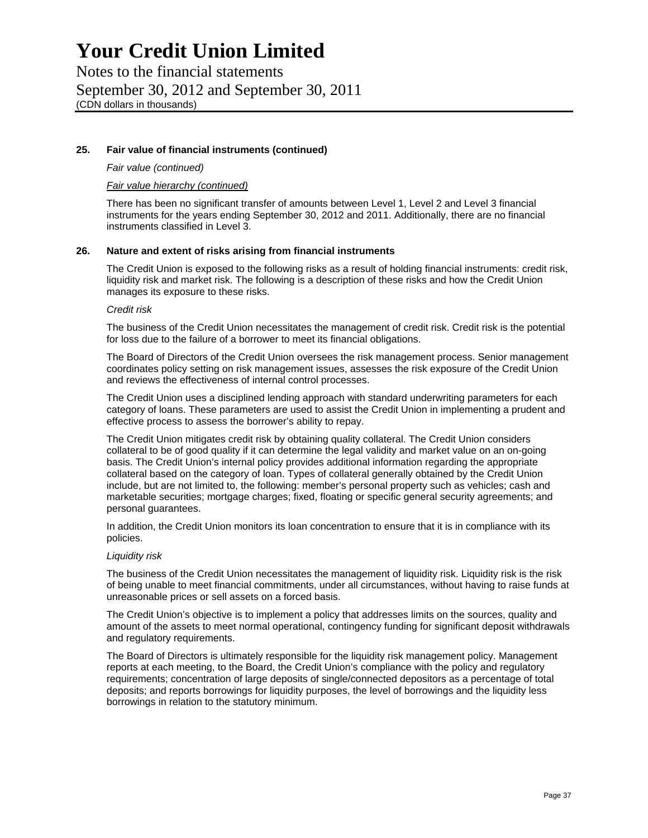Notes to the financial statements September 30, 2012 and September 30, 2011 (CDN dollars in thousands)

## **25. Fair value of financial instruments (continued)**

## *Fair value (continued)*

## *Fair value hierarchy (continued)*

There has been no significant transfer of amounts between Level 1, Level 2 and Level 3 financial instruments for the years ending September 30, 2012 and 2011. Additionally, there are no financial instruments classified in Level 3.

## **26. Nature and extent of risks arising from financial instruments**

The Credit Union is exposed to the following risks as a result of holding financial instruments: credit risk, liquidity risk and market risk. The following is a description of these risks and how the Credit Union manages its exposure to these risks.

#### *Credit risk*

The business of the Credit Union necessitates the management of credit risk. Credit risk is the potential for loss due to the failure of a borrower to meet its financial obligations.

The Board of Directors of the Credit Union oversees the risk management process. Senior management coordinates policy setting on risk management issues, assesses the risk exposure of the Credit Union and reviews the effectiveness of internal control processes.

The Credit Union uses a disciplined lending approach with standard underwriting parameters for each category of loans. These parameters are used to assist the Credit Union in implementing a prudent and effective process to assess the borrower's ability to repay.

The Credit Union mitigates credit risk by obtaining quality collateral. The Credit Union considers collateral to be of good quality if it can determine the legal validity and market value on an on-going basis. The Credit Union's internal policy provides additional information regarding the appropriate collateral based on the category of loan. Types of collateral generally obtained by the Credit Union include, but are not limited to, the following: member's personal property such as vehicles; cash and marketable securities; mortgage charges; fixed, floating or specific general security agreements; and personal guarantees.

In addition, the Credit Union monitors its loan concentration to ensure that it is in compliance with its policies.

#### *Liquidity risk*

The business of the Credit Union necessitates the management of liquidity risk. Liquidity risk is the risk of being unable to meet financial commitments, under all circumstances, without having to raise funds at unreasonable prices or sell assets on a forced basis.

The Credit Union's objective is to implement a policy that addresses limits on the sources, quality and amount of the assets to meet normal operational, contingency funding for significant deposit withdrawals and regulatory requirements.

The Board of Directors is ultimately responsible for the liquidity risk management policy. Management reports at each meeting, to the Board, the Credit Union's compliance with the policy and regulatory requirements; concentration of large deposits of single/connected depositors as a percentage of total deposits; and reports borrowings for liquidity purposes, the level of borrowings and the liquidity less borrowings in relation to the statutory minimum.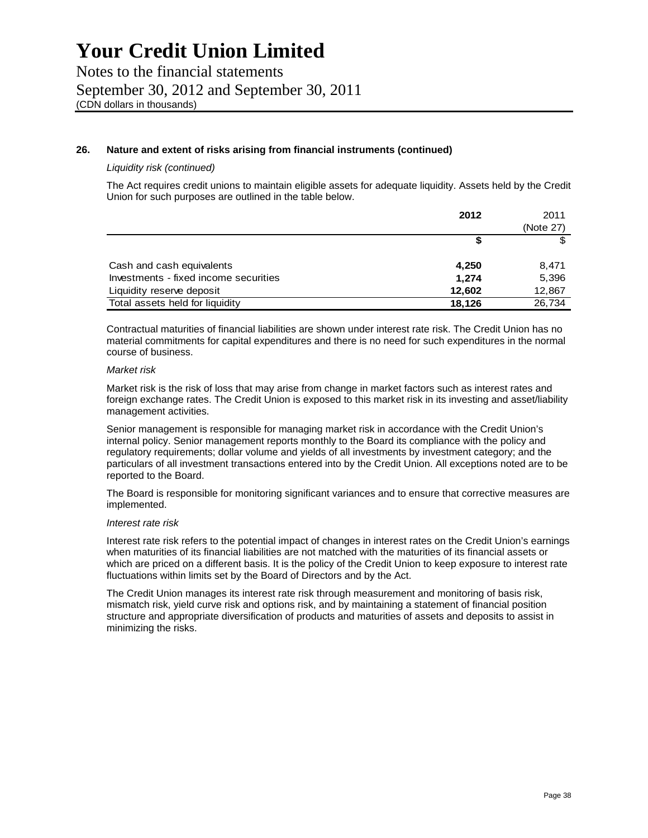Notes to the financial statements September 30, 2012 and September 30, 2011 (CDN dollars in thousands)

## **26. Nature and extent of risks arising from financial instruments (continued)**

## *Liquidity risk (continued)*

The Act requires credit unions to maintain eligible assets for adequate liquidity. Assets held by the Credit Union for such purposes are outlined in the table below.

|                                       | 2012   | 2011      |
|---------------------------------------|--------|-----------|
|                                       |        | (Note 27) |
|                                       | S      |           |
| Cash and cash equivalents             | 4,250  | 8.471     |
| Investments - fixed income securities | 1,274  | 5,396     |
| Liquidity reserve deposit             | 12,602 | 12,867    |
| Total assets held for liquidity       | 18.126 | 26,734    |

Contractual maturities of financial liabilities are shown under interest rate risk. The Credit Union has no material commitments for capital expenditures and there is no need for such expenditures in the normal course of business.

#### *Market risk*

Market risk is the risk of loss that may arise from change in market factors such as interest rates and foreign exchange rates. The Credit Union is exposed to this market risk in its investing and asset/liability management activities.

Senior management is responsible for managing market risk in accordance with the Credit Union's internal policy. Senior management reports monthly to the Board its compliance with the policy and regulatory requirements; dollar volume and yields of all investments by investment category; and the particulars of all investment transactions entered into by the Credit Union. All exceptions noted are to be reported to the Board.

The Board is responsible for monitoring significant variances and to ensure that corrective measures are implemented.

### *Interest rate risk*

Interest rate risk refers to the potential impact of changes in interest rates on the Credit Union's earnings when maturities of its financial liabilities are not matched with the maturities of its financial assets or which are priced on a different basis. It is the policy of the Credit Union to keep exposure to interest rate fluctuations within limits set by the Board of Directors and by the Act.

The Credit Union manages its interest rate risk through measurement and monitoring of basis risk, mismatch risk, yield curve risk and options risk, and by maintaining a statement of financial position structure and appropriate diversification of products and maturities of assets and deposits to assist in minimizing the risks.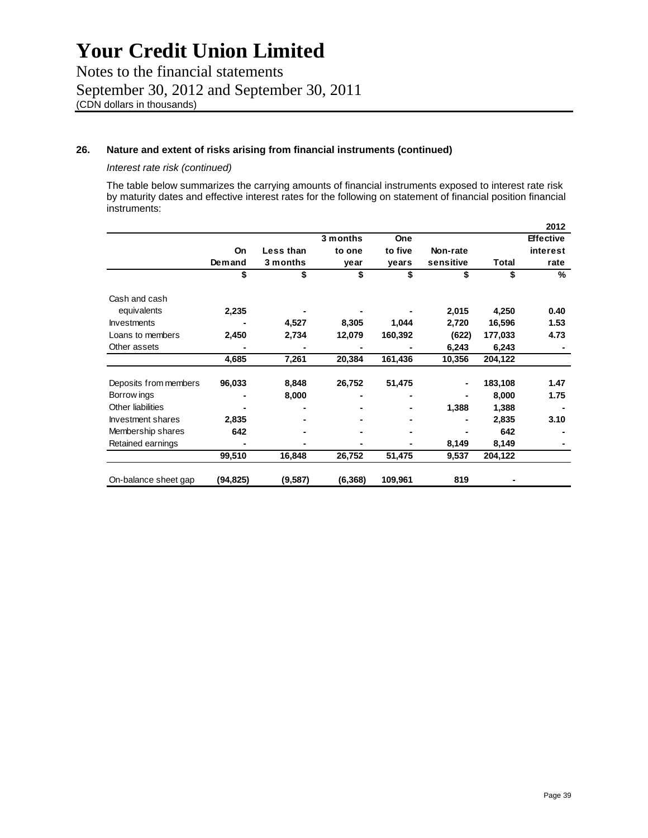Notes to the financial statements September 30, 2012 and September 30, 2011 (CDN dollars in thousands)

## **26. Nature and extent of risks arising from financial instruments (continued)**

## *Interest rate risk (continued)*

The table below summarizes the carrying amounts of financial instruments exposed to interest rate risk by maturity dates and effective interest rates for the following on statement of financial position financial instruments:

|                          |           |           |          |            |           |         | 2012             |
|--------------------------|-----------|-----------|----------|------------|-----------|---------|------------------|
|                          |           |           | 3 months | <b>One</b> |           |         | <b>Effective</b> |
|                          | <b>On</b> | Less than | to one   | to five    | Non-rate  |         | interest         |
|                          | Demand    | 3 months  | year     | years      | sensitive | Total   | rate             |
|                          | \$        | \$        | \$       | \$         | \$        | \$      | ℅                |
| Cash and cash            |           |           |          |            |           |         |                  |
| equivalents              | 2,235     |           |          |            | 2,015     | 4,250   | 0.40             |
| <b>Investments</b>       |           | 4,527     | 8,305    | 1,044      | 2,720     | 16,596  | 1.53             |
| Loans to members         | 2,450     | 2,734     | 12,079   | 160,392    | (622)     | 177,033 | 4.73             |
| Other assets             |           |           |          |            | 6,243     | 6,243   |                  |
|                          | 4,685     | 7,261     | 20,384   | 161,436    | 10,356    | 204,122 |                  |
|                          |           |           |          |            |           |         |                  |
| Deposits from members    | 96,033    | 8,848     | 26,752   | 51,475     |           | 183,108 | 1.47             |
| Borrow ings              |           | 8,000     |          |            |           | 8,000   | 1.75             |
| Other liabilities        |           |           |          |            | 1,388     | 1,388   |                  |
| <b>Investment shares</b> | 2,835     |           |          |            |           | 2,835   | 3.10             |
| Membership shares        | 642       |           |          |            |           | 642     |                  |
| Retained earnings        |           |           |          |            | 8,149     | 8,149   |                  |
|                          | 99,510    | 16,848    | 26,752   | 51,475     | 9,537     | 204,122 |                  |
| On-balance sheet gap     | (94,825)  | (9,587)   | (6, 368) | 109,961    | 819       |         |                  |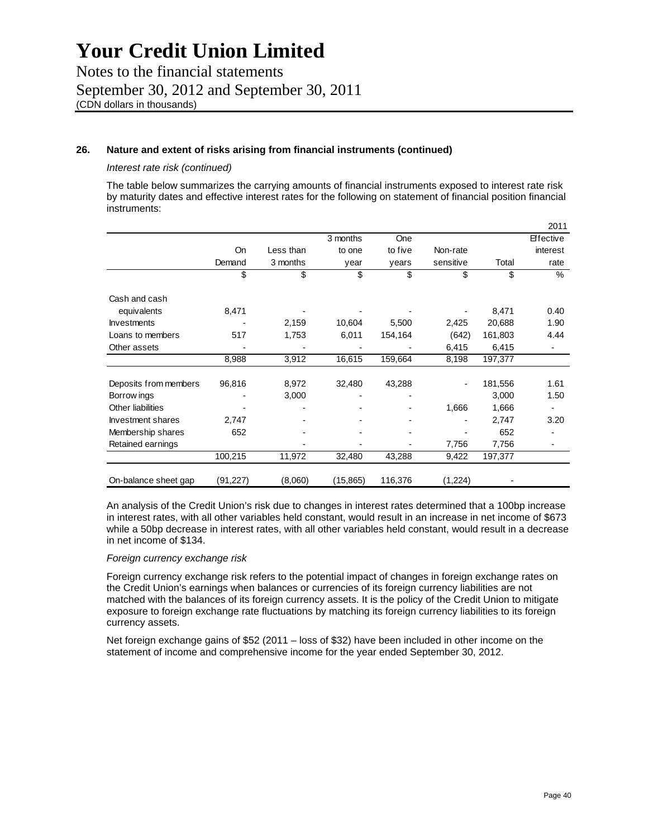Notes to the financial statements September 30, 2012 and September 30, 2011 (CDN dollars in thousands)

## **26. Nature and extent of risks arising from financial instruments (continued)**

## *Interest rate risk (continued)*

The table below summarizes the carrying amounts of financial instruments exposed to interest rate risk by maturity dates and effective interest rates for the following on statement of financial position financial instruments:

|                       |          |           |           |            |           |         | 2011             |
|-----------------------|----------|-----------|-----------|------------|-----------|---------|------------------|
|                       |          |           | 3 months  | <b>One</b> |           |         | <b>Effective</b> |
|                       | On       | Less than | to one    | to five    | Non-rate  |         | interest         |
|                       | Demand   | 3 months  | year      | years      | sensitive | Total   | rate             |
|                       | \$       | \$        | \$        | \$         | \$        | \$      | %                |
| Cash and cash         |          |           |           |            |           |         |                  |
| equivalents           | 8,471    |           |           |            |           | 8,471   | 0.40             |
| <b>Investments</b>    |          | 2,159     | 10,604    | 5,500      | 2,425     | 20,688  | 1.90             |
| Loans to members      | 517      | 1,753     | 6,011     | 154,164    | (642)     | 161,803 | 4.44             |
| Other assets          |          |           |           |            | 6,415     | 6,415   |                  |
|                       | 8,988    | 3,912     | 16,615    | 159,664    | 8,198     | 197,377 |                  |
|                       |          |           |           |            |           |         |                  |
| Deposits from members | 96,816   | 8,972     | 32,480    | 43,288     |           | 181,556 | 1.61             |
| Borrow ings           |          | 3,000     |           |            |           | 3,000   | 1.50             |
| Other liabilities     |          |           |           |            | 1,666     | 1,666   |                  |
| Investment shares     | 2,747    |           |           |            |           | 2,747   | 3.20             |
| Membership shares     | 652      |           |           |            |           | 652     |                  |
| Retained earnings     |          |           |           |            | 7,756     | 7,756   |                  |
|                       | 100,215  | 11,972    | 32,480    | 43,288     | 9,422     | 197,377 |                  |
| On-balance sheet gap  | (91,227) | (8,060)   | (15, 865) | 116,376    | (1,224)   |         |                  |

An analysis of the Credit Union's risk due to changes in interest rates determined that a 100bp increase in interest rates, with all other variables held constant, would result in an increase in net income of \$673 while a 50bp decrease in interest rates, with all other variables held constant, would result in a decrease in net income of \$134.

#### *Foreign currency exchange risk*

Foreign currency exchange risk refers to the potential impact of changes in foreign exchange rates on the Credit Union's earnings when balances or currencies of its foreign currency liabilities are not matched with the balances of its foreign currency assets. It is the policy of the Credit Union to mitigate exposure to foreign exchange rate fluctuations by matching its foreign currency liabilities to its foreign currency assets.

Net foreign exchange gains of \$52 (2011 – loss of \$32) have been included in other income on the statement of income and comprehensive income for the year ended September 30, 2012.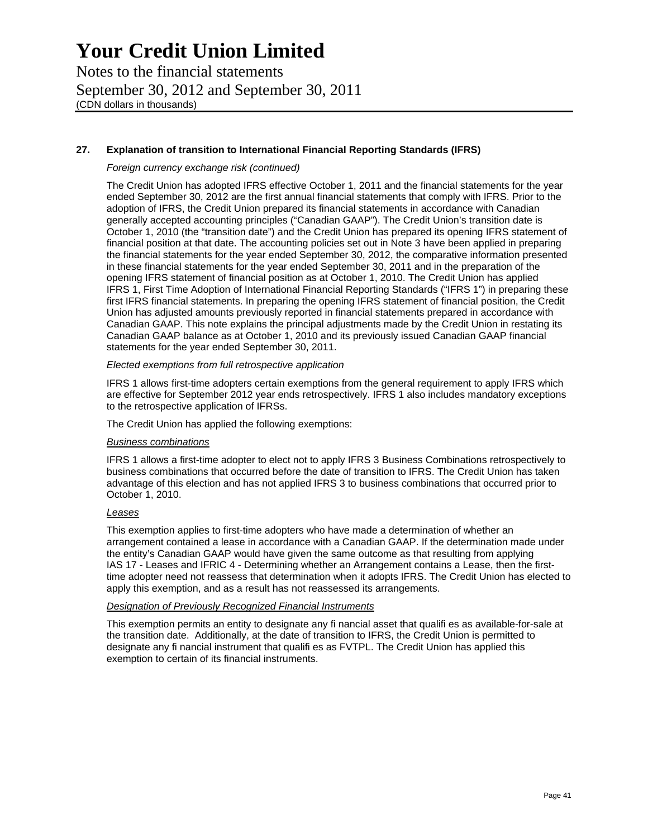Notes to the financial statements September 30, 2012 and September 30, 2011 (CDN dollars in thousands)

## **27. Explanation of transition to International Financial Reporting Standards (IFRS)**

## *Foreign currency exchange risk (continued)*

The Credit Union has adopted IFRS effective October 1, 2011 and the financial statements for the year ended September 30, 2012 are the first annual financial statements that comply with IFRS. Prior to the adoption of IFRS, the Credit Union prepared its financial statements in accordance with Canadian generally accepted accounting principles ("Canadian GAAP"). The Credit Union's transition date is October 1, 2010 (the "transition date") and the Credit Union has prepared its opening IFRS statement of financial position at that date. The accounting policies set out in Note 3 have been applied in preparing the financial statements for the year ended September 30, 2012, the comparative information presented in these financial statements for the year ended September 30, 2011 and in the preparation of the opening IFRS statement of financial position as at October 1, 2010. The Credit Union has applied IFRS 1, First Time Adoption of International Financial Reporting Standards ("IFRS 1") in preparing these first IFRS financial statements. In preparing the opening IFRS statement of financial position, the Credit Union has adjusted amounts previously reported in financial statements prepared in accordance with Canadian GAAP. This note explains the principal adjustments made by the Credit Union in restating its Canadian GAAP balance as at October 1, 2010 and its previously issued Canadian GAAP financial statements for the year ended September 30, 2011.

### *Elected exemptions from full retrospective application*

IFRS 1 allows first-time adopters certain exemptions from the general requirement to apply IFRS which are effective for September 2012 year ends retrospectively. IFRS 1 also includes mandatory exceptions to the retrospective application of IFRSs.

The Credit Union has applied the following exemptions:

## *Business combinations*

IFRS 1 allows a first-time adopter to elect not to apply IFRS 3 Business Combinations retrospectively to business combinations that occurred before the date of transition to IFRS. The Credit Union has taken advantage of this election and has not applied IFRS 3 to business combinations that occurred prior to October 1, 2010.

## *Leases*

This exemption applies to first-time adopters who have made a determination of whether an arrangement contained a lease in accordance with a Canadian GAAP. If the determination made under the entity's Canadian GAAP would have given the same outcome as that resulting from applying IAS 17 - Leases and IFRIC 4 - Determining whether an Arrangement contains a Lease, then the firsttime adopter need not reassess that determination when it adopts IFRS. The Credit Union has elected to apply this exemption, and as a result has not reassessed its arrangements.

## *Designation of Previously Recognized Financial Instruments*

This exemption permits an entity to designate any fi nancial asset that qualifi es as available-for-sale at the transition date. Additionally, at the date of transition to IFRS, the Credit Union is permitted to designate any fi nancial instrument that qualifi es as FVTPL. The Credit Union has applied this exemption to certain of its financial instruments.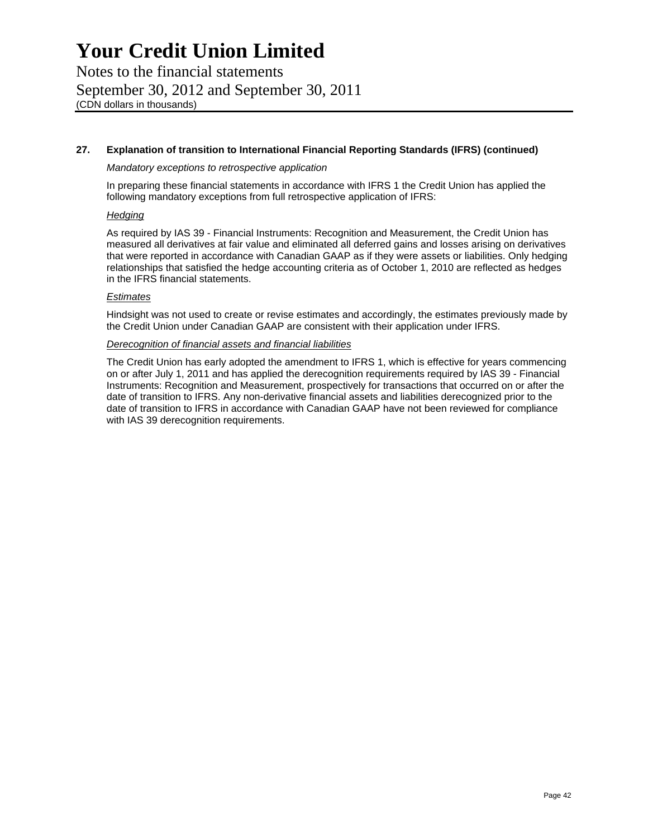Notes to the financial statements September 30, 2012 and September 30, 2011 (CDN dollars in thousands)

## **27. Explanation of transition to International Financial Reporting Standards (IFRS) (continued)**

## *Mandatory exceptions to retrospective application*

In preparing these financial statements in accordance with IFRS 1 the Credit Union has applied the following mandatory exceptions from full retrospective application of IFRS:

### *Hedging*

As required by IAS 39 - Financial Instruments: Recognition and Measurement, the Credit Union has measured all derivatives at fair value and eliminated all deferred gains and losses arising on derivatives that were reported in accordance with Canadian GAAP as if they were assets or liabilities. Only hedging relationships that satisfied the hedge accounting criteria as of October 1, 2010 are reflected as hedges in the IFRS financial statements.

## *Estimates*

Hindsight was not used to create or revise estimates and accordingly, the estimates previously made by the Credit Union under Canadian GAAP are consistent with their application under IFRS.

## *Derecognition of financial assets and financial liabilities*

The Credit Union has early adopted the amendment to IFRS 1, which is effective for years commencing on or after July 1, 2011 and has applied the derecognition requirements required by IAS 39 - Financial Instruments: Recognition and Measurement, prospectively for transactions that occurred on or after the date of transition to IFRS. Any non-derivative financial assets and liabilities derecognized prior to the date of transition to IFRS in accordance with Canadian GAAP have not been reviewed for compliance with IAS 39 derecognition requirements.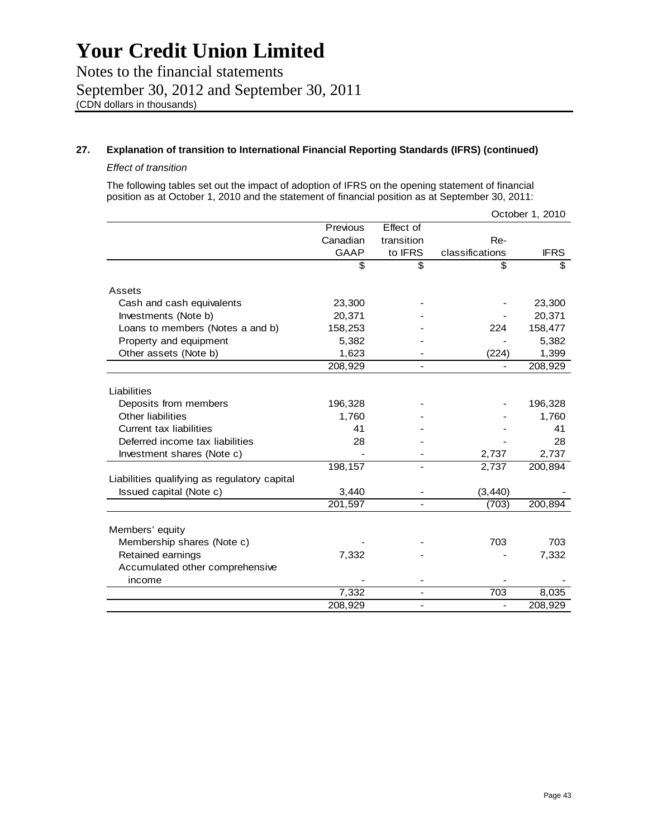Notes to the financial statements September 30, 2012 and September 30, 2011 (CDN dollars in thousands)

## **27. Explanation of transition to International Financial Reporting Standards (IFRS) (continued)**

### *Effect of transition*

The following tables set out the impact of adoption of IFRS on the opening statement of financial position as at October 1, 2010 and the statement of financial position as at September 30, 2011:

|                                              |             |                              |                 | October 1, 2010 |
|----------------------------------------------|-------------|------------------------------|-----------------|-----------------|
|                                              | Previous    | Effect of                    |                 |                 |
|                                              | Canadian    | transition                   | Re-             |                 |
|                                              | <b>GAAP</b> | to IFRS                      | classifications | <b>IFRS</b>     |
|                                              | \$          | \$                           | \$              | \$              |
| Assets                                       |             |                              |                 |                 |
| Cash and cash equivalents                    | 23,300      |                              |                 | 23,300          |
| Investments (Note b)                         | 20,371      |                              |                 | 20,371          |
| Loans to members (Notes a and b)             | 158,253     |                              | 224             | 158,477         |
| Property and equipment                       | 5,382       |                              |                 | 5,382           |
| Other assets (Note b)                        | 1,623       |                              | (224)           | 1,399           |
|                                              | 208,929     |                              |                 | 208,929         |
| Liabilities                                  |             |                              |                 |                 |
| Deposits from members                        | 196,328     |                              |                 | 196,328         |
| <b>Other liabilities</b>                     | 1,760       |                              |                 | 1,760           |
| Current tax liabilities                      | 41          |                              |                 | 41              |
| Deferred income tax liabilities              | 28          |                              |                 | 28              |
| Investment shares (Note c)                   |             |                              | 2,737           | 2,737           |
|                                              | 198,157     |                              | 2,737           | 200,894         |
| Liabilities qualifying as regulatory capital |             |                              |                 |                 |
| Issued capital (Note c)                      | 3,440       |                              | (3, 440)        |                 |
|                                              | 201,597     |                              | (703)           | 200,894         |
| Members' equity                              |             |                              |                 |                 |
| Membership shares (Note c)                   |             |                              | 703             | 703             |
| Retained earnings                            | 7,332       |                              |                 | 7,332           |
| Accumulated other comprehensive              |             |                              |                 |                 |
| income                                       |             |                              |                 |                 |
|                                              | 7,332       |                              | 703             | 8,035           |
|                                              | 208,929     | $\qquad \qquad \blacksquare$ | ÷,              | 208,929         |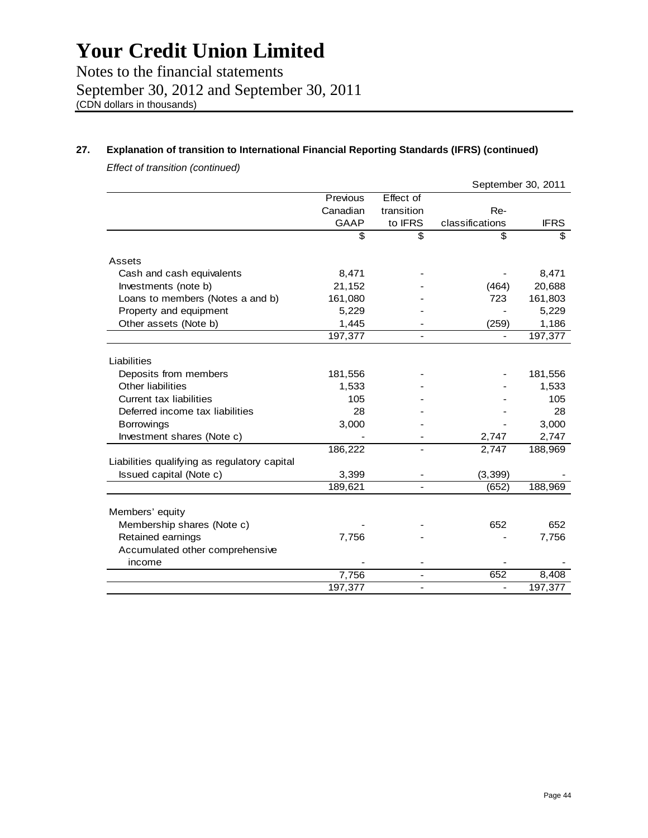Notes to the financial statements September 30, 2012 and September 30, 2011 (CDN dollars in thousands)

## **27. Explanation of transition to International Financial Reporting Standards (IFRS) (continued)**

*Effect of transition (continued)* 

|                                              |          |                          |                 | September 30, 2011 |
|----------------------------------------------|----------|--------------------------|-----------------|--------------------|
|                                              | Previous | Effect of                |                 |                    |
|                                              | Canadian | transition               | Re-             |                    |
|                                              | GAAP     | to IFRS                  | classifications | <b>IFRS</b>        |
|                                              | \$       | \$                       | \$              | \$                 |
| Assets                                       |          |                          |                 |                    |
| Cash and cash equivalents                    | 8,471    |                          |                 | 8,471              |
| Investments (note b)                         | 21,152   |                          | (464)           | 20,688             |
| Loans to members (Notes a and b)             | 161,080  |                          | 723             | 161,803            |
| Property and equipment                       | 5,229    |                          |                 | 5,229              |
| Other assets (Note b)                        | 1,445    |                          | (259)           | 1,186              |
|                                              | 197,377  |                          |                 | 197,377            |
|                                              |          |                          |                 |                    |
| Liabilities                                  |          |                          |                 |                    |
| Deposits from members                        | 181,556  |                          |                 | 181,556            |
| Other liabilities                            | 1,533    |                          |                 | 1,533              |
| Current tax liabilities                      | 105      |                          |                 | 105                |
| Deferred income tax liabilities              | 28       |                          |                 | 28                 |
| Borrowings                                   | 3,000    |                          |                 | 3,000              |
| Investment shares (Note c)                   |          |                          | 2,747           | 2,747              |
|                                              | 186,222  |                          | 2,747           | 188,969            |
| Liabilities qualifying as regulatory capital |          |                          |                 |                    |
| Issued capital (Note c)                      | 3,399    |                          | (3, 399)        |                    |
|                                              | 189,621  |                          | (652)           | 188,969            |
|                                              |          |                          |                 |                    |
| Members' equity                              |          |                          |                 |                    |
| Membership shares (Note c)                   |          |                          | 652             | 652                |
| Retained earnings                            | 7,756    |                          |                 | 7,756              |
| Accumulated other comprehensive              |          |                          |                 |                    |
| income                                       |          |                          |                 |                    |
|                                              | 7,756    | $\overline{\phantom{a}}$ | 652             | 8,408              |
|                                              | 197,377  | $\overline{\phantom{a}}$ |                 | 197,377            |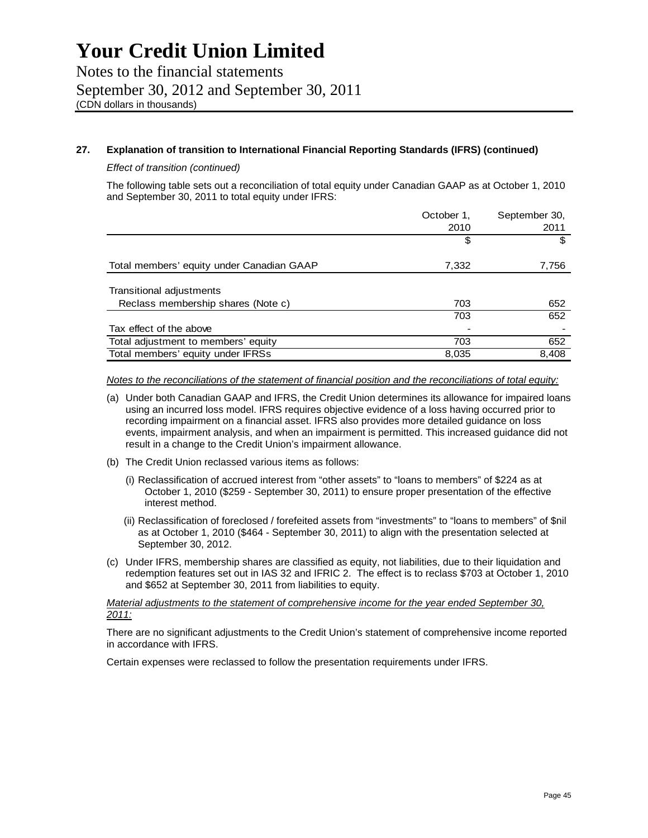## **27. Explanation of transition to International Financial Reporting Standards (IFRS) (continued)**

## *Effect of transition (continued)*

The following table sets out a reconciliation of total equity under Canadian GAAP as at October 1, 2010 and September 30, 2011 to total equity under IFRS:

|                                           | October 1, | September 30, |
|-------------------------------------------|------------|---------------|
|                                           | 2010       | 2011          |
|                                           | \$         |               |
| Total members' equity under Canadian GAAP | 7,332      | 7,756         |
| Transitional adjustments                  |            |               |
| Reclass membership shares (Note c)        | 703        | 652           |
|                                           | 703        | 652           |
| Tax effect of the above                   |            |               |
| Total adjustment to members' equity       | 703        | 652           |
| Total members' equity under IFRSs         | 8,035      | 8,408         |

*Notes to the reconciliations of the statement of financial position and the reconciliations of total equity:* 

- (a) Under both Canadian GAAP and IFRS, the Credit Union determines its allowance for impaired loans using an incurred loss model. IFRS requires objective evidence of a loss having occurred prior to recording impairment on a financial asset. IFRS also provides more detailed guidance on loss events, impairment analysis, and when an impairment is permitted. This increased guidance did not result in a change to the Credit Union's impairment allowance.
- (b) The Credit Union reclassed various items as follows:
	- (i) Reclassification of accrued interest from "other assets" to "loans to members" of \$224 as at October 1, 2010 (\$259 - September 30, 2011) to ensure proper presentation of the effective interest method.
	- (ii) Reclassification of foreclosed / forefeited assets from "investments" to "loans to members" of \$nil as at October 1, 2010 (\$464 - September 30, 2011) to align with the presentation selected at September 30, 2012.
- (c) Under IFRS, membership shares are classified as equity, not liabilities, due to their liquidation and redemption features set out in IAS 32 and IFRIC 2. The effect is to reclass \$703 at October 1, 2010 and \$652 at September 30, 2011 from liabilities to equity.

*Material adjustments to the statement of comprehensive income for the year ended September 30, 2011:* 

There are no significant adjustments to the Credit Union's statement of comprehensive income reported in accordance with IFRS.

Certain expenses were reclassed to follow the presentation requirements under IFRS.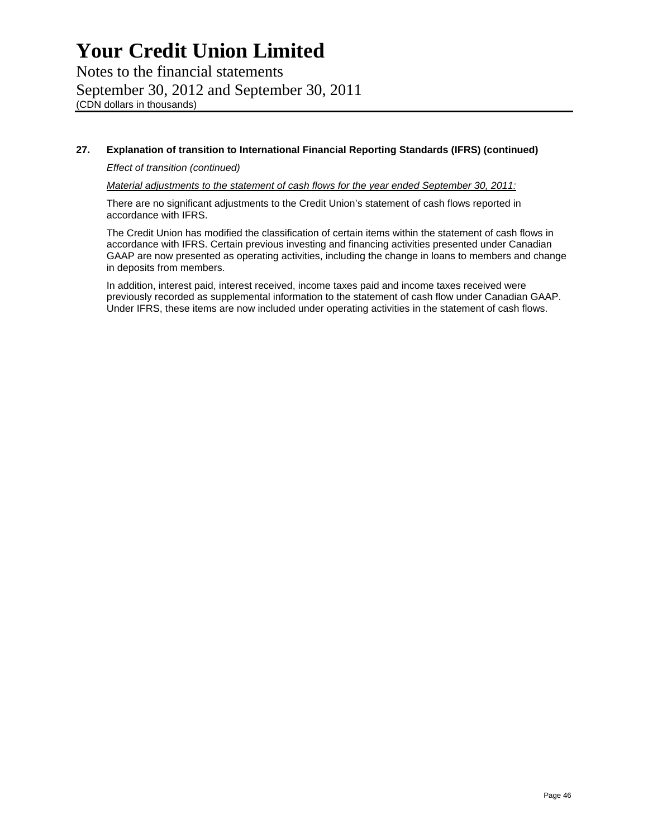## **27. Explanation of transition to International Financial Reporting Standards (IFRS) (continued)**

## *Effect of transition (continued)*

*Material adjustments to the statement of cash flows for the year ended September 30, 2011:* 

There are no significant adjustments to the Credit Union's statement of cash flows reported in accordance with IFRS.

The Credit Union has modified the classification of certain items within the statement of cash flows in accordance with IFRS. Certain previous investing and financing activities presented under Canadian GAAP are now presented as operating activities, including the change in loans to members and change in deposits from members.

In addition, interest paid, interest received, income taxes paid and income taxes received were previously recorded as supplemental information to the statement of cash flow under Canadian GAAP. Under IFRS, these items are now included under operating activities in the statement of cash flows.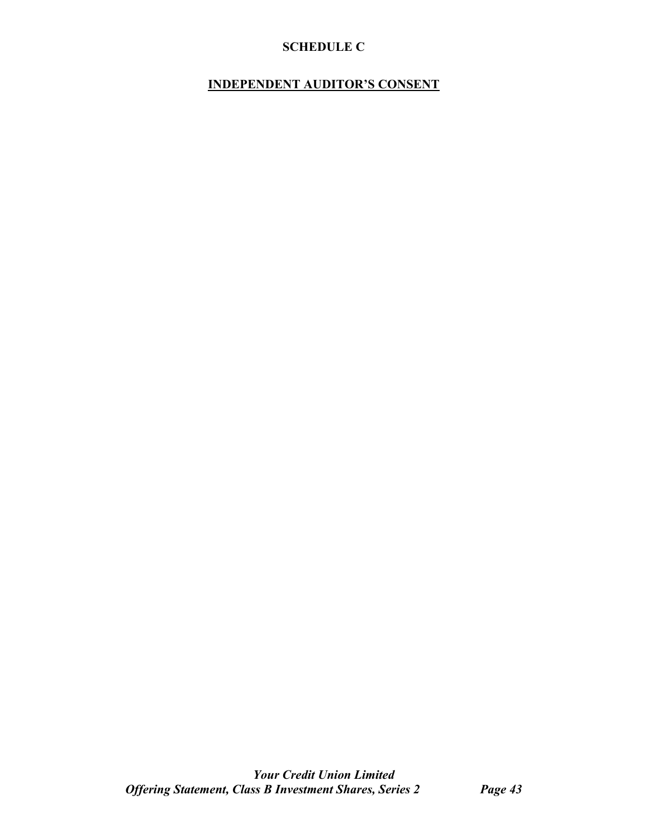## **SCHEDULE C**

## **INDEPENDENT AUDITOR'S CONSENT**